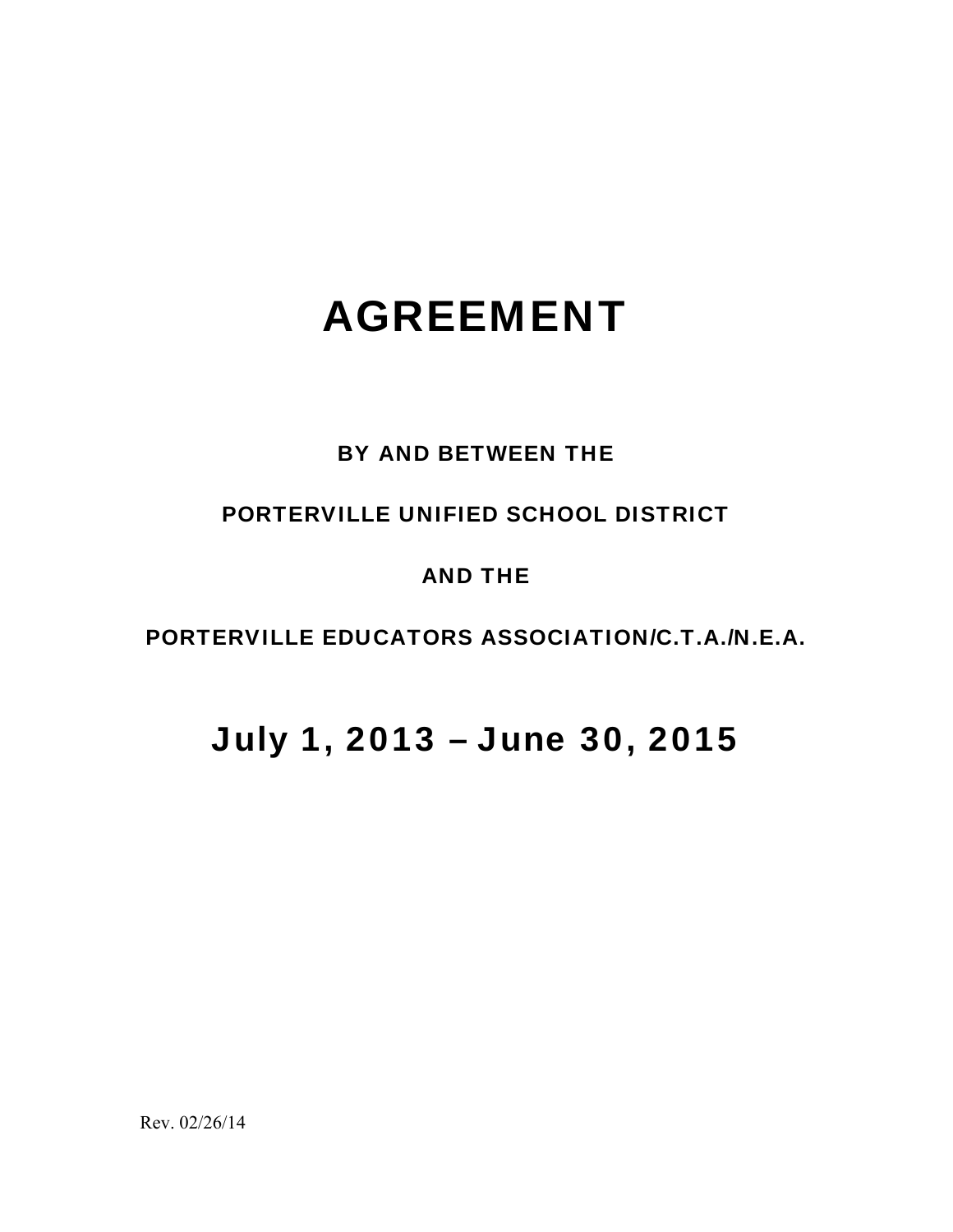# AGREEMENT

### BY AND BETWEEN THE

### PORTERVILLE UNIFIED SCHOOL DISTRICT

### AND THE

### PORTERVILLE EDUCATORS ASSOCIATION/C.T.A./N.E.A.

## July 1, 2013 – June 30, 2015

Rev. 02/26/14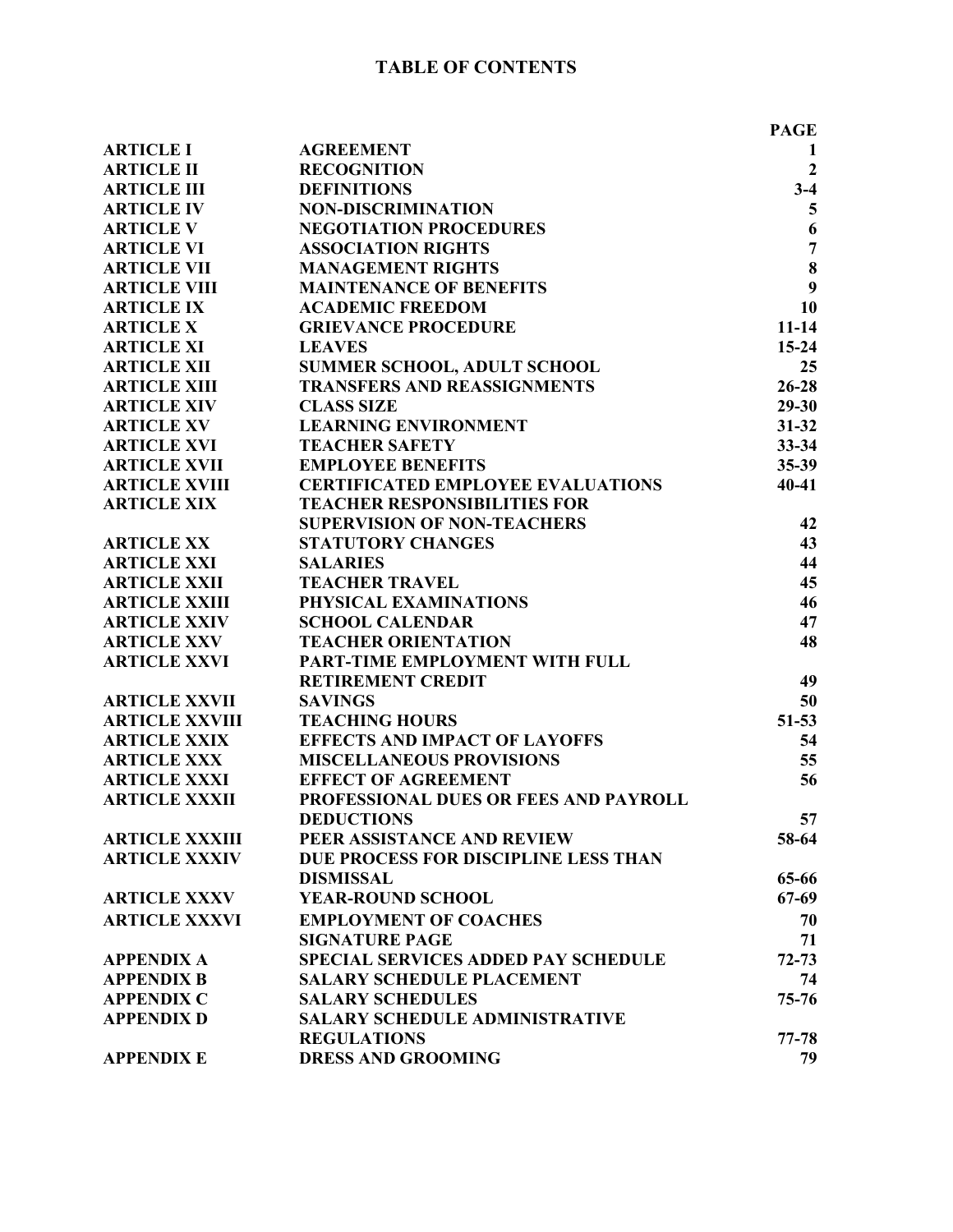|                       |                                            | <b>PAGE</b>             |
|-----------------------|--------------------------------------------|-------------------------|
| <b>ARTICLE I</b>      | <b>AGREEMENT</b>                           | 1                       |
| <b>ARTICLE II</b>     | <b>RECOGNITION</b>                         | $\overline{2}$          |
| <b>ARTICLE III</b>    | <b>DEFINITIONS</b>                         | $3-4$                   |
| <b>ARTICLE IV</b>     | <b>NON-DISCRIMINATION</b>                  | $\overline{\mathbf{5}}$ |
| <b>ARTICLE V</b>      | <b>NEGOTIATION PROCEDURES</b>              | 6                       |
| <b>ARTICLE VI</b>     | <b>ASSOCIATION RIGHTS</b>                  | $\overline{7}$          |
| <b>ARTICLE VII</b>    | <b>MANAGEMENT RIGHTS</b>                   | 8                       |
| <b>ARTICLE VIII</b>   | <b>MAINTENANCE OF BENEFITS</b>             | 9                       |
| <b>ARTICLE IX</b>     | <b>ACADEMIC FREEDOM</b>                    | 10                      |
| <b>ARTICLE X</b>      | <b>GRIEVANCE PROCEDURE</b>                 | $11 - 14$               |
| <b>ARTICLE XI</b>     | <b>LEAVES</b>                              | 15-24                   |
| <b>ARTICLE XII</b>    | SUMMER SCHOOL, ADULT SCHOOL                | 25                      |
| <b>ARTICLE XIII</b>   | <b>TRANSFERS AND REASSIGNMENTS</b>         | $26 - 28$               |
| <b>ARTICLE XIV</b>    | <b>CLASS SIZE</b>                          | $29 - 30$               |
| <b>ARTICLE XV</b>     | <b>LEARNING ENVIRONMENT</b>                | $31 - 32$               |
| <b>ARTICLE XVI</b>    | <b>TEACHER SAFETY</b>                      | $33 - 34$               |
| <b>ARTICLE XVII</b>   | <b>EMPLOYEE BENEFITS</b>                   | 35-39                   |
| <b>ARTICLE XVIII</b>  | <b>CERTIFICATED EMPLOYEE EVALUATIONS</b>   | $40 - 41$               |
| <b>ARTICLE XIX</b>    | <b>TEACHER RESPONSIBILITIES FOR</b>        |                         |
|                       | <b>SUPERVISION OF NON-TEACHERS</b>         | 42                      |
| <b>ARTICLE XX</b>     | <b>STATUTORY CHANGES</b>                   | 43                      |
| <b>ARTICLE XXI</b>    | <b>SALARIES</b>                            | 44                      |
| <b>ARTICLE XXII</b>   | <b>TEACHER TRAVEL</b>                      | 45                      |
| <b>ARTICLE XXIII</b>  | PHYSICAL EXAMINATIONS                      | 46                      |
| <b>ARTICLE XXIV</b>   | <b>SCHOOL CALENDAR</b>                     | 47                      |
| <b>ARTICLE XXV</b>    | <b>TEACHER ORIENTATION</b>                 | 48                      |
| <b>ARTICLE XXVI</b>   | PART-TIME EMPLOYMENT WITH FULL             |                         |
|                       | <b>RETIREMENT CREDIT</b>                   | 49                      |
| <b>ARTICLE XXVII</b>  | <b>SAVINGS</b>                             | 50                      |
| <b>ARTICLE XXVIII</b> | <b>TEACHING HOURS</b>                      | $51 - 53$               |
| <b>ARTICLE XXIX</b>   | <b>EFFECTS AND IMPACT OF LAYOFFS</b>       | 54                      |
| <b>ARTICLE XXX</b>    | <b>MISCELLANEOUS PROVISIONS</b>            | 55                      |
| <b>ARTICLE XXXI</b>   | <b>EFFECT OF AGREEMENT</b>                 | 56                      |
| <b>ARTICLE XXXII</b>  | PROFESSIONAL DUES OR FEES AND PAYROLL      |                         |
|                       | <b>DEDUCTIONS</b>                          | 57                      |
| <b>ARTICLE XXXIII</b> | PEER ASSISTANCE AND REVIEW                 | 58-64                   |
| <b>ARTICLE XXXIV</b>  | DUE PROCESS FOR DISCIPLINE LESS THAN       |                         |
|                       | <b>DISMISSAL</b>                           | 65-66                   |
| <b>ARTICLE XXXV</b>   | YEAR-ROUND SCHOOL                          | $67-69$                 |
| <b>ARTICLE XXXVI</b>  | <b>EMPLOYMENT OF COACHES</b>               | 70                      |
|                       | <b>SIGNATURE PAGE</b>                      | 71                      |
| <b>APPENDIX A</b>     | <b>SPECIAL SERVICES ADDED PAY SCHEDULE</b> | $72 - 73$               |
| <b>APPENDIX B</b>     | <b>SALARY SCHEDULE PLACEMENT</b>           | 74                      |
| <b>APPENDIX C</b>     | <b>SALARY SCHEDULES</b>                    | $75 - 76$               |
| <b>APPENDIX D</b>     | <b>SALARY SCHEDULE ADMINISTRATIVE</b>      |                         |
|                       | <b>REGULATIONS</b>                         | 77-78                   |
| <b>APPENDIX E</b>     | <b>DRESS AND GROOMING</b>                  | 79                      |
|                       |                                            |                         |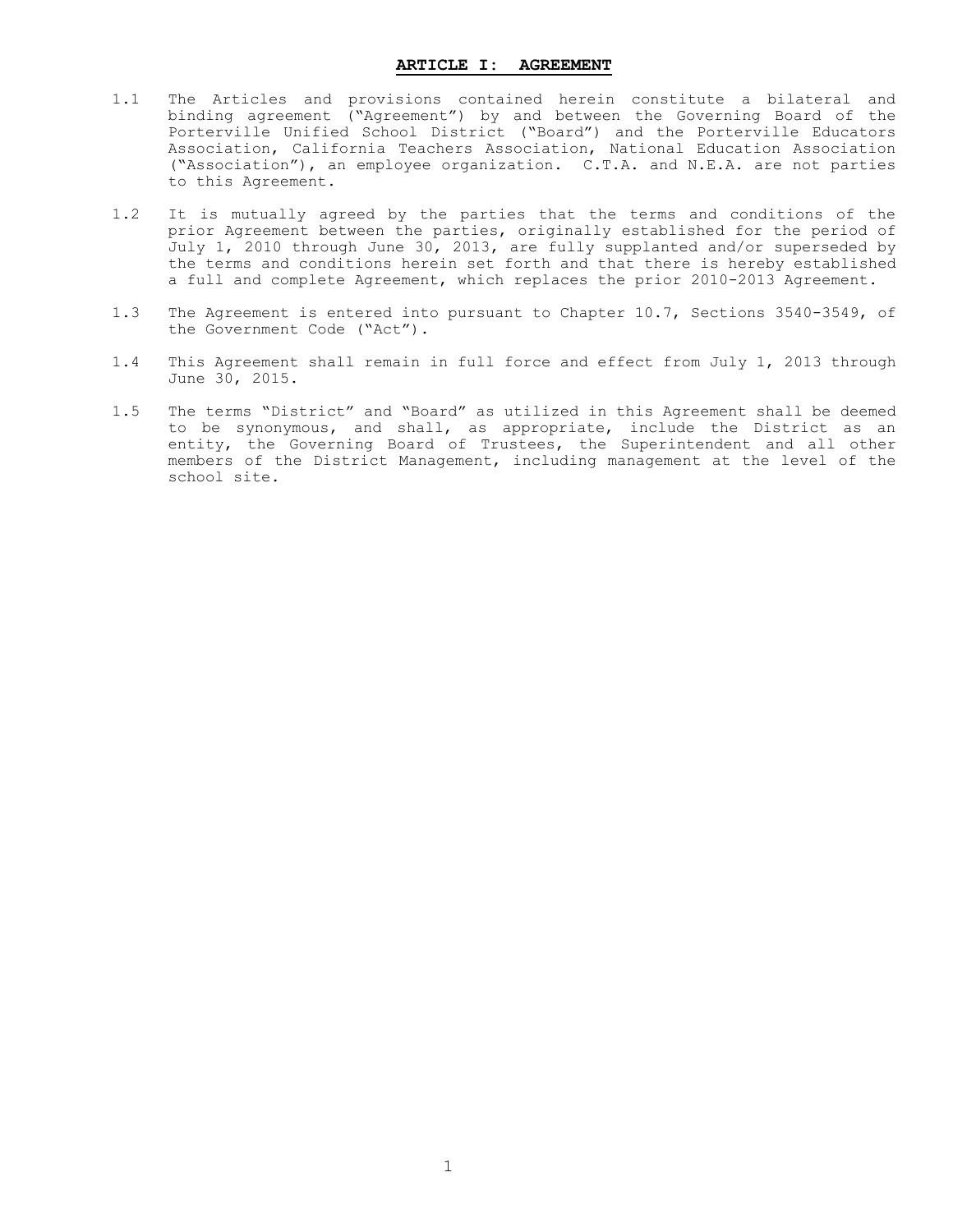#### **ARTICLE I: AGREEMENT**

- <span id="page-2-0"></span>1.1 The Articles and provisions contained herein constitute a bilateral and binding agreement ("Agreement") by and between the Governing Board of the Porterville Unified School District ("Board") and the Porterville Educators Association, California Teachers Association, National Education Association ("Association"), an employee organization. C.T.A. and N.E.A. are not parties to this Agreement.
- 1.2 It is mutually agreed by the parties that the terms and conditions of the prior Agreement between the parties, originally established for the period of July 1, 2010 through June 30, 2013, are fully supplanted and/or superseded by the terms and conditions herein set forth and that there is hereby established a full and complete Agreement, which replaces the prior 2010-2013 Agreement.
- 1.3 The Agreement is entered into pursuant to Chapter 10.7, Sections 3540-3549, of the Government Code ("Act").
- 1.4 This Agreement shall remain in full force and effect from July 1, 2013 through June 30, 2015.
- 1.5 The terms "District" and "Board" as utilized in this Agreement shall be deemed to be synonymous, and shall, as appropriate, include the District as an entity, the Governing Board of Trustees, the Superintendent and all other members of the District Management, including management at the level of the school site.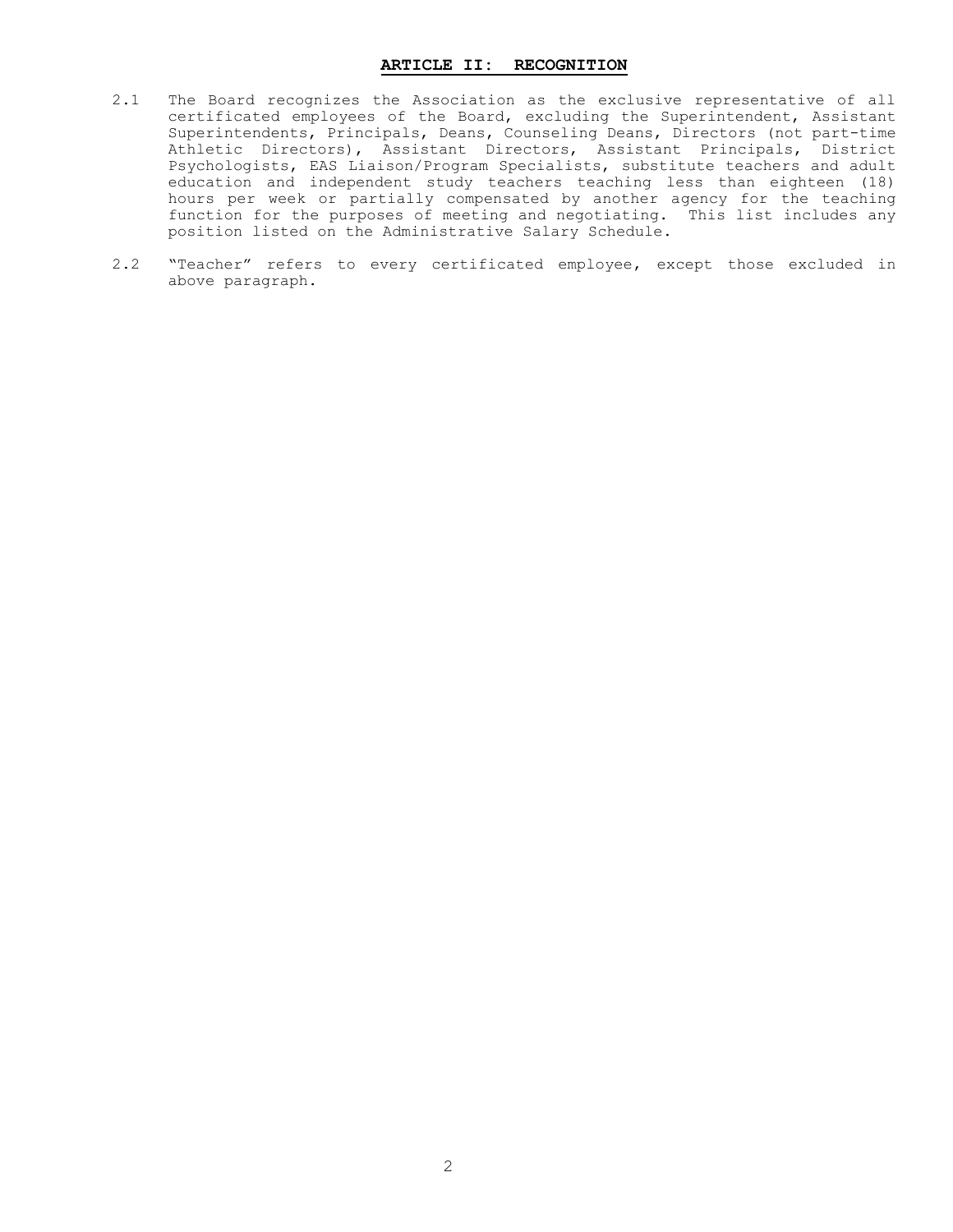#### **ARTICLE II: RECOGNITION**

- <span id="page-3-0"></span>2.1 The Board recognizes the Association as the exclusive representative of all certificated employees of the Board, excluding the Superintendent, Assistant Superintendents, Principals, Deans, Counseling Deans, Directors (not part-time Athletic Directors), Assistant Directors, Assistant Principals, District Psychologists, EAS Liaison/Program Specialists, substitute teachers and adult education and independent study teachers teaching less than eighteen (18) hours per week or partially compensated by another agency for the teaching function for the purposes of meeting and negotiating. This list includes any position listed on the Administrative Salary Schedule.
- 2.2 "Teacher" refers to every certificated employee, except those excluded in above paragraph.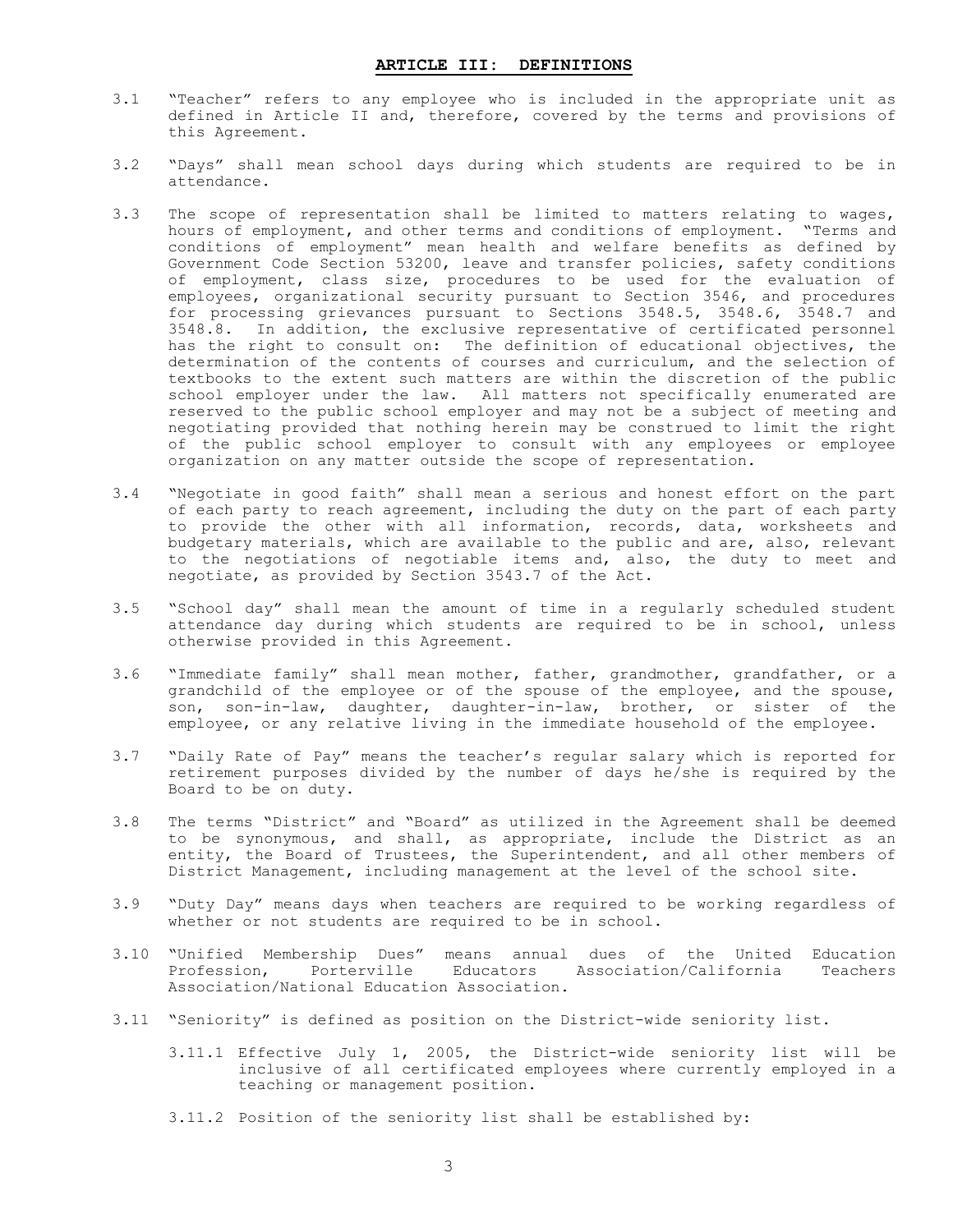- <span id="page-4-0"></span>3.1 "Teacher" refers to any employee who is included in the appropriate unit as defined in Article II and, therefore, covered by the terms and provisions of this Agreement.
- 3.2 "Days" shall mean school days during which students are required to be in attendance.
- 3.3 The scope of representation shall be limited to matters relating to wages, hours of employment, and other terms and conditions of employment. "Terms and conditions of employment" mean health and welfare benefits as defined by Government Code Section 53200, leave and transfer policies, safety conditions of employment, class size, procedures to be used for the evaluation of employees, organizational security pursuant to Section 3546, and procedures for processing grievances pursuant to Sections 3548.5, 3548.6, 3548.7 and 3548.8. In addition, the exclusive representative of certificated personnel has the right to consult on: The definition of educational objectives, the determination of the contents of courses and curriculum, and the selection of textbooks to the extent such matters are within the discretion of the public school employer under the law. All matters not specifically enumerated are reserved to the public school employer and may not be a subject of meeting and negotiating provided that nothing herein may be construed to limit the right of the public school employer to consult with any employees or employee organization on any matter outside the scope of representation.
- 3.4 "Negotiate in good faith" shall mean a serious and honest effort on the part of each party to reach agreement, including the duty on the part of each party to provide the other with all information, records, data, worksheets and budgetary materials, which are available to the public and are, also, relevant to the negotiations of negotiable items and, also, the duty to meet and negotiate, as provided by Section 3543.7 of the Act.
- 3.5 "School day" shall mean the amount of time in a regularly scheduled student attendance day during which students are required to be in school, unless otherwise provided in this Agreement.
- 3.6 "Immediate family" shall mean mother, father, grandmother, grandfather, or a grandchild of the employee or of the spouse of the employee, and the spouse, son, son-in-law, daughter, daughter-in-law, brother, or sister of the employee, or any relative living in the immediate household of the employee.
- 3.7 "Daily Rate of Pay" means the teacher's regular salary which is reported for retirement purposes divided by the number of days he/she is required by the Board to be on duty.
- 3.8 The terms "District" and "Board" as utilized in the Agreement shall be deemed to be synonymous, and shall, as appropriate, include the District as an entity, the Board of Trustees, the Superintendent, and all other members of District Management, including management at the level of the school site.
- 3.9 "Duty Day" means days when teachers are required to be working regardless of whether or not students are required to be in school.
- 3.10 "Unified Membership Dues" means annual dues of the United Education Porterville Educators Association/California Teachers Association/National Education Association.
- 3.11 "Seniority" is defined as position on the District-wide seniority list.
	- 3.11.1 Effective July 1, 2005, the District-wide seniority list will be inclusive of all certificated employees where currently employed in a teaching or management position.
	- 3.11.2 Position of the seniority list shall be established by: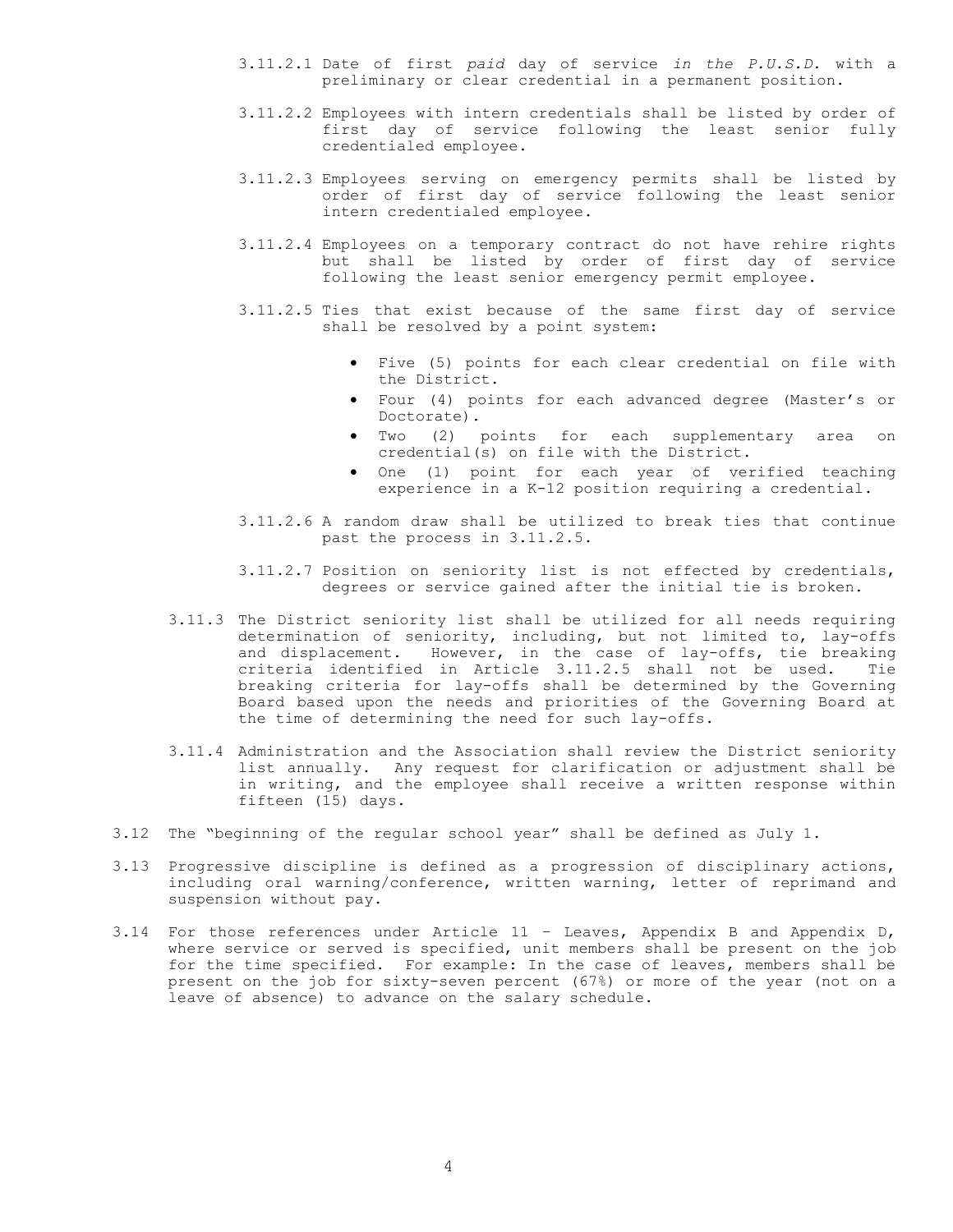- 3.11.2.1 Date of first *paid* day of service *in the P.U.S.D.* with a preliminary or clear credential in a permanent position.
- 3.11.2.2 Employees with intern credentials shall be listed by order of first day of service following the least senior fully credentialed employee.
- 3.11.2.3 Employees serving on emergency permits shall be listed by order of first day of service following the least senior intern credentialed employee.
- 3.11.2.4 Employees on a temporary contract do not have rehire rights but shall be listed by order of first day of service following the least senior emergency permit employee.
- 3.11.2.5 Ties that exist because of the same first day of service shall be resolved by a point system:
	- Five (5) points for each clear credential on file with the District.
	- Four (4) points for each advanced degree (Master's or Doctorate).
	- Two (2) points for each supplementary area on credential(s) on file with the District.
	- One (1) point for each year of verified teaching experience in a K-12 position requiring a credential.
- 3.11.2.6 A random draw shall be utilized to break ties that continue past the process in 3.11.2.5.
- 3.11.2.7 Position on seniority list is not effected by credentials, degrees or service gained after the initial tie is broken.
- 3.11.3 The District seniority list shall be utilized for all needs requiring determination of seniority, including, but not limited to, lay-offs and displacement. However, in the case of lay-offs, tie breaking criteria identified in Article 3.11.2.5 shall not be used. Tie breaking criteria for lay-offs shall be determined by the Governing Board based upon the needs and priorities of the Governing Board at the time of determining the need for such lay-offs.
- 3.11.4 Administration and the Association shall review the District seniority list annually. Any request for clarification or adjustment shall be in writing, and the employee shall receive a written response within fifteen (15) days.
- 3.12 The "beginning of the regular school year" shall be defined as July 1.
- 3.13 Progressive discipline is defined as a progression of disciplinary actions, including oral warning/conference, written warning, letter of reprimand and suspension without pay.
- 3.14 For those references under Article 11 Leaves, Appendix B and Appendix D, where service or served is specified, unit members shall be present on the job for the time specified. For example: In the case of leaves, members shall be present on the job for sixty-seven percent (67%) or more of the year (not on a leave of absence) to advance on the salary schedule.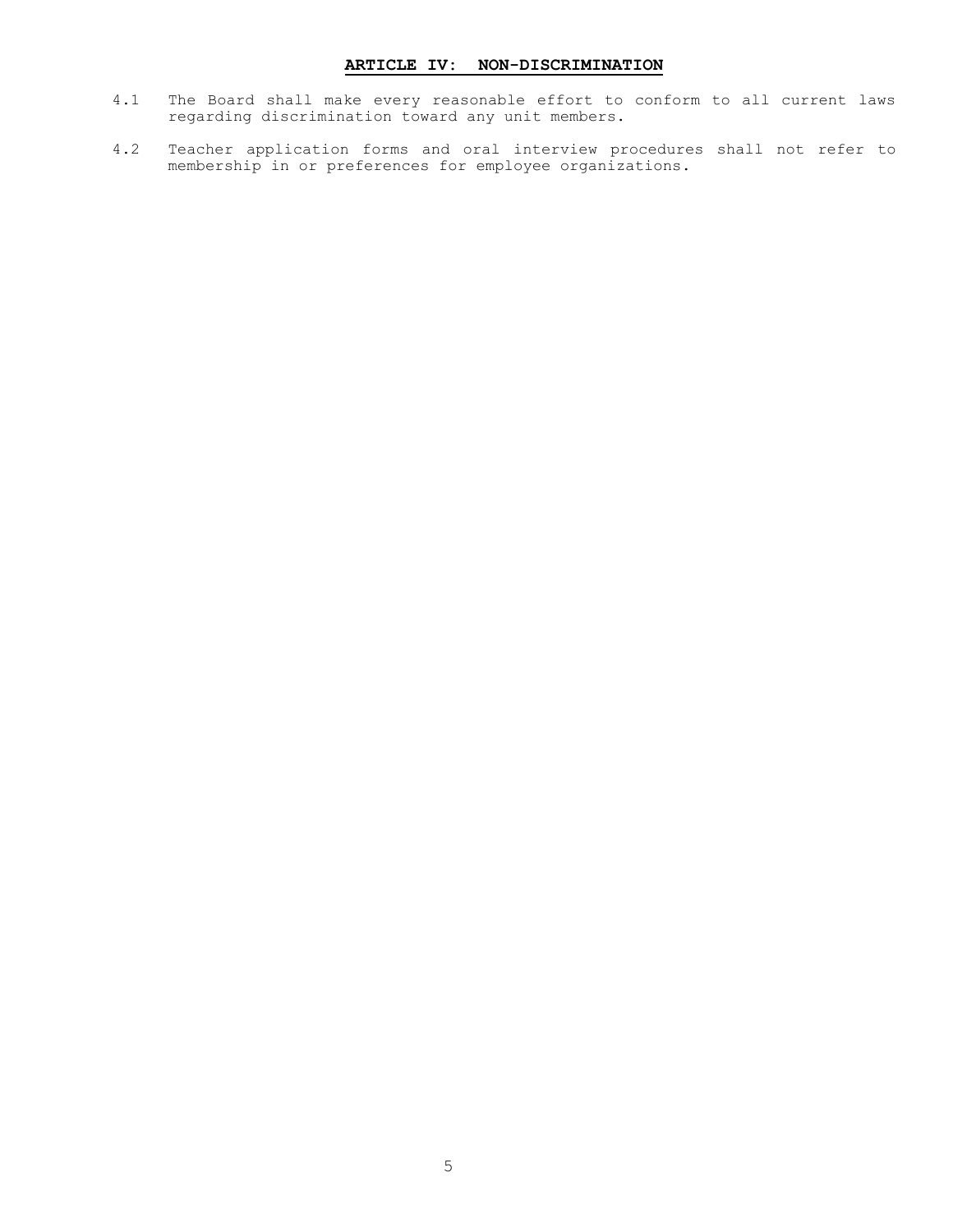#### **ARTICLE IV: NON-DISCRIMINATION**

- <span id="page-6-0"></span>4.1 The Board shall make every reasonable effort to conform to all current laws regarding discrimination toward any unit members.
- 4.2 Teacher application forms and oral interview procedures shall not refer to membership in or preferences for employee organizations.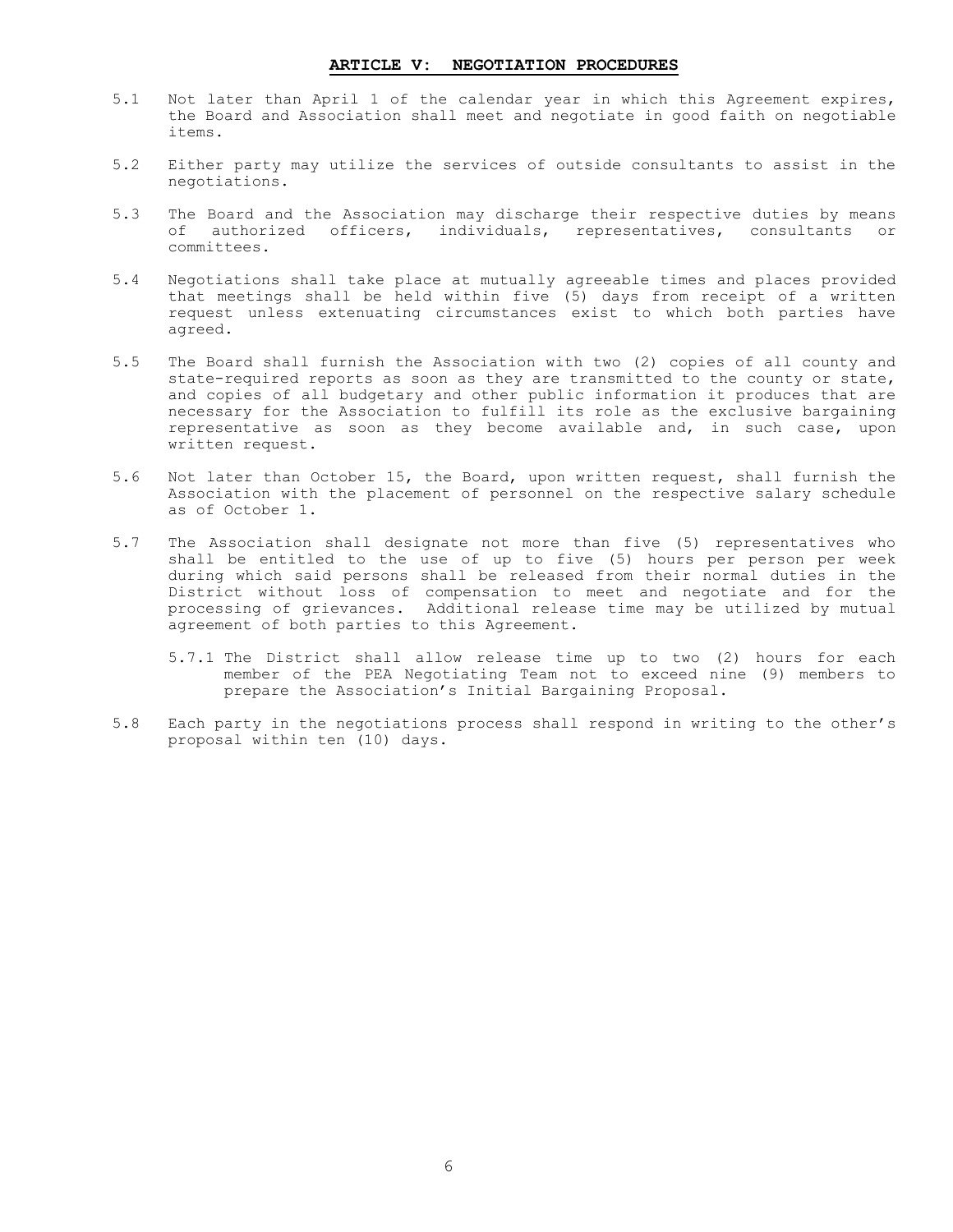#### **ARTICLE V: NEGOTIATION PROCEDURES**

- <span id="page-7-0"></span>5.1 Not later than April 1 of the calendar year in which this Agreement expires, the Board and Association shall meet and negotiate in good faith on negotiable items.
- 5.2 Either party may utilize the services of outside consultants to assist in the negotiations.
- 5.3 The Board and the Association may discharge their respective duties by means of authorized officers, individuals, representatives, consultants or committees.
- 5.4 Negotiations shall take place at mutually agreeable times and places provided that meetings shall be held within five (5) days from receipt of a written request unless extenuating circumstances exist to which both parties have agreed.
- 5.5 The Board shall furnish the Association with two (2) copies of all county and state-required reports as soon as they are transmitted to the county or state, and copies of all budgetary and other public information it produces that are necessary for the Association to fulfill its role as the exclusive bargaining representative as soon as they become available and, in such case, upon written request.
- 5.6 Not later than October 15, the Board, upon written request, shall furnish the Association with the placement of personnel on the respective salary schedule as of October 1.
- 5.7 The Association shall designate not more than five (5) representatives who shall be entitled to the use of up to five (5) hours per person per week during which said persons shall be released from their normal duties in the District without loss of compensation to meet and negotiate and for the processing of grievances. Additional release time may be utilized by mutual agreement of both parties to this Agreement.
	- 5.7.1 The District shall allow release time up to two (2) hours for each member of the PEA Negotiating Team not to exceed nine (9) members to prepare the Association's Initial Bargaining Proposal.
- 5.8 Each party in the negotiations process shall respond in writing to the other's proposal within ten (10) days.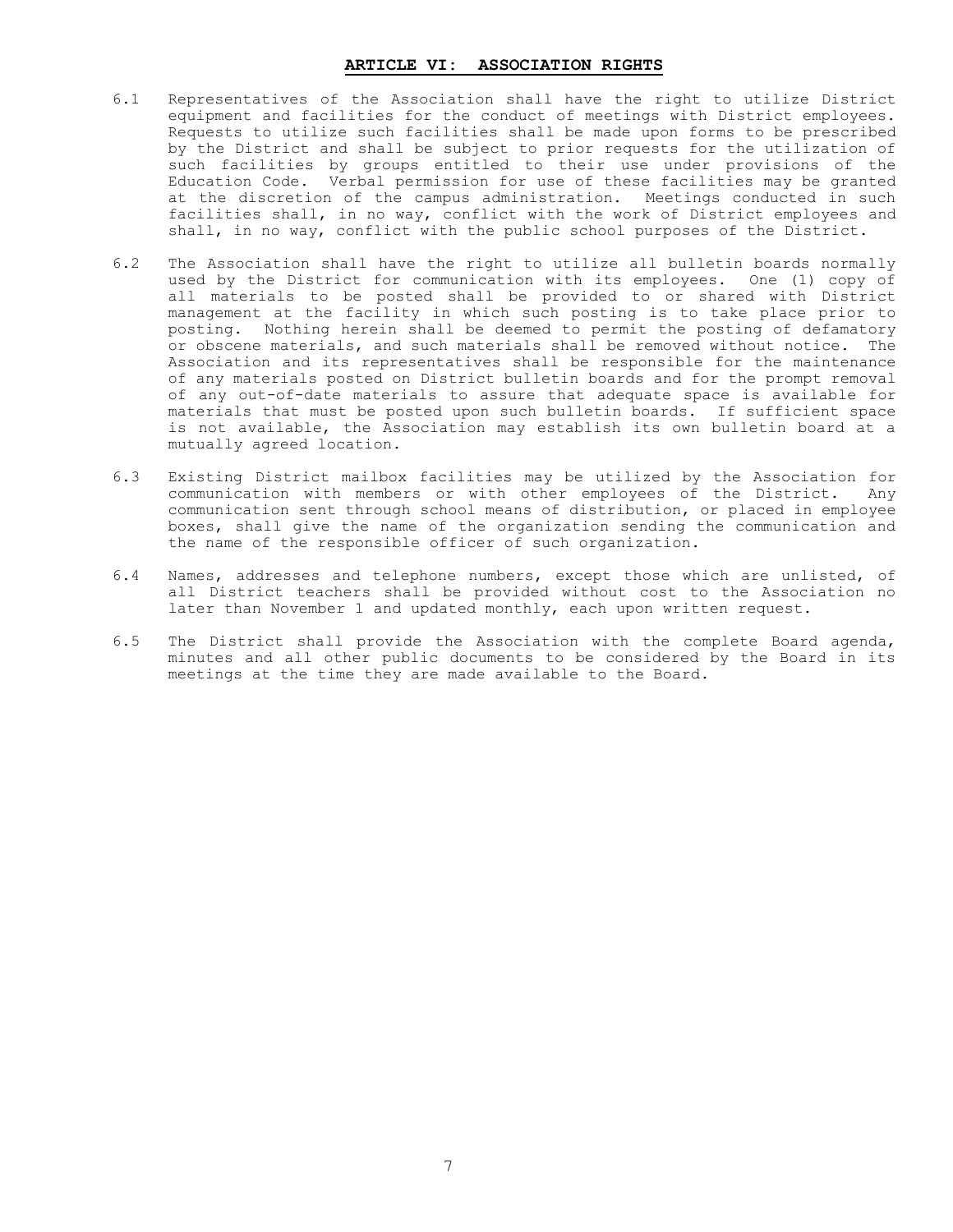#### **ARTICLE VI: ASSOCIATION RIGHTS**

- <span id="page-8-0"></span>6.1 Representatives of the Association shall have the right to utilize District equipment and facilities for the conduct of meetings with District employees. Requests to utilize such facilities shall be made upon forms to be prescribed by the District and shall be subject to prior requests for the utilization of such facilities by groups entitled to their use under provisions of the Education Code. Verbal permission for use of these facilities may be granted at the discretion of the campus administration. Meetings conducted in such facilities shall, in no way, conflict with the work of District employees and shall, in no way, conflict with the public school purposes of the District.
- 6.2 The Association shall have the right to utilize all bulletin boards normally used by the District for communication with its employees. One (1) copy of all materials to be posted shall be provided to or shared with District management at the facility in which such posting is to take place prior to posting. Nothing herein shall be deemed to permit the posting of defamatory or obscene materials, and such materials shall be removed without notice. The Association and its representatives shall be responsible for the maintenance of any materials posted on District bulletin boards and for the prompt removal of any out-of-date materials to assure that adequate space is available for materials that must be posted upon such bulletin boards. If sufficient space is not available, the Association may establish its own bulletin board at a mutually agreed location.
- 6.3 Existing District mailbox facilities may be utilized by the Association for communication with members or with other employees of the District. Any communication sent through school means of distribution, or placed in employee boxes, shall give the name of the organization sending the communication and the name of the responsible officer of such organization.
- 6.4 Names, addresses and telephone numbers, except those which are unlisted, of all District teachers shall be provided without cost to the Association no later than November 1 and updated monthly, each upon written request.
- 6.5 The District shall provide the Association with the complete Board agenda, minutes and all other public documents to be considered by the Board in its meetings at the time they are made available to the Board.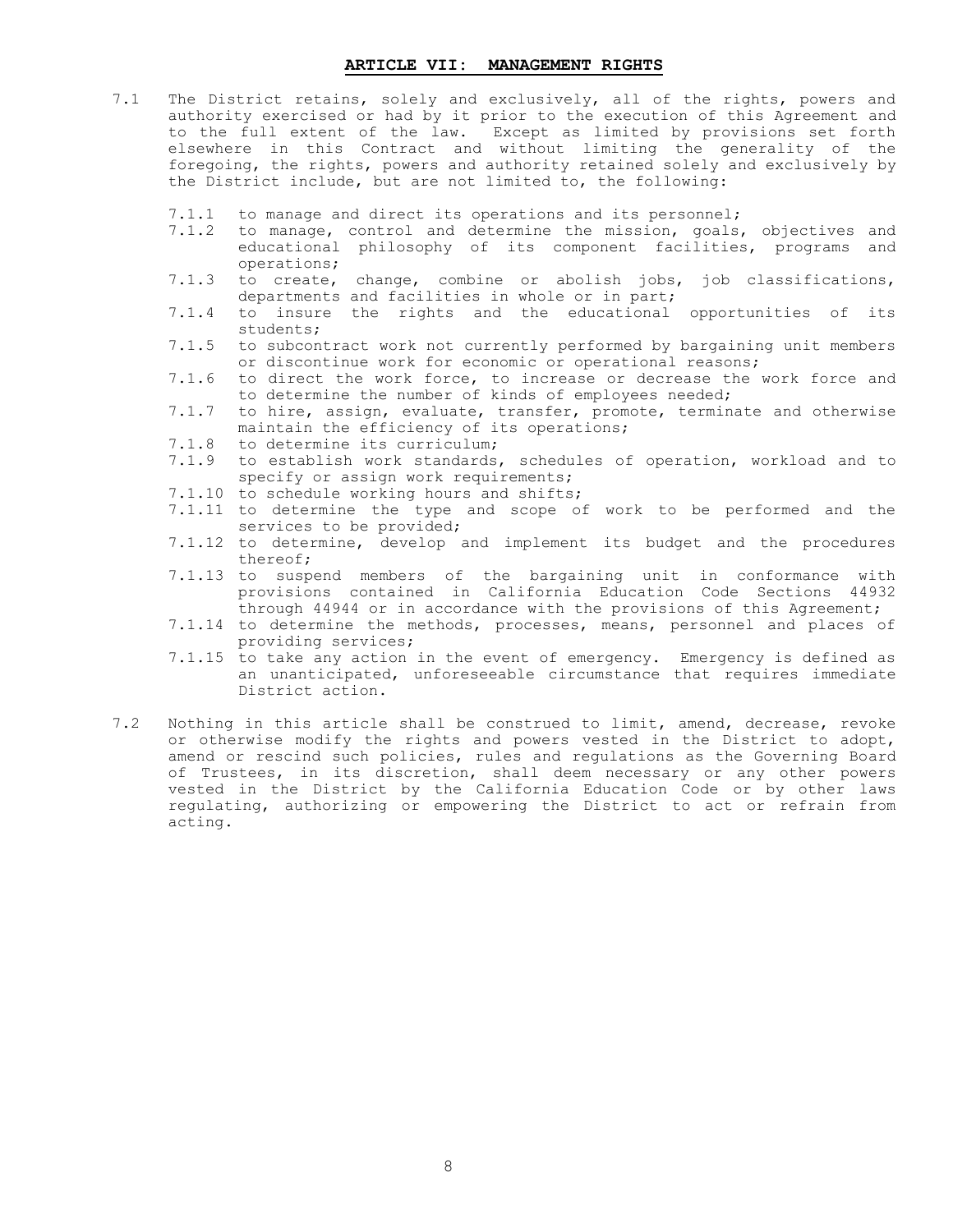#### **ARTICLE VII: MANAGEMENT RIGHTS**

- <span id="page-9-0"></span>7.1 The District retains, solely and exclusively, all of the rights, powers and authority exercised or had by it prior to the execution of this Agreement and to the full extent of the law. Except as limited by provisions set forth elsewhere in this Contract and without limiting the generality of the foregoing, the rights, powers and authority retained solely and exclusively by the District include, but are not limited to, the following:
	- 7.1.1 to manage and direct its operations and its personnel;
	- 7.1.2 to manage, control and determine the mission, goals, objectives and educational philosophy of its component facilities, programs and operations;
	- 7.1.3 to create, change, combine or abolish jobs, job classifications, departments and facilities in whole or in part;
	- 7.1.4 to insure the rights and the educational opportunities of its students;
	- 7.1.5 to subcontract work not currently performed by bargaining unit members or discontinue work for economic or operational reasons;
	- 7.1.6 to direct the work force, to increase or decrease the work force and to determine the number of kinds of employees needed;
	- 7.1.7 to hire, assign, evaluate, transfer, promote, terminate and otherwise maintain the efficiency of its operations;
	- 7.1.8 to determine its curriculum;
	- 7.1.9 to establish work standards, schedules of operation, workload and to specify or assign work requirements;
	- 7.1.10 to schedule working hours and shifts;
	- 7.1.11 to determine the type and scope of work to be performed and the services to be provided;
	- 7.1.12 to determine, develop and implement its budget and the procedures thereof;
	- 7.1.13 to suspend members of the bargaining unit in conformance with provisions contained in California Education Code Sections 44932 through 44944 or in accordance with the provisions of this Agreement;
	- 7.1.14 to determine the methods, processes, means, personnel and places of providing services;
	- 7.1.15 to take any action in the event of emergency. Emergency is defined as an unanticipated, unforeseeable circumstance that requires immediate District action.
- 7.2 Nothing in this article shall be construed to limit, amend, decrease, revoke or otherwise modify the rights and powers vested in the District to adopt, amend or rescind such policies, rules and regulations as the Governing Board of Trustees, in its discretion, shall deem necessary or any other powers vested in the District by the California Education Code or by other laws regulating, authorizing or empowering the District to act or refrain from acting.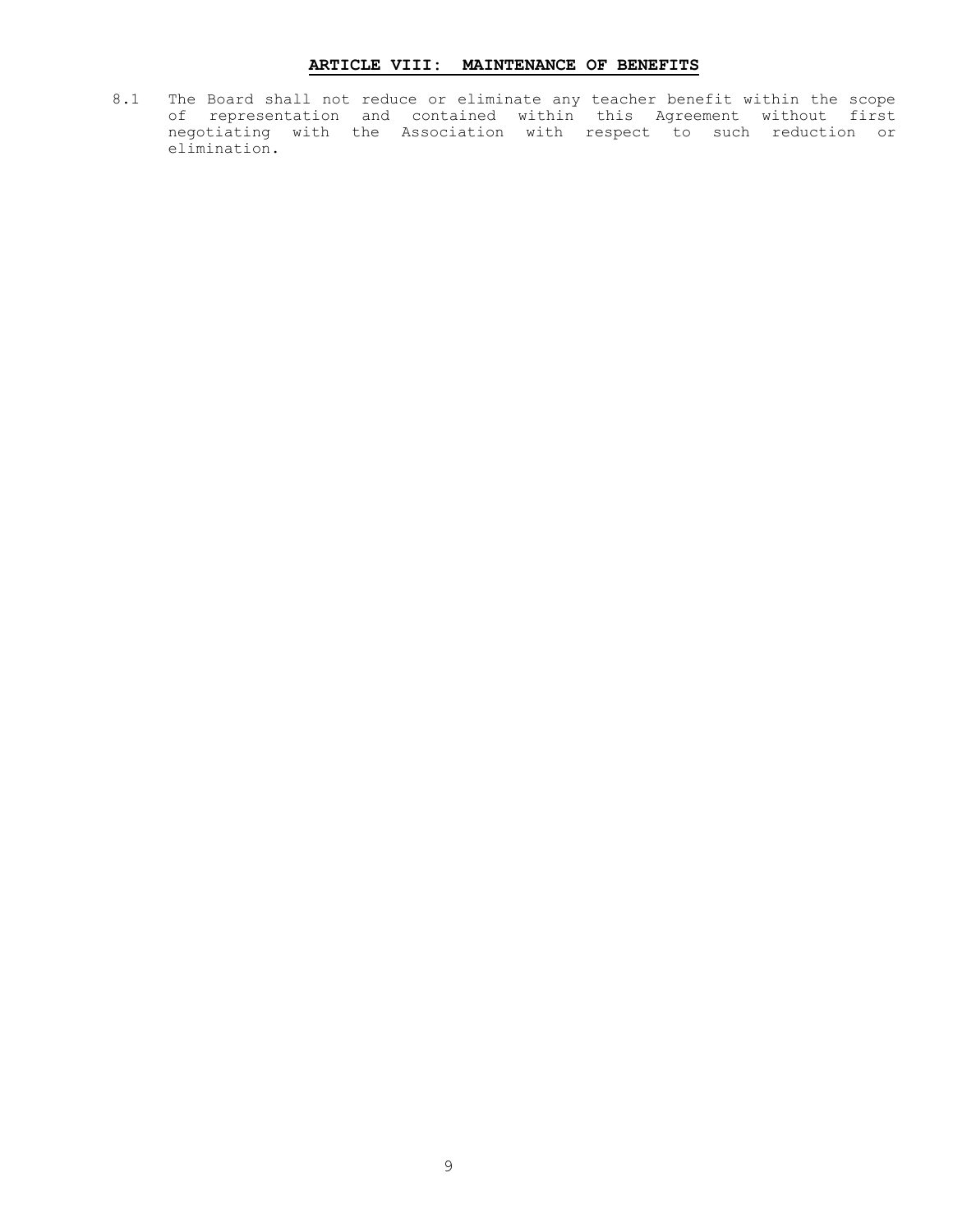#### **ARTICLE VIII: MAINTENANCE OF BENEFITS**

<span id="page-10-0"></span>8.1 The Board shall not reduce or eliminate any teacher benefit within the scope of representation and contained within this Agreement without first negotiating with the Association with respect to such reduction or elimination.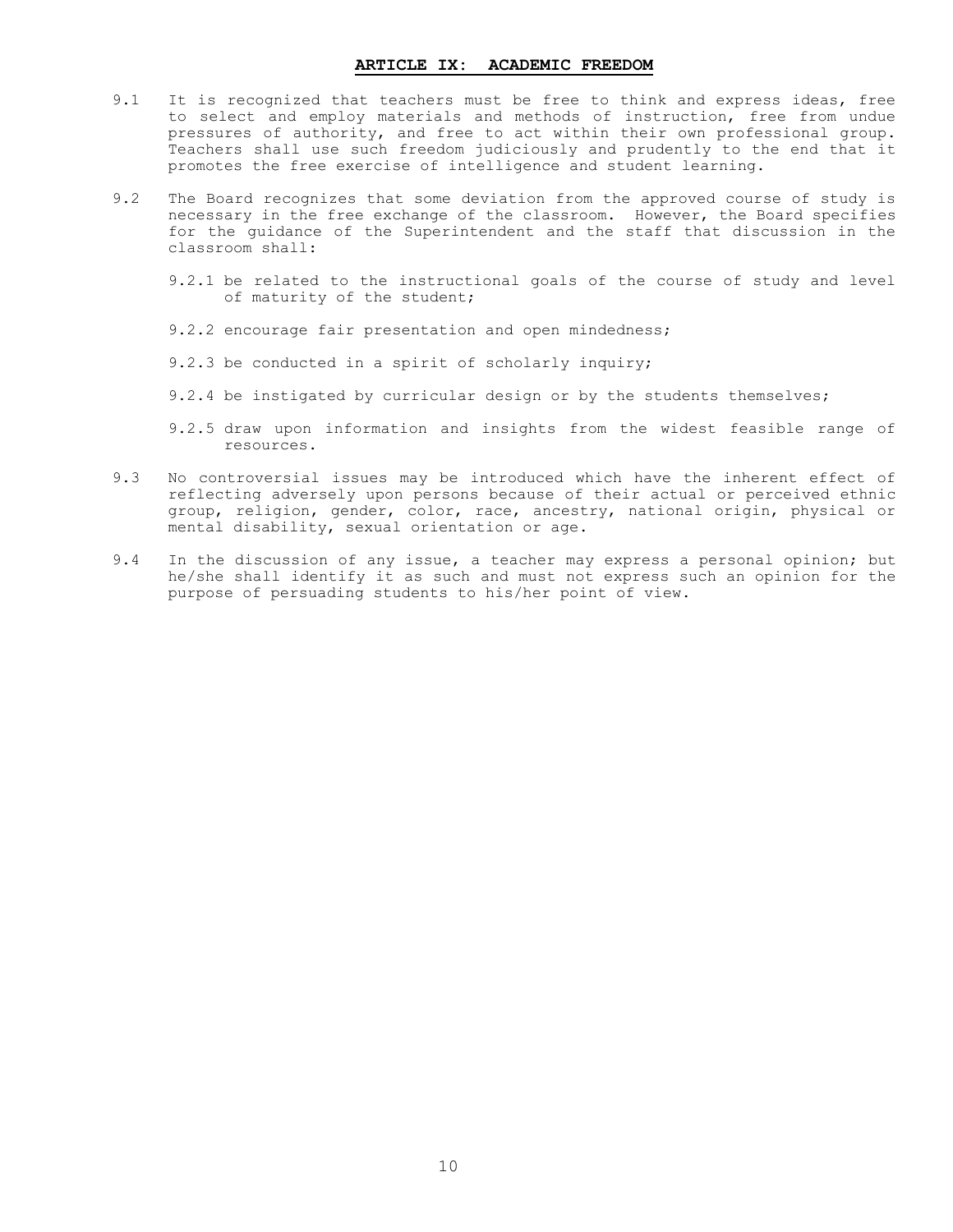#### **ARTICLE IX: ACADEMIC FREEDOM**

- <span id="page-11-0"></span>9.1 It is recognized that teachers must be free to think and express ideas, free to select and employ materials and methods of instruction, free from undue pressures of authority, and free to act within their own professional group. Teachers shall use such freedom judiciously and prudently to the end that it promotes the free exercise of intelligence and student learning.
- 9.2 The Board recognizes that some deviation from the approved course of study is necessary in the free exchange of the classroom. However, the Board specifies for the guidance of the Superintendent and the staff that discussion in the classroom shall:
	- 9.2.1 be related to the instructional goals of the course of study and level of maturity of the student;
	- 9.2.2 encourage fair presentation and open mindedness;
	- 9.2.3 be conducted in a spirit of scholarly inquiry;
	- 9.2.4 be instigated by curricular design or by the students themselves;
	- 9.2.5 draw upon information and insights from the widest feasible range of resources.
- 9.3 No controversial issues may be introduced which have the inherent effect of reflecting adversely upon persons because of their actual or perceived ethnic group, religion, gender, color, race, ancestry, national origin, physical or mental disability, sexual orientation or age.
- 9.4 In the discussion of any issue, a teacher may express a personal opinion; but he/she shall identify it as such and must not express such an opinion for the purpose of persuading students to his/her point of view.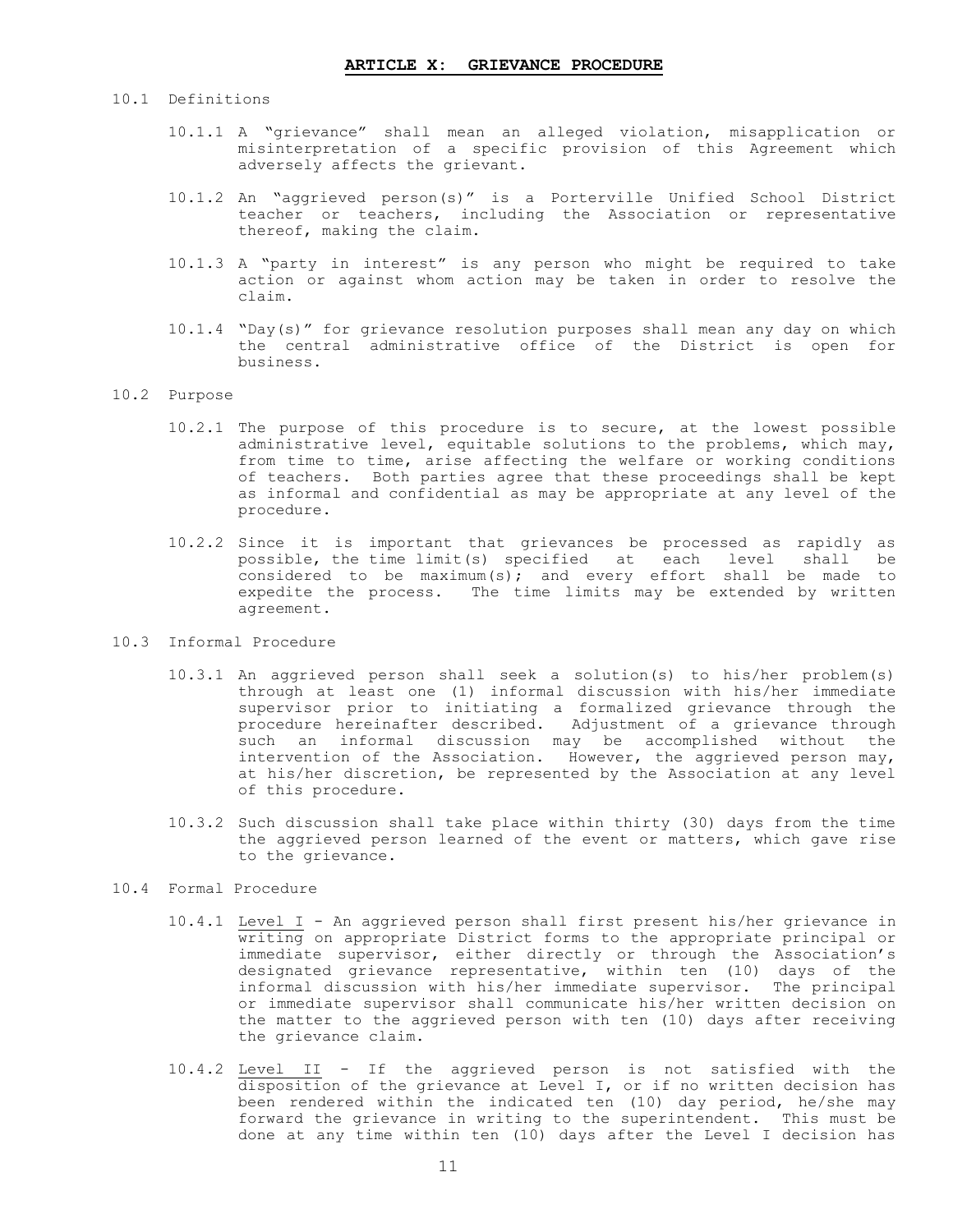#### <span id="page-12-0"></span>10.1 Definitions

- 10.1.1 A "grievance" shall mean an alleged violation, misapplication or misinterpretation of a specific provision of this Agreement which adversely affects the grievant.
- 10.1.2 An "aggrieved person(s)" is a Porterville Unified School District teacher or teachers, including the Association or representative thereof, making the claim.
- 10.1.3 A "party in interest" is any person who might be required to take action or against whom action may be taken in order to resolve the claim.
- 10.1.4 "Day(s)" for grievance resolution purposes shall mean any day on which the central administrative office of the District is open for business.

#### 10.2 Purpose

- 10.2.1 The purpose of this procedure is to secure, at the lowest possible administrative level, equitable solutions to the problems, which may, from time to time, arise affecting the welfare or working conditions of teachers. Both parties agree that these proceedings shall be kept as informal and confidential as may be appropriate at any level of the procedure.
- 10.2.2 Since it is important that grievances be processed as rapidly as possible, the time limit(s) specified at each level shall be considered to be maximum(s); and every effort shall be made to expedite the process. The time limits may be extended by written agreement.

#### 10.3 Informal Procedure

- 10.3.1 An aggrieved person shall seek a solution(s) to his/her problem(s) through at least one (1) informal discussion with his/her immediate supervisor prior to initiating a formalized grievance through the procedure hereinafter described. Adjustment of a grievance through such an informal discussion may be accomplished without the intervention of the Association. However, the aggrieved person may, at his/her discretion, be represented by the Association at any level of this procedure.
- 10.3.2 Such discussion shall take place within thirty (30) days from the time the aggrieved person learned of the event or matters, which gave rise to the grievance.

#### 10.4 Formal Procedure

- 10.4.1 Level I An aggrieved person shall first present his/her grievance in writing on appropriate District forms to the appropriate principal or immediate supervisor, either directly or through the Association's designated grievance representative, within ten (10) days of the informal discussion with his/her immediate supervisor. The principal or immediate supervisor shall communicate his/her written decision on the matter to the aggrieved person with ten (10) days after receiving the grievance claim.
- 10.4.2 Level II If the aggrieved person is not satisfied with the disposition of the grievance at Level I, or if no written decision has been rendered within the indicated ten (10) day period, he/she may forward the grievance in writing to the superintendent. This must be done at any time within ten (10) days after the Level I decision has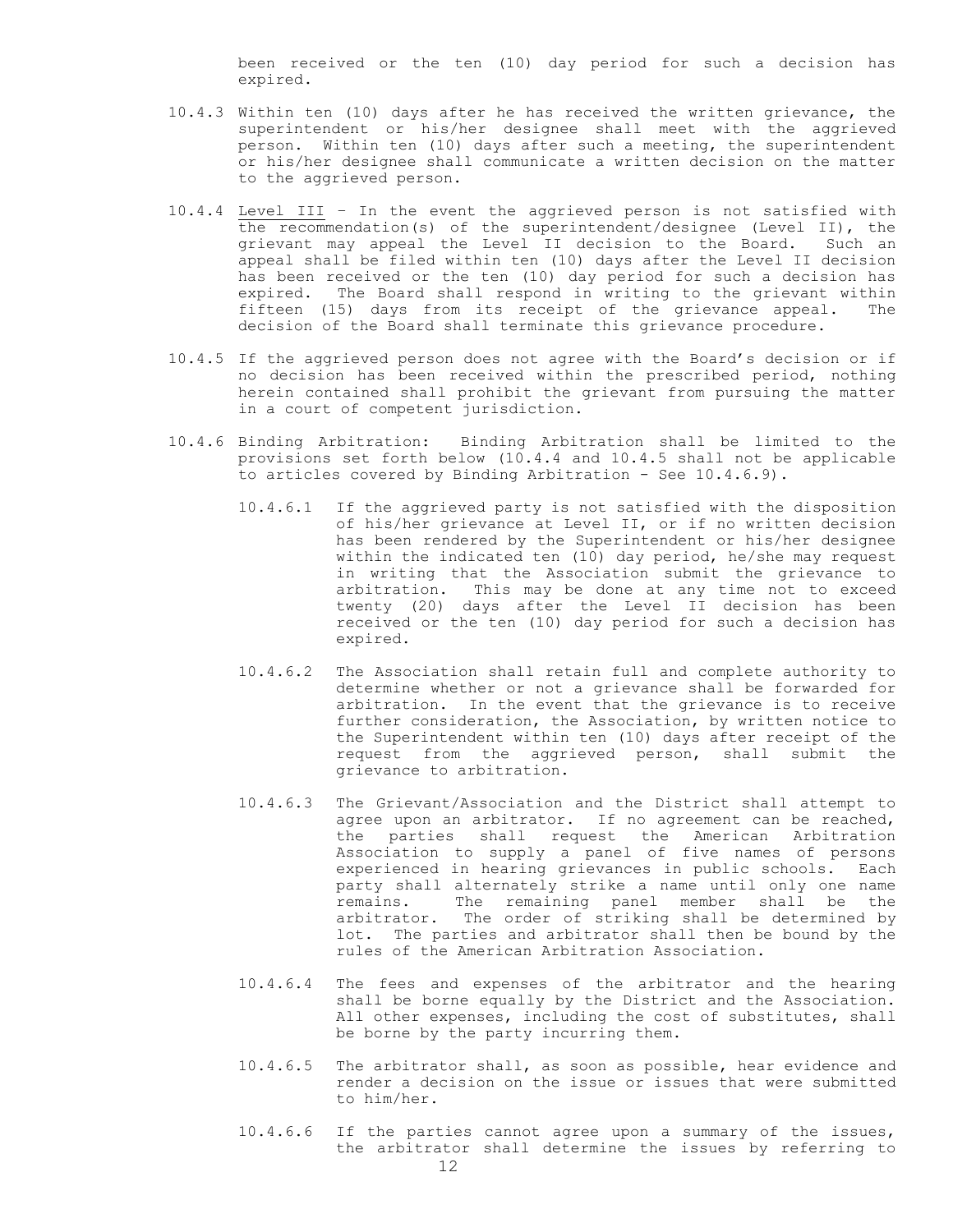been received or the ten (10) day period for such a decision has expired.

- 10.4.3 Within ten (10) days after he has received the written grievance, the superintendent or his/her designee shall meet with the aggrieved person. Within ten (10) days after such a meeting, the superintendent or his/her designee shall communicate a written decision on the matter to the aggrieved person.
- 10.4.4 Level III In the event the aggrieved person is not satisfied with the recommendation(s) of the superintendent/designee (Level II), the grievant may appeal the Level II decision to the Board. Such an appeal shall be filed within ten (10) days after the Level II decision has been received or the ten (10) day period for such a decision has expired. The Board shall respond in writing to the grievant within fifteen (15) days from its receipt of the grievance appeal. The decision of the Board shall terminate this grievance procedure.
- 10.4.5 If the aggrieved person does not agree with the Board's decision or if no decision has been received within the prescribed period, nothing herein contained shall prohibit the grievant from pursuing the matter in a court of competent jurisdiction.
- 10.4.6 Binding Arbitration: Binding Arbitration shall be limited to the provisions set forth below (10.4.4 and 10.4.5 shall not be applicable to articles covered by Binding Arbitration - See 10.4.6.9).
	- 10.4.6.1 If the aggrieved party is not satisfied with the disposition of his/her grievance at Level II, or if no written decision has been rendered by the Superintendent or his/her designee within the indicated ten (10) day period, he/she may request in writing that the Association submit the grievance to arbitration. This may be done at any time not to exceed twenty (20) days after the Level II decision has been received or the ten (10) day period for such a decision has expired.
	- 10.4.6.2 The Association shall retain full and complete authority to determine whether or not a grievance shall be forwarded for arbitration. In the event that the grievance is to receive further consideration, the Association, by written notice to the Superintendent within ten (10) days after receipt of the request from the aggrieved person, shall submit the grievance to arbitration.
	- 10.4.6.3 The Grievant/Association and the District shall attempt to agree upon an arbitrator. If no agreement can be reached, the parties shall request the American Arbitration Association to supply a panel of five names of persons experienced in hearing grievances in public schools. Each party shall alternately strike a name until only one name remains. The remaining panel member shall be the arbitrator. The order of striking shall be determined by lot. The parties and arbitrator shall then be bound by the rules of the American Arbitration Association.
	- 10.4.6.4 The fees and expenses of the arbitrator and the hearing shall be borne equally by the District and the Association. All other expenses, including the cost of substitutes, shall be borne by the party incurring them.
	- 10.4.6.5 The arbitrator shall, as soon as possible, hear evidence and render a decision on the issue or issues that were submitted to him/her.
	- 10.4.6.6 If the parties cannot agree upon a summary of the issues, the arbitrator shall determine the issues by referring to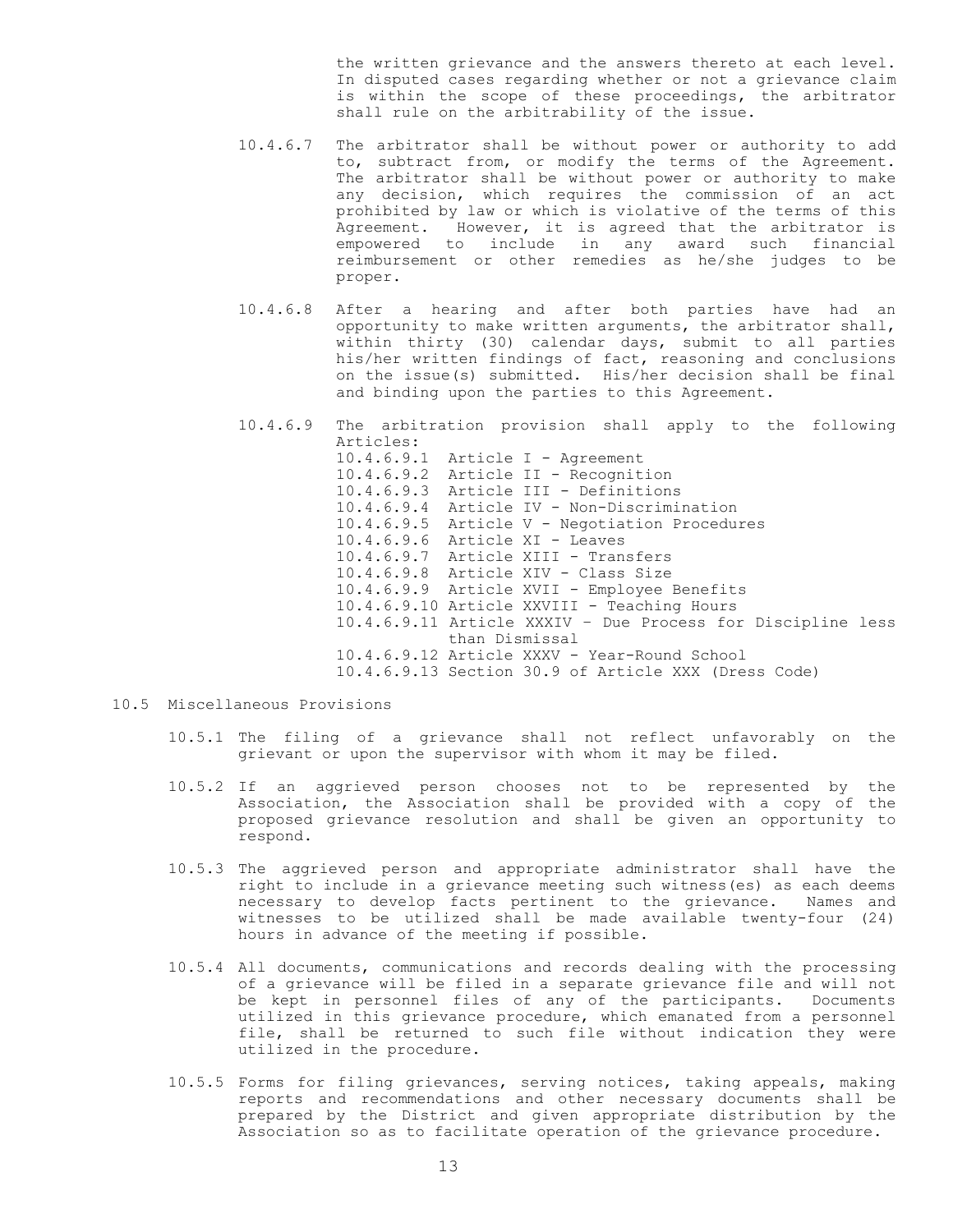the written grievance and the answers thereto at each level. In disputed cases regarding whether or not a grievance claim is within the scope of these proceedings, the arbitrator shall rule on the arbitrability of the issue.

- 10.4.6.7 The arbitrator shall be without power or authority to add to, subtract from, or modify the terms of the Agreement. The arbitrator shall be without power or authority to make any decision, which requires the commission of an act prohibited by law or which is violative of the terms of this Agreement. However, it is agreed that the arbitrator is empowered to include in any award such financial reimbursement or other remedies as he/she judges to be proper.
- 10.4.6.8 After a hearing and after both parties have had an opportunity to make written arguments, the arbitrator shall, within thirty (30) calendar days, submit to all parties his/her written findings of fact, reasoning and conclusions on the issue(s) submitted. His/her decision shall be final and binding upon the parties to this Agreement.
- 10.4.6.9 The arbitration provision shall apply to the following Articles: 10.4.6.9.1 Article I - Agreement 10.4.6.9.2 Article II - Recognition 10.4.6.9.3 Article III - Definitions 10.4.6.9.4 Article IV - Non-Discrimination 10.4.6.9.5 Article V - Negotiation Procedures 10.4.6.9.6 Article XI - Leaves 10.4.6.9.7 Article XIII - Transfers 10.4.6.9.8 Article XIV - Class Size 10.4.6.9.9 Article XVII - Employee Benefits 10.4.6.9.10 Article XXVIII - Teaching Hours 10.4.6.9.11 Article XXXIV – Due Process for Discipline less than Dismissal 10.4.6.9.12 Article XXXV - Year-Round School 10.4.6.9.13 Section 30.9 of Article XXX (Dress Code)
- 10.5 Miscellaneous Provisions
	- 10.5.1 The filing of a grievance shall not reflect unfavorably on the grievant or upon the supervisor with whom it may be filed.
	- 10.5.2 If an aggrieved person chooses not to be represented by the Association, the Association shall be provided with a copy of the proposed grievance resolution and shall be given an opportunity to respond.
	- 10.5.3 The aggrieved person and appropriate administrator shall have the right to include in a grievance meeting such witness(es) as each deems necessary to develop facts pertinent to the grievance. Names and witnesses to be utilized shall be made available twenty-four (24) hours in advance of the meeting if possible.
	- 10.5.4 All documents, communications and records dealing with the processing of a grievance will be filed in a separate grievance file and will not be kept in personnel files of any of the participants. Documents utilized in this grievance procedure, which emanated from a personnel file, shall be returned to such file without indication they were utilized in the procedure.
	- 10.5.5 Forms for filing grievances, serving notices, taking appeals, making reports and recommendations and other necessary documents shall be prepared by the District and given appropriate distribution by the Association so as to facilitate operation of the grievance procedure.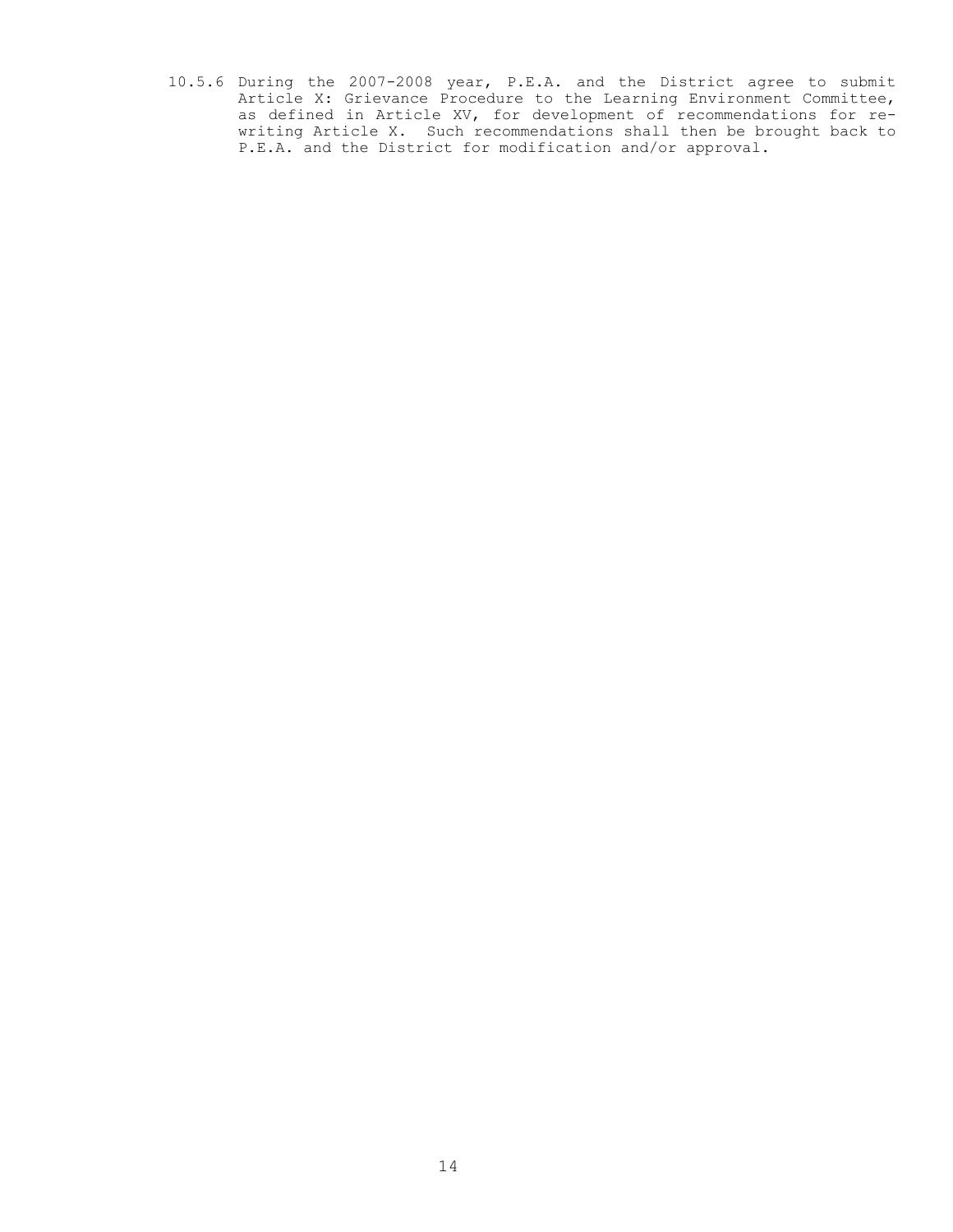10.5.6 During the 2007-2008 year, P.E.A. and the District agree to submit Article X: Grievance Procedure to the Learning Environment Committee, as defined in Article XV, for development of recommendations for rewriting Article X. Such recommendations shall then be brought back to P.E.A. and the District for modification and/or approval.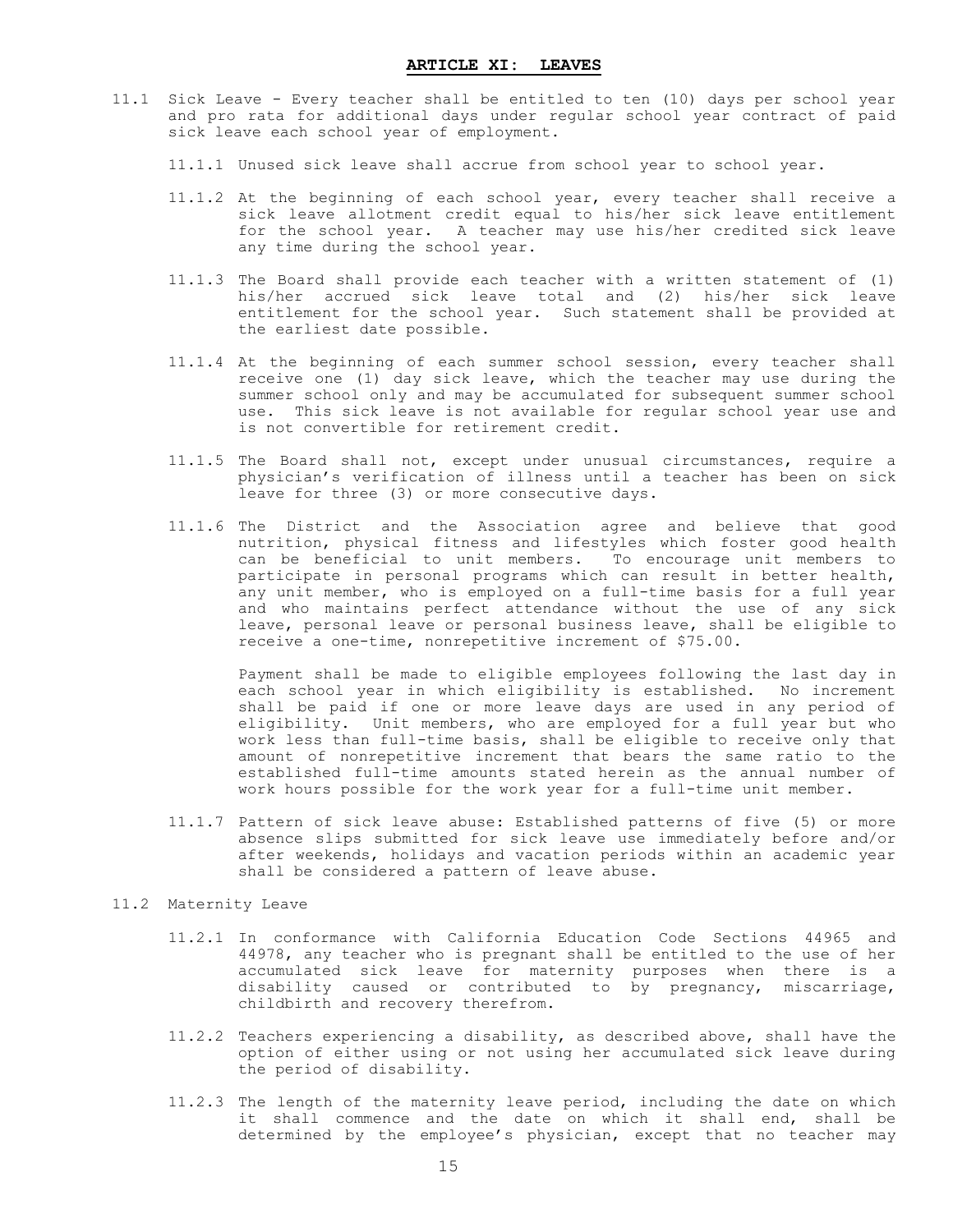- <span id="page-16-0"></span>11.1 Sick Leave - Every teacher shall be entitled to ten (10) days per school year and pro rata for additional days under regular school year contract of paid sick leave each school year of employment.
	- 11.1.1 Unused sick leave shall accrue from school year to school year.
	- 11.1.2 At the beginning of each school year, every teacher shall receive a sick leave allotment credit equal to his/her sick leave entitlement for the school year. A teacher may use his/her credited sick leave any time during the school year.
	- 11.1.3 The Board shall provide each teacher with a written statement of (1) his/her accrued sick leave total and (2) his/her sick leave entitlement for the school year. Such statement shall be provided at the earliest date possible.
	- 11.1.4 At the beginning of each summer school session, every teacher shall receive one (1) day sick leave, which the teacher may use during the summer school only and may be accumulated for subsequent summer school use. This sick leave is not available for regular school year use and is not convertible for retirement credit.
	- 11.1.5 The Board shall not, except under unusual circumstances, require a physician's verification of illness until a teacher has been on sick leave for three (3) or more consecutive days.
	- 11.1.6 The District and the Association agree and believe that good nutrition, physical fitness and lifestyles which foster good health can be beneficial to unit members. To encourage unit members to participate in personal programs which can result in better health, any unit member, who is employed on a full-time basis for a full year and who maintains perfect attendance without the use of any sick leave, personal leave or personal business leave, shall be eligible to receive a one-time, nonrepetitive increment of \$75.00.

Payment shall be made to eligible employees following the last day in each school year in which eligibility is established. No increment shall be paid if one or more leave days are used in any period of eligibility. Unit members, who are employed for a full year but who work less than full-time basis, shall be eligible to receive only that amount of nonrepetitive increment that bears the same ratio to the established full-time amounts stated herein as the annual number of work hours possible for the work year for a full-time unit member.

11.1.7 Pattern of sick leave abuse: Established patterns of five (5) or more absence slips submitted for sick leave use immediately before and/or after weekends, holidays and vacation periods within an academic year shall be considered a pattern of leave abuse.

#### 11.2 Maternity Leave

- 11.2.1 In conformance with California Education Code Sections 44965 and 44978, any teacher who is pregnant shall be entitled to the use of her accumulated sick leave for maternity purposes when there is a disability caused or contributed to by pregnancy, miscarriage, childbirth and recovery therefrom.
- 11.2.2 Teachers experiencing a disability, as described above, shall have the option of either using or not using her accumulated sick leave during the period of disability.
- 11.2.3 The length of the maternity leave period, including the date on which it shall commence and the date on which it shall end, shall be determined by the employee's physician, except that no teacher may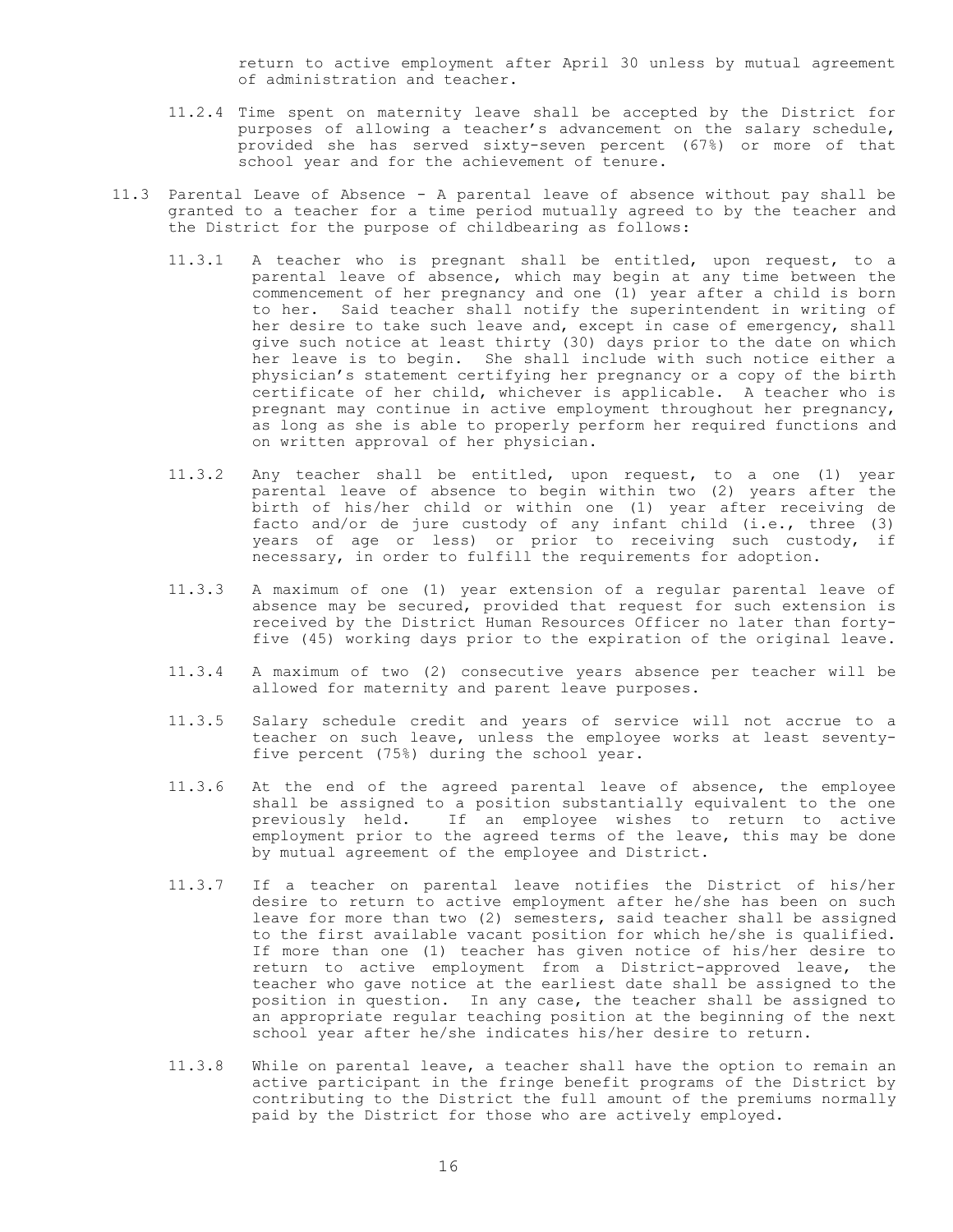return to active employment after April 30 unless by mutual agreement of administration and teacher.

- 11.2.4 Time spent on maternity leave shall be accepted by the District for purposes of allowing a teacher's advancement on the salary schedule, provided she has served sixty-seven percent (67%) or more of that school year and for the achievement of tenure.
- 11.3 Parental Leave of Absence A parental leave of absence without pay shall be granted to a teacher for a time period mutually agreed to by the teacher and the District for the purpose of childbearing as follows:
	- 11.3.1 A teacher who is pregnant shall be entitled, upon request, to a parental leave of absence, which may begin at any time between the commencement of her pregnancy and one (1) year after a child is born to her. Said teacher shall notify the superintendent in writing of her desire to take such leave and, except in case of emergency, shall give such notice at least thirty (30) days prior to the date on which her leave is to begin. She shall include with such notice either a physician's statement certifying her pregnancy or a copy of the birth certificate of her child, whichever is applicable. A teacher who is pregnant may continue in active employment throughout her pregnancy, as long as she is able to properly perform her required functions and on written approval of her physician.
	- 11.3.2 Any teacher shall be entitled, upon request, to a one (1) year parental leave of absence to begin within two (2) years after the birth of his/her child or within one (1) year after receiving de facto and/or de jure custody of any infant child (i.e., three (3) years of age or less) or prior to receiving such custody, if necessary, in order to fulfill the requirements for adoption.
	- 11.3.3 A maximum of one (1) year extension of a regular parental leave of absence may be secured, provided that request for such extension is received by the District Human Resources Officer no later than fortyfive (45) working days prior to the expiration of the original leave.
	- 11.3.4 A maximum of two (2) consecutive years absence per teacher will be allowed for maternity and parent leave purposes.
	- 11.3.5 Salary schedule credit and years of service will not accrue to a teacher on such leave, unless the employee works at least seventyfive percent (75%) during the school year.
	- 11.3.6 At the end of the agreed parental leave of absence, the employee shall be assigned to a position substantially equivalent to the one previously held. If an employee wishes to return to active employment prior to the agreed terms of the leave, this may be done by mutual agreement of the employee and District.
	- 11.3.7 If a teacher on parental leave notifies the District of his/her desire to return to active employment after he/she has been on such leave for more than two (2) semesters, said teacher shall be assigned to the first available vacant position for which he/she is qualified. If more than one (1) teacher has given notice of his/her desire to return to active employment from a District-approved leave, the teacher who gave notice at the earliest date shall be assigned to the position in question. In any case, the teacher shall be assigned to an appropriate regular teaching position at the beginning of the next school year after he/she indicates his/her desire to return.
	- 11.3.8 While on parental leave, a teacher shall have the option to remain an active participant in the fringe benefit programs of the District by contributing to the District the full amount of the premiums normally paid by the District for those who are actively employed.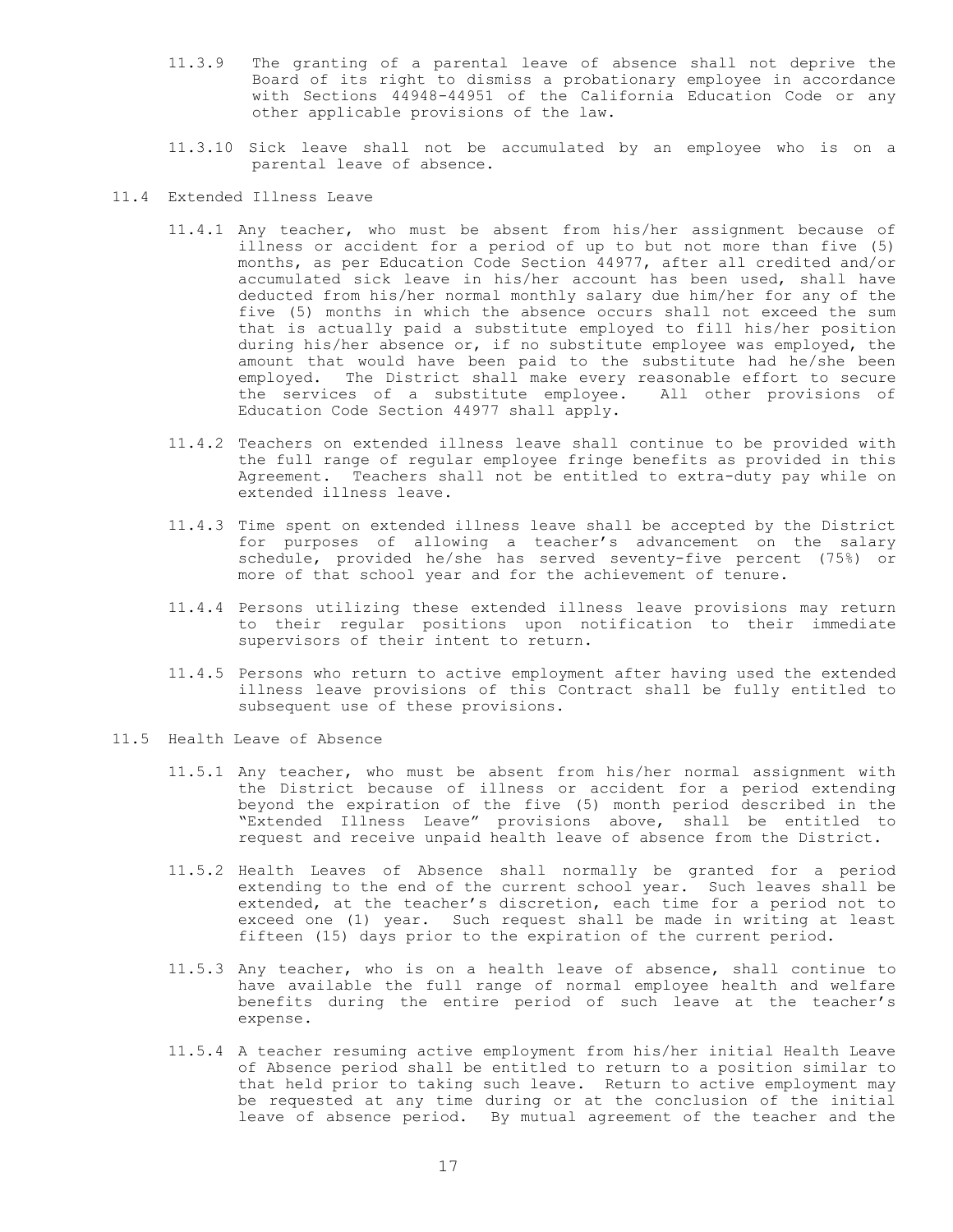- 11.3.9 The granting of a parental leave of absence shall not deprive the Board of its right to dismiss a probationary employee in accordance with Sections 44948-44951 of the California Education Code or any other applicable provisions of the law.
- 11.3.10 Sick leave shall not be accumulated by an employee who is on a parental leave of absence.
- 11.4 Extended Illness Leave
	- 11.4.1 Any teacher, who must be absent from his/her assignment because of illness or accident for a period of up to but not more than five (5) months, as per Education Code Section 44977, after all credited and/or accumulated sick leave in his/her account has been used, shall have deducted from his/her normal monthly salary due him/her for any of the five (5) months in which the absence occurs shall not exceed the sum that is actually paid a substitute employed to fill his/her position during his/her absence or, if no substitute employee was employed, the amount that would have been paid to the substitute had he/she been employed. The District shall make every reasonable effort to secure the services of a substitute employee. All other provisions of Education Code Section 44977 shall apply.
	- 11.4.2 Teachers on extended illness leave shall continue to be provided with the full range of regular employee fringe benefits as provided in this Agreement. Teachers shall not be entitled to extra-duty pay while on extended illness leave.
	- 11.4.3 Time spent on extended illness leave shall be accepted by the District for purposes of allowing a teacher's advancement on the salary schedule, provided he/she has served seventy-five percent (75%) or more of that school year and for the achievement of tenure.
	- 11.4.4 Persons utilizing these extended illness leave provisions may return to their regular positions upon notification to their immediate supervisors of their intent to return.
	- 11.4.5 Persons who return to active employment after having used the extended illness leave provisions of this Contract shall be fully entitled to subsequent use of these provisions.
- 11.5 Health Leave of Absence
	- 11.5.1 Any teacher, who must be absent from his/her normal assignment with the District because of illness or accident for a period extending beyond the expiration of the five (5) month period described in the "Extended Illness Leave" provisions above, shall be entitled to request and receive unpaid health leave of absence from the District.
	- 11.5.2 Health Leaves of Absence shall normally be granted for a period extending to the end of the current school year. Such leaves shall be extended, at the teacher's discretion, each time for a period not to exceed one (1) year. Such request shall be made in writing at least fifteen (15) days prior to the expiration of the current period.
	- 11.5.3 Any teacher, who is on a health leave of absence, shall continue to have available the full range of normal employee health and welfare benefits during the entire period of such leave at the teacher's expense.
	- 11.5.4 A teacher resuming active employment from his/her initial Health Leave of Absence period shall be entitled to return to a position similar to that held prior to taking such leave. Return to active employment may be requested at any time during or at the conclusion of the initial leave of absence period. By mutual agreement of the teacher and the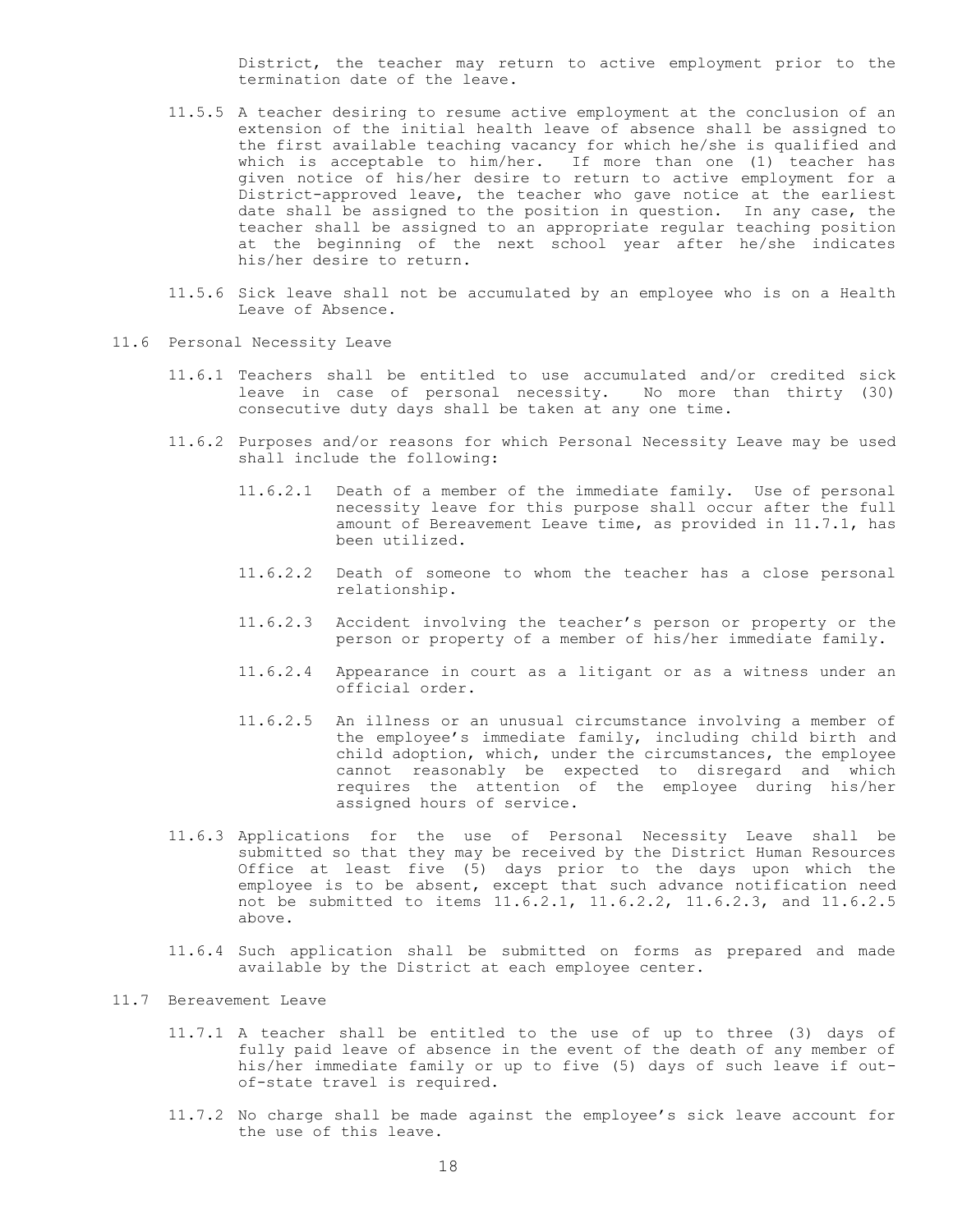District, the teacher may return to active employment prior to the termination date of the leave.

- 11.5.5 A teacher desiring to resume active employment at the conclusion of an extension of the initial health leave of absence shall be assigned to the first available teaching vacancy for which he/she is qualified and which is acceptable to him/her. If more than one (1) teacher has given notice of his/her desire to return to active employment for a District-approved leave, the teacher who gave notice at the earliest date shall be assigned to the position in question. In any case, the teacher shall be assigned to an appropriate regular teaching position at the beginning of the next school year after he/she indicates his/her desire to return.
- 11.5.6 Sick leave shall not be accumulated by an employee who is on a Health Leave of Absence.
- 11.6 Personal Necessity Leave
	- 11.6.1 Teachers shall be entitled to use accumulated and/or credited sick leave in case of personal necessity. No more than thirty (30) consecutive duty days shall be taken at any one time.
	- 11.6.2 Purposes and/or reasons for which Personal Necessity Leave may be used shall include the following:
		- 11.6.2.1 Death of a member of the immediate family. Use of personal necessity leave for this purpose shall occur after the full amount of Bereavement Leave time, as provided in 11.7.1, has been utilized.
		- 11.6.2.2 Death of someone to whom the teacher has a close personal relationship.
		- 11.6.2.3 Accident involving the teacher's person or property or the person or property of a member of his/her immediate family.
		- 11.6.2.4 Appearance in court as a litigant or as a witness under an official order.
		- 11.6.2.5 An illness or an unusual circumstance involving a member of the employee's immediate family, including child birth and child adoption, which, under the circumstances, the employee cannot reasonably be expected to disregard and which requires the attention of the employee during his/her assigned hours of service.
	- 11.6.3 Applications for the use of Personal Necessity Leave shall be submitted so that they may be received by the District Human Resources Office at least five (5) days prior to the days upon which the employee is to be absent, except that such advance notification need not be submitted to items 11.6.2.1, 11.6.2.2, 11.6.2.3, and 11.6.2.5 above.
	- 11.6.4 Such application shall be submitted on forms as prepared and made available by the District at each employee center.

#### 11.7 Bereavement Leave

- 11.7.1 A teacher shall be entitled to the use of up to three (3) days of fully paid leave of absence in the event of the death of any member of his/her immediate family or up to five (5) days of such leave if outof-state travel is required.
- 11.7.2 No charge shall be made against the employee's sick leave account for the use of this leave.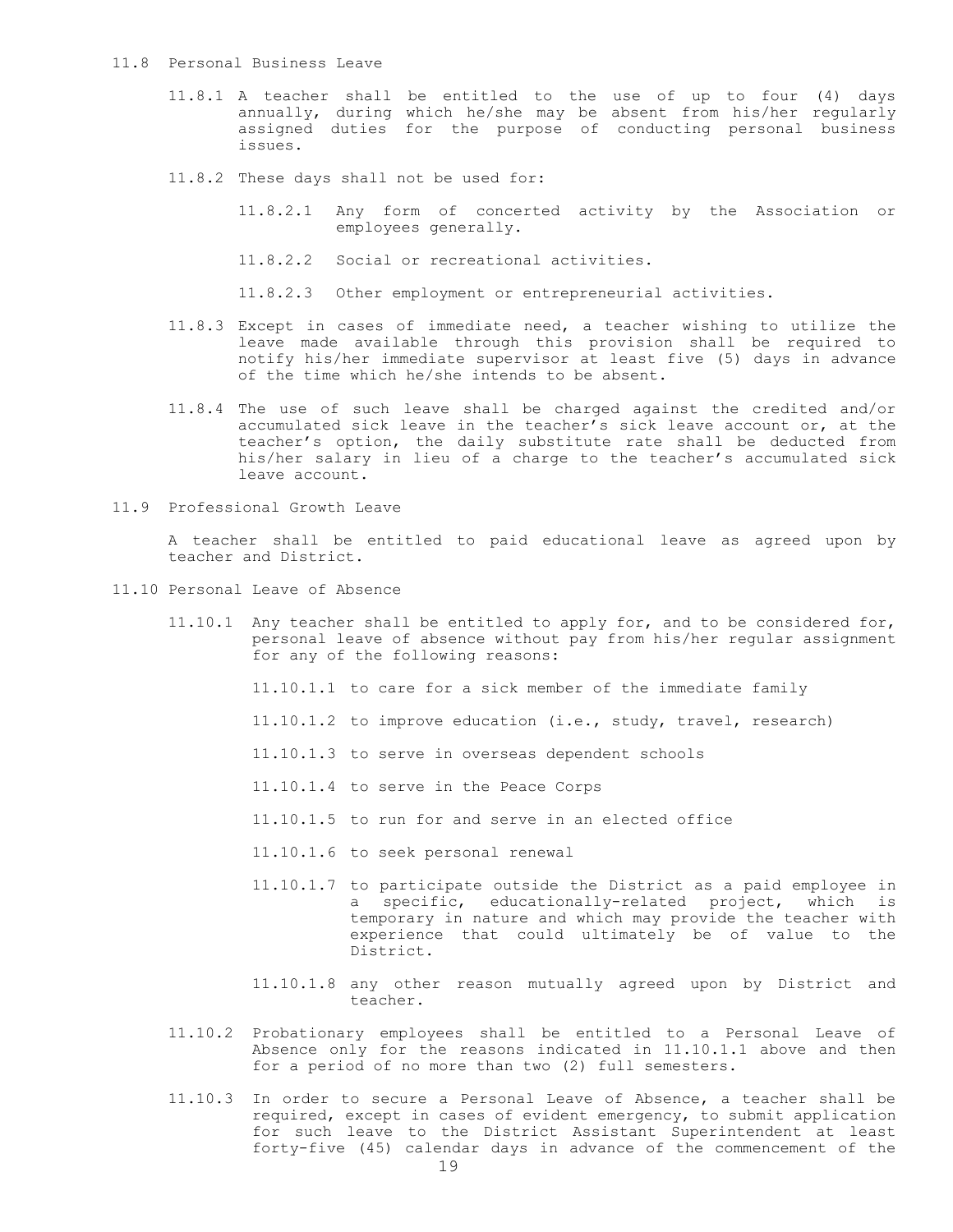#### 11.8 Personal Business Leave

- 11.8.1 A teacher shall be entitled to the use of up to four (4) days annually, during which he/she may be absent from his/her regularly assigned duties for the purpose of conducting personal business issues.
- 11.8.2 These days shall not be used for:
	- 11.8.2.1 Any form of concerted activity by the Association or employees generally.
	- 11.8.2.2 Social or recreational activities.
	- 11.8.2.3 Other employment or entrepreneurial activities.
- 11.8.3 Except in cases of immediate need, a teacher wishing to utilize the leave made available through this provision shall be required to notify his/her immediate supervisor at least five (5) days in advance of the time which he/she intends to be absent.
- 11.8.4 The use of such leave shall be charged against the credited and/or accumulated sick leave in the teacher's sick leave account or, at the teacher's option, the daily substitute rate shall be deducted from his/her salary in lieu of a charge to the teacher's accumulated sick leave account.
- 11.9 Professional Growth Leave

A teacher shall be entitled to paid educational leave as agreed upon by teacher and District.

- 11.10 Personal Leave of Absence
	- 11.10.1 Any teacher shall be entitled to apply for, and to be considered for, personal leave of absence without pay from his/her regular assignment for any of the following reasons:
		- 11.10.1.1 to care for a sick member of the immediate family
		- 11.10.1.2 to improve education (i.e., study, travel, research)
		- 11.10.1.3 to serve in overseas dependent schools
		- 11.10.1.4 to serve in the Peace Corps
		- 11.10.1.5 to run for and serve in an elected office
		- 11.10.1.6 to seek personal renewal
		- 11.10.1.7 to participate outside the District as a paid employee in a specific, educationally-related project, which is temporary in nature and which may provide the teacher with experience that could ultimately be of value to the District.
		- 11.10.1.8 any other reason mutually agreed upon by District and teacher.
	- 11.10.2 Probationary employees shall be entitled to a Personal Leave of Absence only for the reasons indicated in 11.10.1.1 above and then for a period of no more than two (2) full semesters.
	- 11.10.3 In order to secure a Personal Leave of Absence, a teacher shall be required, except in cases of evident emergency, to submit application for such leave to the District Assistant Superintendent at least forty-five (45) calendar days in advance of the commencement of the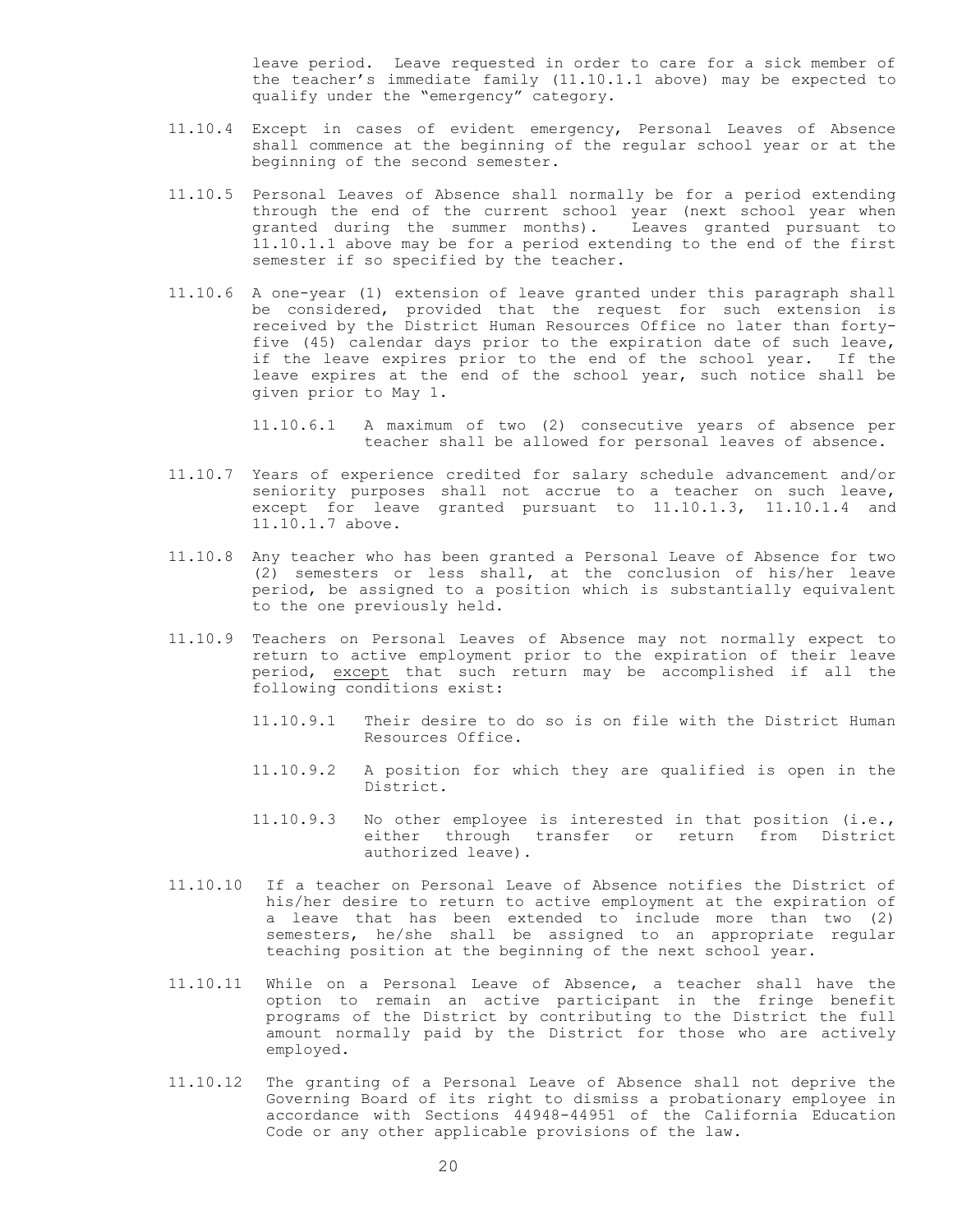leave period. Leave requested in order to care for a sick member of the teacher's immediate family (11.10.1.1 above) may be expected to qualify under the "emergency" category.

- 11.10.4 Except in cases of evident emergency, Personal Leaves of Absence shall commence at the beginning of the regular school year or at the beginning of the second semester.
- 11.10.5 Personal Leaves of Absence shall normally be for a period extending through the end of the current school year (next school year when granted during the summer months). Leaves granted pursuant to 11.10.1.1 above may be for a period extending to the end of the first semester if so specified by the teacher.
- 11.10.6 A one-year (1) extension of leave granted under this paragraph shall be considered, provided that the request for such extension is received by the District Human Resources Office no later than fortyfive (45) calendar days prior to the expiration date of such leave, if the leave expires prior to the end of the school year. If the leave expires at the end of the school year, such notice shall be given prior to May 1.

11.10.6.1 A maximum of two (2) consecutive years of absence per teacher shall be allowed for personal leaves of absence.

- 11.10.7 Years of experience credited for salary schedule advancement and/or seniority purposes shall not accrue to a teacher on such leave, except for leave granted pursuant to 11.10.1.3, 11.10.1.4 and 11.10.1.7 above.
- 11.10.8 Any teacher who has been granted a Personal Leave of Absence for two (2) semesters or less shall, at the conclusion of his/her leave period, be assigned to a position which is substantially equivalent to the one previously held.
- 11.10.9 Teachers on Personal Leaves of Absence may not normally expect to return to active employment prior to the expiration of their leave period, except that such return may be accomplished if all the following conditions exist:
	- 11.10.9.1 Their desire to do so is on file with the District Human Resources Office.
	- 11.10.9.2 A position for which they are qualified is open in the District.
	- 11.10.9.3 No other employee is interested in that position (i.e., either through transfer or return from District authorized leave).
- 11.10.10 If a teacher on Personal Leave of Absence notifies the District of his/her desire to return to active employment at the expiration of a leave that has been extended to include more than two (2) semesters, he/she shall be assigned to an appropriate regular teaching position at the beginning of the next school year.
- 11.10.11 While on a Personal Leave of Absence, a teacher shall have the option to remain an active participant in the fringe benefit programs of the District by contributing to the District the full amount normally paid by the District for those who are actively employed.
- 11.10.12 The granting of a Personal Leave of Absence shall not deprive the Governing Board of its right to dismiss a probationary employee in accordance with Sections 44948-44951 of the California Education Code or any other applicable provisions of the law.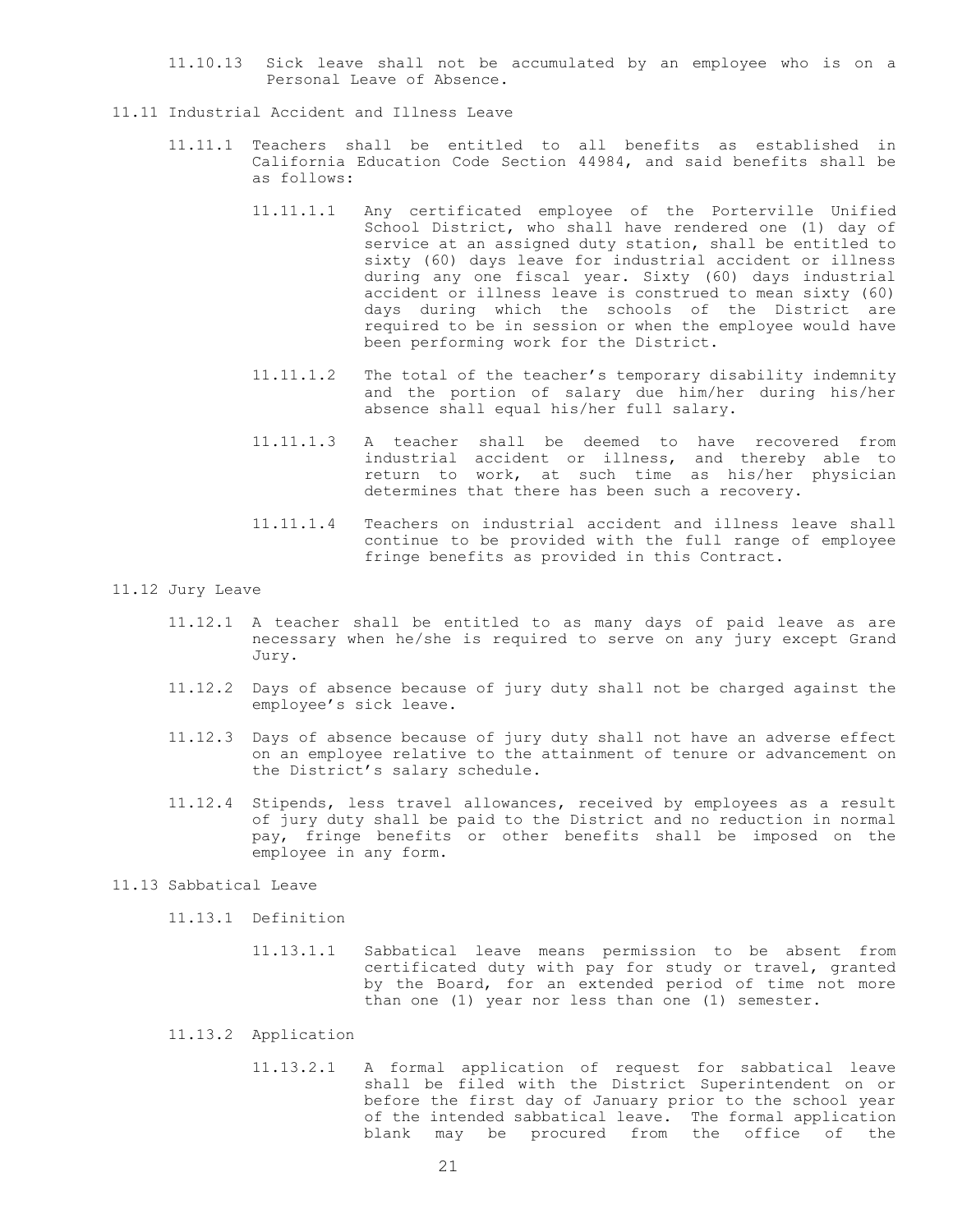- 11.10.13 Sick leave shall not be accumulated by an employee who is on a Personal Leave of Absence.
- 11.11 Industrial Accident and Illness Leave
	- 11.11.1 Teachers shall be entitled to all benefits as established in California Education Code Section 44984, and said benefits shall be as follows:
		- 11.11.1.1 Any certificated employee of the Porterville Unified School District, who shall have rendered one (1) day of service at an assigned duty station, shall be entitled to sixty (60) days leave for industrial accident or illness during any one fiscal year. Sixty (60) days industrial accident or illness leave is construed to mean sixty (60) days during which the schools of the District are required to be in session or when the employee would have been performing work for the District.
		- 11.11.1.2 The total of the teacher's temporary disability indemnity and the portion of salary due him/her during his/her absence shall equal his/her full salary.
		- 11.11.1.3 A teacher shall be deemed to have recovered from industrial accident or illness, and thereby able to return to work, at such time as his/her physician determines that there has been such a recovery.
		- 11.11.1.4 Teachers on industrial accident and illness leave shall continue to be provided with the full range of employee fringe benefits as provided in this Contract.

#### 11.12 Jury Leave

- 11.12.1 A teacher shall be entitled to as many days of paid leave as are necessary when he/she is required to serve on any jury except Grand Jury.
- 11.12.2 Days of absence because of jury duty shall not be charged against the employee's sick leave.
- 11.12.3 Days of absence because of jury duty shall not have an adverse effect on an employee relative to the attainment of tenure or advancement on the District's salary schedule.
- 11.12.4 Stipends, less travel allowances, received by employees as a result of jury duty shall be paid to the District and no reduction in normal pay, fringe benefits or other benefits shall be imposed on the employee in any form.

#### 11.13 Sabbatical Leave

11.13.1 Definition

- 11.13.1.1 Sabbatical leave means permission to be absent from certificated duty with pay for study or travel, granted by the Board, for an extended period of time not more than one (1) year nor less than one (1) semester.
- 11.13.2 Application
	- 11.13.2.1 A formal application of request for sabbatical leave shall be filed with the District Superintendent on or before the first day of January prior to the school year of the intended sabbatical leave. The formal application blank may be procured from the office of the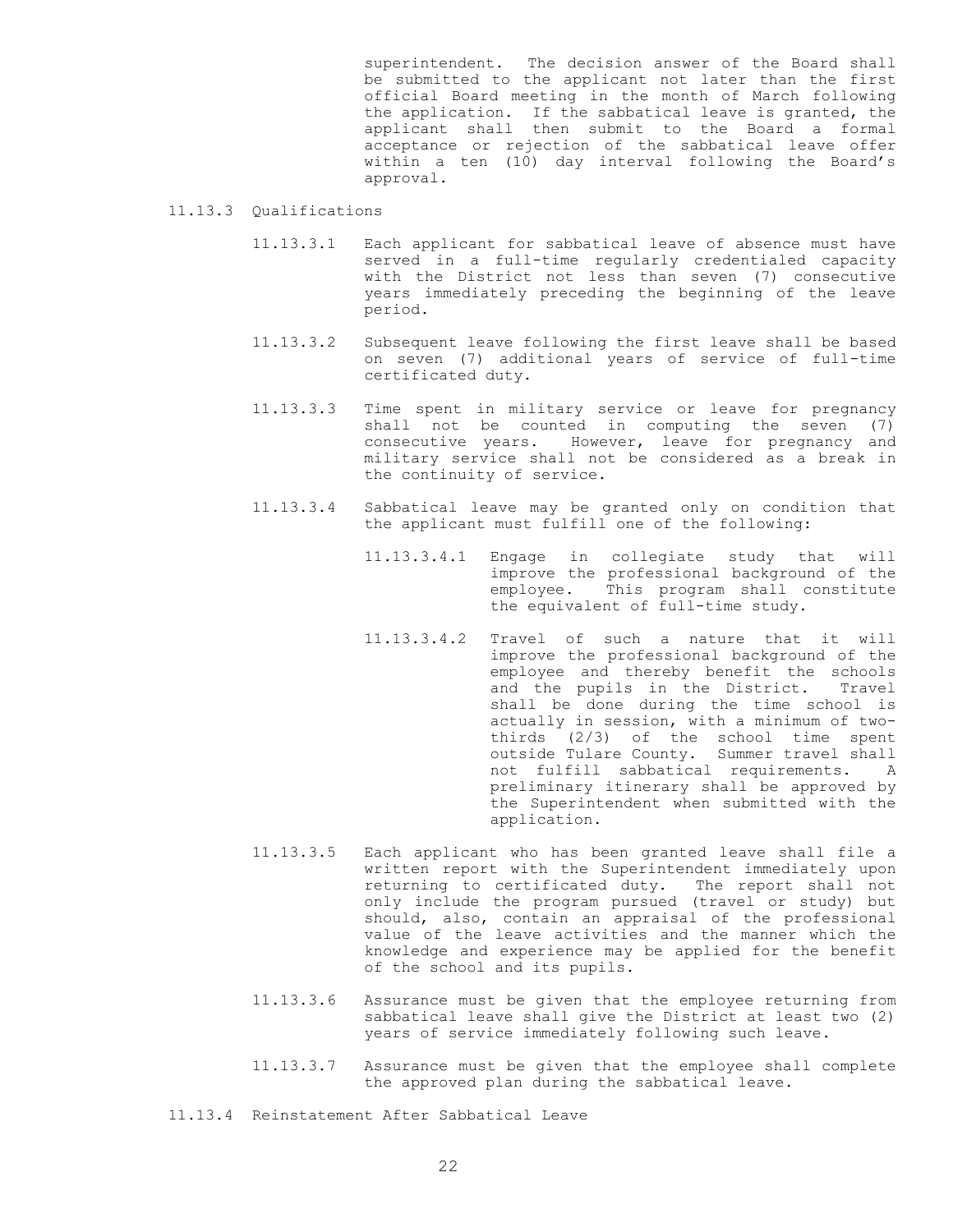superintendent. The decision answer of the Board shall be submitted to the applicant not later than the first official Board meeting in the month of March following the application. If the sabbatical leave is granted, the applicant shall then submit to the Board a formal acceptance or rejection of the sabbatical leave offer within a ten (10) day interval following the Board's approval.

#### 11.13.3 Qualifications

- 11.13.3.1 Each applicant for sabbatical leave of absence must have served in a full-time regularly credentialed capacity with the District not less than seven (7) consecutive years immediately preceding the beginning of the leave period.
- 11.13.3.2 Subsequent leave following the first leave shall be based on seven (7) additional years of service of full-time certificated duty.
- 11.13.3.3 Time spent in military service or leave for pregnancy shall not be counted in computing the seven (7) consecutive years. However, leave for pregnancy and military service shall not be considered as a break in the continuity of service.
- 11.13.3.4 Sabbatical leave may be granted only on condition that the applicant must fulfill one of the following:
	- 11.13.3.4.1 Engage in collegiate study that will improve the professional background of the employee. This program shall constitute the equivalent of full-time study.
	- 11.13.3.4.2 Travel of such a nature that it will improve the professional background of the employee and thereby benefit the schools and the pupils in the District. Travel shall be done during the time school is actually in session, with a minimum of twothirds (2/3) of the school time spent outside Tulare County. Summer travel shall not fulfill sabbatical requirements. A preliminary itinerary shall be approved by the Superintendent when submitted with the application.
- 11.13.3.5 Each applicant who has been granted leave shall file a written report with the Superintendent immediately upon returning to certificated duty. The report shall not only include the program pursued (travel or study) but should, also, contain an appraisal of the professional value of the leave activities and the manner which the knowledge and experience may be applied for the benefit of the school and its pupils.
- 11.13.3.6 Assurance must be given that the employee returning from sabbatical leave shall give the District at least two (2) years of service immediately following such leave.
- 11.13.3.7 Assurance must be given that the employee shall complete the approved plan during the sabbatical leave.
- 11.13.4 Reinstatement After Sabbatical Leave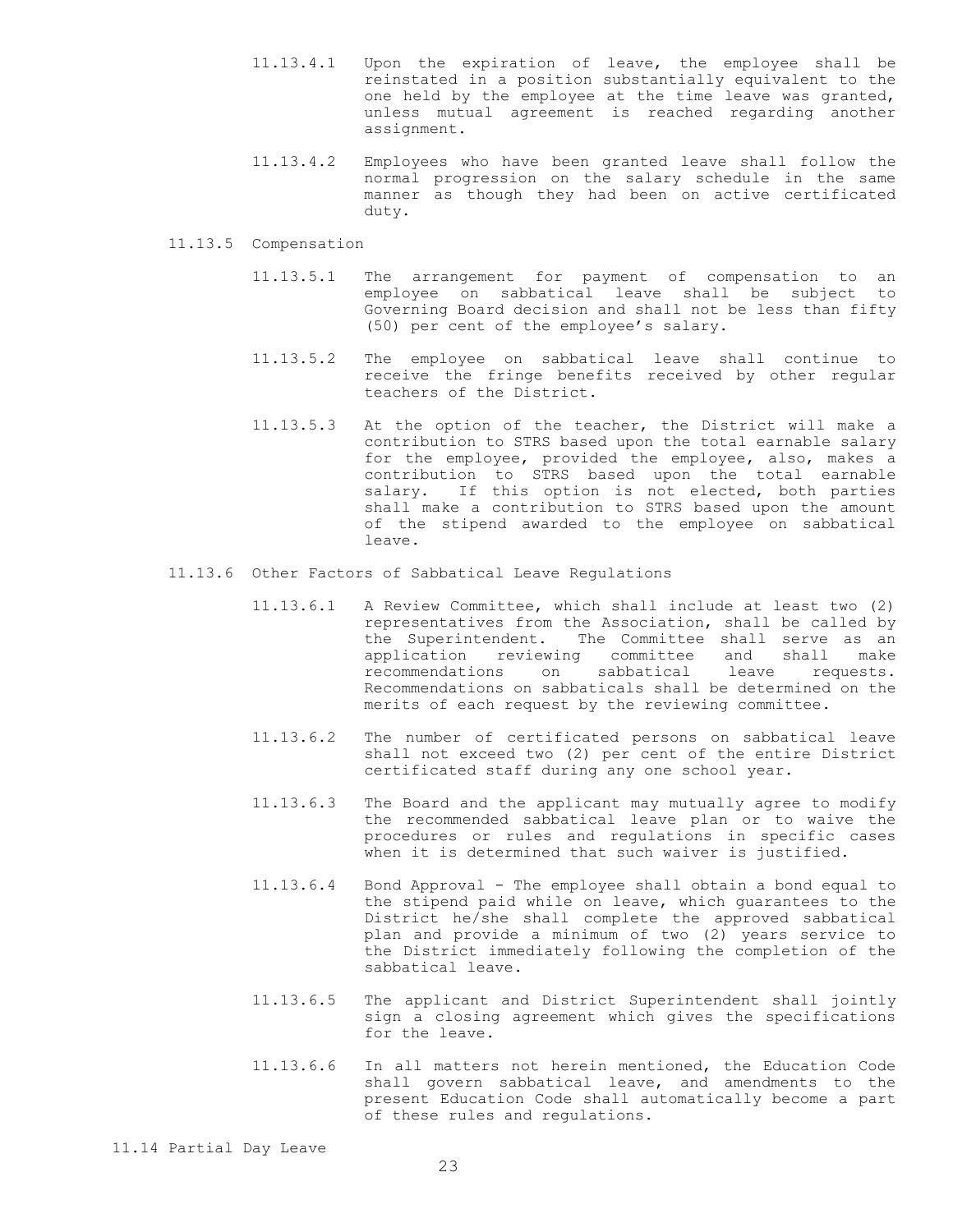- 11.13.4.1 Upon the expiration of leave, the employee shall be reinstated in a position substantially equivalent to the one held by the employee at the time leave was granted, unless mutual agreement is reached regarding another assignment.
- 11.13.4.2 Employees who have been granted leave shall follow the normal progression on the salary schedule in the same manner as though they had been on active certificated duty.

#### 11.13.5 Compensation

- 11.13.5.1 The arrangement for payment of compensation to an employee on sabbatical leave shall be subject to Governing Board decision and shall not be less than fifty (50) per cent of the employee's salary.
- 11.13.5.2 The employee on sabbatical leave shall continue to receive the fringe benefits received by other regular teachers of the District.
- 11.13.5.3 At the option of the teacher, the District will make a contribution to STRS based upon the total earnable salary for the employee, provided the employee, also, makes a contribution to STRS based upon the total earnable salary. If this option is not elected, both parties shall make a contribution to STRS based upon the amount of the stipend awarded to the employee on sabbatical leave.
- 11.13.6 Other Factors of Sabbatical Leave Regulations
	- 11.13.6.1 A Review Committee, which shall include at least two (2) representatives from the Association, shall be called by the Superintendent. The Committee shall serve as an application reviewing committee and shall make recommendations on sabbatical leave requests. Recommendations on sabbaticals shall be determined on the merits of each request by the reviewing committee.
	- 11.13.6.2 The number of certificated persons on sabbatical leave shall not exceed two (2) per cent of the entire District certificated staff during any one school year.
	- 11.13.6.3 The Board and the applicant may mutually agree to modify the recommended sabbatical leave plan or to waive the procedures or rules and regulations in specific cases when it is determined that such waiver is justified.
	- 11.13.6.4 Bond Approval The employee shall obtain a bond equal to the stipend paid while on leave, which guarantees to the District he/she shall complete the approved sabbatical plan and provide a minimum of two (2) years service to the District immediately following the completion of the sabbatical leave.
	- 11.13.6.5 The applicant and District Superintendent shall jointly sign a closing agreement which gives the specifications for the leave.
	- 11.13.6.6 In all matters not herein mentioned, the Education Code shall govern sabbatical leave, and amendments to the present Education Code shall automatically become a part of these rules and regulations.

11.14 Partial Day Leave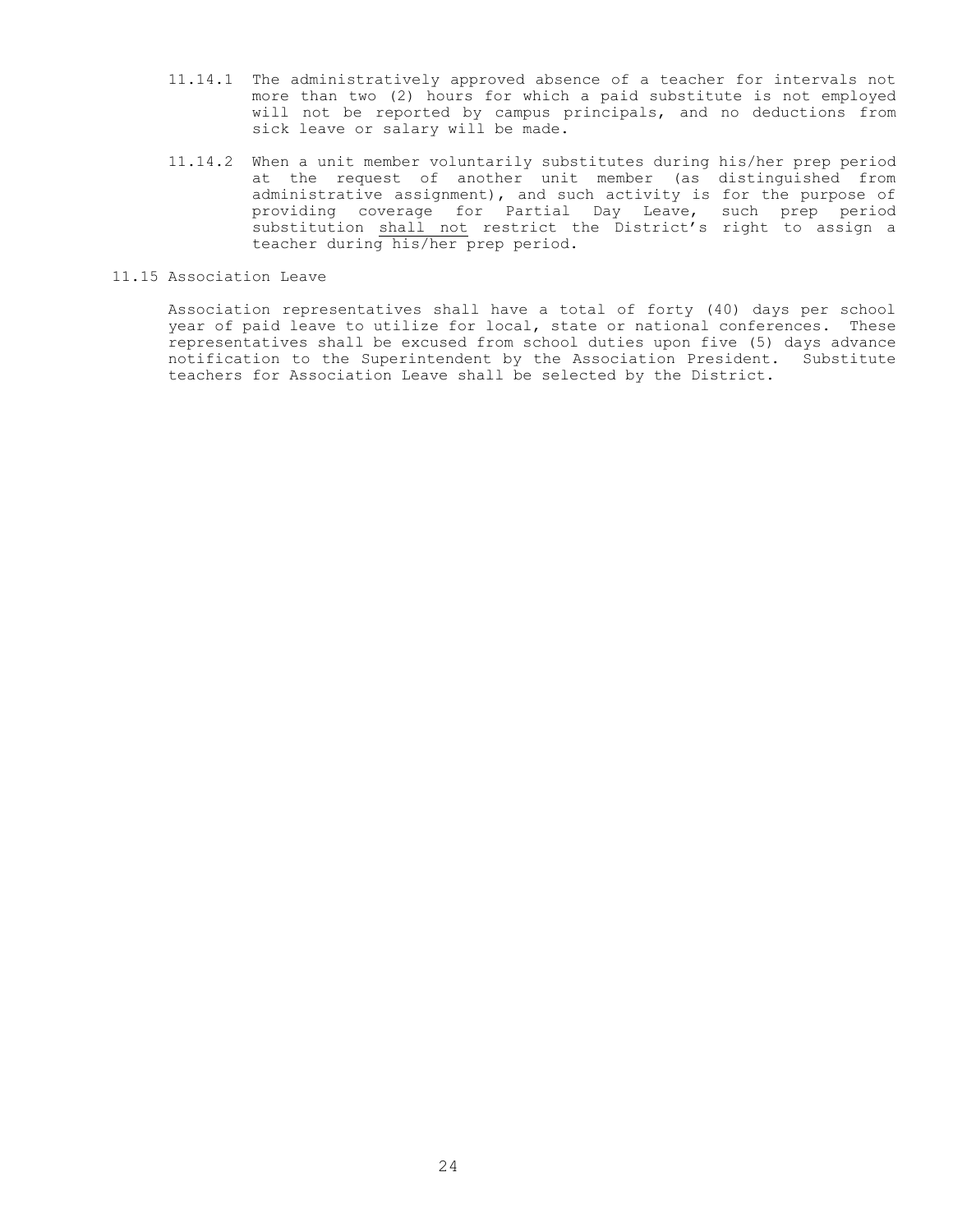- 11.14.1 The administratively approved absence of a teacher for intervals not more than two (2) hours for which a paid substitute is not employed will not be reported by campus principals, and no deductions from sick leave or salary will be made.
- 11.14.2 When a unit member voluntarily substitutes during his/her prep period at the request of another unit member (as distinguished from administrative assignment), and such activity is for the purpose of providing coverage for Partial Day Leave, such prep period substitution shall not restrict the District's right to assign a teacher during his/her prep period.
- 11.15 Association Leave

Association representatives shall have a total of forty (40) days per school year of paid leave to utilize for local, state or national conferences. These representatives shall be excused from school duties upon five (5) days advance notification to the Superintendent by the Association President. Substitute teachers for Association Leave shall be selected by the District.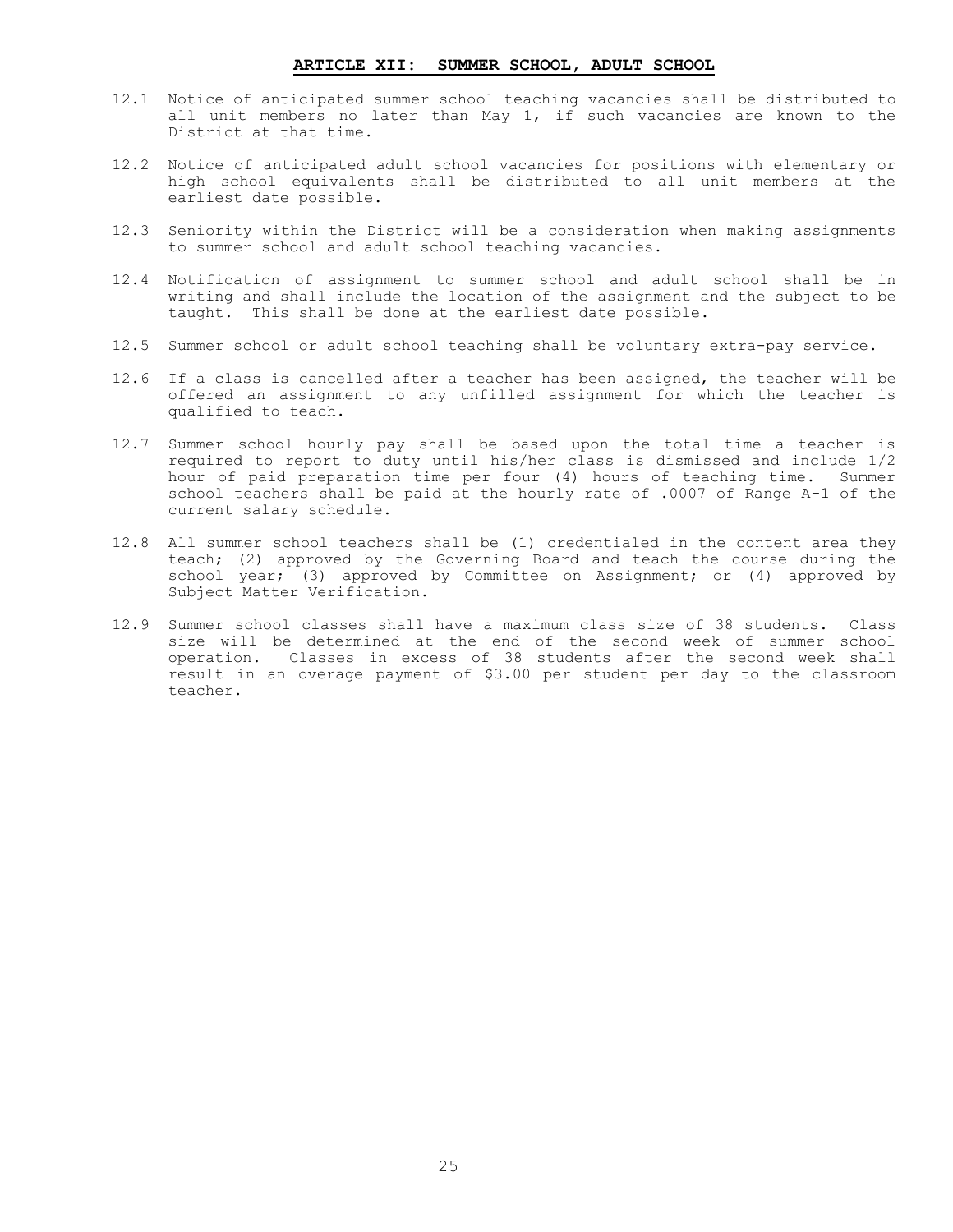#### **ARTICLE XII: SUMMER SCHOOL, ADULT SCHOOL**

- <span id="page-26-0"></span>12.1 Notice of anticipated summer school teaching vacancies shall be distributed to all unit members no later than May 1, if such vacancies are known to the District at that time.
- 12.2 Notice of anticipated adult school vacancies for positions with elementary or high school equivalents shall be distributed to all unit members at the earliest date possible.
- 12.3 Seniority within the District will be a consideration when making assignments to summer school and adult school teaching vacancies.
- 12.4 Notification of assignment to summer school and adult school shall be in writing and shall include the location of the assignment and the subject to be taught. This shall be done at the earliest date possible.
- 12.5 Summer school or adult school teaching shall be voluntary extra-pay service.
- 12.6 If a class is cancelled after a teacher has been assigned, the teacher will be offered an assignment to any unfilled assignment for which the teacher is qualified to teach.
- 12.7 Summer school hourly pay shall be based upon the total time a teacher is required to report to duty until his/her class is dismissed and include 1/2 hour of paid preparation time per four (4) hours of teaching time. Summer school teachers shall be paid at the hourly rate of .0007 of Range A-1 of the current salary schedule.
- 12.8 All summer school teachers shall be (1) credentialed in the content area they teach; (2) approved by the Governing Board and teach the course during the school year; (3) approved by Committee on Assignment; or (4) approved by Subject Matter Verification.
- 12.9 Summer school classes shall have a maximum class size of 38 students. Class size will be determined at the end of the second week of summer school operation. Classes in excess of 38 students after the second week shall result in an overage payment of \$3.00 per student per day to the classroom teacher.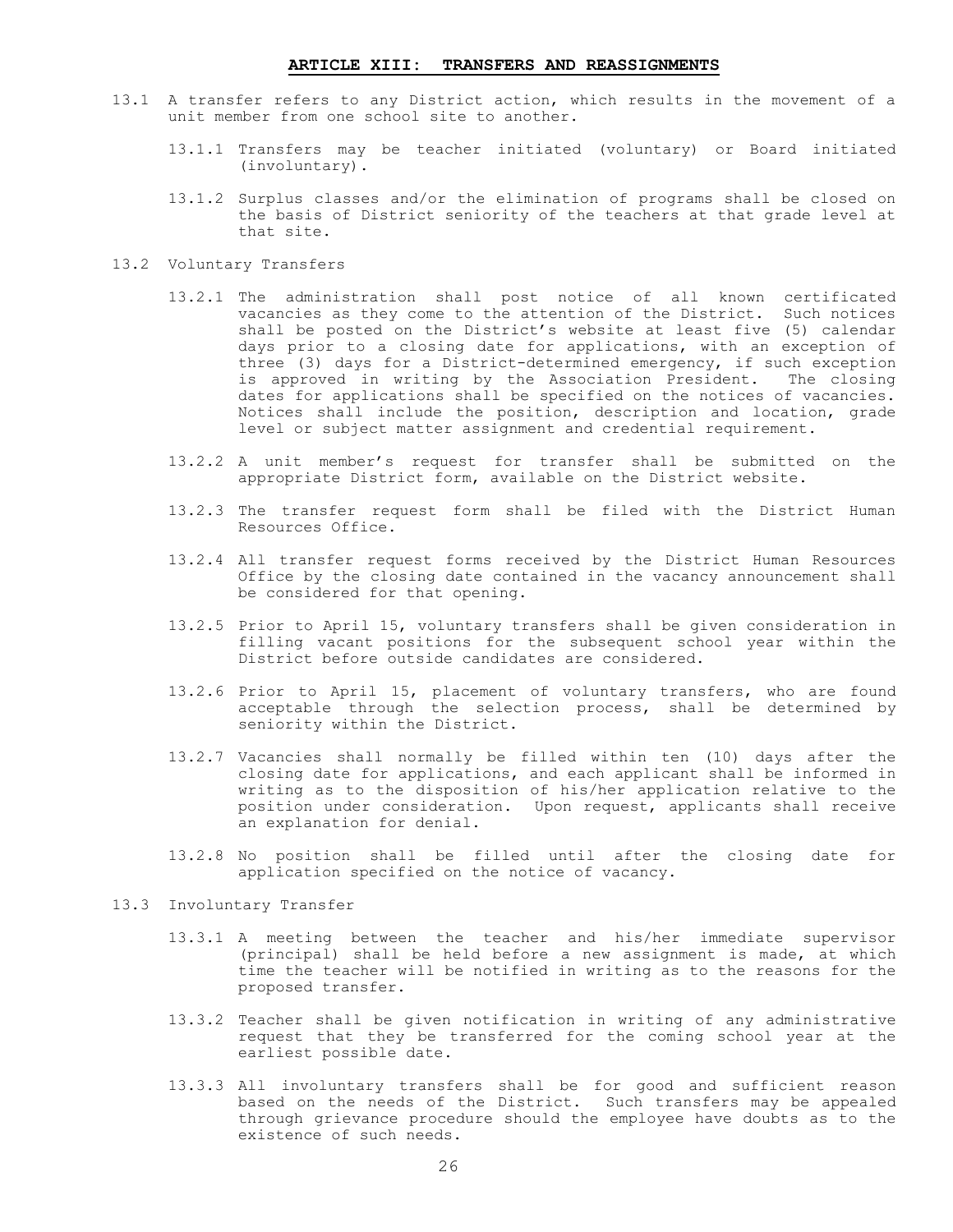#### **ARTICLE XIII: TRANSFERS AND REASSIGNMENTS**

- <span id="page-27-0"></span>13.1 A transfer refers to any District action, which results in the movement of a unit member from one school site to another.
	- 13.1.1 Transfers may be teacher initiated (voluntary) or Board initiated (involuntary).
	- 13.1.2 Surplus classes and/or the elimination of programs shall be closed on the basis of District seniority of the teachers at that grade level at that site.
- 13.2 Voluntary Transfers
	- 13.2.1 The administration shall post notice of all known certificated vacancies as they come to the attention of the District. Such notices shall be posted on the District's website at least five (5) calendar days prior to a closing date for applications, with an exception of three (3) days for a District-determined emergency, if such exception is approved in writing by the Association President. The closing dates for applications shall be specified on the notices of vacancies. Notices shall include the position, description and location, grade level or subject matter assignment and credential requirement.
	- 13.2.2 A unit member's request for transfer shall be submitted on the appropriate District form, available on the District website.
	- 13.2.3 The transfer request form shall be filed with the District Human Resources Office.
	- 13.2.4 All transfer request forms received by the District Human Resources Office by the closing date contained in the vacancy announcement shall be considered for that opening.
	- 13.2.5 Prior to April 15, voluntary transfers shall be given consideration in filling vacant positions for the subsequent school year within the District before outside candidates are considered.
	- 13.2.6 Prior to April 15, placement of voluntary transfers, who are found acceptable through the selection process, shall be determined by seniority within the District.
	- 13.2.7 Vacancies shall normally be filled within ten (10) days after the closing date for applications, and each applicant shall be informed in writing as to the disposition of his/her application relative to the position under consideration. Upon request, applicants shall receive an explanation for denial.
	- 13.2.8 No position shall be filled until after the closing date for application specified on the notice of vacancy.
- 13.3 Involuntary Transfer
	- 13.3.1 A meeting between the teacher and his/her immediate supervisor (principal) shall be held before a new assignment is made, at which time the teacher will be notified in writing as to the reasons for the proposed transfer.
	- 13.3.2 Teacher shall be given notification in writing of any administrative request that they be transferred for the coming school year at the earliest possible date.
	- 13.3.3 All involuntary transfers shall be for good and sufficient reason based on the needs of the District. Such transfers may be appealed through grievance procedure should the employee have doubts as to the existence of such needs.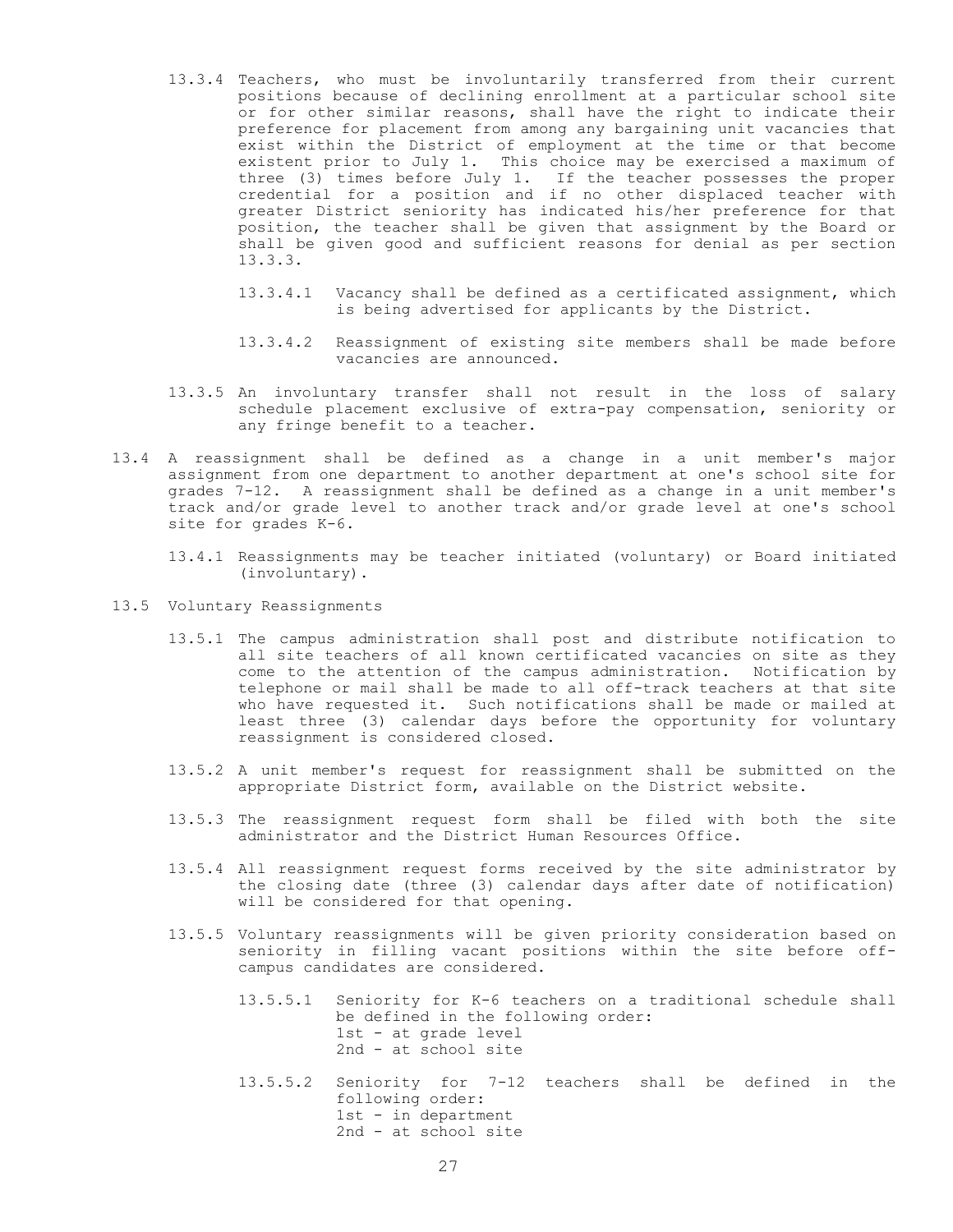- 13.3.4 Teachers, who must be involuntarily transferred from their current positions because of declining enrollment at a particular school site or for other similar reasons, shall have the right to indicate their preference for placement from among any bargaining unit vacancies that exist within the District of employment at the time or that become existent prior to July 1. This choice may be exercised a maximum of three (3) times before July 1. If the teacher possesses the proper credential for a position and if no other displaced teacher with greater District seniority has indicated his/her preference for that position, the teacher shall be given that assignment by the Board or shall be given good and sufficient reasons for denial as per section 13.3.3.
	- 13.3.4.1 Vacancy shall be defined as a certificated assignment, which is being advertised for applicants by the District.
	- 13.3.4.2 Reassignment of existing site members shall be made before vacancies are announced.
- 13.3.5 An involuntary transfer shall not result in the loss of salary schedule placement exclusive of extra-pay compensation, seniority or any fringe benefit to a teacher.
- 13.4 A reassignment shall be defined as a change in a unit member's major assignment from one department to another department at one's school site for grades 7-12. A reassignment shall be defined as a change in a unit member's track and/or grade level to another track and/or grade level at one's school site for grades K-6.
	- 13.4.1 Reassignments may be teacher initiated (voluntary) or Board initiated (involuntary).
- 13.5 Voluntary Reassignments
	- 13.5.1 The campus administration shall post and distribute notification to all site teachers of all known certificated vacancies on site as they come to the attention of the campus administration. Notification by telephone or mail shall be made to all off-track teachers at that site who have requested it. Such notifications shall be made or mailed at least three (3) calendar days before the opportunity for voluntary reassignment is considered closed.
	- 13.5.2 A unit member's request for reassignment shall be submitted on the appropriate District form, available on the District website.
	- 13.5.3 The reassignment request form shall be filed with both the site administrator and the District Human Resources Office.
	- 13.5.4 All reassignment request forms received by the site administrator by the closing date (three (3) calendar days after date of notification) will be considered for that opening.
	- 13.5.5 Voluntary reassignments will be given priority consideration based on seniority in filling vacant positions within the site before offcampus candidates are considered.
		- 13.5.5.1 Seniority for K-6 teachers on a traditional schedule shall be defined in the following order: 1st - at grade level 2nd - at school site
		- 13.5.5.2 Seniority for 7-12 teachers shall be defined in the following order: 1st - in department 2nd - at school site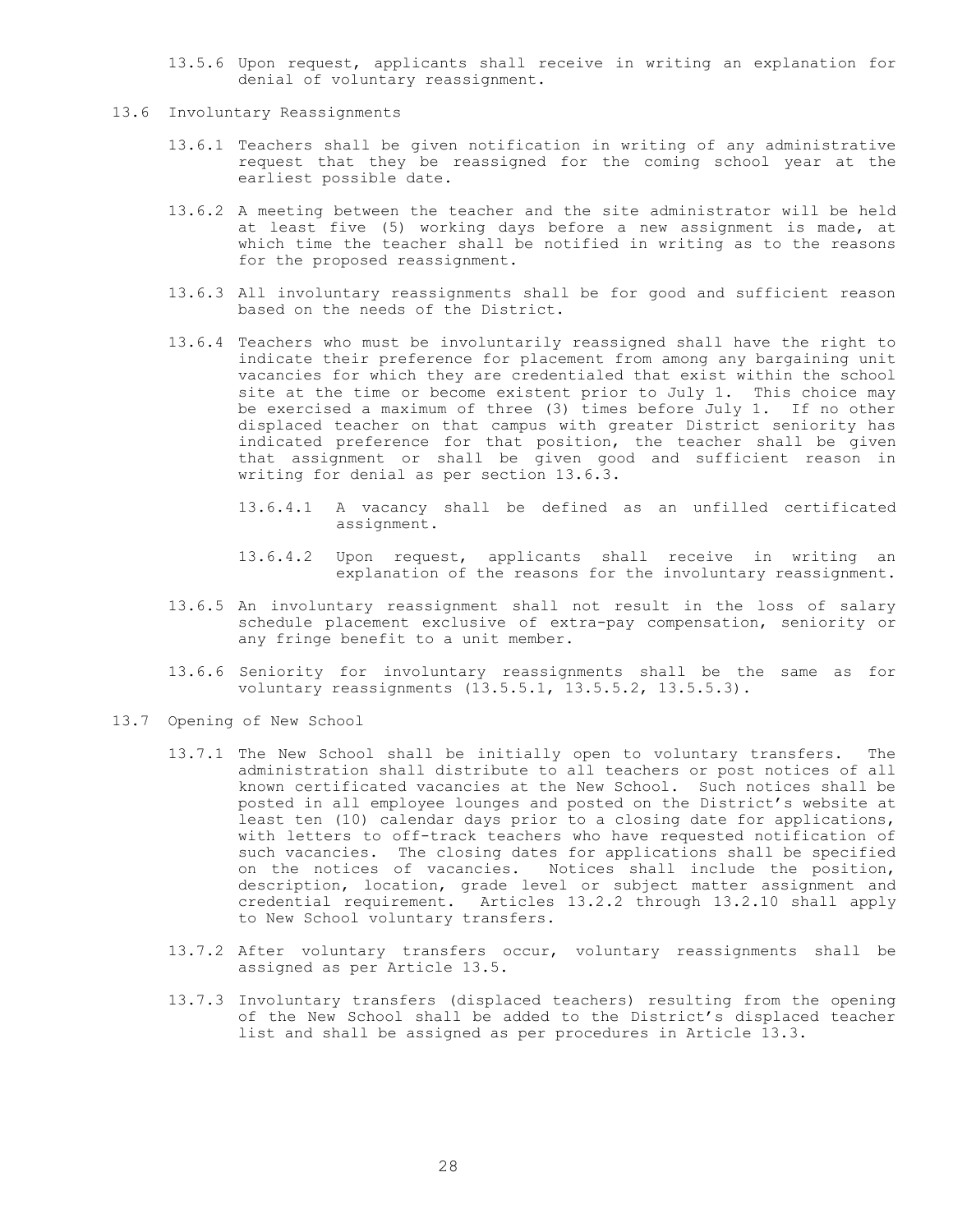- 13.5.6 Upon request, applicants shall receive in writing an explanation for denial of voluntary reassignment.
- 13.6 Involuntary Reassignments
	- 13.6.1 Teachers shall be given notification in writing of any administrative request that they be reassigned for the coming school year at the earliest possible date.
	- 13.6.2 A meeting between the teacher and the site administrator will be held at least five (5) working days before a new assignment is made, at which time the teacher shall be notified in writing as to the reasons for the proposed reassignment.
	- 13.6.3 All involuntary reassignments shall be for good and sufficient reason based on the needs of the District.
	- 13.6.4 Teachers who must be involuntarily reassigned shall have the right to indicate their preference for placement from among any bargaining unit vacancies for which they are credentialed that exist within the school site at the time or become existent prior to July 1. This choice may be exercised a maximum of three (3) times before July 1. If no other displaced teacher on that campus with greater District seniority has indicated preference for that position, the teacher shall be given that assignment or shall be given good and sufficient reason in writing for denial as per section 13.6.3.
		- 13.6.4.1 A vacancy shall be defined as an unfilled certificated assignment.
		- 13.6.4.2 Upon request, applicants shall receive in writing an explanation of the reasons for the involuntary reassignment.
	- 13.6.5 An involuntary reassignment shall not result in the loss of salary schedule placement exclusive of extra-pay compensation, seniority or any fringe benefit to a unit member.
	- 13.6.6 Seniority for involuntary reassignments shall be the same as for voluntary reassignments (13.5.5.1, 13.5.5.2, 13.5.5.3).
- 13.7 Opening of New School
	- 13.7.1 The New School shall be initially open to voluntary transfers. The administration shall distribute to all teachers or post notices of all known certificated vacancies at the New School. Such notices shall be posted in all employee lounges and posted on the District's website at least ten (10) calendar days prior to a closing date for applications, with letters to off-track teachers who have requested notification of such vacancies. The closing dates for applications shall be specified on the notices of vacancies. Notices shall include the position, description, location, grade level or subject matter assignment and credential requirement. Articles 13.2.2 through 13.2.10 shall apply to New School voluntary transfers.
	- 13.7.2 After voluntary transfers occur, voluntary reassignments shall be assigned as per Article 13.5.
	- 13.7.3 Involuntary transfers (displaced teachers) resulting from the opening of the New School shall be added to the District's displaced teacher list and shall be assigned as per procedures in Article 13.3.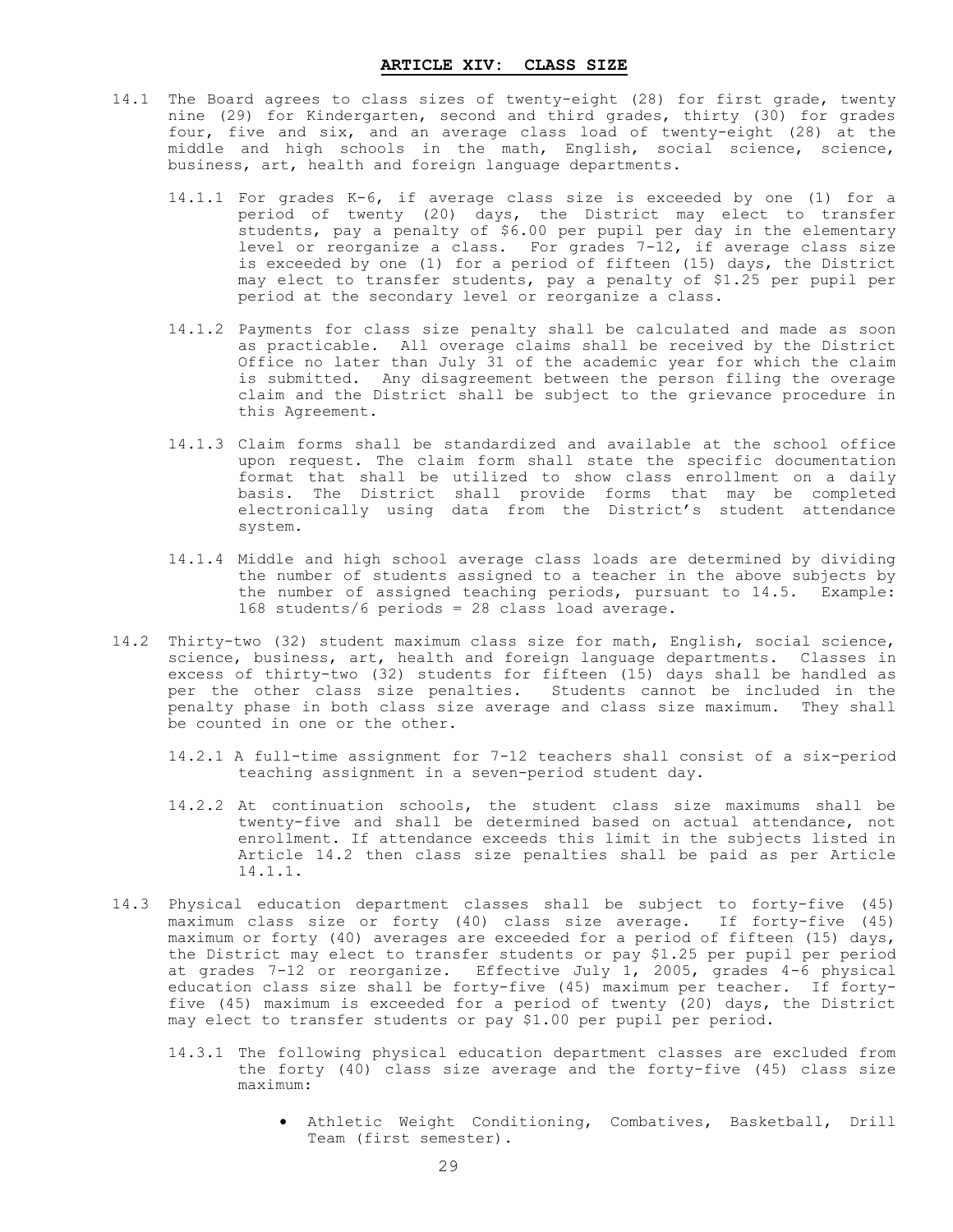- <span id="page-30-0"></span>14.1 The Board agrees to class sizes of twenty-eight (28) for first grade, twenty nine (29) for Kindergarten, second and third grades, thirty (30) for grades four, five and six, and an average class load of twenty-eight (28) at the middle and high schools in the math, English, social science, science, business, art, health and foreign language departments.
	- 14.1.1 For grades K-6, if average class size is exceeded by one (1) for a period of twenty (20) days, the District may elect to transfer students, pay a penalty of \$6.00 per pupil per day in the elementary level or reorganize a class. For grades 7-12, if average class size is exceeded by one (1) for a period of fifteen (15) days, the District may elect to transfer students, pay a penalty of \$1.25 per pupil per period at the secondary level or reorganize a class.
	- 14.1.2 Payments for class size penalty shall be calculated and made as soon as practicable. All overage claims shall be received by the District Office no later than July 31 of the academic year for which the claim is submitted. Any disagreement between the person filing the overage claim and the District shall be subject to the grievance procedure in this Agreement.
	- 14.1.3 Claim forms shall be standardized and available at the school office upon request. The claim form shall state the specific documentation format that shall be utilized to show class enrollment on a daily basis. The District shall provide forms that may be completed electronically using data from the District's student attendance system.
	- 14.1.4 Middle and high school average class loads are determined by dividing the number of students assigned to a teacher in the above subjects by the number of assigned teaching periods, pursuant to 14.5. Example: 168 students/6 periods = 28 class load average.
- 14.2 Thirty-two (32) student maximum class size for math, English, social science, science, business, art, health and foreign language departments. Classes in excess of thirty-two (32) students for fifteen (15) days shall be handled as per the other class size penalties. Students cannot be included in the penalty phase in both class size average and class size maximum. They shall be counted in one or the other.
	- 14.2.1 A full-time assignment for 7-12 teachers shall consist of a six-period teaching assignment in a seven-period student day.
	- 14.2.2 At continuation schools, the student class size maximums shall be twenty-five and shall be determined based on actual attendance, not enrollment. If attendance exceeds this limit in the subjects listed in Article 14.2 then class size penalties shall be paid as per Article 14.1.1.
- 14.3 Physical education department classes shall be subject to forty-five (45) maximum class size or forty (40) class size average. If forty-five (45) maximum or forty (40) averages are exceeded for a period of fifteen (15) days, the District may elect to transfer students or pay \$1.25 per pupil per period at grades 7-12 or reorganize. Effective July 1, 2005, grades 4-6 physical education class size shall be forty-five (45) maximum per teacher. If fortyfive (45) maximum is exceeded for a period of twenty (20) days, the District may elect to transfer students or pay \$1.00 per pupil per period.
	- 14.3.1 The following physical education department classes are excluded from the forty (40) class size average and the forty-five (45) class size maximum:
		- Athletic Weight Conditioning, Combatives, Basketball, Drill Team (first semester).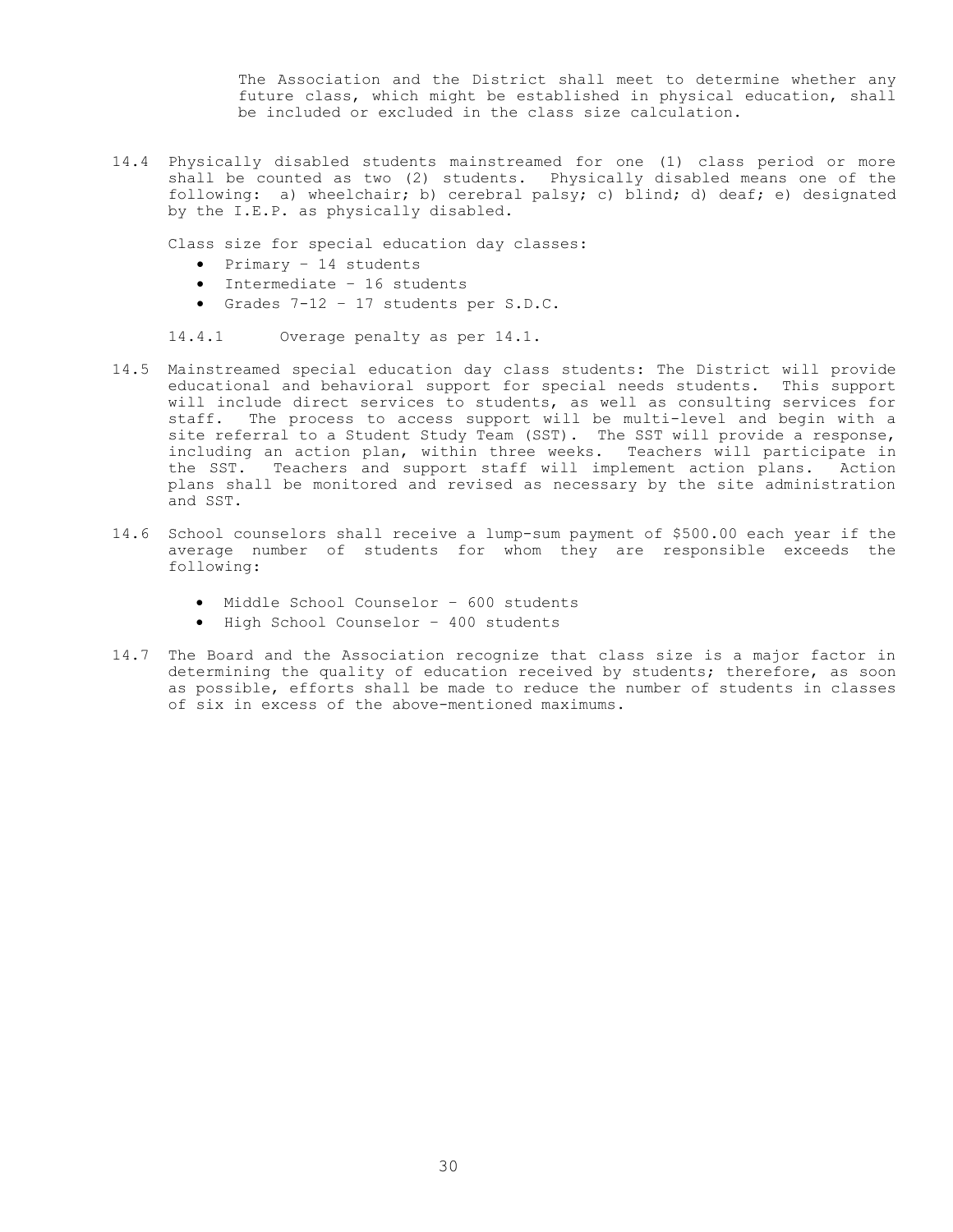The Association and the District shall meet to determine whether any future class, which might be established in physical education, shall be included or excluded in the class size calculation.

14.4 Physically disabled students mainstreamed for one (1) class period or more shall be counted as two (2) students. Physically disabled means one of the following: a) wheelchair; b) cerebral palsy; c) blind; d) deaf; e) designated by the I.E.P. as physically disabled.

Class size for special education day classes:

- $\bullet$  Primary 14 students
- Intermediate 16 students
- Grades 7-12 17 students per S.D.C.

14.4.1 Overage penalty as per 14.1.

- 14.5 Mainstreamed special education day class students: The District will provide educational and behavioral support for special needs students. This support will include direct services to students, as well as consulting services for staff. The process to access support will be multi-level and begin with a site referral to a Student Study Team (SST). The SST will provide a response, including an action plan, within three weeks. Teachers will participate in the SST. Teachers and support staff will implement action plans. Action plans shall be monitored and revised as necessary by the site administration and SST.
- 14.6 School counselors shall receive a lump-sum payment of \$500.00 each year if the average number of students for whom they are responsible exceeds the following:
	- Middle School Counselor 600 students
	- High School Counselor 400 students
- 14.7 The Board and the Association recognize that class size is a major factor in determining the quality of education received by students; therefore, as soon as possible, efforts shall be made to reduce the number of students in classes of six in excess of the above-mentioned maximums.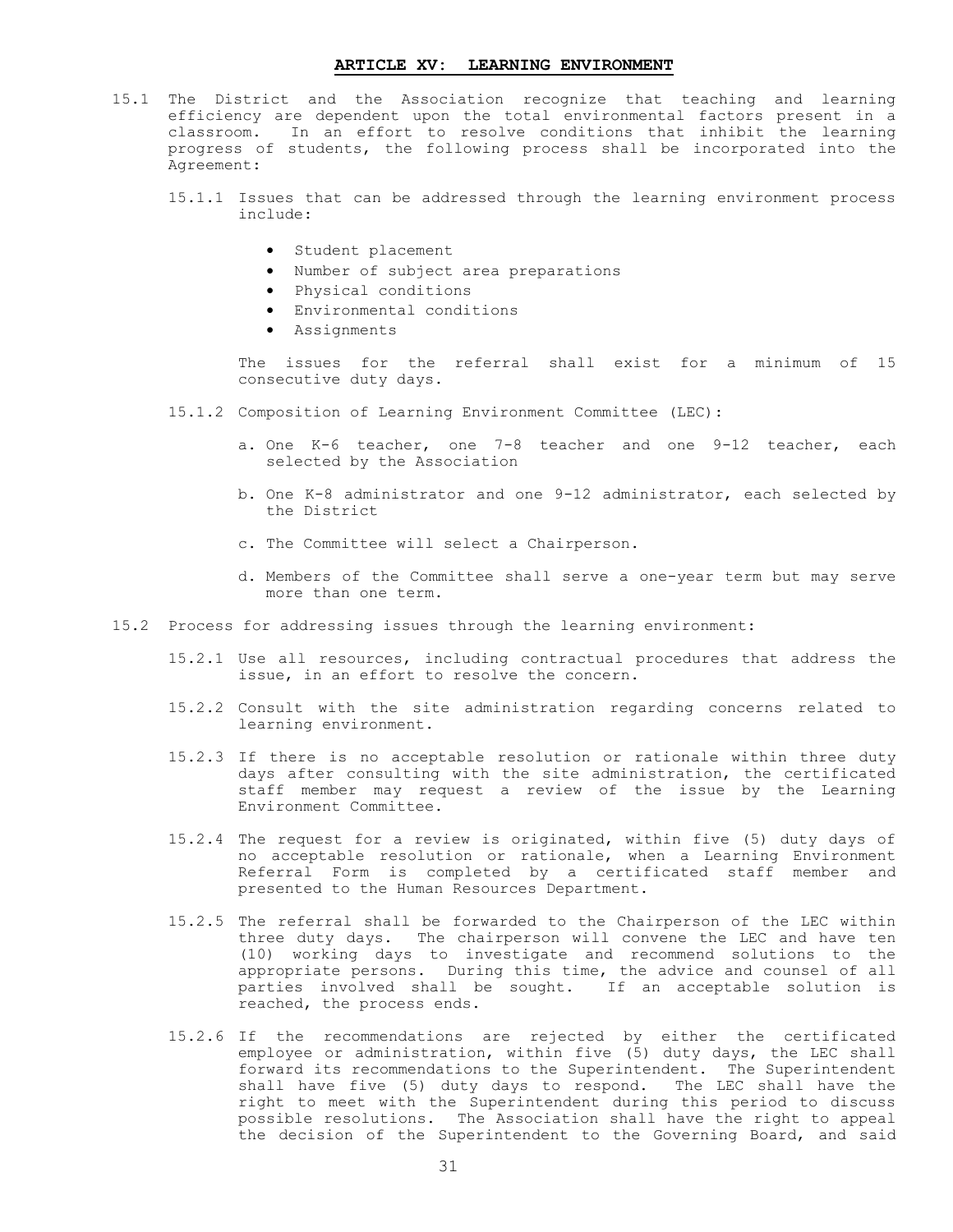#### **ARTICLE XV: LEARNING ENVIRONMENT**

- <span id="page-32-0"></span>15.1 The District and the Association recognize that teaching and learning efficiency are dependent upon the total environmental factors present in a classroom. In an effort to resolve conditions that inhibit the learning progress of students, the following process shall be incorporated into the Agreement:
	- 15.1.1 Issues that can be addressed through the learning environment process include:
		- Student placement
		- Number of subject area preparations
		- Physical conditions
		- Environmental conditions
		- Assignments

The issues for the referral shall exist for a minimum of 15 consecutive duty days.

- 15.1.2 Composition of Learning Environment Committee (LEC):
	- a. One K-6 teacher, one 7-8 teacher and one 9-12 teacher, each selected by the Association
	- b. One K-8 administrator and one 9-12 administrator, each selected by the District
	- c. The Committee will select a Chairperson.
	- d. Members of the Committee shall serve a one-year term but may serve more than one term.
- 15.2 Process for addressing issues through the learning environment:
	- 15.2.1 Use all resources, including contractual procedures that address the issue, in an effort to resolve the concern.
	- 15.2.2 Consult with the site administration regarding concerns related to learning environment.
	- 15.2.3 If there is no acceptable resolution or rationale within three duty days after consulting with the site administration, the certificated staff member may request a review of the issue by the Learning Environment Committee.
	- 15.2.4 The request for a review is originated, within five (5) duty days of no acceptable resolution or rationale, when a Learning Environment Referral Form is completed by a certificated staff member and presented to the Human Resources Department.
	- 15.2.5 The referral shall be forwarded to the Chairperson of the LEC within three duty days. The chairperson will convene the LEC and have ten (10) working days to investigate and recommend solutions to the appropriate persons. During this time, the advice and counsel of all parties involved shall be sought. If an acceptable solution is reached, the process ends.
	- 15.2.6 If the recommendations are rejected by either the certificated employee or administration, within five (5) duty days, the LEC shall forward its recommendations to the Superintendent. The Superintendent shall have five (5) duty days to respond. The LEC shall have the right to meet with the Superintendent during this period to discuss possible resolutions. The Association shall have the right to appeal the decision of the Superintendent to the Governing Board, and said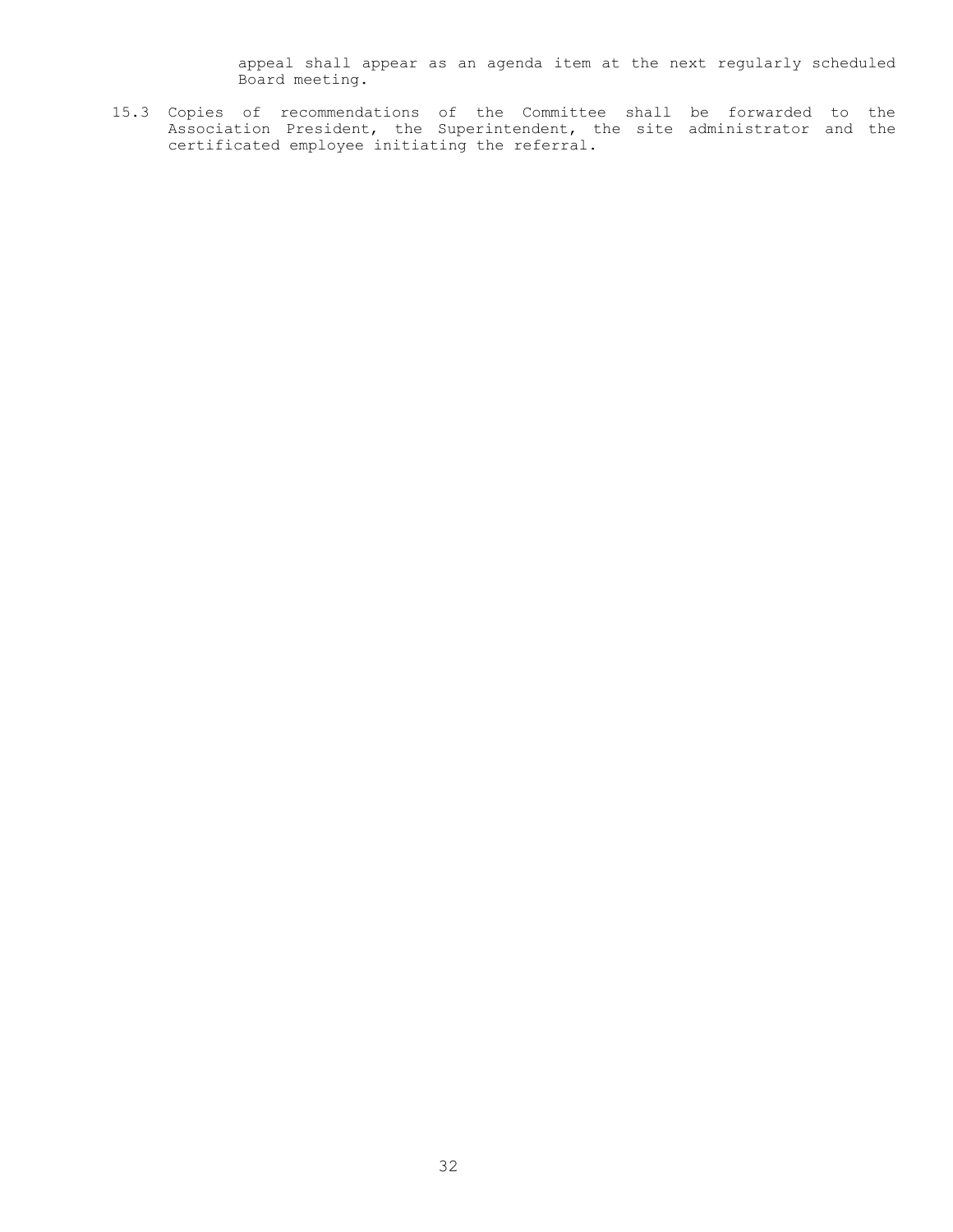appeal shall appear as an agenda item at the next regularly scheduled Board meeting.

15.3 Copies of recommendations of the Committee shall be forwarded to the Association President, the Superintendent, the site administrator and the certificated employee initiating the referral.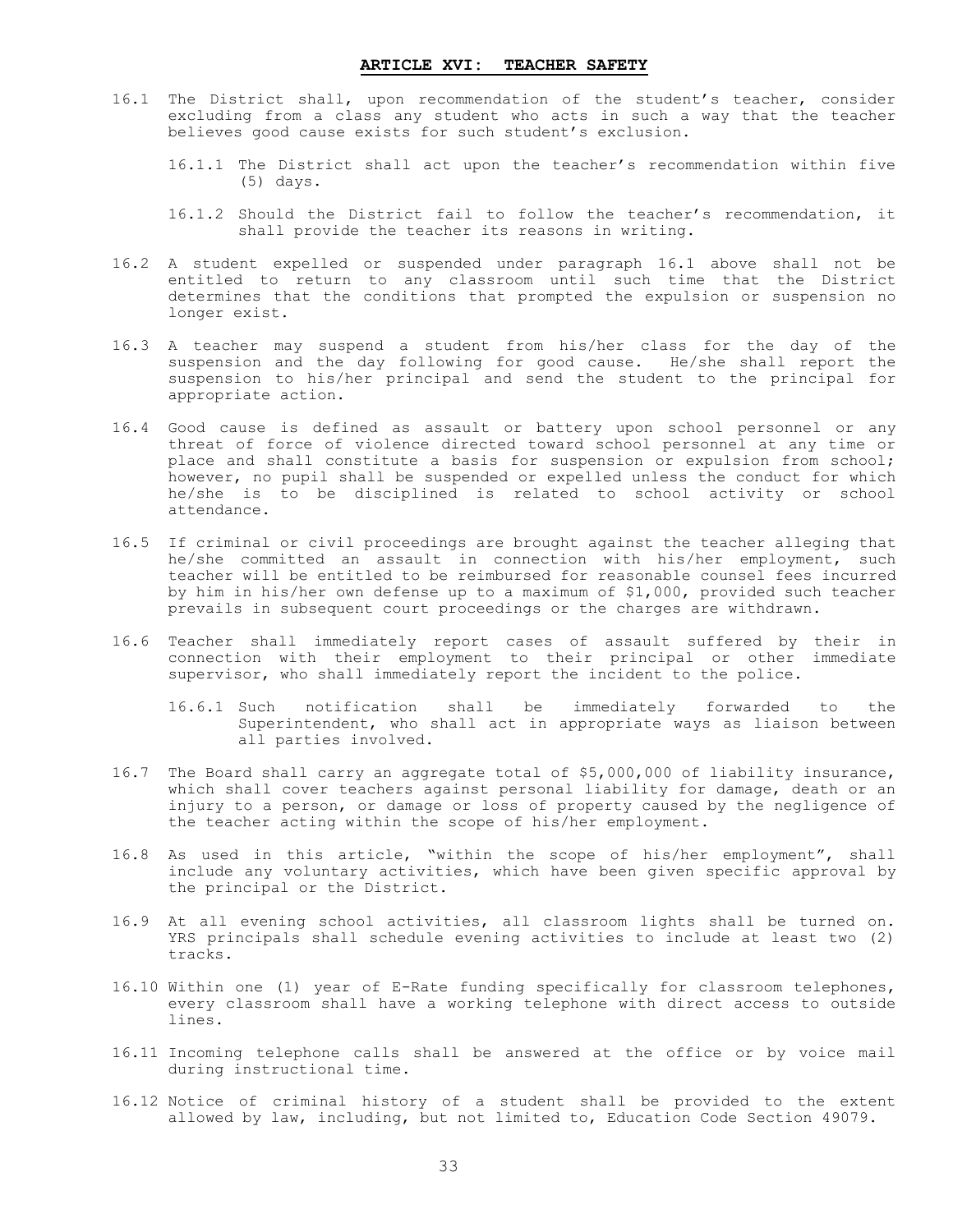- <span id="page-34-0"></span>16.1 The District shall, upon recommendation of the student's teacher, consider excluding from a class any student who acts in such a way that the teacher believes good cause exists for such student's exclusion.
	- 16.1.1 The District shall act upon the teacher's recommendation within five (5) days.
	- 16.1.2 Should the District fail to follow the teacher's recommendation, it shall provide the teacher its reasons in writing.
- 16.2 A student expelled or suspended under paragraph 16.1 above shall not be entitled to return to any classroom until such time that the District determines that the conditions that prompted the expulsion or suspension no longer exist.
- 16.3 A teacher may suspend a student from his/her class for the day of the suspension and the day following for good cause. He/she shall report the suspension to his/her principal and send the student to the principal for appropriate action.
- 16.4 Good cause is defined as assault or battery upon school personnel or any threat of force of violence directed toward school personnel at any time or place and shall constitute a basis for suspension or expulsion from school; however, no pupil shall be suspended or expelled unless the conduct for which he/she is to be disciplined is related to school activity or school attendance.
- 16.5 If criminal or civil proceedings are brought against the teacher alleging that he/she committed an assault in connection with his/her employment, such teacher will be entitled to be reimbursed for reasonable counsel fees incurred by him in his/her own defense up to a maximum of \$1,000, provided such teacher prevails in subsequent court proceedings or the charges are withdrawn.
- 16.6 Teacher shall immediately report cases of assault suffered by their in connection with their employment to their principal or other immediate supervisor, who shall immediately report the incident to the police.
	- 16.6.1 Such notification shall be immediately forwarded to the Superintendent, who shall act in appropriate ways as liaison between all parties involved.
- 16.7 The Board shall carry an aggregate total of \$5,000,000 of liability insurance, which shall cover teachers against personal liability for damage, death or an injury to a person, or damage or loss of property caused by the negligence of the teacher acting within the scope of his/her employment.
- 16.8 As used in this article, "within the scope of his/her employment", shall include any voluntary activities, which have been given specific approval by the principal or the District.
- 16.9 At all evening school activities, all classroom lights shall be turned on. YRS principals shall schedule evening activities to include at least two (2) tracks.
- 16.10 Within one (1) year of E-Rate funding specifically for classroom telephones, every classroom shall have a working telephone with direct access to outside lines.
- 16.11 Incoming telephone calls shall be answered at the office or by voice mail during instructional time.
- 16.12 Notice of criminal history of a student shall be provided to the extent allowed by law, including, but not limited to, Education Code Section 49079.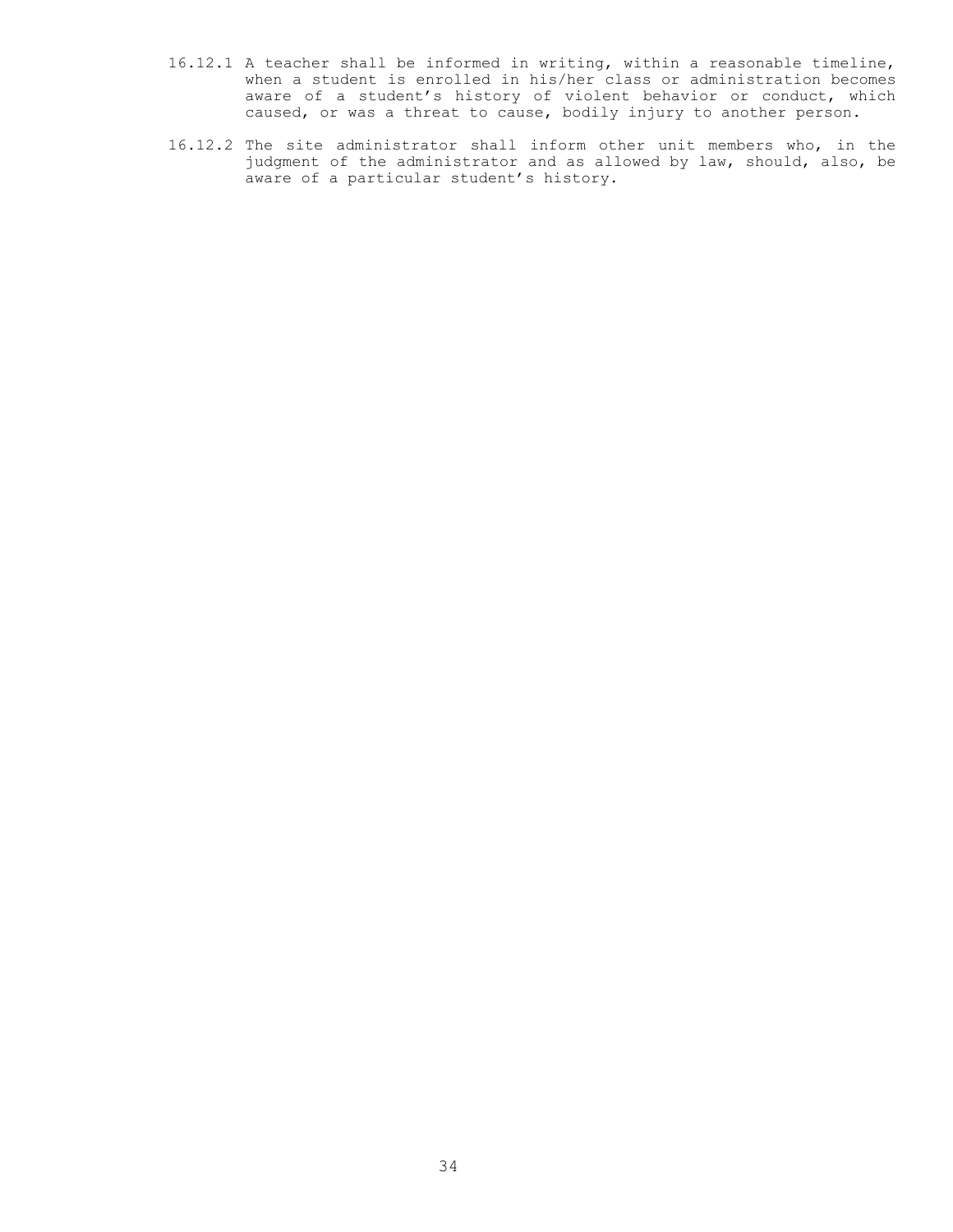- 16.12.1 A teacher shall be informed in writing, within a reasonable timeline, when a student is enrolled in his/her class or administration becomes aware of a student's history of violent behavior or conduct, which caused, or was a threat to cause, bodily injury to another person.
- 16.12.2 The site administrator shall inform other unit members who, in the judgment of the administrator and as allowed by law, should, also, be aware of a particular student's history.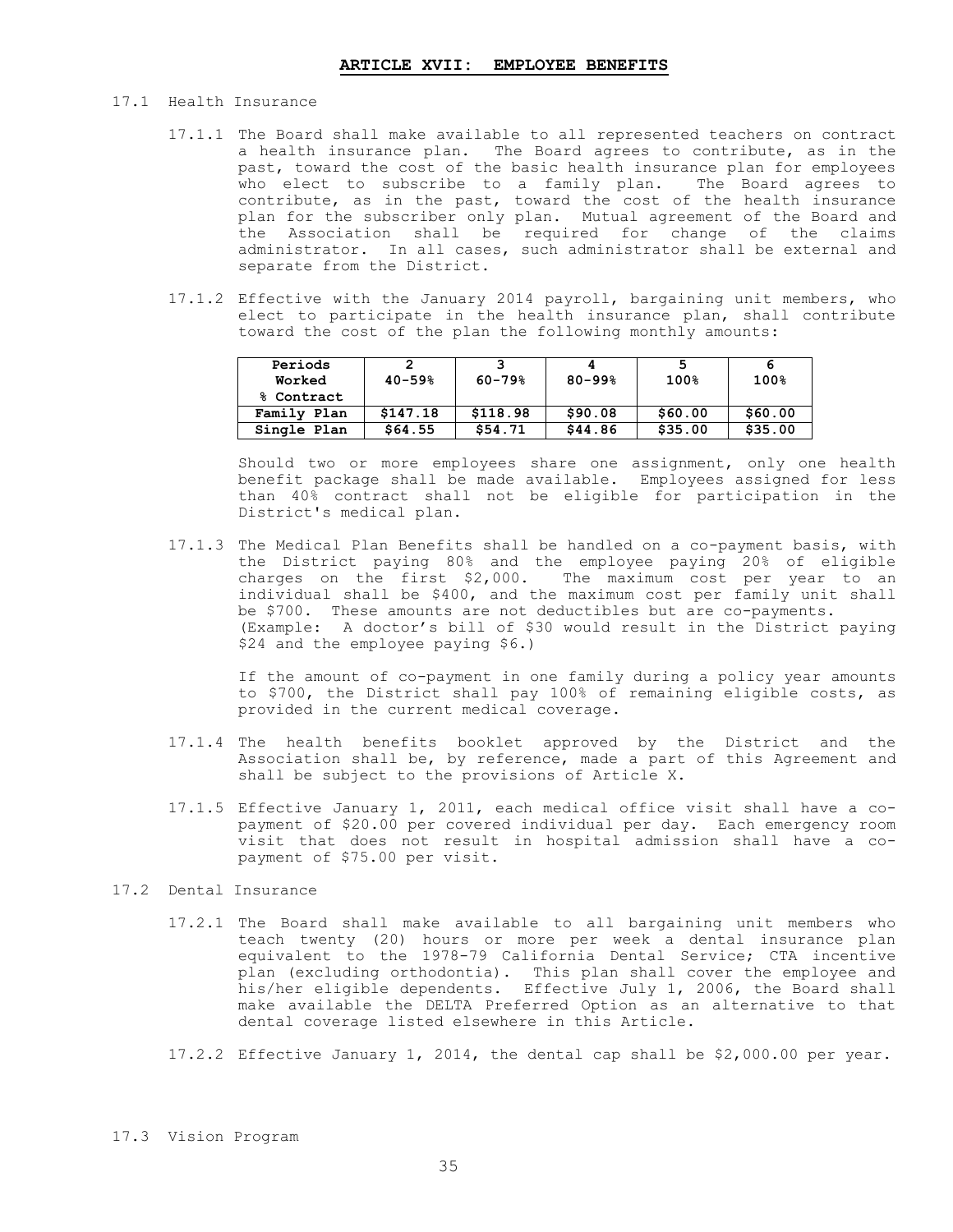- 17.1 Health Insurance
	- 17.1.1 The Board shall make available to all represented teachers on contract a health insurance plan. The Board agrees to contribute, as in the past, toward the cost of the basic health insurance plan for employees who elect to subscribe to a family plan. The Board agrees to contribute, as in the past, toward the cost of the health insurance plan for the subscriber only plan. Mutual agreement of the Board and the Association shall be required for change of the claims administrator. In all cases, such administrator shall be external and separate from the District.
	- 17.1.2 Effective with the January 2014 payroll, bargaining unit members, who elect to participate in the health insurance plan, shall contribute toward the cost of the plan the following monthly amounts:

| Periods<br>Worked | 2<br>$40 - 59%$ | $60 - 79%$ | $80 - 99%$ | 5<br>100% | 100%    |
|-------------------|-----------------|------------|------------|-----------|---------|
| % Contract        |                 |            |            |           |         |
| Family Plan       | \$147.18        | \$118.98   | \$90.08    | \$60.00   | \$60.00 |
| Single Plan       | \$64.55         | \$54.71    | \$44.86    | \$35.00   | \$35.00 |

Should two or more employees share one assignment, only one health benefit package shall be made available. Employees assigned for less than 40% contract shall not be eligible for participation in the District's medical plan.

17.1.3 The Medical Plan Benefits shall be handled on a co-payment basis, with the District paying 80% and the employee paying 20% of eligible charges on the first \$2,000. The maximum cost per year to an individual shall be \$400, and the maximum cost per family unit shall be \$700. These amounts are not deductibles but are co-payments. (Example: A doctor's bill of \$30 would result in the District paying \$24 and the employee paying \$6.)

 If the amount of co-payment in one family during a policy year amounts to \$700, the District shall pay 100% of remaining eligible costs, as provided in the current medical coverage.

- 17.1.4 The health benefits booklet approved by the District and the Association shall be, by reference, made a part of this Agreement and shall be subject to the provisions of Article X.
- 17.1.5 Effective January 1, 2011, each medical office visit shall have a copayment of \$20.00 per covered individual per day. Each emergency room visit that does not result in hospital admission shall have a copayment of \$75.00 per visit.

# 17.2 Dental Insurance

- 17.2.1 The Board shall make available to all bargaining unit members who teach twenty (20) hours or more per week a dental insurance plan equivalent to the 1978-79 California Dental Service; CTA incentive plan (excluding orthodontia). This plan shall cover the employee and his/her eligible dependents. Effective July 1, 2006, the Board shall make available the DELTA Preferred Option as an alternative to that dental coverage listed elsewhere in this Article.
- 17.2.2 Effective January 1, 2014, the dental cap shall be \$2,000.00 per year.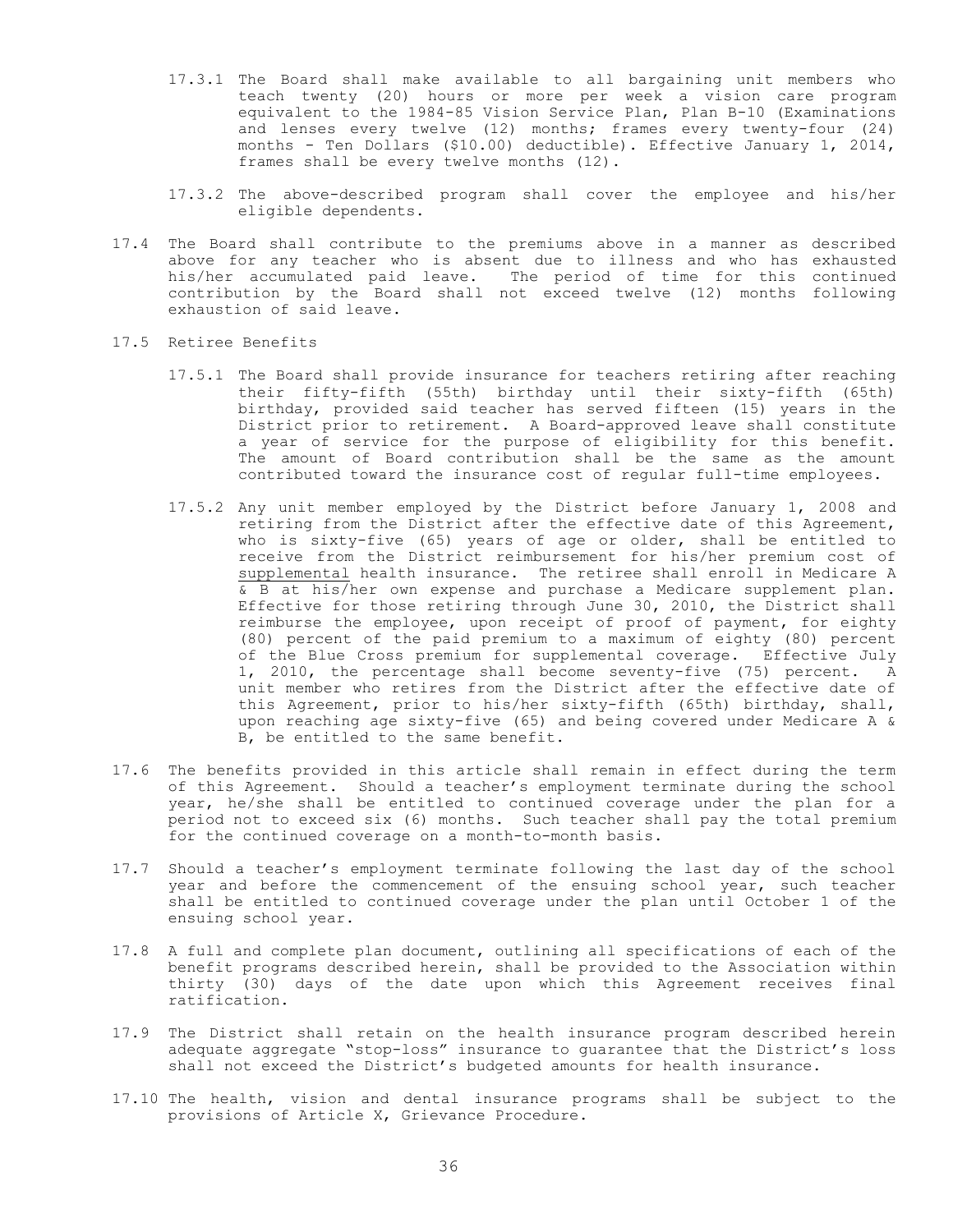- 17.3.1 The Board shall make available to all bargaining unit members who teach twenty (20) hours or more per week a vision care program equivalent to the 1984-85 Vision Service Plan, Plan B-10 (Examinations and lenses every twelve (12) months; frames every twenty-four (24) months - Ten Dollars (\$10.00) deductible). Effective January 1, 2014, frames shall be every twelve months (12).
- 17.3.2 The above-described program shall cover the employee and his/her eligible dependents.
- 17.4 The Board shall contribute to the premiums above in a manner as described above for any teacher who is absent due to illness and who has exhausted his/her accumulated paid leave. The period of time for this continued contribution by the Board shall not exceed twelve (12) months following exhaustion of said leave.
- 17.5 Retiree Benefits
	- 17.5.1 The Board shall provide insurance for teachers retiring after reaching their fifty-fifth (55th) birthday until their sixty-fifth (65th) birthday, provided said teacher has served fifteen (15) years in the District prior to retirement. A Board-approved leave shall constitute a year of service for the purpose of eligibility for this benefit. The amount of Board contribution shall be the same as the amount contributed toward the insurance cost of regular full-time employees.
	- 17.5.2 Any unit member employed by the District before January 1, 2008 and retiring from the District after the effective date of this Agreement, who is sixty-five (65) years of age or older, shall be entitled to receive from the District reimbursement for his/her premium cost of supplemental health insurance. The retiree shall enroll in Medicare A & B at his/her own expense and purchase a Medicare supplement plan. Effective for those retiring through June 30, 2010, the District shall reimburse the employee, upon receipt of proof of payment, for eighty (80) percent of the paid premium to a maximum of eighty (80) percent of the Blue Cross premium for supplemental coverage. Effective July 1, 2010, the percentage shall become seventy-five (75) percent. A unit member who retires from the District after the effective date of this Agreement, prior to his/her sixty-fifth (65th) birthday, shall, upon reaching age sixty-five (65) and being covered under Medicare A & B, be entitled to the same benefit.
- 17.6 The benefits provided in this article shall remain in effect during the term of this Agreement. Should a teacher's employment terminate during the school year, he/she shall be entitled to continued coverage under the plan for a period not to exceed six (6) months. Such teacher shall pay the total premium for the continued coverage on a month-to-month basis.
- 17.7 Should a teacher's employment terminate following the last day of the school year and before the commencement of the ensuing school year, such teacher shall be entitled to continued coverage under the plan until October 1 of the ensuing school year.
- 17.8 A full and complete plan document, outlining all specifications of each of the benefit programs described herein, shall be provided to the Association within thirty (30) days of the date upon which this Agreement receives final ratification.
- 17.9 The District shall retain on the health insurance program described herein adequate aggregate "stop-loss" insurance to guarantee that the District's loss shall not exceed the District's budgeted amounts for health insurance.
- 17.10 The health, vision and dental insurance programs shall be subject to the provisions of Article X, Grievance Procedure.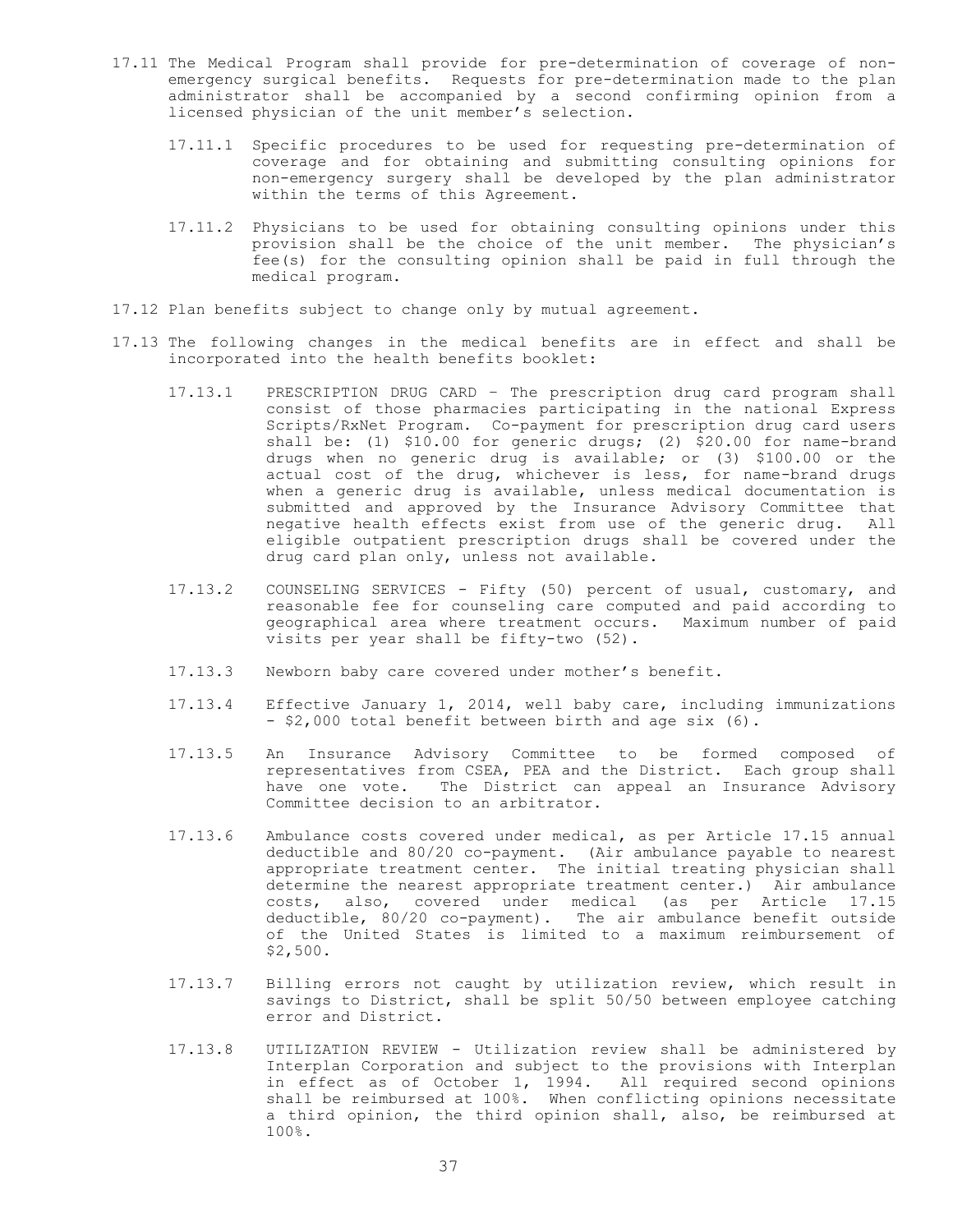- 17.11 The Medical Program shall provide for pre-determination of coverage of nonemergency surgical benefits. Requests for pre-determination made to the plan administrator shall be accompanied by a second confirming opinion from a licensed physician of the unit member's selection.
	- 17.11.1 Specific procedures to be used for requesting pre-determination of coverage and for obtaining and submitting consulting opinions for non-emergency surgery shall be developed by the plan administrator within the terms of this Agreement.
	- 17.11.2 Physicians to be used for obtaining consulting opinions under this provision shall be the choice of the unit member. The physician's fee(s) for the consulting opinion shall be paid in full through the medical program.
- 17.12 Plan benefits subject to change only by mutual agreement.
- 17.13 The following changes in the medical benefits are in effect and shall be incorporated into the health benefits booklet:
	- 17.13.1 PRESCRIPTION DRUG CARD The prescription drug card program shall consist of those pharmacies participating in the national Express Scripts/RxNet Program. Co-payment for prescription drug card users shall be: (1) \$10.00 for generic drugs; (2) \$20.00 for name-brand drugs when no generic drug is available; or (3) \$100.00 or the actual cost of the drug, whichever is less, for name-brand drugs when a generic drug is available, unless medical documentation is submitted and approved by the Insurance Advisory Committee that negative health effects exist from use of the generic drug. All eligible outpatient prescription drugs shall be covered under the drug card plan only, unless not available.
	- 17.13.2 COUNSELING SERVICES Fifty (50) percent of usual, customary, and reasonable fee for counseling care computed and paid according to geographical area where treatment occurs. Maximum number of paid visits per year shall be fifty-two (52).
	- 17.13.3 Newborn baby care covered under mother's benefit.
	- 17.13.4 Effective January 1, 2014, well baby care, including immunizations - \$2,000 total benefit between birth and age six (6).
	- 17.13.5 An Insurance Advisory Committee to be formed composed of representatives from CSEA, PEA and the District. Each group shall have one vote. The District can appeal an Insurance Advisory Committee decision to an arbitrator.
	- 17.13.6 Ambulance costs covered under medical, as per Article 17.15 annual deductible and 80/20 co-payment. (Air ambulance payable to nearest appropriate treatment center. The initial treating physician shall determine the nearest appropriate treatment center.) Air ambulance costs, also, covered under medical (as per Article 17.15 deductible, 80/20 co-payment). The air ambulance benefit outside of the United States is limited to a maximum reimbursement of \$2,500.
	- 17.13.7 Billing errors not caught by utilization review, which result in savings to District, shall be split 50/50 between employee catching error and District.
	- 17.13.8 UTILIZATION REVIEW Utilization review shall be administered by Interplan Corporation and subject to the provisions with Interplan in effect as of October 1, 1994. All required second opinions shall be reimbursed at 100%. When conflicting opinions necessitate a third opinion, the third opinion shall, also, be reimbursed at 100%.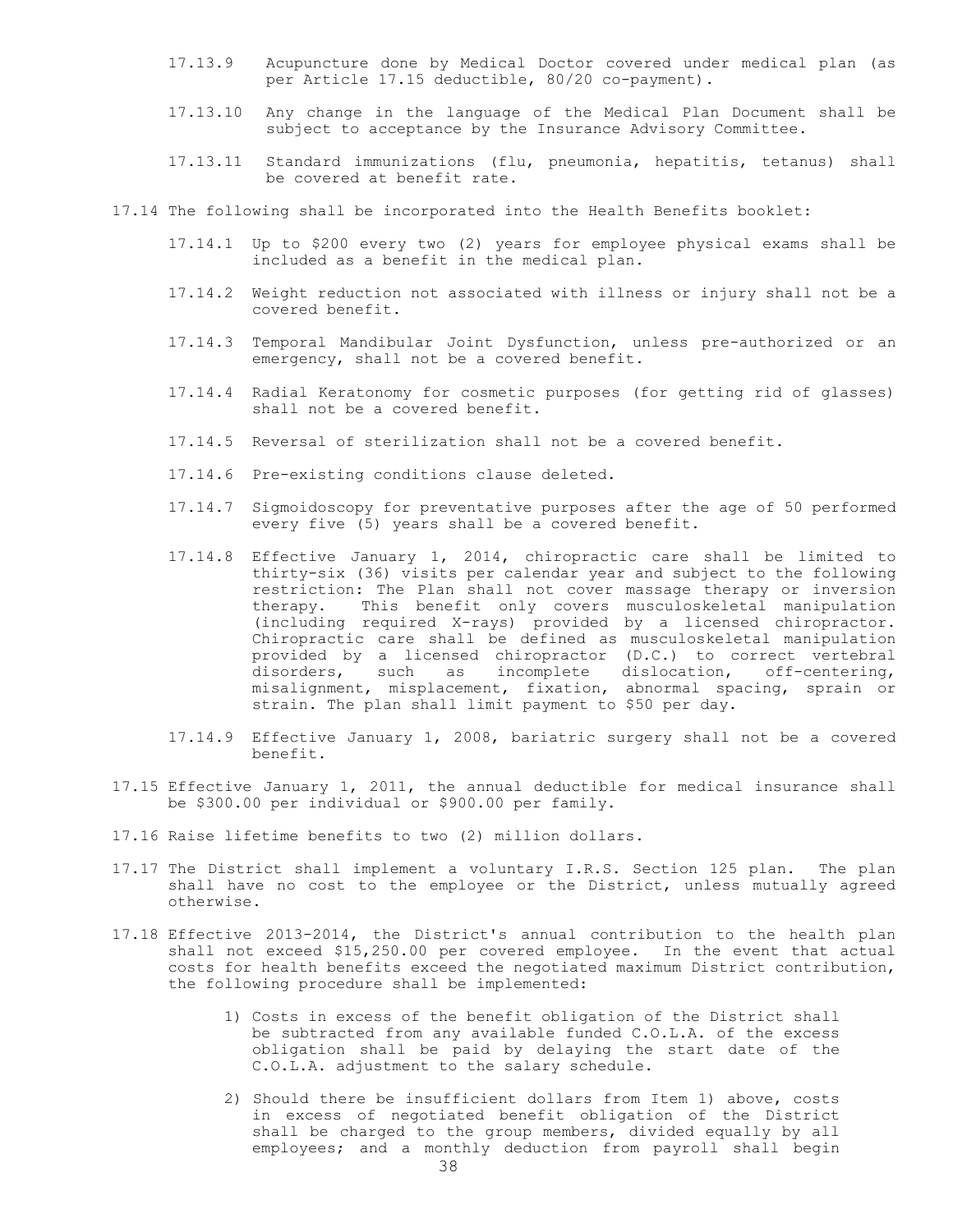- 17.13.9 Acupuncture done by Medical Doctor covered under medical plan (as per Article 17.15 deductible, 80/20 co-payment).
- 17.13.10 Any change in the language of the Medical Plan Document shall be subject to acceptance by the Insurance Advisory Committee.
- 17.13.11 Standard immunizations (flu, pneumonia, hepatitis, tetanus) shall be covered at benefit rate.
- 17.14 The following shall be incorporated into the Health Benefits booklet:
	- 17.14.1 Up to \$200 every two (2) years for employee physical exams shall be included as a benefit in the medical plan.
	- 17.14.2 Weight reduction not associated with illness or injury shall not be a covered benefit.
	- 17.14.3 Temporal Mandibular Joint Dysfunction, unless pre-authorized or an emergency, shall not be a covered benefit.
	- 17.14.4 Radial Keratonomy for cosmetic purposes (for getting rid of glasses) shall not be a covered benefit.
	- 17.14.5 Reversal of sterilization shall not be a covered benefit.
	- 17.14.6 Pre-existing conditions clause deleted.
	- 17.14.7 Sigmoidoscopy for preventative purposes after the age of 50 performed every five (5) years shall be a covered benefit.
	- 17.14.8 Effective January 1, 2014, chiropractic care shall be limited to thirty-six (36) visits per calendar year and subject to the following restriction: The Plan shall not cover massage therapy or inversion therapy. This benefit only covers musculoskeletal manipulation (including required X-rays) provided by a licensed chiropractor. Chiropractic care shall be defined as musculoskeletal manipulation provided by a licensed chiropractor (D.C.) to correct vertebral disorders, such as incomplete dislocation, off-centering, misalignment, misplacement, fixation, abnormal spacing, sprain or strain. The plan shall limit payment to \$50 per day.
	- 17.14.9 Effective January 1, 2008, bariatric surgery shall not be a covered benefit.
- 17.15 Effective January 1, 2011, the annual deductible for medical insurance shall be \$300.00 per individual or \$900.00 per family.
- 17.16 Raise lifetime benefits to two (2) million dollars.
- 17.17 The District shall implement a voluntary I.R.S. Section 125 plan. The plan shall have no cost to the employee or the District, unless mutually agreed otherwise.
- 17.18 Effective 2013-2014, the District's annual contribution to the health plan shall not exceed \$15,250.00 per covered employee. In the event that actual costs for health benefits exceed the negotiated maximum District contribution, the following procedure shall be implemented:
	- 1) Costs in excess of the benefit obligation of the District shall be subtracted from any available funded C.O.L.A. of the excess obligation shall be paid by delaying the start date of the C.O.L.A. adjustment to the salary schedule.
	- 2) Should there be insufficient dollars from Item 1) above, costs in excess of negotiated benefit obligation of the District shall be charged to the group members, divided equally by all employees; and a monthly deduction from payroll shall begin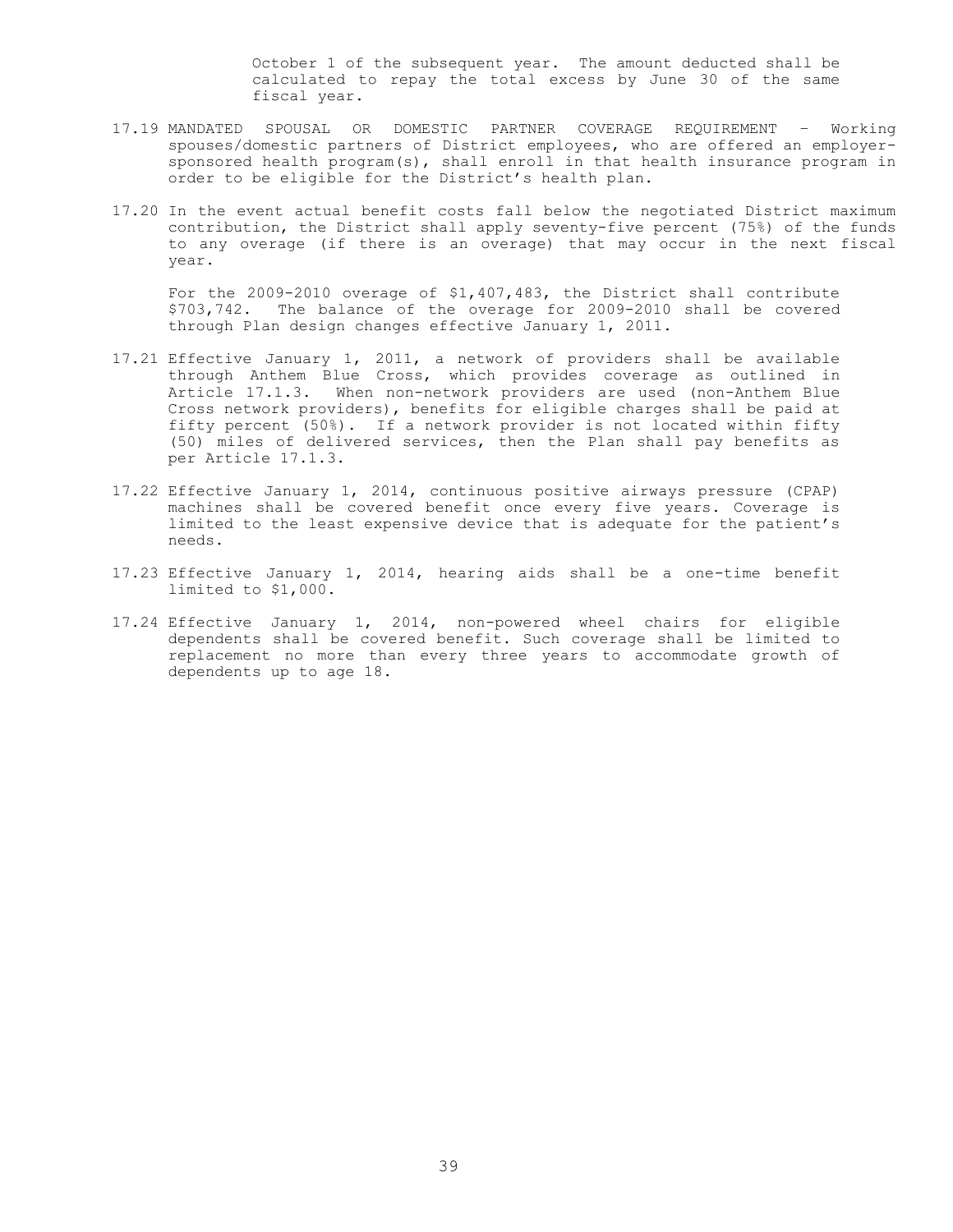October 1 of the subsequent year. The amount deducted shall be calculated to repay the total excess by June 30 of the same fiscal year.

- 17.19 MANDATED SPOUSAL OR DOMESTIC PARTNER COVERAGE REQUIREMENT Working spouses/domestic partners of District employees, who are offered an employersponsored health program(s), shall enroll in that health insurance program in order to be eligible for the District's health plan.
- 17.20 In the event actual benefit costs fall below the negotiated District maximum contribution, the District shall apply seventy-five percent (75%) of the funds to any overage (if there is an overage) that may occur in the next fiscal year.

For the 2009-2010 overage of \$1,407,483, the District shall contribute \$703,742. The balance of the overage for 2009-2010 shall be covered through Plan design changes effective January 1, 2011.

- 17.21 Effective January 1, 2011, a network of providers shall be available through Anthem Blue Cross, which provides coverage as outlined in Article 17.1.3. When non-network providers are used (non-Anthem Blue Cross network providers), benefits for eligible charges shall be paid at fifty percent (50%). If a network provider is not located within fifty (50) miles of delivered services, then the Plan shall pay benefits as per Article 17.1.3.
- 17.22 Effective January 1, 2014, continuous positive airways pressure (CPAP) machines shall be covered benefit once every five years. Coverage is limited to the least expensive device that is adequate for the patient's needs.
- 17.23 Effective January 1, 2014, hearing aids shall be a one-time benefit limited to \$1,000.
- 17.24 Effective January 1, 2014, non-powered wheel chairs for eligible dependents shall be covered benefit. Such coverage shall be limited to replacement no more than every three years to accommodate growth of dependents up to age 18.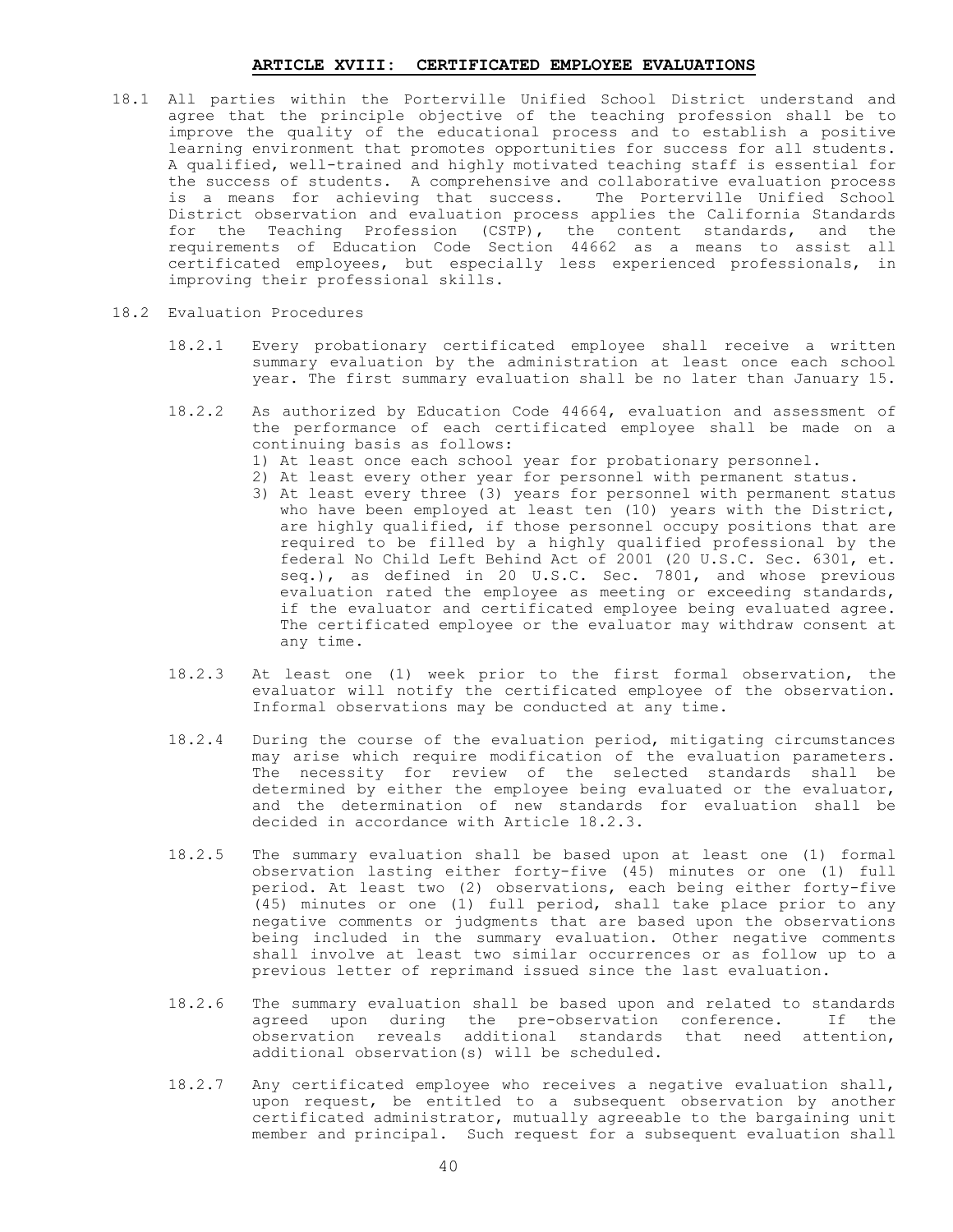# **ARTICLE XVIII: CERTIFICATED EMPLOYEE EVALUATIONS**

- 18.1 All parties within the Porterville Unified School District understand and agree that the principle objective of the teaching profession shall be to improve the quality of the educational process and to establish a positive learning environment that promotes opportunities for success for all students. A qualified, well-trained and highly motivated teaching staff is essential for the success of students. A comprehensive and collaborative evaluation process is a means for achieving that success. The Porterville Unified School District observation and evaluation process applies the California Standards for the Teaching Profession (CSTP), the content standards, and the requirements of Education Code Section 44662 as a means to assist all certificated employees, but especially less experienced professionals, in improving their professional skills.
- 18.2 Evaluation Procedures
	- 18.2.1 Every probationary certificated employee shall receive a written summary evaluation by the administration at least once each school year. The first summary evaluation shall be no later than January 15.
	- 18.2.2 As authorized by Education Code 44664, evaluation and assessment of the performance of each certificated employee shall be made on a continuing basis as follows:
		- 1) At least once each school year for probationary personnel.
		- 2) At least every other year for personnel with permanent status.
			- 3) At least every three (3) years for personnel with permanent status who have been employed at least ten (10) years with the District, are highly qualified, if those personnel occupy positions that are required to be filled by a highly qualified professional by the federal No Child Left Behind Act of 2001 (20 U.S.C. Sec. 6301, et. seq.), as defined in 20 U.S.C. Sec. 7801, and whose previous evaluation rated the employee as meeting or exceeding standards, if the evaluator and certificated employee being evaluated agree. The certificated employee or the evaluator may withdraw consent at any time.
	- 18.2.3 At least one (1) week prior to the first formal observation, the evaluator will notify the certificated employee of the observation. Informal observations may be conducted at any time.
	- 18.2.4 During the course of the evaluation period, mitigating circumstances may arise which require modification of the evaluation parameters. The necessity for review of the selected standards shall be determined by either the employee being evaluated or the evaluator, and the determination of new standards for evaluation shall be decided in accordance with Article 18.2.3.
	- 18.2.5 The summary evaluation shall be based upon at least one (1) formal observation lasting either forty-five (45) minutes or one (1) full period. At least two (2) observations, each being either forty-five (45) minutes or one (1) full period, shall take place prior to any negative comments or judgments that are based upon the observations being included in the summary evaluation. Other negative comments shall involve at least two similar occurrences or as follow up to a previous letter of reprimand issued since the last evaluation.
	- 18.2.6 The summary evaluation shall be based upon and related to standards agreed upon during the pre-observation conference. If the observation reveals additional standards that need attention, additional observation(s) will be scheduled.
	- 18.2.7 Any certificated employee who receives a negative evaluation shall, upon request, be entitled to a subsequent observation by another certificated administrator, mutually agreeable to the bargaining unit member and principal. Such request for a subsequent evaluation shall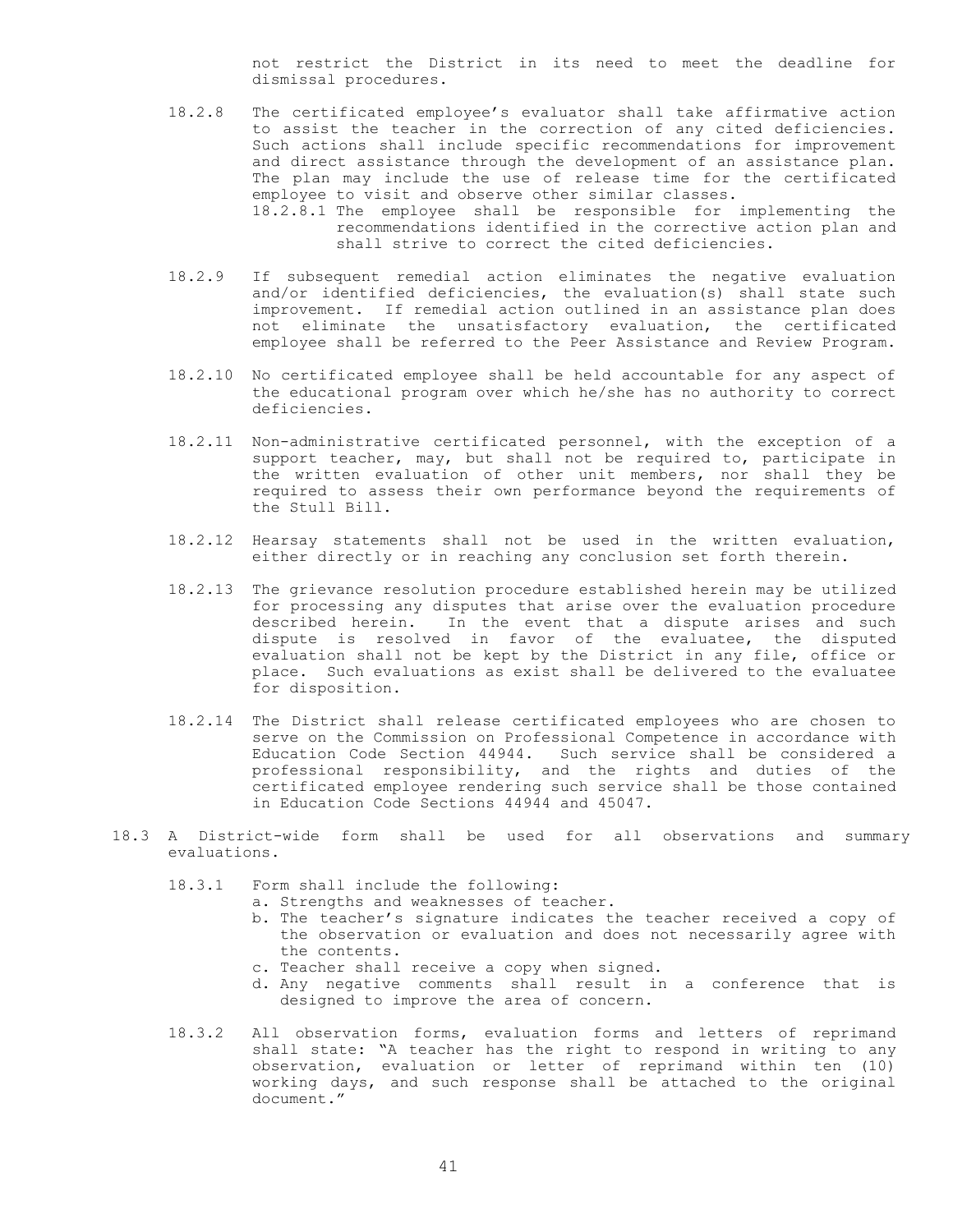not restrict the District in its need to meet the deadline for dismissal procedures.

- 18.2.8 The certificated employee's evaluator shall take affirmative action to assist the teacher in the correction of any cited deficiencies. Such actions shall include specific recommendations for improvement and direct assistance through the development of an assistance plan. The plan may include the use of release time for the certificated employee to visit and observe other similar classes. 18.2.8.1 The employee shall be responsible for implementing the recommendations identified in the corrective action plan and shall strive to correct the cited deficiencies.
- 18.2.9 If subsequent remedial action eliminates the negative evaluation and/or identified deficiencies, the evaluation(s) shall state such improvement. If remedial action outlined in an assistance plan does not eliminate the unsatisfactory evaluation, the certificated employee shall be referred to the Peer Assistance and Review Program.
- 18.2.10 No certificated employee shall be held accountable for any aspect of the educational program over which he/she has no authority to correct deficiencies.
- 18.2.11 Non-administrative certificated personnel, with the exception of a support teacher, may, but shall not be required to, participate in the written evaluation of other unit members, nor shall they be required to assess their own performance beyond the requirements of the Stull Bill.
- 18.2.12 Hearsay statements shall not be used in the written evaluation, either directly or in reaching any conclusion set forth therein.
- 18.2.13 The grievance resolution procedure established herein may be utilized for processing any disputes that arise over the evaluation procedure described herein. In the event that a dispute arises and such dispute is resolved in favor of the evaluatee, the disputed evaluation shall not be kept by the District in any file, office or place. Such evaluations as exist shall be delivered to the evaluatee for disposition.
- 18.2.14 The District shall release certificated employees who are chosen to serve on the Commission on Professional Competence in accordance with Education Code Section 44944. Such service shall be considered a professional responsibility, and the rights and duties of the certificated employee rendering such service shall be those contained in Education Code Sections 44944 and 45047.
- 18.3 A District-wide form shall be used for all observations and summary evaluations.
	- 18.3.1 Form shall include the following:
		- a. Strengths and weaknesses of teacher.
		- b. The teacher's signature indicates the teacher received a copy of the observation or evaluation and does not necessarily agree with the contents.
		- c. Teacher shall receive a copy when signed.
		- d. Any negative comments shall result in a conference that is designed to improve the area of concern.
	- 18.3.2 All observation forms, evaluation forms and letters of reprimand shall state: "A teacher has the right to respond in writing to any observation, evaluation or letter of reprimand within ten (10) working days, and such response shall be attached to the original document."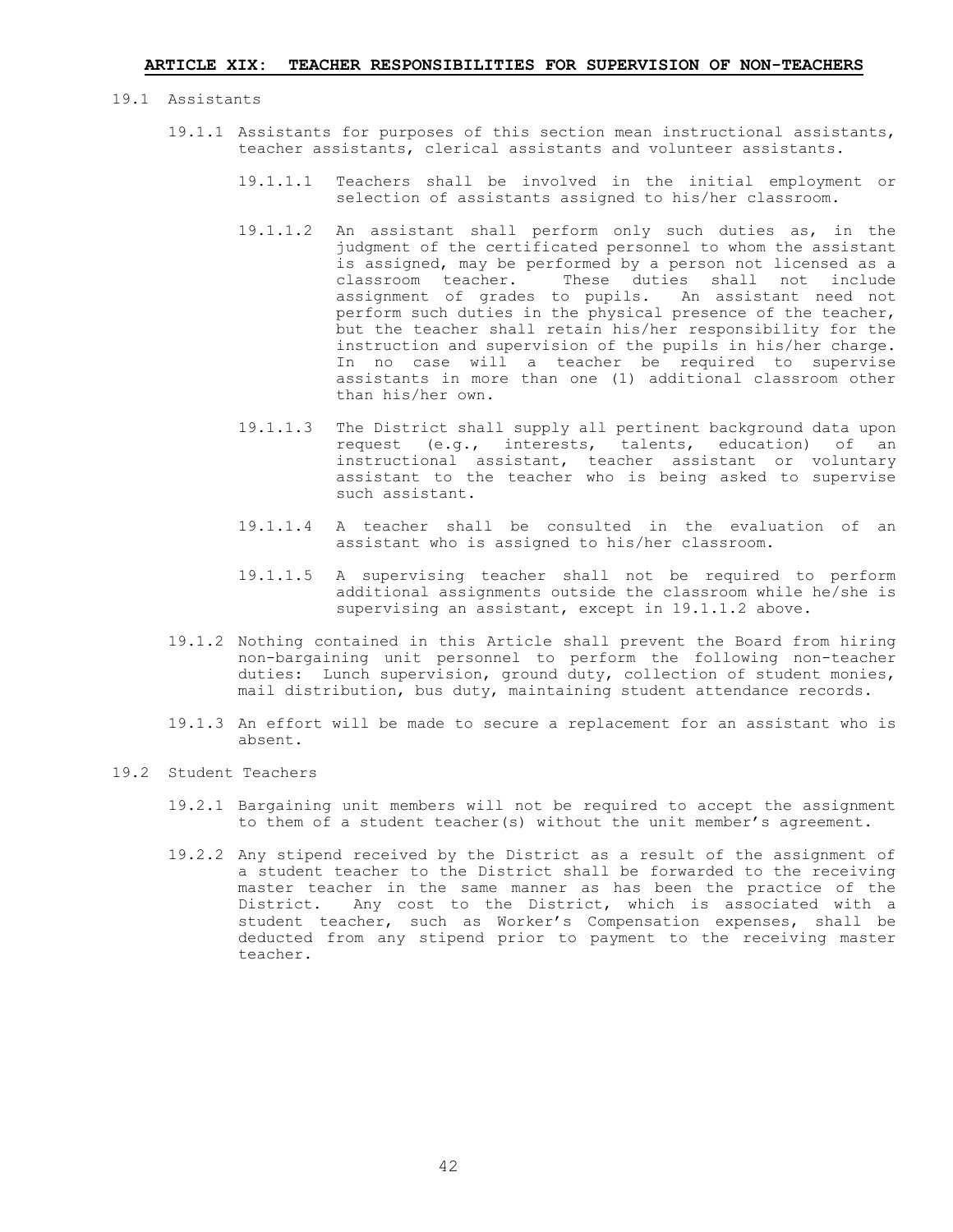- 19.1 Assistants
	- 19.1.1 Assistants for purposes of this section mean instructional assistants, teacher assistants, clerical assistants and volunteer assistants.
		- 19.1.1.1 Teachers shall be involved in the initial employment or selection of assistants assigned to his/her classroom.
		- 19.1.1.2 An assistant shall perform only such duties as, in the judgment of the certificated personnel to whom the assistant is assigned, may be performed by a person not licensed as a classroom teacher. These duties shall not include assignment of grades to pupils. An assistant need not perform such duties in the physical presence of the teacher, but the teacher shall retain his/her responsibility for the instruction and supervision of the pupils in his/her charge. In no case will a teacher be required to supervise assistants in more than one (1) additional classroom other than his/her own.
		- 19.1.1.3 The District shall supply all pertinent background data upon request (e.g., interests, talents, education) of an instructional assistant, teacher assistant or voluntary assistant to the teacher who is being asked to supervise such assistant.
		- 19.1.1.4 A teacher shall be consulted in the evaluation of an assistant who is assigned to his/her classroom.
		- 19.1.1.5 A supervising teacher shall not be required to perform additional assignments outside the classroom while he/she is supervising an assistant, except in 19.1.1.2 above.
	- 19.1.2 Nothing contained in this Article shall prevent the Board from hiring non-bargaining unit personnel to perform the following non-teacher duties: Lunch supervision, ground duty, collection of student monies, mail distribution, bus duty, maintaining student attendance records.
	- 19.1.3 An effort will be made to secure a replacement for an assistant who is absent.
- 19.2 Student Teachers
	- 19.2.1 Bargaining unit members will not be required to accept the assignment to them of a student teacher(s) without the unit member's agreement.
	- 19.2.2 Any stipend received by the District as a result of the assignment of a student teacher to the District shall be forwarded to the receiving master teacher in the same manner as has been the practice of the District. Any cost to the District, which is associated with a student teacher, such as Worker's Compensation expenses, shall be deducted from any stipend prior to payment to the receiving master teacher.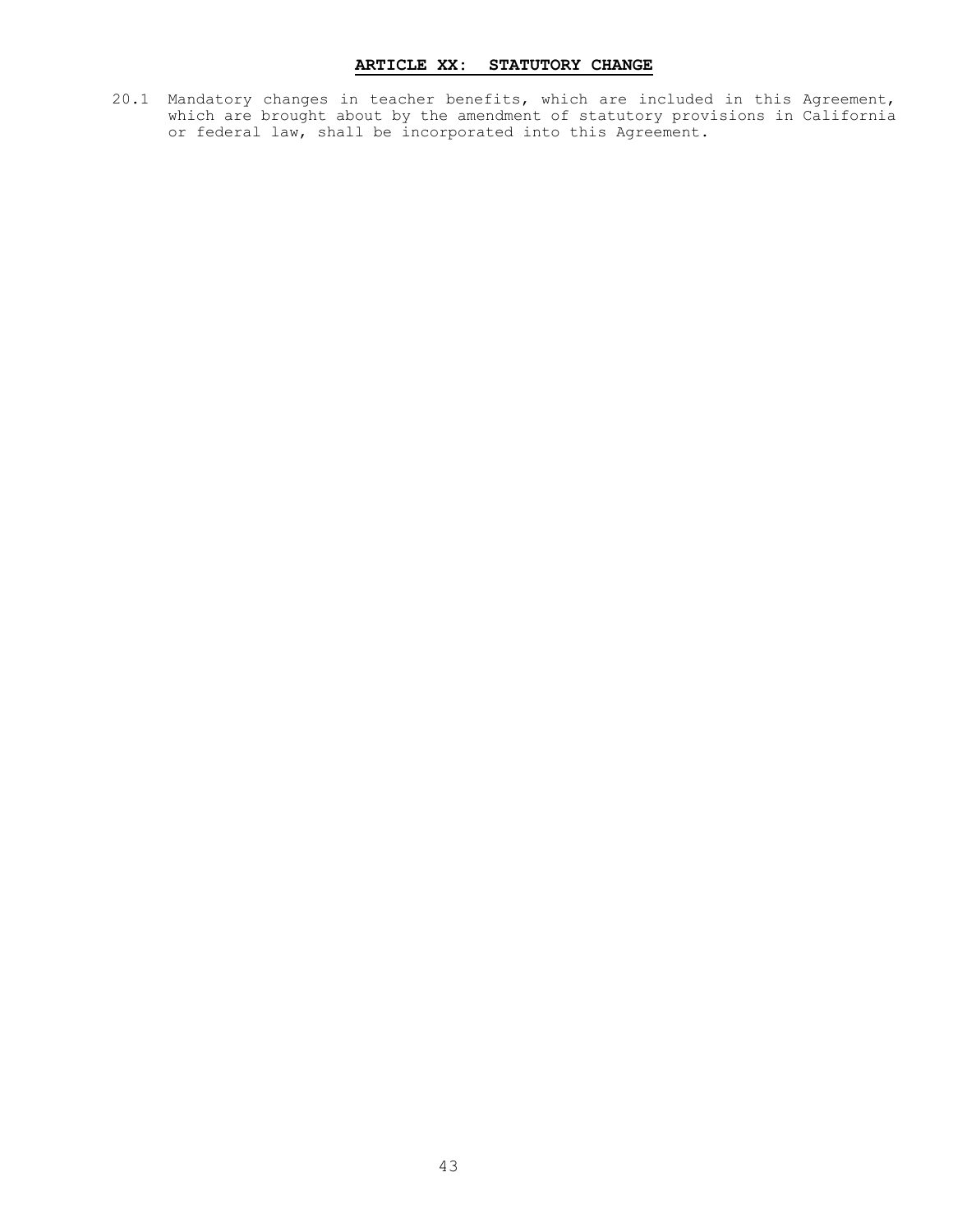# **ARTICLE XX: STATUTORY CHANGE**

20.1 Mandatory changes in teacher benefits, which are included in this Agreement, which are brought about by the amendment of statutory provisions in California or federal law, shall be incorporated into this Agreement.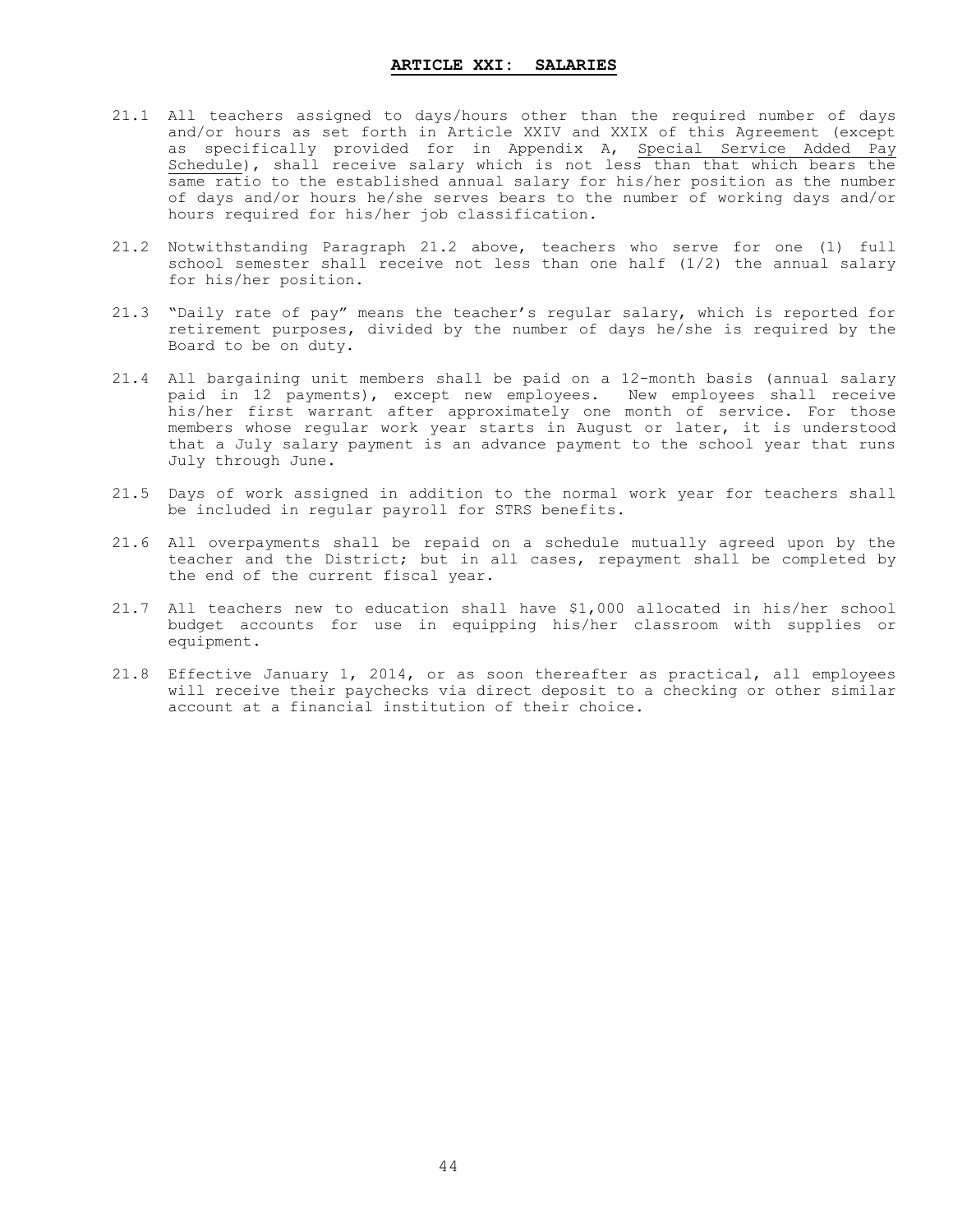- 21.1 All teachers assigned to days/hours other than the required number of days and/or hours as set forth in Article XXIV and XXIX of this Agreement (except as specifically provided for in Appendix A, Special Service Added Pay Schedule), shall receive salary which is not less than that which bears the same ratio to the established annual salary for his/her position as the number of days and/or hours he/she serves bears to the number of working days and/or hours required for his/her job classification.
- 21.2 Notwithstanding Paragraph 21.2 above, teachers who serve for one (1) full school semester shall receive not less than one half (1/2) the annual salary for his/her position.
- 21.3 "Daily rate of pay" means the teacher's regular salary, which is reported for retirement purposes, divided by the number of days he/she is required by the Board to be on duty.
- 21.4 All bargaining unit members shall be paid on a 12-month basis (annual salary paid in 12 payments), except new employees. New employees shall receive his/her first warrant after approximately one month of service. For those members whose regular work year starts in August or later, it is understood that a July salary payment is an advance payment to the school year that runs July through June.
- 21.5 Days of work assigned in addition to the normal work year for teachers shall be included in regular payroll for STRS benefits.
- 21.6 All overpayments shall be repaid on a schedule mutually agreed upon by the teacher and the District; but in all cases, repayment shall be completed by the end of the current fiscal year.
- 21.7 All teachers new to education shall have \$1,000 allocated in his/her school budget accounts for use in equipping his/her classroom with supplies or equipment.
- 21.8 Effective January 1, 2014, or as soon thereafter as practical, all employees will receive their paychecks via direct deposit to a checking or other similar account at a financial institution of their choice.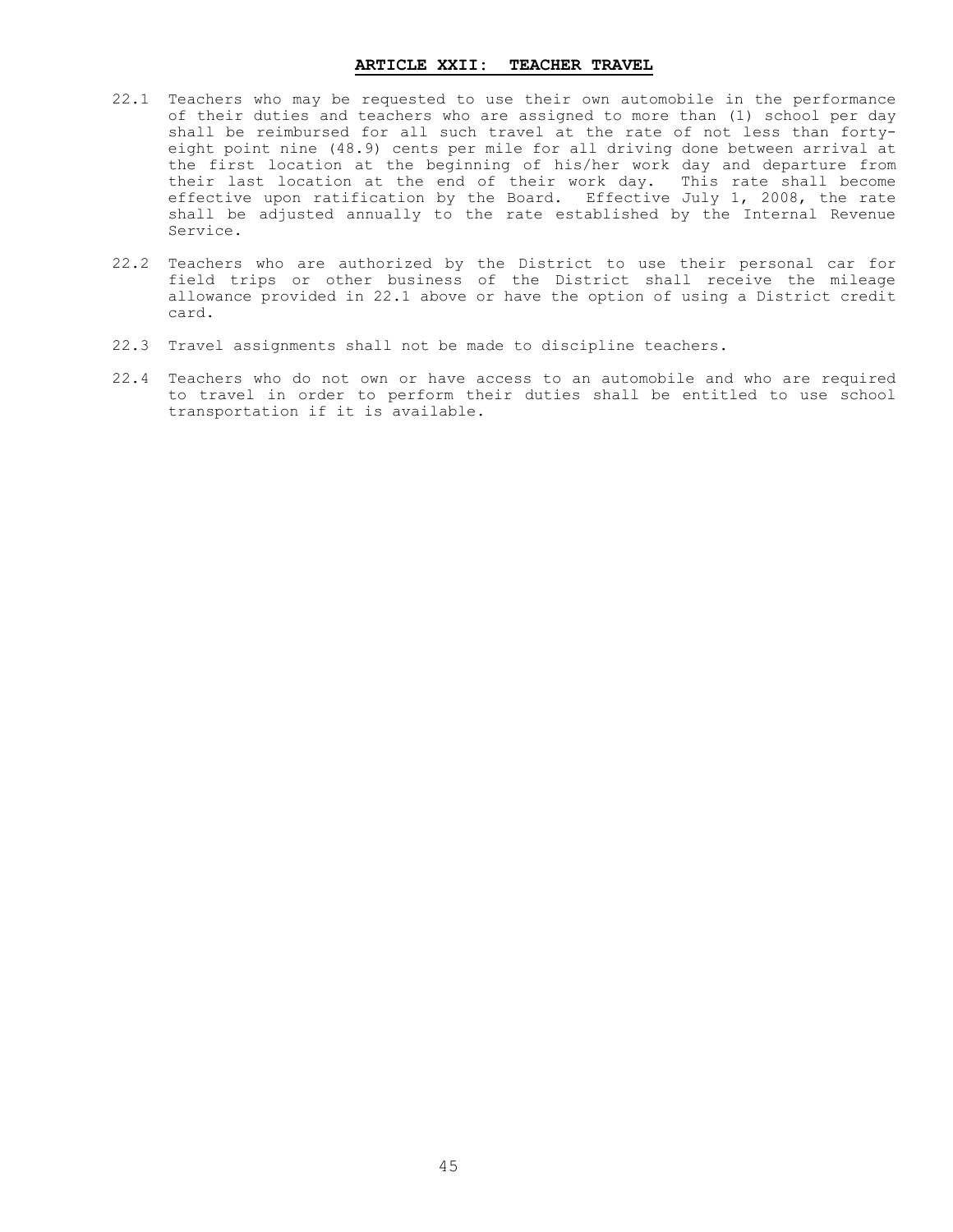#### **ARTICLE XXII: TEACHER TRAVEL**

- 22.1 Teachers who may be requested to use their own automobile in the performance of their duties and teachers who are assigned to more than (1) school per day shall be reimbursed for all such travel at the rate of not less than fortyeight point nine (48.9) cents per mile for all driving done between arrival at the first location at the beginning of his/her work day and departure from their last location at the end of their work day. This rate shall become effective upon ratification by the Board. Effective July 1, 2008, the rate shall be adjusted annually to the rate established by the Internal Revenue Service.
- 22.2 Teachers who are authorized by the District to use their personal car for field trips or other business of the District shall receive the mileage allowance provided in 22.1 above or have the option of using a District credit card.
- 22.3 Travel assignments shall not be made to discipline teachers.
- 22.4 Teachers who do not own or have access to an automobile and who are required to travel in order to perform their duties shall be entitled to use school transportation if it is available.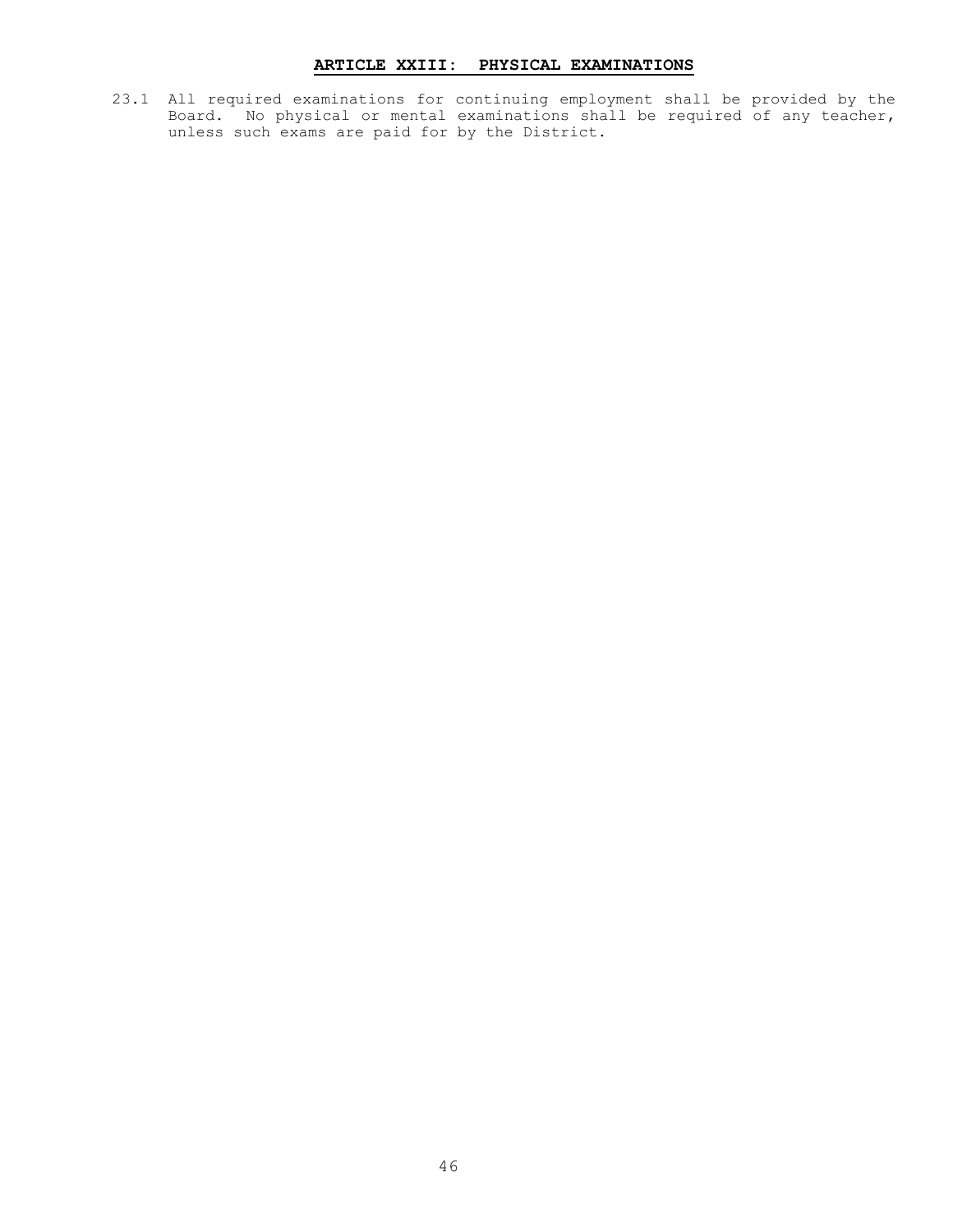# **ARTICLE XXIII: PHYSICAL EXAMINATIONS**

23.1 All required examinations for continuing employment shall be provided by the Board. No physical or mental examinations shall be required of any teacher, unless such exams are paid for by the District.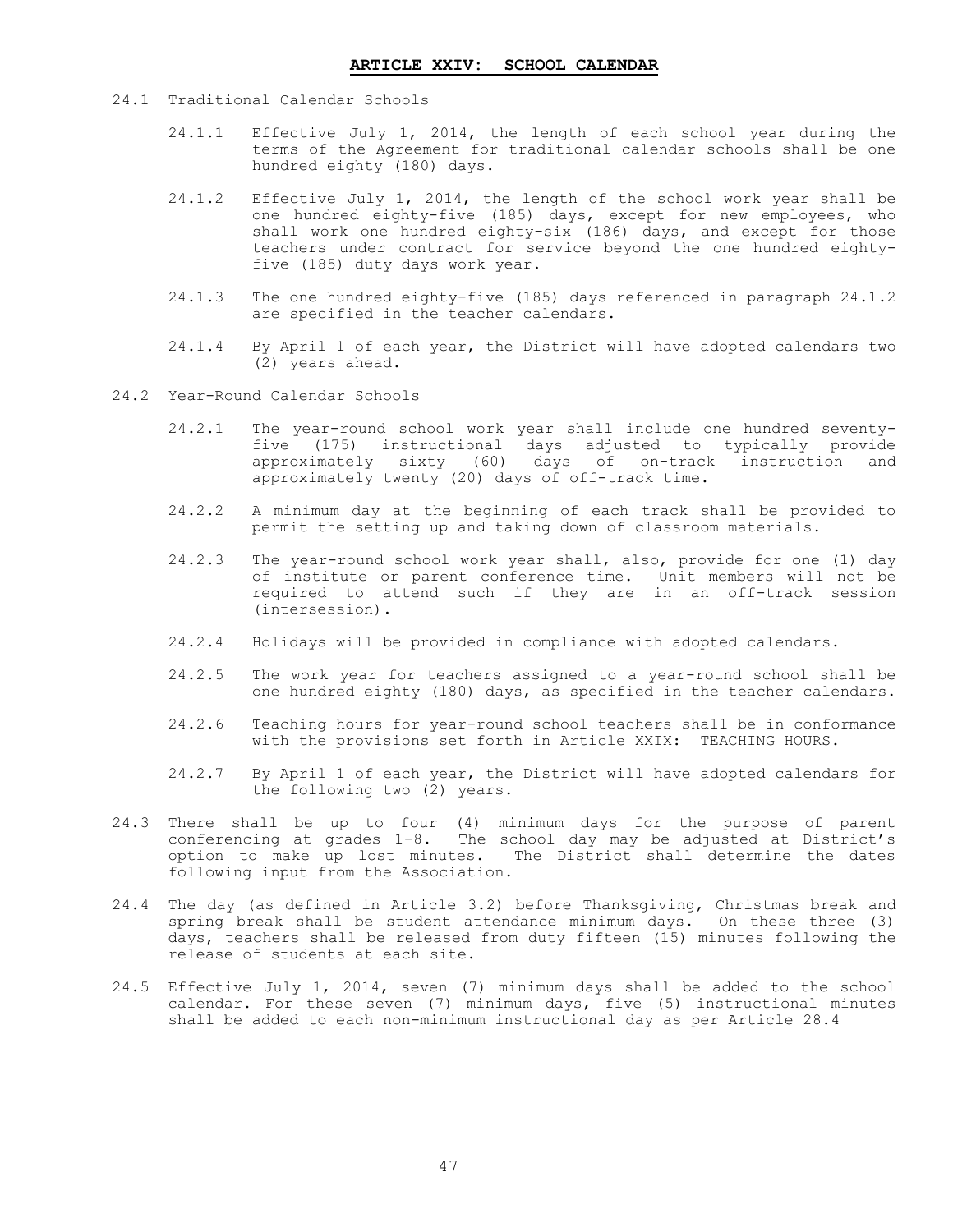- 24.1 Traditional Calendar Schools
	- 24.1.1 Effective July 1, 2014, the length of each school year during the terms of the Agreement for traditional calendar schools shall be one hundred eighty (180) days.
	- 24.1.2 Effective July 1, 2014, the length of the school work year shall be one hundred eighty-five (185) days, except for new employees, who shall work one hundred eighty-six (186) days, and except for those teachers under contract for service beyond the one hundred eightyfive (185) duty days work year.
	- 24.1.3 The one hundred eighty-five (185) days referenced in paragraph 24.1.2 are specified in the teacher calendars.
	- 24.1.4 By April 1 of each year, the District will have adopted calendars two (2) years ahead.
- 24.2 Year-Round Calendar Schools
	- 24.2.1 The year-round school work year shall include one hundred seventyfive (175) instructional days adjusted to typically provide approximately sixty (60) days of on-track instruction and approximately twenty (20) days of off-track time.
	- 24.2.2 A minimum day at the beginning of each track shall be provided to permit the setting up and taking down of classroom materials.
	- 24.2.3 The year-round school work year shall, also, provide for one (1) day of institute or parent conference time. Unit members will not be required to attend such if they are in an off-track session (intersession).
	- 24.2.4 Holidays will be provided in compliance with adopted calendars.
	- 24.2.5 The work year for teachers assigned to a year-round school shall be one hundred eighty (180) days, as specified in the teacher calendars.
	- 24.2.6 Teaching hours for year-round school teachers shall be in conformance with the provisions set forth in Article XXIX: TEACHING HOURS.
	- 24.2.7 By April 1 of each year, the District will have adopted calendars for the following two (2) years.
- 24.3 There shall be up to four (4) minimum days for the purpose of parent conferencing at grades 1-8. The school day may be adjusted at District's option to make up lost minutes. The District shall determine the dates following input from the Association.
- 24.4 The day (as defined in Article 3.2) before Thanksgiving, Christmas break and spring break shall be student attendance minimum days. On these three (3) days, teachers shall be released from duty fifteen (15) minutes following the release of students at each site.
- 24.5 Effective July 1, 2014, seven (7) minimum days shall be added to the school calendar. For these seven (7) minimum days, five (5) instructional minutes shall be added to each non-minimum instructional day as per Article 28.4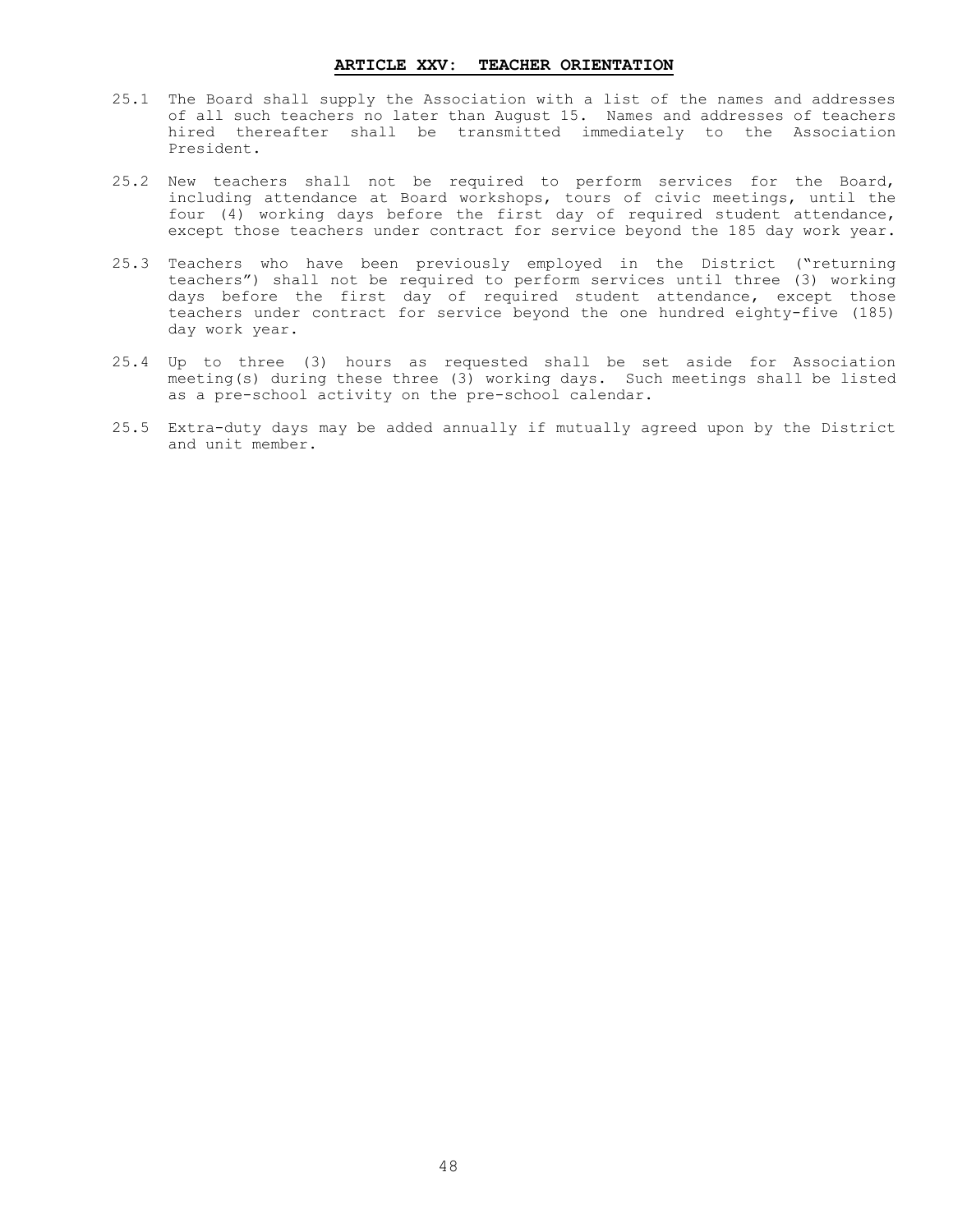#### **ARTICLE XXV: TEACHER ORIENTATION**

- 25.1 The Board shall supply the Association with a list of the names and addresses of all such teachers no later than August 15. Names and addresses of teachers hired thereafter shall be transmitted immediately to the Association President.
- 25.2 New teachers shall not be required to perform services for the Board, including attendance at Board workshops, tours of civic meetings, until the four (4) working days before the first day of required student attendance, except those teachers under contract for service beyond the 185 day work year.
- 25.3 Teachers who have been previously employed in the District ("returning teachers") shall not be required to perform services until three (3) working days before the first day of required student attendance, except those teachers under contract for service beyond the one hundred eighty-five (185) day work year.
- 25.4 Up to three (3) hours as requested shall be set aside for Association meeting(s) during these three (3) working days. Such meetings shall be listed as a pre-school activity on the pre-school calendar.
- 25.5 Extra-duty days may be added annually if mutually agreed upon by the District and unit member.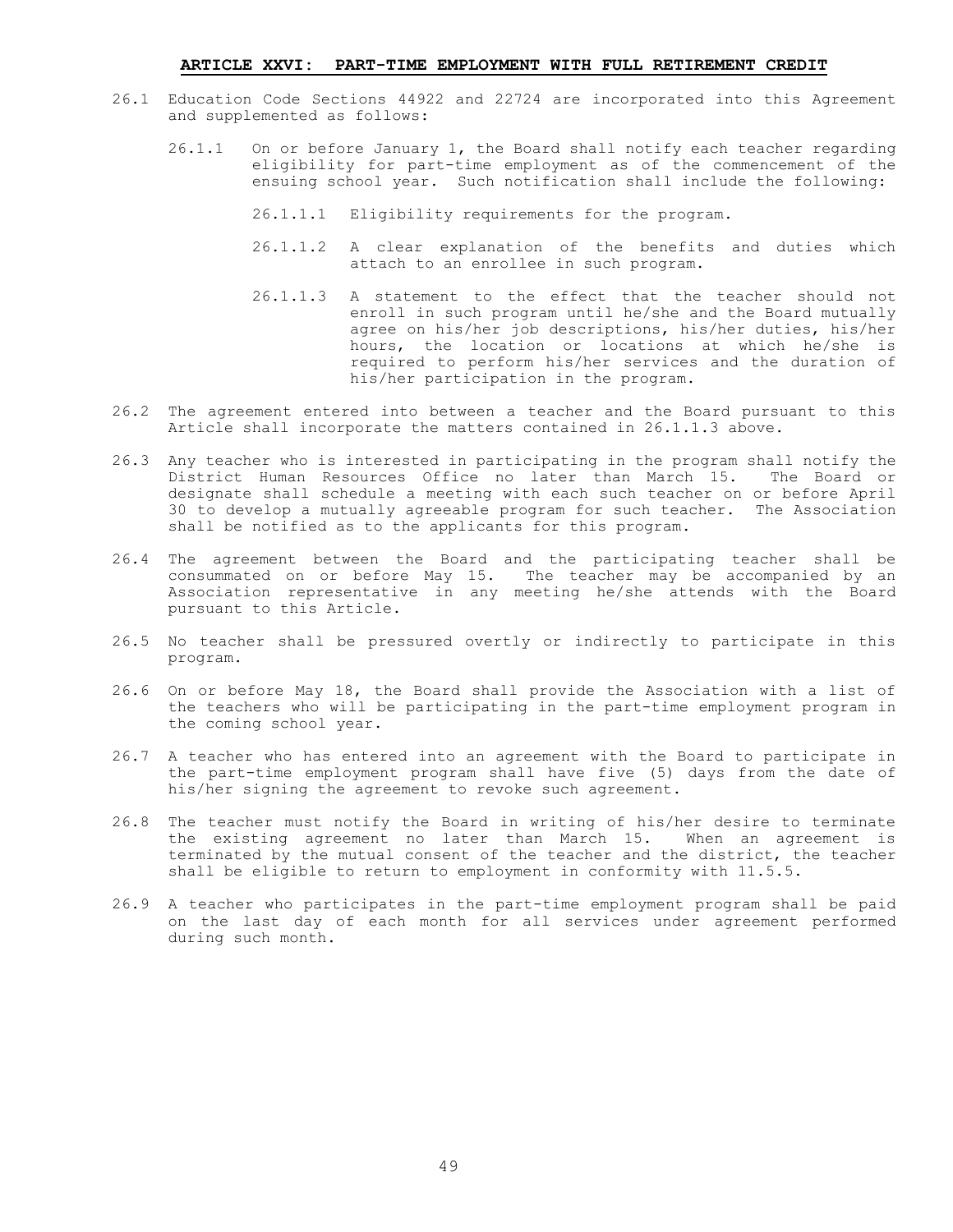#### **ARTICLE XXVI: PART-TIME EMPLOYMENT WITH FULL RETIREMENT CREDIT**

- 26.1 Education Code Sections 44922 and 22724 are incorporated into this Agreement and supplemented as follows:
	- 26.1.1 On or before January 1, the Board shall notify each teacher regarding eligibility for part-time employment as of the commencement of the ensuing school year. Such notification shall include the following:
		- 26.1.1.1 Eligibility requirements for the program.
		- 26.1.1.2 A clear explanation of the benefits and duties which attach to an enrollee in such program.
		- 26.1.1.3 A statement to the effect that the teacher should not enroll in such program until he/she and the Board mutually agree on his/her job descriptions, his/her duties, his/her hours, the location or locations at which he/she is required to perform his/her services and the duration of his/her participation in the program.
- 26.2 The agreement entered into between a teacher and the Board pursuant to this Article shall incorporate the matters contained in 26.1.1.3 above.
- 26.3 Any teacher who is interested in participating in the program shall notify the District Human Resources Office no later than March 15. The Board or designate shall schedule a meeting with each such teacher on or before April 30 to develop a mutually agreeable program for such teacher. The Association shall be notified as to the applicants for this program.
- 26.4 The agreement between the Board and the participating teacher shall be consummated on or before May 15. The teacher may be accompanied by an Association representative in any meeting he/she attends with the Board pursuant to this Article.
- 26.5 No teacher shall be pressured overtly or indirectly to participate in this program.
- 26.6 On or before May 18, the Board shall provide the Association with a list of the teachers who will be participating in the part-time employment program in the coming school year.
- 26.7 A teacher who has entered into an agreement with the Board to participate in the part-time employment program shall have five (5) days from the date of his/her signing the agreement to revoke such agreement.
- 26.8 The teacher must notify the Board in writing of his/her desire to terminate the existing agreement no later than March 15. When an agreement is terminated by the mutual consent of the teacher and the district, the teacher shall be eligible to return to employment in conformity with 11.5.5.
- 26.9 A teacher who participates in the part-time employment program shall be paid on the last day of each month for all services under agreement performed during such month.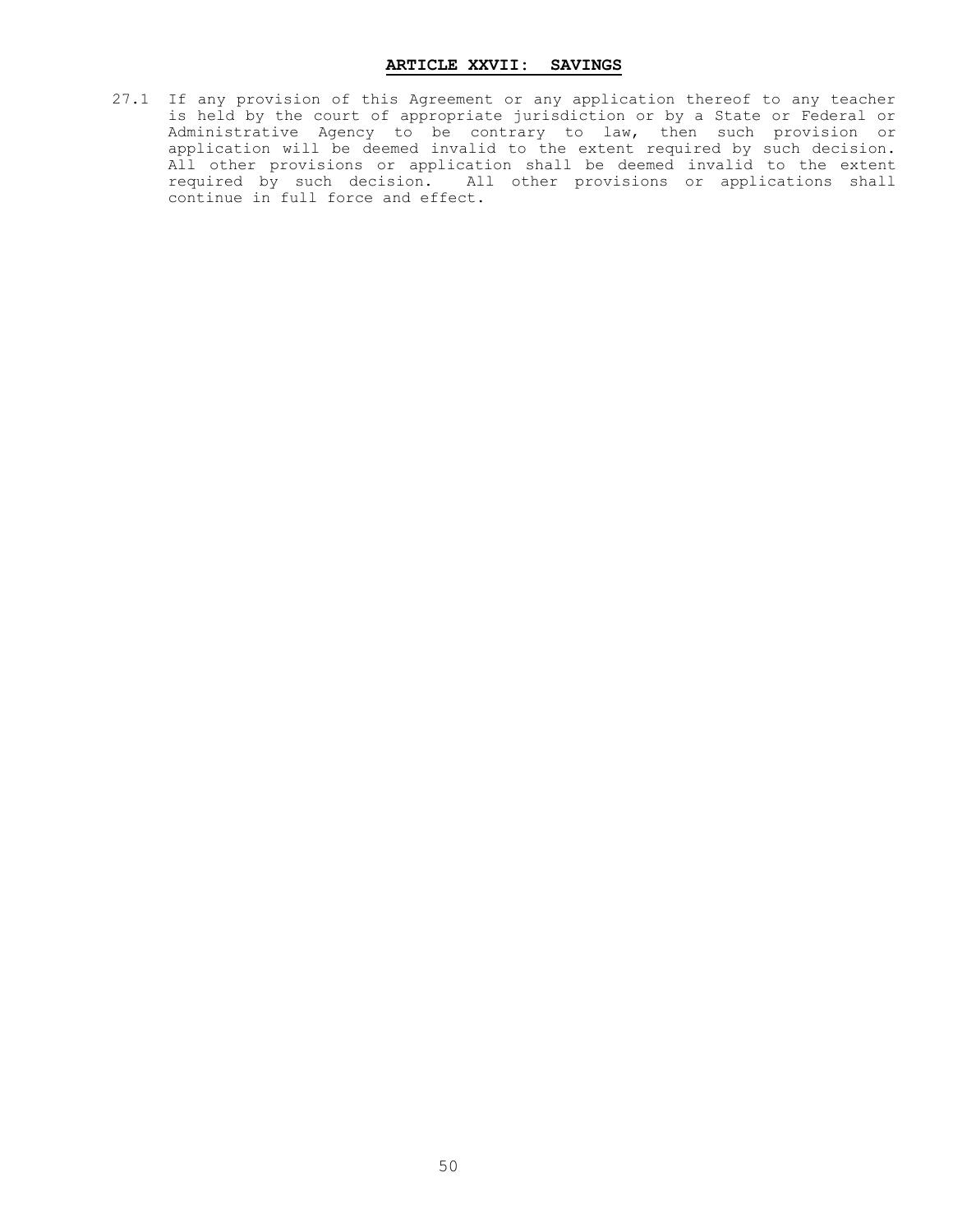#### **ARTICLE XXVII: SAVINGS**

27.1 If any provision of this Agreement or any application thereof to any teacher is held by the court of appropriate jurisdiction or by a State or Federal or Administrative Agency to be contrary to law, then such provision or application will be deemed invalid to the extent required by such decision. All other provisions or application shall be deemed invalid to the extent required by such decision. All other provisions or applications shall continue in full force and effect.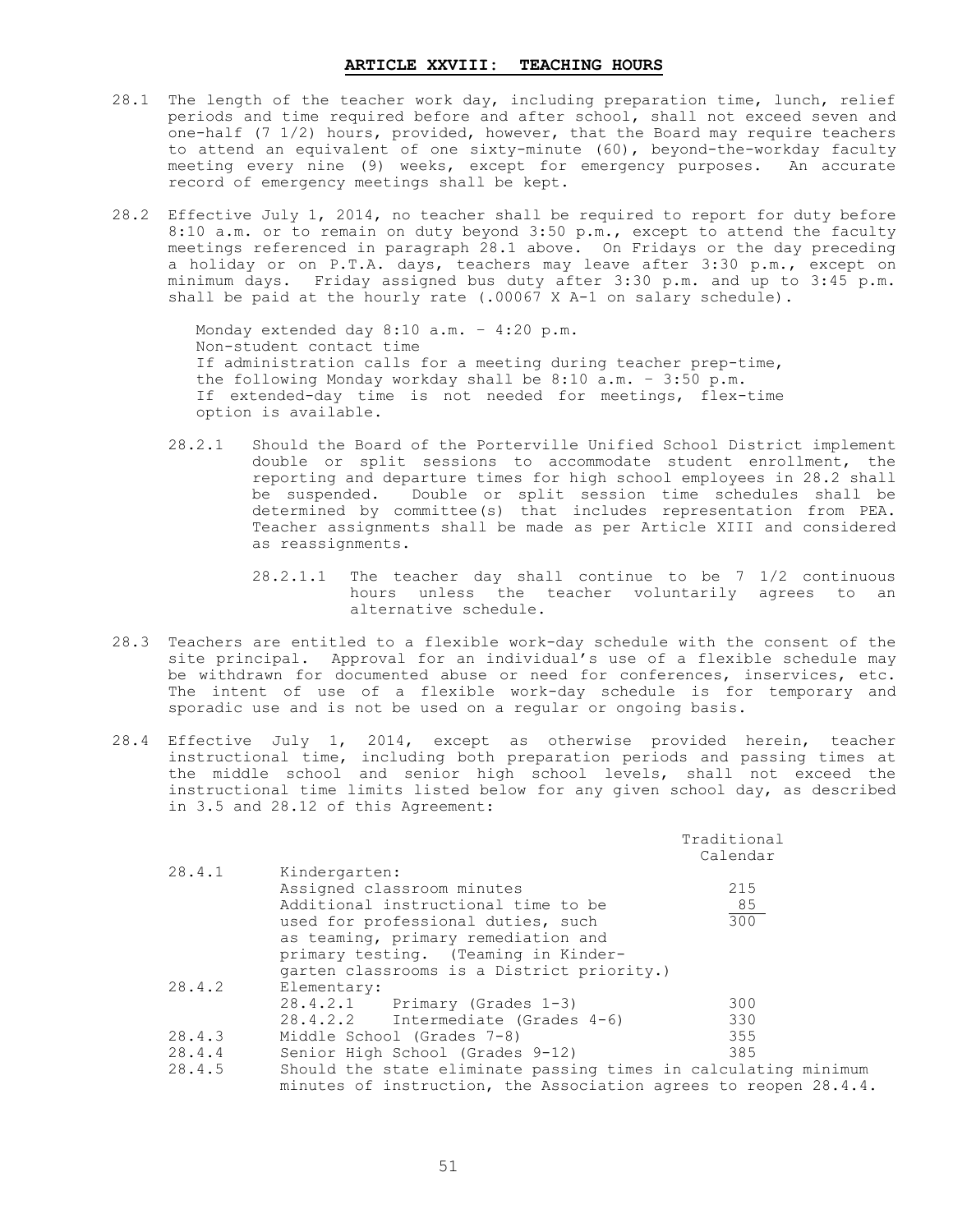#### **ARTICLE XXVIII: TEACHING HOURS**

- 28.1 The length of the teacher work day, including preparation time, lunch, relief periods and time required before and after school, shall not exceed seven and one-half (7 1/2) hours, provided, however, that the Board may require teachers to attend an equivalent of one sixty-minute (60), beyond-the-workday faculty meeting every nine (9) weeks, except for emergency purposes. An accurate record of emergency meetings shall be kept.
- 28.2 Effective July 1, 2014, no teacher shall be required to report for duty before 8:10 a.m. or to remain on duty beyond 3:50 p.m., except to attend the faculty meetings referenced in paragraph 28.1 above. On Fridays or the day preceding a holiday or on P.T.A. days, teachers may leave after 3:30 p.m., except on minimum days. Friday assigned bus duty after 3:30 p.m. and up to 3:45 p.m. shall be paid at the hourly rate  $(.00067 \times A-1$  on salary schedule).

Monday extended day 8:10 a.m. – 4:20 p.m. Non-student contact time If administration calls for a meeting during teacher prep-time, the following Monday workday shall be 8:10 a.m. – 3:50 p.m. If extended-day time is not needed for meetings, flex-time option is available.

- 28.2.1 Should the Board of the Porterville Unified School District implement double or split sessions to accommodate student enrollment, the reporting and departure times for high school employees in 28.2 shall be suspended. Double or split session time schedules shall be determined by committee(s) that includes representation from PEA. Teacher assignments shall be made as per Article XIII and considered as reassignments.
	- 28.2.1.1 The teacher day shall continue to be 7 1/2 continuous hours unless the teacher voluntarily agrees to an alternative schedule.
- 28.3 Teachers are entitled to a flexible work-day schedule with the consent of the site principal. Approval for an individual's use of a flexible schedule may be withdrawn for documented abuse or need for conferences, inservices, etc. The intent of use of a flexible work-day schedule is for temporary and sporadic use and is not be used on a regular or ongoing basis.
- 28.4 Effective July 1, 2014, except as otherwise provided herein, teacher instructional time, including both preparation periods and passing times at the middle school and senior high school levels, shall not exceed the instructional time limits listed below for any given school day, as described in 3.5 and 28.12 of this Agreement:

|        |                                                                  | Traditional<br>Calendar |
|--------|------------------------------------------------------------------|-------------------------|
| 28.4.1 | Kindergarten:                                                    |                         |
|        | Assigned classroom minutes                                       | 215                     |
|        | Additional instructional time to be                              | 85                      |
|        | used for professional duties, such                               | 300                     |
|        | as teaming, primary remediation and                              |                         |
|        | primary testing. (Teaming in Kinder-                             |                         |
|        | garten classrooms is a District priority.)                       |                         |
| 28.4.2 | Elementary:                                                      |                         |
|        | $28.4.2.1$ Primary (Grades 1-3)                                  | 300                     |
|        | 28.4.2.2 Intermediate (Grades 4-6)                               | 330                     |
| 28.4.3 | Middle School (Grades 7-8)                                       | 355                     |
| 28.4.4 | Senior High School (Grades 9-12)                                 | 385                     |
| 28.4.5 | Should the state eliminate passing times in calculating minimum  |                         |
|        | minutes of instruction, the Association agrees to reopen 28.4.4. |                         |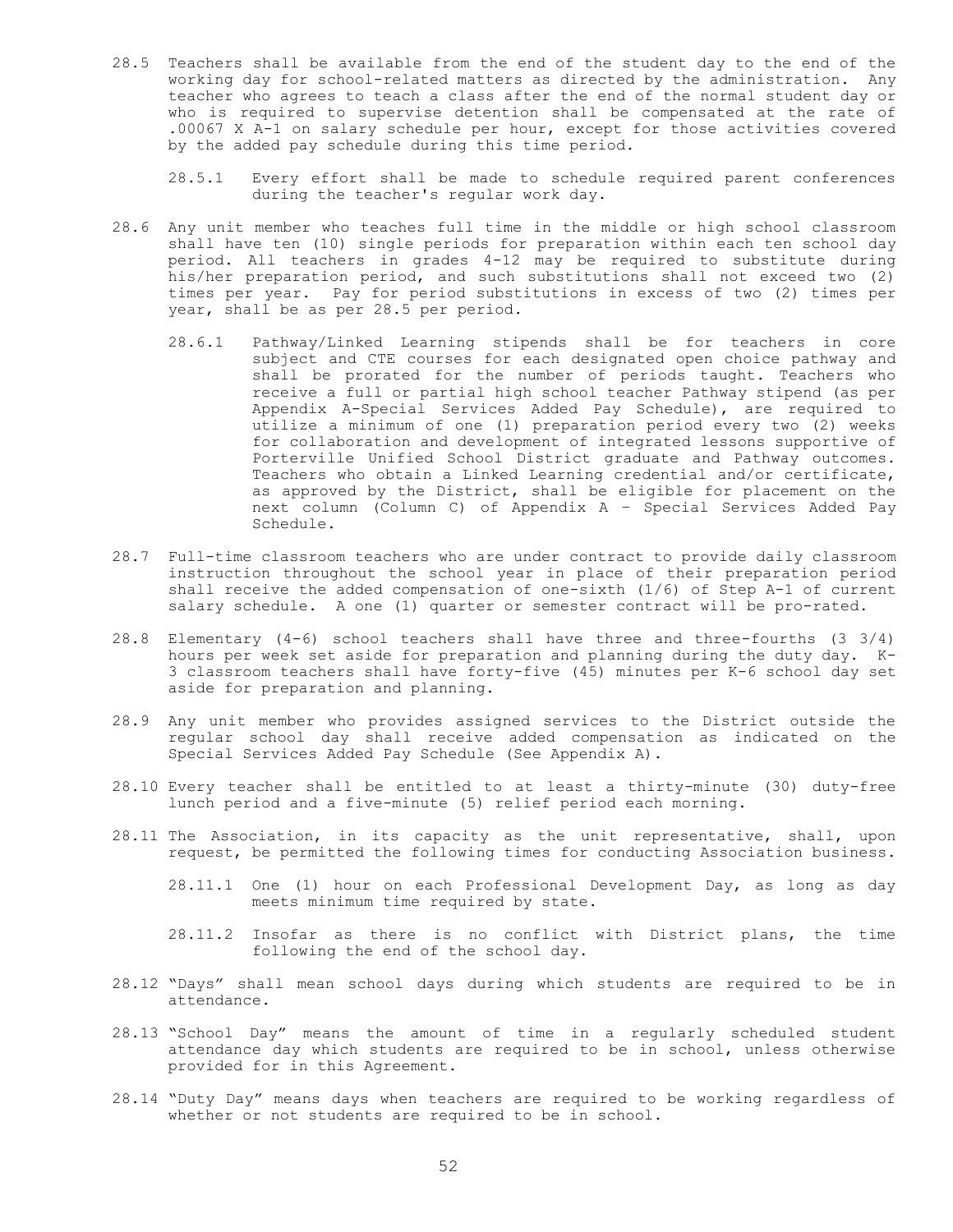- 28.5 Teachers shall be available from the end of the student day to the end of the working day for school-related matters as directed by the administration. Any teacher who agrees to teach a class after the end of the normal student day or who is required to supervise detention shall be compensated at the rate of .00067 X A-1 on salary schedule per hour, except for those activities covered by the added pay schedule during this time period.
	- 28.5.1 Every effort shall be made to schedule required parent conferences during the teacher's regular work day.
- 28.6 Any unit member who teaches full time in the middle or high school classroom shall have ten (10) single periods for preparation within each ten school day period. All teachers in grades 4-12 may be required to substitute during his/her preparation period, and such substitutions shall not exceed two (2) times per year. Pay for period substitutions in excess of two (2) times per year, shall be as per 28.5 per period.
	- 28.6.1 Pathway/Linked Learning stipends shall be for teachers in core subject and CTE courses for each designated open choice pathway and shall be prorated for the number of periods taught. Teachers who receive a full or partial high school teacher Pathway stipend (as per Appendix A-Special Services Added Pay Schedule), are required to utilize a minimum of one (1) preparation period every two (2) weeks for collaboration and development of integrated lessons supportive of Porterville Unified School District graduate and Pathway outcomes. Teachers who obtain a Linked Learning credential and/or certificate, as approved by the District, shall be eligible for placement on the next column (Column C) of Appendix A – Special Services Added Pay Schedule.
- 28.7 Full-time classroom teachers who are under contract to provide daily classroom instruction throughout the school year in place of their preparation period shall receive the added compensation of one-sixth (1/6) of Step A-1 of current salary schedule. A one (1) quarter or semester contract will be pro-rated.
- 28.8 Elementary (4-6) school teachers shall have three and three-fourths (3 3/4) hours per week set aside for preparation and planning during the duty day. K-3 classroom teachers shall have forty-five (45) minutes per K-6 school day set aside for preparation and planning.
- 28.9 Any unit member who provides assigned services to the District outside the regular school day shall receive added compensation as indicated on the Special Services Added Pay Schedule (See Appendix A).
- 28.10 Every teacher shall be entitled to at least a thirty-minute (30) duty-free lunch period and a five-minute (5) relief period each morning.
- 28.11 The Association, in its capacity as the unit representative, shall, upon request, be permitted the following times for conducting Association business.
	- 28.11.1 One (1) hour on each Professional Development Day, as long as day meets minimum time required by state.
	- 28.11.2 Insofar as there is no conflict with District plans, the time following the end of the school day.
- 28.12 "Days" shall mean school days during which students are required to be in attendance.
- 28.13 "School Day" means the amount of time in a regularly scheduled student attendance day which students are required to be in school, unless otherwise provided for in this Agreement.
- 28.14 "Duty Day" means days when teachers are required to be working regardless of whether or not students are required to be in school.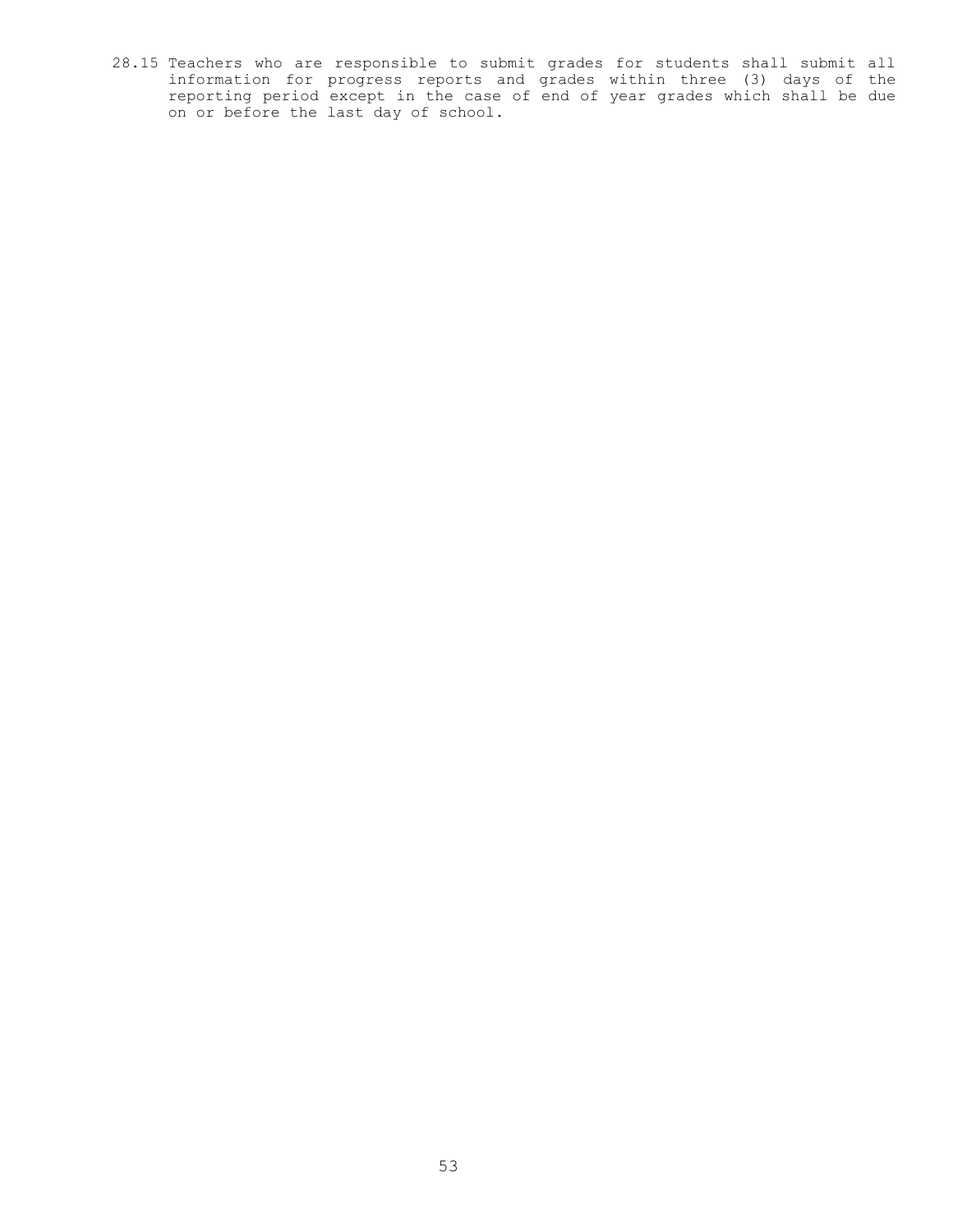28.15 Teachers who are responsible to submit grades for students shall submit all information for progress reports and grades within three (3) days of the reporting period except in the case of end of year grades which shall be due on or before the last day of school.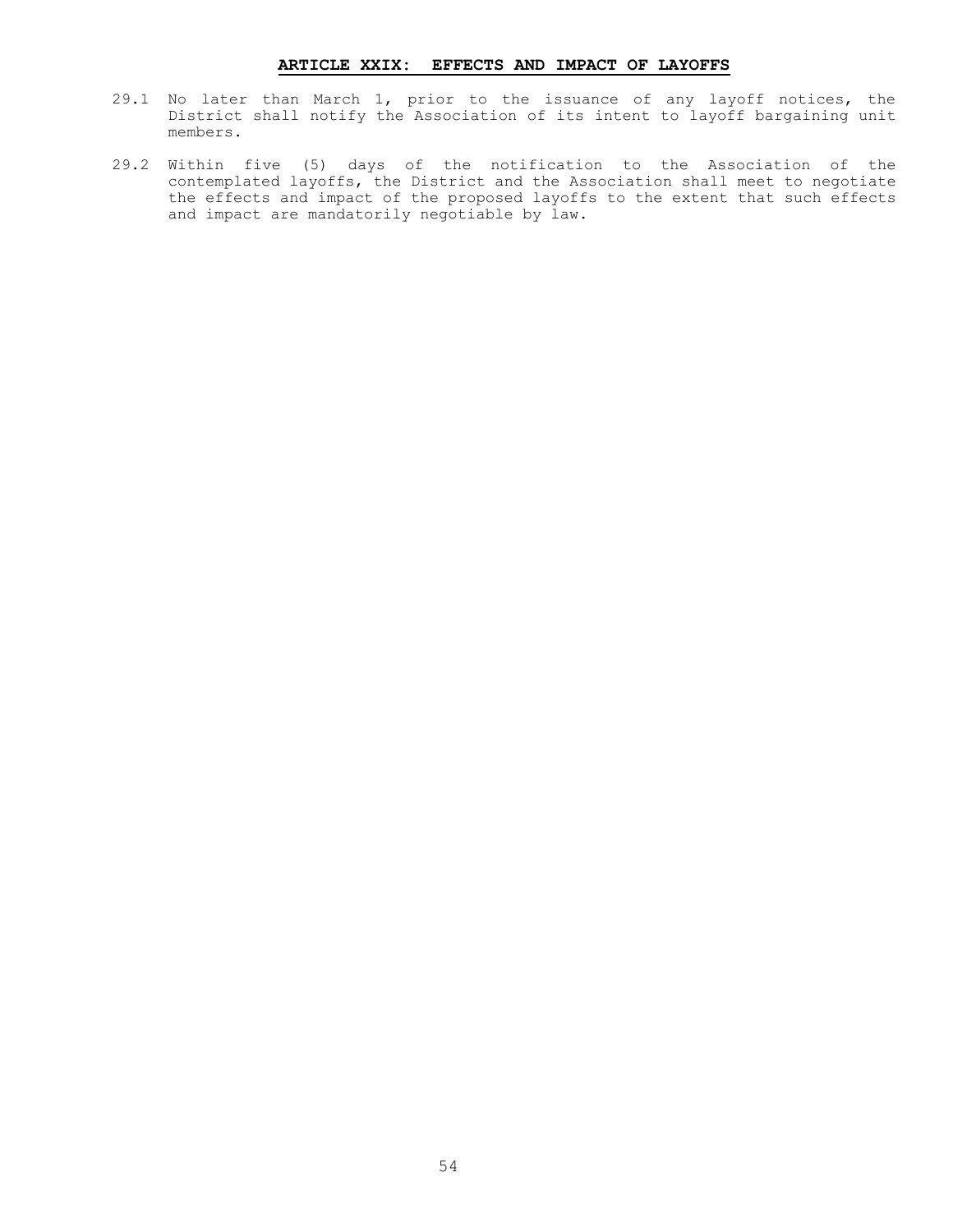# **ARTICLE XXIX: EFFECTS AND IMPACT OF LAYOFFS**

- 29.1 No later than March 1, prior to the issuance of any layoff notices, the District shall notify the Association of its intent to layoff bargaining unit members.
- 29.2 Within five (5) days of the notification to the Association of the contemplated layoffs, the District and the Association shall meet to negotiate the effects and impact of the proposed layoffs to the extent that such effects and impact are mandatorily negotiable by law.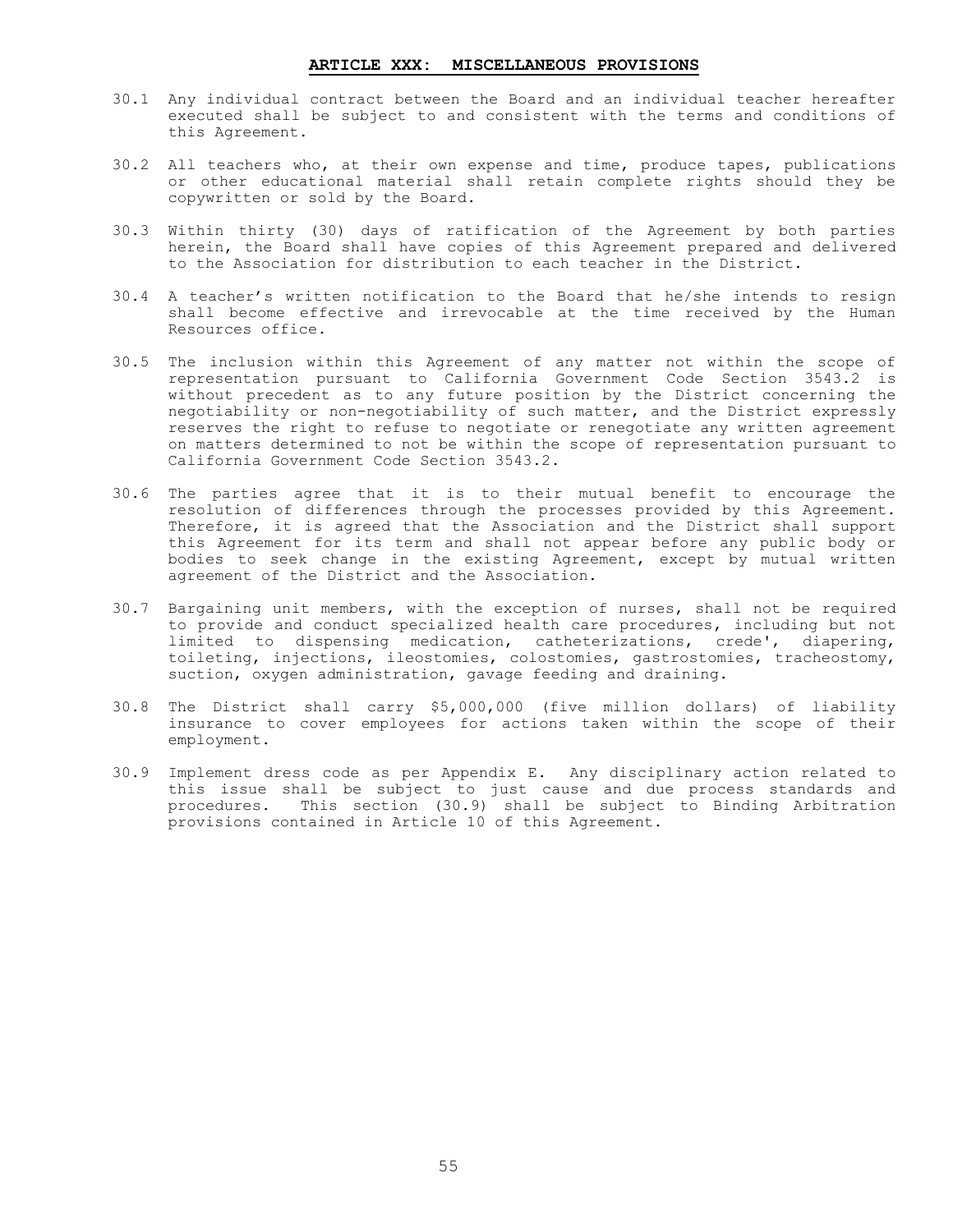#### **ARTICLE XXX: MISCELLANEOUS PROVISIONS**

- 30.1 Any individual contract between the Board and an individual teacher hereafter executed shall be subject to and consistent with the terms and conditions of this Agreement.
- 30.2 All teachers who, at their own expense and time, produce tapes, publications or other educational material shall retain complete rights should they be copywritten or sold by the Board.
- 30.3 Within thirty (30) days of ratification of the Agreement by both parties herein, the Board shall have copies of this Agreement prepared and delivered to the Association for distribution to each teacher in the District.
- 30.4 A teacher's written notification to the Board that he/she intends to resign shall become effective and irrevocable at the time received by the Human Resources office.
- 30.5 The inclusion within this Agreement of any matter not within the scope of representation pursuant to California Government Code Section 3543.2 is without precedent as to any future position by the District concerning the negotiability or non-negotiability of such matter, and the District expressly reserves the right to refuse to negotiate or renegotiate any written agreement on matters determined to not be within the scope of representation pursuant to California Government Code Section 3543.2.
- 30.6 The parties agree that it is to their mutual benefit to encourage the resolution of differences through the processes provided by this Agreement. Therefore, it is agreed that the Association and the District shall support this Agreement for its term and shall not appear before any public body or bodies to seek change in the existing Agreement, except by mutual written agreement of the District and the Association.
- 30.7 Bargaining unit members, with the exception of nurses, shall not be required to provide and conduct specialized health care procedures, including but not limited to dispensing medication, catheterizations, crede', diapering, toileting, injections, ileostomies, colostomies, gastrostomies, tracheostomy, suction, oxygen administration, gavage feeding and draining.
- 30.8 The District shall carry \$5,000,000 (five million dollars) of liability insurance to cover employees for actions taken within the scope of their employment.
- 30.9 Implement dress code as per Appendix E. Any disciplinary action related to this issue shall be subject to just cause and due process standards and procedures. This section (30.9) shall be subject to Binding Arbitration provisions contained in Article 10 of this Agreement.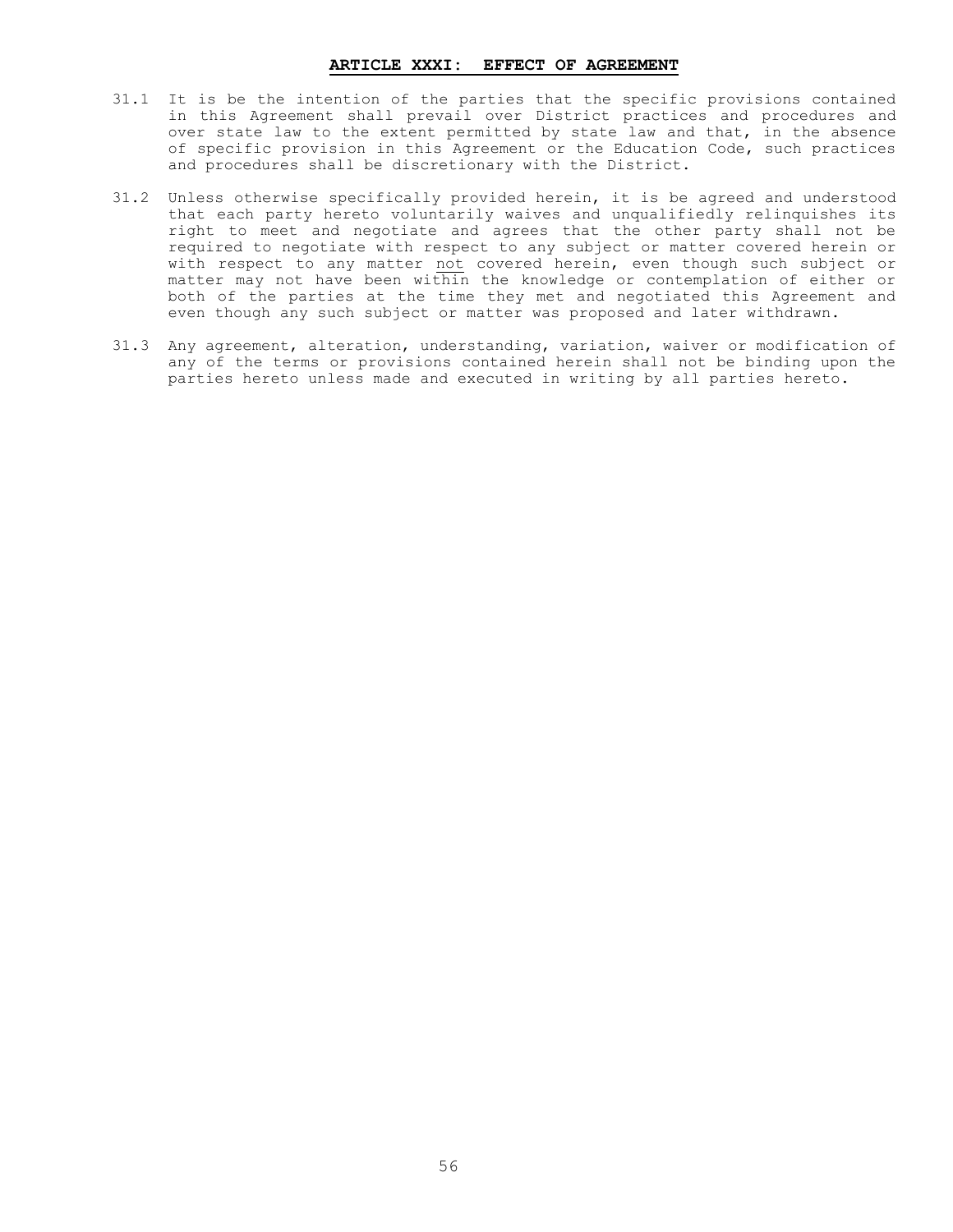#### **ARTICLE XXXI: EFFECT OF AGREEMENT**

- 31.1 It is be the intention of the parties that the specific provisions contained in this Agreement shall prevail over District practices and procedures and over state law to the extent permitted by state law and that, in the absence of specific provision in this Agreement or the Education Code, such practices and procedures shall be discretionary with the District.
- 31.2 Unless otherwise specifically provided herein, it is be agreed and understood that each party hereto voluntarily waives and unqualifiedly relinquishes its right to meet and negotiate and agrees that the other party shall not be required to negotiate with respect to any subject or matter covered herein or with respect to any matter not covered herein, even though such subject or matter may not have been within the knowledge or contemplation of either or both of the parties at the time they met and negotiated this Agreement and even though any such subject or matter was proposed and later withdrawn.
- 31.3 Any agreement, alteration, understanding, variation, waiver or modification of any of the terms or provisions contained herein shall not be binding upon the parties hereto unless made and executed in writing by all parties hereto.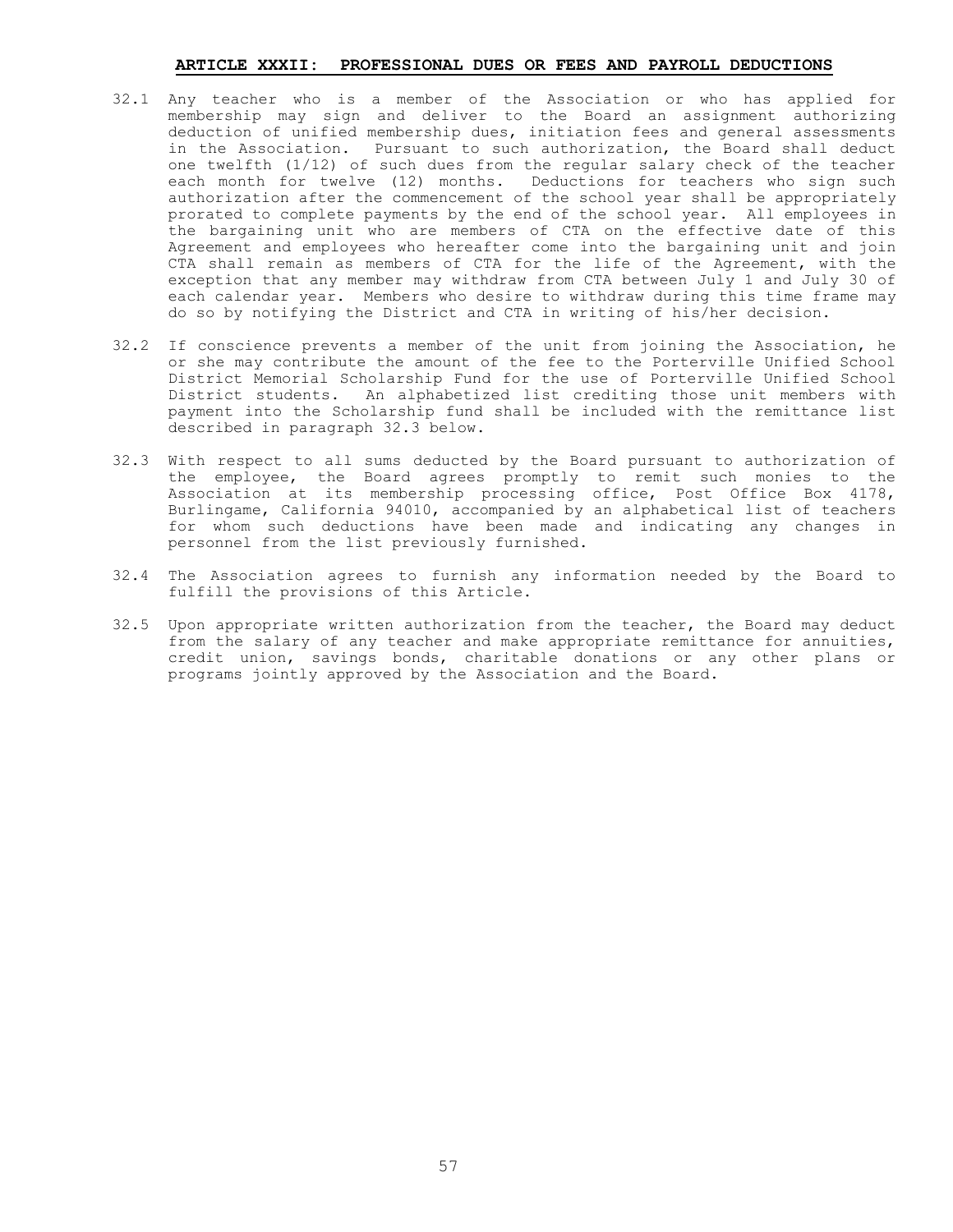#### **ARTICLE XXXII: PROFESSIONAL DUES OR FEES AND PAYROLL DEDUCTIONS**

- 32.1 Any teacher who is a member of the Association or who has applied for membership may sign and deliver to the Board an assignment authorizing deduction of unified membership dues, initiation fees and general assessments in the Association. Pursuant to such authorization, the Board shall deduct one twelfth (1/12) of such dues from the regular salary check of the teacher each month for twelve (12) months. Deductions for teachers who sign such authorization after the commencement of the school year shall be appropriately prorated to complete payments by the end of the school year. All employees in the bargaining unit who are members of CTA on the effective date of this Agreement and employees who hereafter come into the bargaining unit and join CTA shall remain as members of CTA for the life of the Agreement, with the exception that any member may withdraw from CTA between July 1 and July 30 of each calendar year. Members who desire to withdraw during this time frame may do so by notifying the District and CTA in writing of his/her decision.
- 32.2 If conscience prevents a member of the unit from joining the Association, he or she may contribute the amount of the fee to the Porterville Unified School District Memorial Scholarship Fund for the use of Porterville Unified School District students. An alphabetized list crediting those unit members with payment into the Scholarship fund shall be included with the remittance list described in paragraph 32.3 below.
- 32.3 With respect to all sums deducted by the Board pursuant to authorization of the employee, the Board agrees promptly to remit such monies to the Association at its membership processing office, Post Office Box 4178, Burlingame, California 94010, accompanied by an alphabetical list of teachers for whom such deductions have been made and indicating any changes in personnel from the list previously furnished.
- 32.4 The Association agrees to furnish any information needed by the Board to fulfill the provisions of this Article.
- 32.5 Upon appropriate written authorization from the teacher, the Board may deduct from the salary of any teacher and make appropriate remittance for annuities, credit union, savings bonds, charitable donations or any other plans or programs jointly approved by the Association and the Board.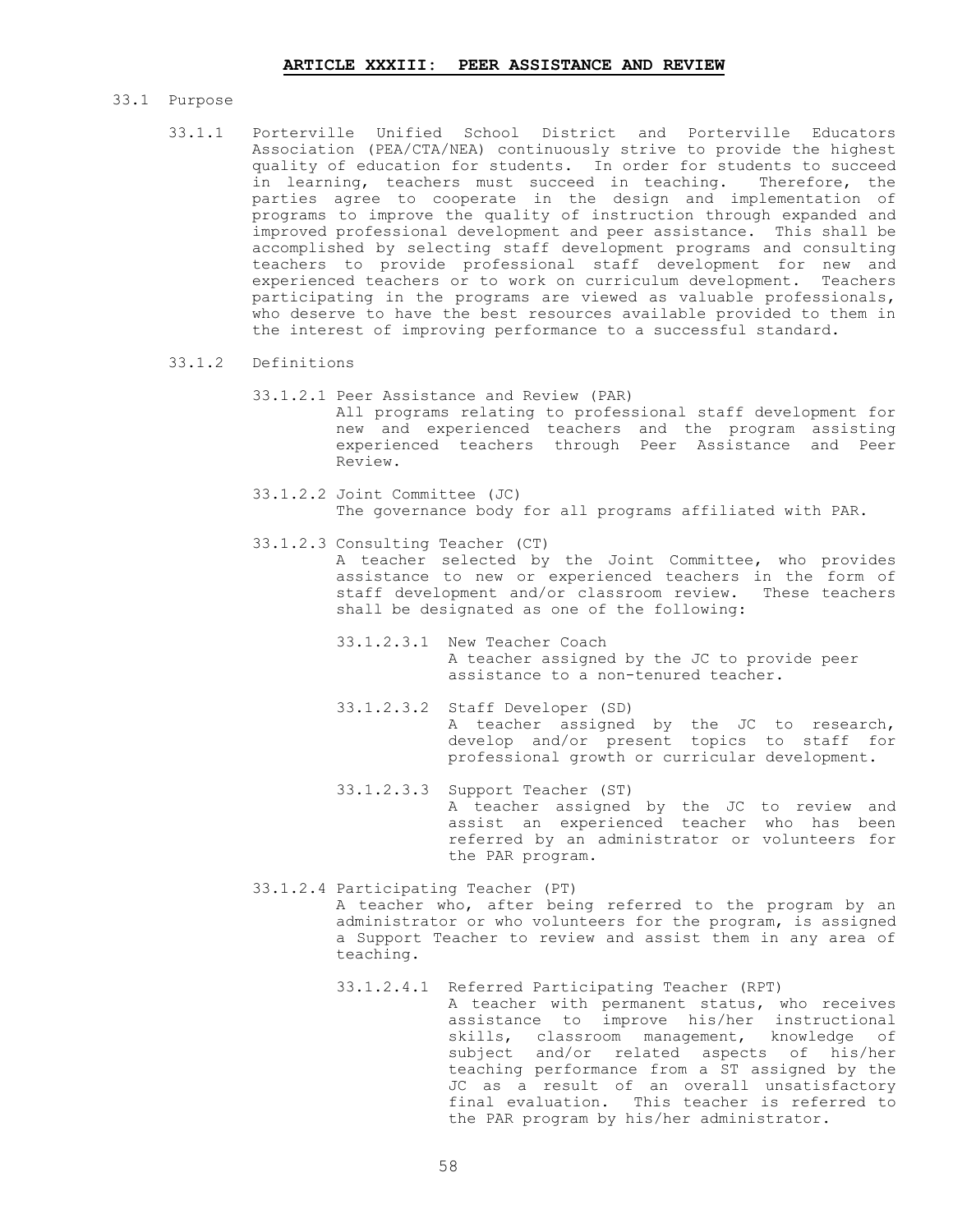# 33.1 Purpose

- 33.1.1 Porterville Unified School District and Porterville Educators Association (PEA/CTA/NEA) continuously strive to provide the highest quality of education for students. In order for students to succeed in learning, teachers must succeed in teaching. Therefore, the parties agree to cooperate in the design and implementation of programs to improve the quality of instruction through expanded and improved professional development and peer assistance. This shall be accomplished by selecting staff development programs and consulting teachers to provide professional staff development for new and experienced teachers or to work on curriculum development. Teachers participating in the programs are viewed as valuable professionals, who deserve to have the best resources available provided to them in the interest of improving performance to a successful standard.
- 33.1.2 Definitions
	- 33.1.2.1 Peer Assistance and Review (PAR) All programs relating to professional staff development for new and experienced teachers and the program assisting experienced teachers through Peer Assistance and Peer Review.
	- 33.1.2.2 Joint Committee (JC) The governance body for all programs affiliated with PAR.
	- 33.1.2.3 Consulting Teacher (CT) A teacher selected by the Joint Committee, who provides assistance to new or experienced teachers in the form of staff development and/or classroom review. These teachers shall be designated as one of the following:
		- 33.1.2.3.1 New Teacher Coach A teacher assigned by the JC to provide peer assistance to a non-tenured teacher.
		- 33.1.2.3.2 Staff Developer (SD) A teacher assigned by the JC to research, develop and/or present topics to staff for professional growth or curricular development.
		- 33.1.2.3.3 Support Teacher (ST) A teacher assigned by the JC to review and assist an experienced teacher who has been referred by an administrator or volunteers for the PAR program.
	- 33.1.2.4 Participating Teacher (PT) A teacher who, after being referred to the program by an administrator or who volunteers for the program, is assigned a Support Teacher to review and assist them in any area of teaching.
		- 33.1.2.4.1 Referred Participating Teacher (RPT) A teacher with permanent status, who receives assistance to improve his/her instructional skills, classroom management, knowledge of subject and/or related aspects of his/her teaching performance from a ST assigned by the JC as a result of an overall unsatisfactory final evaluation. This teacher is referred to the PAR program by his/her administrator.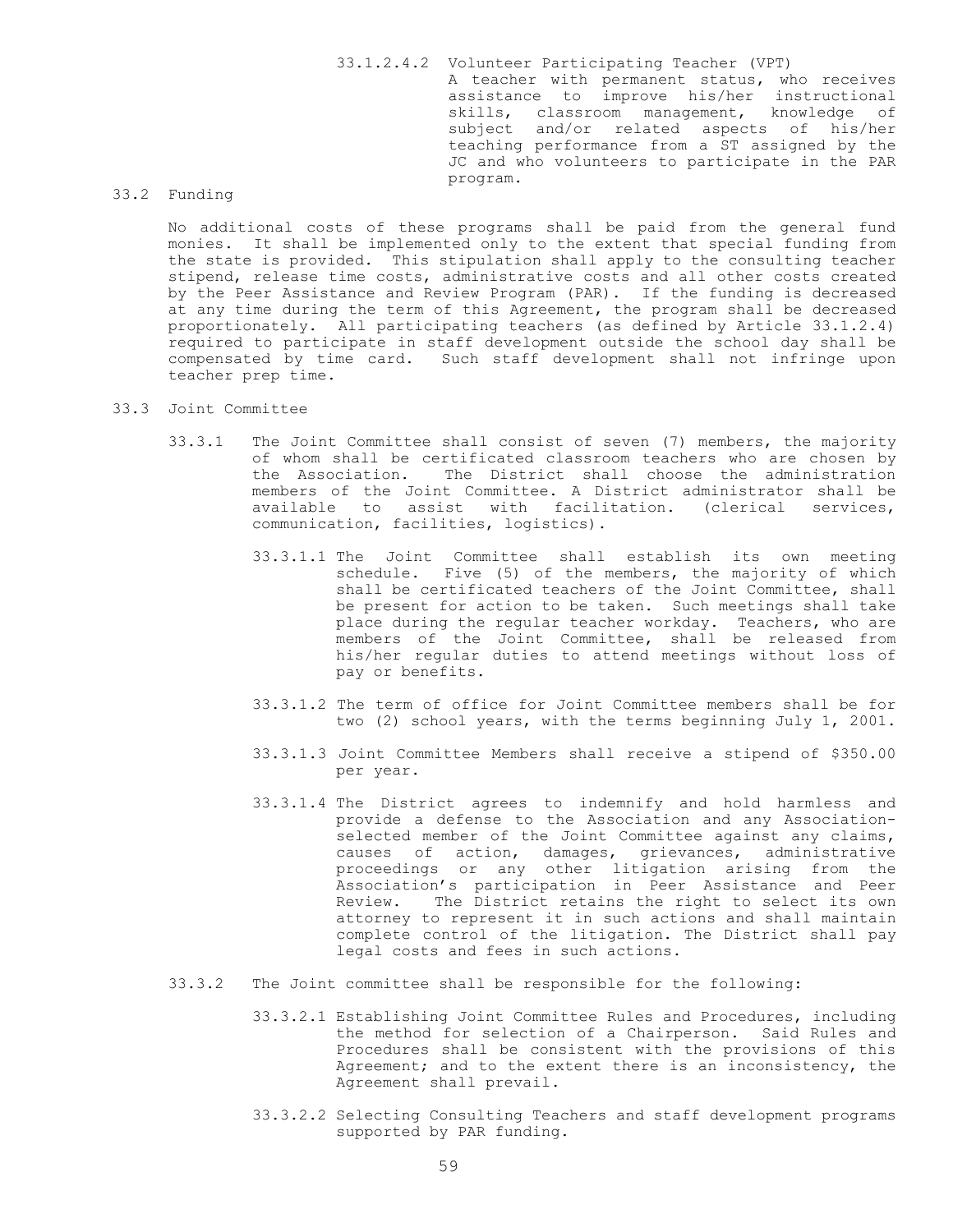33.1.2.4.2 Volunteer Participating Teacher (VPT) A teacher with permanent status, who receives assistance to improve his/her instructional skills, classroom management, knowledge of subject and/or related aspects of his/her teaching performance from a ST assigned by the JC and who volunteers to participate in the PAR program.

# 33.2 Funding

No additional costs of these programs shall be paid from the general fund monies. It shall be implemented only to the extent that special funding from the state is provided. This stipulation shall apply to the consulting teacher stipend, release time costs, administrative costs and all other costs created by the Peer Assistance and Review Program (PAR). If the funding is decreased at any time during the term of this Agreement, the program shall be decreased proportionately. All participating teachers (as defined by Article 33.1.2.4) required to participate in staff development outside the school day shall be compensated by time card. Such staff development shall not infringe upon teacher prep time.

# 33.3 Joint Committee

- 33.3.1 The Joint Committee shall consist of seven (7) members, the majority of whom shall be certificated classroom teachers who are chosen by the Association. The District shall choose the administration members of the Joint Committee. A District administrator shall be available to assist with facilitation. (clerical services, communication, facilities, logistics).
	- 33.3.1.1 The Joint Committee shall establish its own meeting schedule. Five (5) of the members, the majority of which shall be certificated teachers of the Joint Committee, shall be present for action to be taken. Such meetings shall take place during the regular teacher workday. Teachers, who are members of the Joint Committee, shall be released from his/her regular duties to attend meetings without loss of pay or benefits.
	- 33.3.1.2 The term of office for Joint Committee members shall be for two (2) school years, with the terms beginning July 1, 2001.
	- 33.3.1.3 Joint Committee Members shall receive a stipend of \$350.00 per year.
	- 33.3.1.4 The District agrees to indemnify and hold harmless and provide a defense to the Association and any Associationselected member of the Joint Committee against any claims, causes of action, damages, grievances, administrative proceedings or any other litigation arising from the Association's participation in Peer Assistance and Peer Review. The District retains the right to select its own attorney to represent it in such actions and shall maintain complete control of the litigation. The District shall pay legal costs and fees in such actions.
- 33.3.2 The Joint committee shall be responsible for the following:
	- 33.3.2.1 Establishing Joint Committee Rules and Procedures, including the method for selection of a Chairperson. Said Rules and Procedures shall be consistent with the provisions of this Agreement; and to the extent there is an inconsistency, the Agreement shall prevail.
	- 33.3.2.2 Selecting Consulting Teachers and staff development programs supported by PAR funding.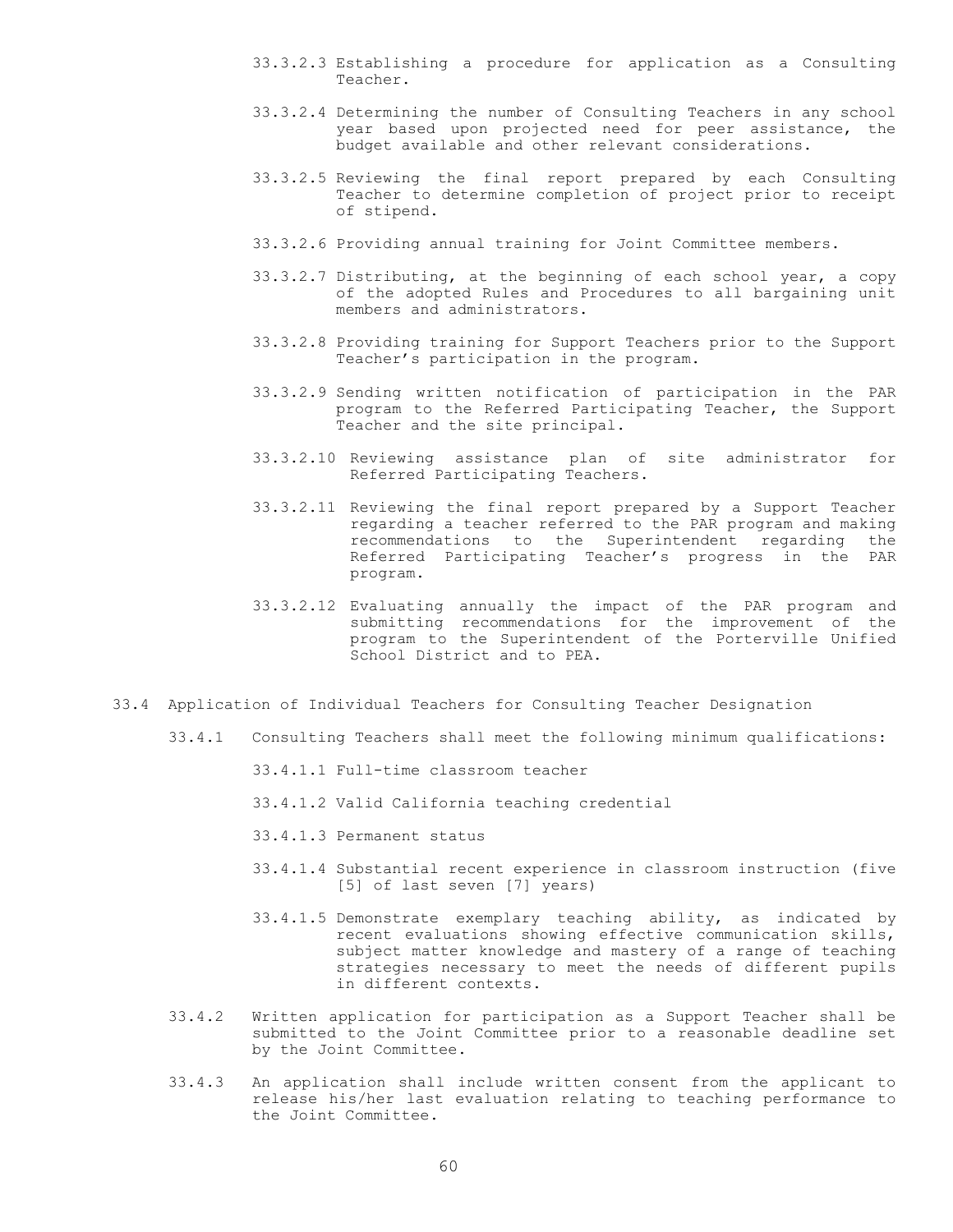- 33.3.2.3 Establishing a procedure for application as a Consulting Teacher.
- 33.3.2.4 Determining the number of Consulting Teachers in any school year based upon projected need for peer assistance, the budget available and other relevant considerations.
- 33.3.2.5 Reviewing the final report prepared by each Consulting Teacher to determine completion of project prior to receipt of stipend.
- 33.3.2.6 Providing annual training for Joint Committee members.
- 33.3.2.7 Distributing, at the beginning of each school year, a copy of the adopted Rules and Procedures to all bargaining unit members and administrators.
- 33.3.2.8 Providing training for Support Teachers prior to the Support Teacher's participation in the program.
- 33.3.2.9 Sending written notification of participation in the PAR program to the Referred Participating Teacher, the Support Teacher and the site principal.
- 33.3.2.10 Reviewing assistance plan of site administrator for Referred Participating Teachers.
- 33.3.2.11 Reviewing the final report prepared by a Support Teacher regarding a teacher referred to the PAR program and making recommendations to the Superintendent regarding the Referred Participating Teacher's progress in the PAR program.
- 33.3.2.12 Evaluating annually the impact of the PAR program and submitting recommendations for the improvement of the program to the Superintendent of the Porterville Unified School District and to PEA.
- 33.4 Application of Individual Teachers for Consulting Teacher Designation
	- 33.4.1 Consulting Teachers shall meet the following minimum qualifications:
		- 33.4.1.1 Full-time classroom teacher
		- 33.4.1.2 Valid California teaching credential
		- 33.4.1.3 Permanent status
		- 33.4.1.4 Substantial recent experience in classroom instruction (five [5] of last seven [7] years)
		- 33.4.1.5 Demonstrate exemplary teaching ability, as indicated by recent evaluations showing effective communication skills, subject matter knowledge and mastery of a range of teaching strategies necessary to meet the needs of different pupils in different contexts.
	- 33.4.2 Written application for participation as a Support Teacher shall be submitted to the Joint Committee prior to a reasonable deadline set by the Joint Committee.
	- 33.4.3 An application shall include written consent from the applicant to release his/her last evaluation relating to teaching performance to the Joint Committee.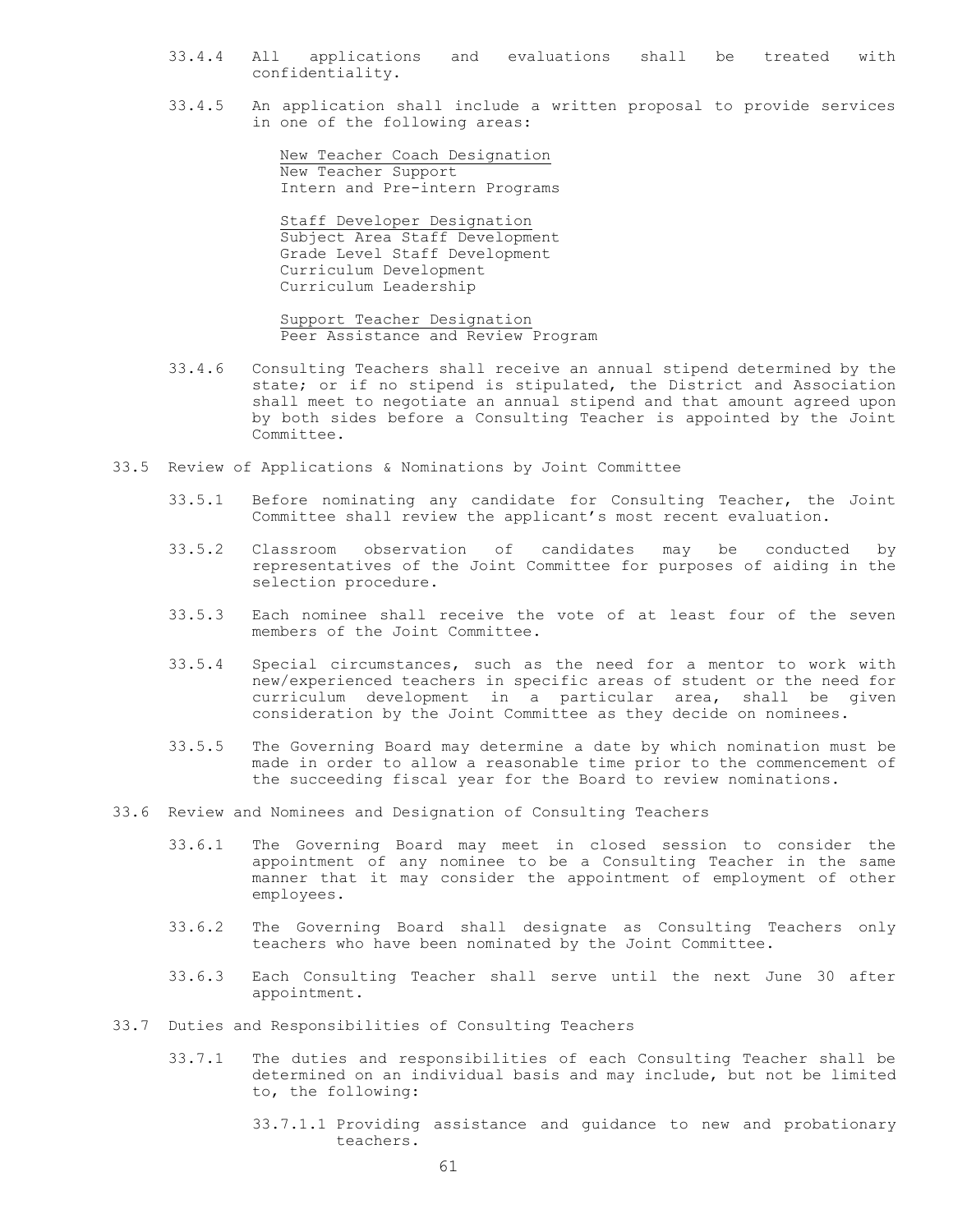- 33.4.4 All applications and evaluations shall be treated with confidentiality.
- 33.4.5 An application shall include a written proposal to provide services in one of the following areas:

 New Teacher Coach Designation New Teacher Support Intern and Pre-intern Programs

 Staff Developer Designation Subject Area Staff Development Grade Level Staff Development Curriculum Development Curriculum Leadership

 Support Teacher Designation Peer Assistance and Review Program

- 33.4.6 Consulting Teachers shall receive an annual stipend determined by the state; or if no stipend is stipulated, the District and Association shall meet to negotiate an annual stipend and that amount agreed upon by both sides before a Consulting Teacher is appointed by the Joint Committee.
- 33.5 Review of Applications & Nominations by Joint Committee
	- 33.5.1 Before nominating any candidate for Consulting Teacher, the Joint Committee shall review the applicant's most recent evaluation.
	- 33.5.2 Classroom observation of candidates may be conducted by representatives of the Joint Committee for purposes of aiding in the selection procedure.
	- 33.5.3 Each nominee shall receive the vote of at least four of the seven members of the Joint Committee.
	- 33.5.4 Special circumstances, such as the need for a mentor to work with new/experienced teachers in specific areas of student or the need for curriculum development in a particular area, shall be given consideration by the Joint Committee as they decide on nominees.
	- 33.5.5 The Governing Board may determine a date by which nomination must be made in order to allow a reasonable time prior to the commencement of the succeeding fiscal year for the Board to review nominations.
- 33.6 Review and Nominees and Designation of Consulting Teachers
	- 33.6.1 The Governing Board may meet in closed session to consider the appointment of any nominee to be a Consulting Teacher in the same manner that it may consider the appointment of employment of other employees.
	- 33.6.2 The Governing Board shall designate as Consulting Teachers only teachers who have been nominated by the Joint Committee.
	- 33.6.3 Each Consulting Teacher shall serve until the next June 30 after appointment.
- 33.7 Duties and Responsibilities of Consulting Teachers
	- 33.7.1 The duties and responsibilities of each Consulting Teacher shall be determined on an individual basis and may include, but not be limited to, the following:
		- 33.7.1.1 Providing assistance and guidance to new and probationary teachers.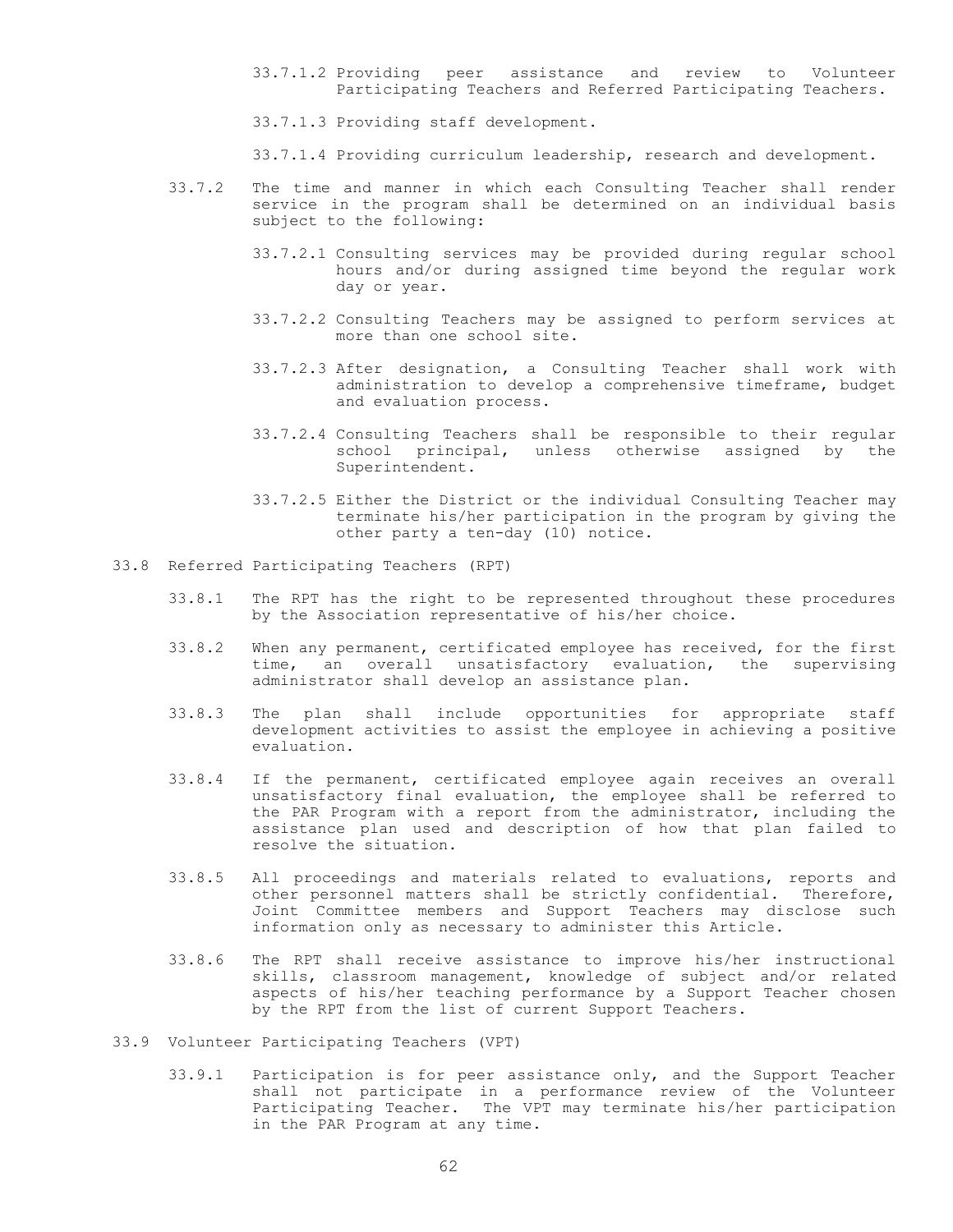33.7.1.2 Providing peer assistance and review to Volunteer Participating Teachers and Referred Participating Teachers.

33.7.1.3 Providing staff development.

33.7.1.4 Providing curriculum leadership, research and development.

- 33.7.2 The time and manner in which each Consulting Teacher shall render service in the program shall be determined on an individual basis subject to the following:
	- 33.7.2.1 Consulting services may be provided during regular school hours and/or during assigned time beyond the regular work day or year.
	- 33.7.2.2 Consulting Teachers may be assigned to perform services at more than one school site.
	- 33.7.2.3 After designation, a Consulting Teacher shall work with administration to develop a comprehensive timeframe, budget and evaluation process.
	- 33.7.2.4 Consulting Teachers shall be responsible to their regular school principal, unless otherwise assigned by the Superintendent.
	- 33.7.2.5 Either the District or the individual Consulting Teacher may terminate his/her participation in the program by giving the other party a ten-day (10) notice.
- 33.8 Referred Participating Teachers (RPT)
	- 33.8.1 The RPT has the right to be represented throughout these procedures by the Association representative of his/her choice.
	- 33.8.2 When any permanent, certificated employee has received, for the first time, an overall unsatisfactory evaluation, the supervising administrator shall develop an assistance plan.
	- 33.8.3 The plan shall include opportunities for appropriate staff development activities to assist the employee in achieving a positive evaluation.
	- 33.8.4 If the permanent, certificated employee again receives an overall unsatisfactory final evaluation, the employee shall be referred to the PAR Program with a report from the administrator, including the assistance plan used and description of how that plan failed to resolve the situation.
	- 33.8.5 All proceedings and materials related to evaluations, reports and other personnel matters shall be strictly confidential. Therefore, Joint Committee members and Support Teachers may disclose such information only as necessary to administer this Article.
	- 33.8.6 The RPT shall receive assistance to improve his/her instructional skills, classroom management, knowledge of subject and/or related aspects of his/her teaching performance by a Support Teacher chosen by the RPT from the list of current Support Teachers.
- 33.9 Volunteer Participating Teachers (VPT)
	- 33.9.1 Participation is for peer assistance only, and the Support Teacher shall not participate in a performance review of the Volunteer Participating Teacher. The VPT may terminate his/her participation in the PAR Program at any time.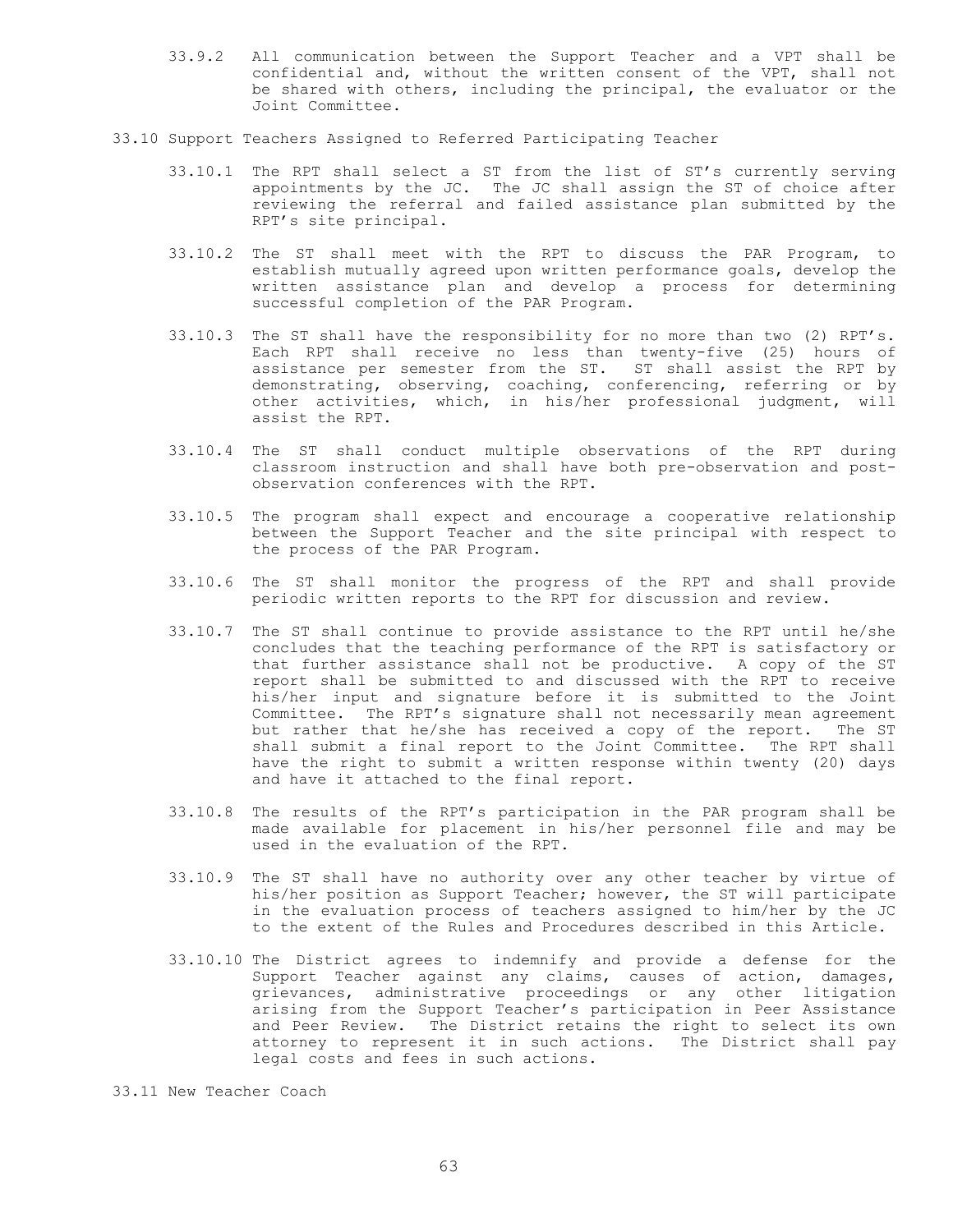- 33.9.2 All communication between the Support Teacher and a VPT shall be confidential and, without the written consent of the VPT, shall not be shared with others, including the principal, the evaluator or the Joint Committee.
- 33.10 Support Teachers Assigned to Referred Participating Teacher
	- 33.10.1 The RPT shall select a ST from the list of ST's currently serving appointments by the JC. The JC shall assign the ST of choice after reviewing the referral and failed assistance plan submitted by the RPT's site principal.
	- 33.10.2 The ST shall meet with the RPT to discuss the PAR Program, to establish mutually agreed upon written performance goals, develop the written assistance plan and develop a process for determining successful completion of the PAR Program.
	- 33.10.3 The ST shall have the responsibility for no more than two (2) RPT's. Each RPT shall receive no less than twenty-five (25) hours of assistance per semester from the ST. ST shall assist the RPT by demonstrating, observing, coaching, conferencing, referring or by other activities, which, in his/her professional judgment, will assist the RPT.
	- 33.10.4 The ST shall conduct multiple observations of the RPT during classroom instruction and shall have both pre-observation and postobservation conferences with the RPT.
	- 33.10.5 The program shall expect and encourage a cooperative relationship between the Support Teacher and the site principal with respect to the process of the PAR Program.
	- 33.10.6 The ST shall monitor the progress of the RPT and shall provide periodic written reports to the RPT for discussion and review.
	- 33.10.7 The ST shall continue to provide assistance to the RPT until he/she concludes that the teaching performance of the RPT is satisfactory or that further assistance shall not be productive. A copy of the ST report shall be submitted to and discussed with the RPT to receive his/her input and signature before it is submitted to the Joint Committee. The RPT's signature shall not necessarily mean agreement but rather that he/she has received a copy of the report. The ST shall submit a final report to the Joint Committee. The RPT shall have the right to submit a written response within twenty (20) days and have it attached to the final report.
	- 33.10.8 The results of the RPT's participation in the PAR program shall be made available for placement in his/her personnel file and may be used in the evaluation of the RPT.
	- 33.10.9 The ST shall have no authority over any other teacher by virtue of his/her position as Support Teacher; however, the ST will participate in the evaluation process of teachers assigned to him/her by the JC to the extent of the Rules and Procedures described in this Article.
	- 33.10.10 The District agrees to indemnify and provide a defense for the Support Teacher against any claims, causes of action, damages, grievances, administrative proceedings or any other litigation arising from the Support Teacher's participation in Peer Assistance and Peer Review. The District retains the right to select its own attorney to represent it in such actions. The District shall pay legal costs and fees in such actions.

33.11 New Teacher Coach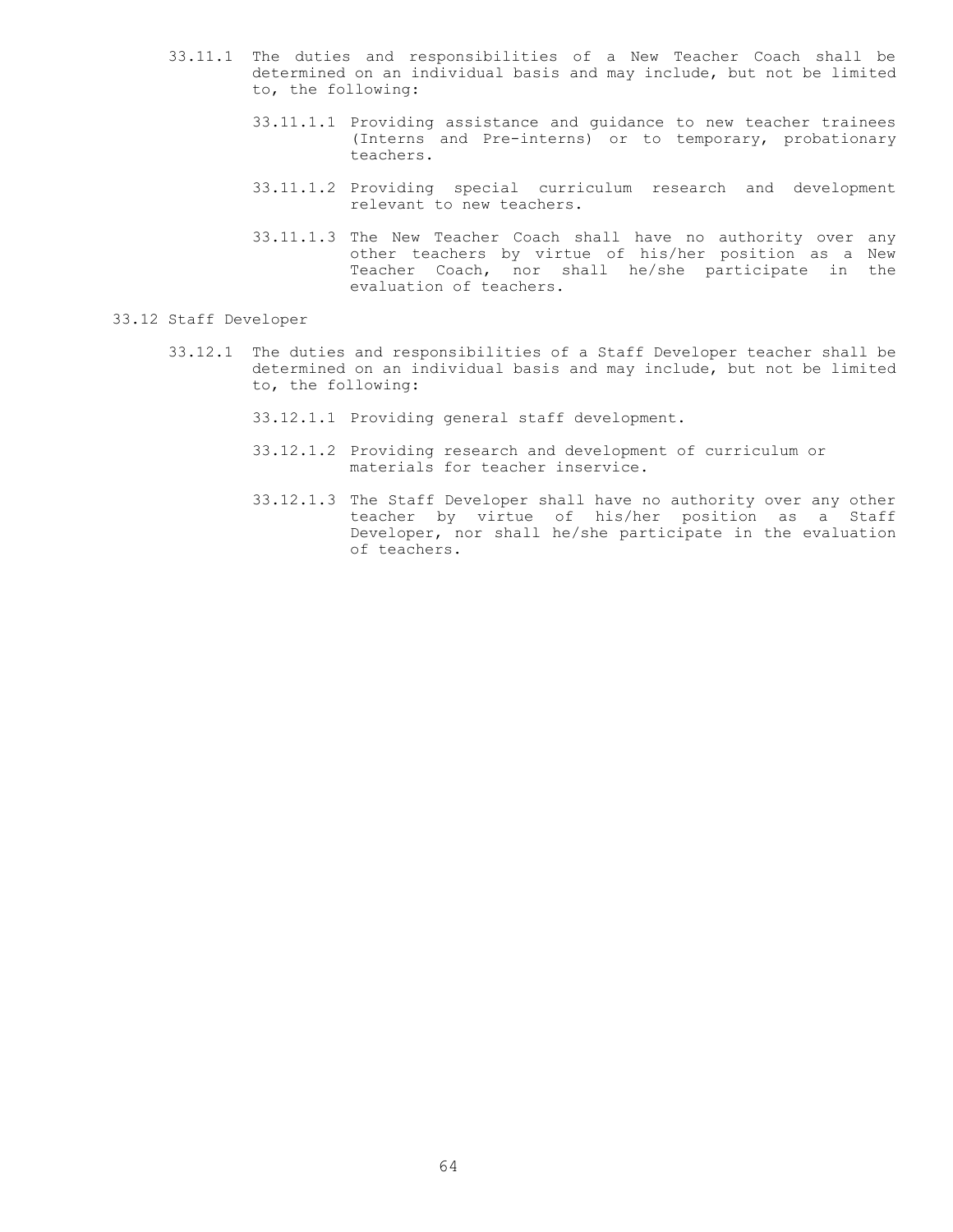- 33.11.1 The duties and responsibilities of a New Teacher Coach shall be determined on an individual basis and may include, but not be limited to, the following:
	- 33.11.1.1 Providing assistance and guidance to new teacher trainees (Interns and Pre-interns) or to temporary, probationary teachers.
	- 33.11.1.2 Providing special curriculum research and development relevant to new teachers.
	- 33.11.1.3 The New Teacher Coach shall have no authority over any other teachers by virtue of his/her position as a New Teacher Coach, nor shall he/she participate in the evaluation of teachers.

### 33.12 Staff Developer

- 33.12.1 The duties and responsibilities of a Staff Developer teacher shall be determined on an individual basis and may include, but not be limited to, the following:
	- 33.12.1.1 Providing general staff development.
	- 33.12.1.2 Providing research and development of curriculum or materials for teacher inservice.
	- 33.12.1.3 The Staff Developer shall have no authority over any other teacher by virtue of his/her position as a Staff Developer, nor shall he/she participate in the evaluation of teachers.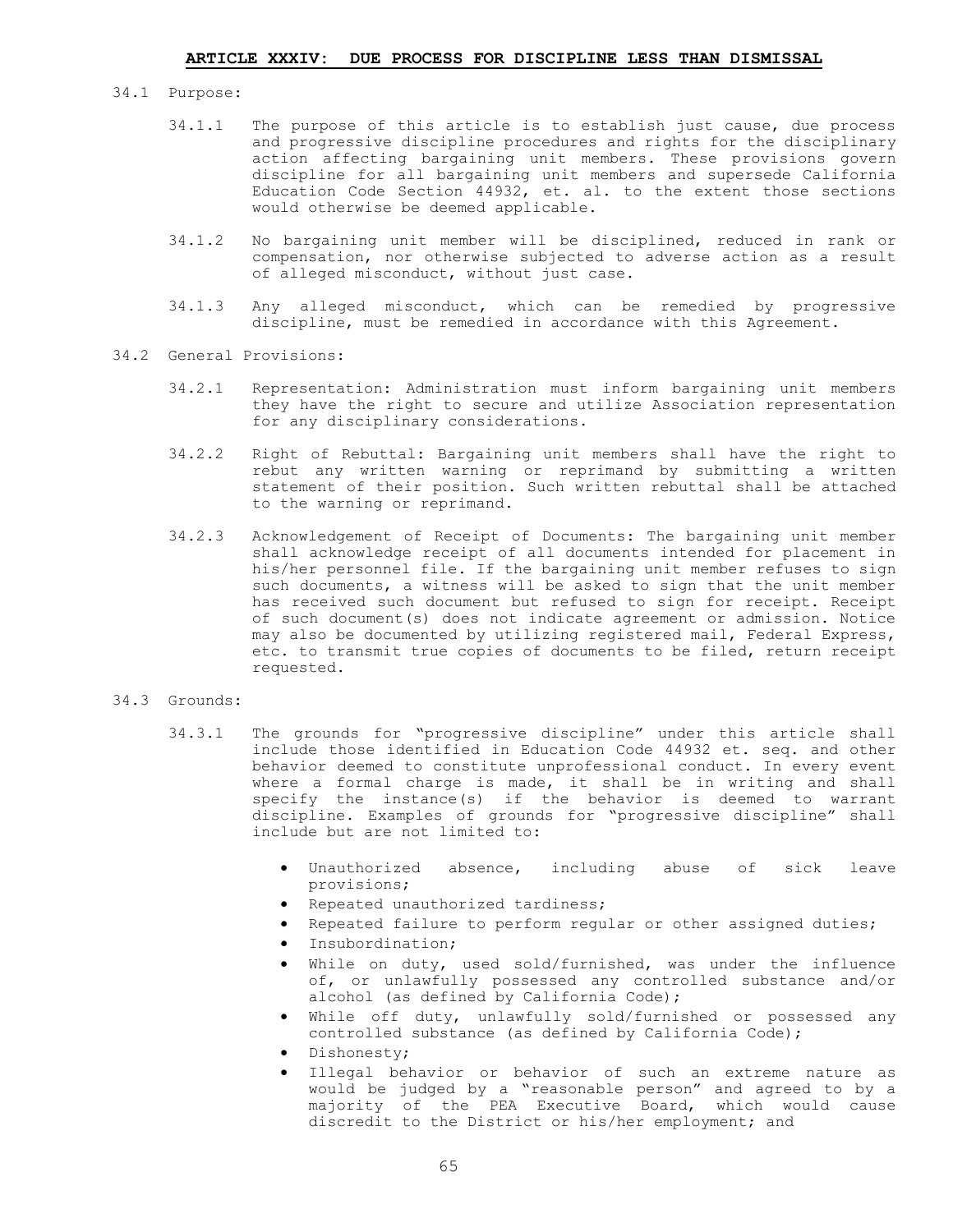#### 34.1 Purpose:

- 34.1.1 The purpose of this article is to establish just cause, due process and progressive discipline procedures and rights for the disciplinary action affecting bargaining unit members. These provisions govern discipline for all bargaining unit members and supersede California Education Code Section 44932, et. al. to the extent those sections would otherwise be deemed applicable.
- 34.1.2 No bargaining unit member will be disciplined, reduced in rank or compensation, nor otherwise subjected to adverse action as a result of alleged misconduct, without just case.
- 34.1.3 Any alleged misconduct, which can be remedied by progressive discipline, must be remedied in accordance with this Agreement.
- 34.2 General Provisions:
	- 34.2.1 Representation: Administration must inform bargaining unit members they have the right to secure and utilize Association representation for any disciplinary considerations.
	- 34.2.2 Right of Rebuttal: Bargaining unit members shall have the right to rebut any written warning or reprimand by submitting a written statement of their position. Such written rebuttal shall be attached to the warning or reprimand.
	- 34.2.3 Acknowledgement of Receipt of Documents: The bargaining unit member shall acknowledge receipt of all documents intended for placement in his/her personnel file. If the bargaining unit member refuses to sign such documents, a witness will be asked to sign that the unit member has received such document but refused to sign for receipt. Receipt of such document(s) does not indicate agreement or admission. Notice may also be documented by utilizing registered mail, Federal Express, etc. to transmit true copies of documents to be filed, return receipt requested.

#### 34.3 Grounds:

- 34.3.1 The grounds for "progressive discipline" under this article shall include those identified in Education Code 44932 et. seq. and other behavior deemed to constitute unprofessional conduct. In every event where a formal charge is made, it shall be in writing and shall specify the instance(s) if the behavior is deemed to warrant discipline. Examples of grounds for "progressive discipline" shall include but are not limited to:
	- Unauthorized absence, including abuse of sick leave provisions;
	- Repeated unauthorized tardiness;
	- Repeated failure to perform regular or other assigned duties;
	- Insubordination;
	- While on duty, used sold/furnished, was under the influence of, or unlawfully possessed any controlled substance and/or alcohol (as defined by California Code);
	- While off duty, unlawfully sold/furnished or possessed any controlled substance (as defined by California Code);
	- · Dishonesty;
	- Illegal behavior or behavior of such an extreme nature as would be judged by a "reasonable person" and agreed to by a majority of the PEA Executive Board, which would cause discredit to the District or his/her employment; and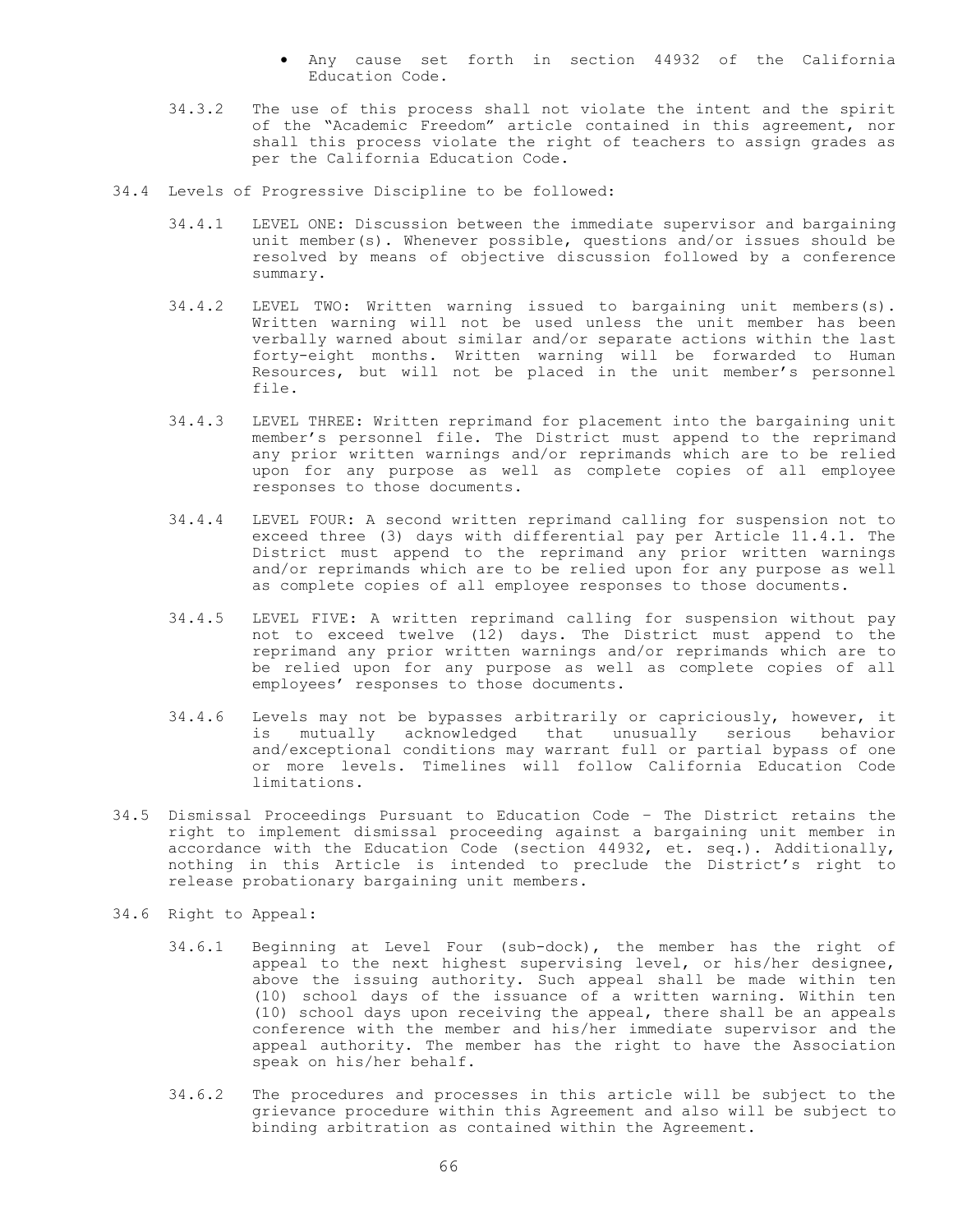- Any cause set forth in section 44932 of the California Education Code.
- 34.3.2 The use of this process shall not violate the intent and the spirit of the "Academic Freedom" article contained in this agreement, nor shall this process violate the right of teachers to assign grades as per the California Education Code.
- 34.4 Levels of Progressive Discipline to be followed:
	- 34.4.1 LEVEL ONE: Discussion between the immediate supervisor and bargaining unit member(s). Whenever possible, questions and/or issues should be resolved by means of objective discussion followed by a conference summary.
	- 34.4.2 LEVEL TWO: Written warning issued to bargaining unit members(s). Written warning will not be used unless the unit member has been verbally warned about similar and/or separate actions within the last forty-eight months. Written warning will be forwarded to Human Resources, but will not be placed in the unit member's personnel file.
	- 34.4.3 LEVEL THREE: Written reprimand for placement into the bargaining unit member's personnel file. The District must append to the reprimand any prior written warnings and/or reprimands which are to be relied upon for any purpose as well as complete copies of all employee responses to those documents.
	- 34.4.4 LEVEL FOUR: A second written reprimand calling for suspension not to exceed three (3) days with differential pay per Article 11.4.1. The District must append to the reprimand any prior written warnings and/or reprimands which are to be relied upon for any purpose as well as complete copies of all employee responses to those documents.
	- 34.4.5 LEVEL FIVE: A written reprimand calling for suspension without pay not to exceed twelve (12) days. The District must append to the reprimand any prior written warnings and/or reprimands which are to be relied upon for any purpose as well as complete copies of all employees' responses to those documents.
	- 34.4.6 Levels may not be bypasses arbitrarily or capriciously, however, it is mutually acknowledged that unusually serious behavior and/exceptional conditions may warrant full or partial bypass of one or more levels. Timelines will follow California Education Code limitations.
- 34.5 Dismissal Proceedings Pursuant to Education Code The District retains the right to implement dismissal proceeding against a bargaining unit member in accordance with the Education Code (section 44932, et. seq.). Additionally, nothing in this Article is intended to preclude the District's right to release probationary bargaining unit members.
- 34.6 Right to Appeal:
	- 34.6.1 Beginning at Level Four (sub-dock), the member has the right of appeal to the next highest supervising level, or his/her designee, above the issuing authority. Such appeal shall be made within ten (10) school days of the issuance of a written warning. Within ten (10) school days upon receiving the appeal, there shall be an appeals conference with the member and his/her immediate supervisor and the appeal authority. The member has the right to have the Association speak on his/her behalf.
	- 34.6.2 The procedures and processes in this article will be subject to the grievance procedure within this Agreement and also will be subject to binding arbitration as contained within the Agreement.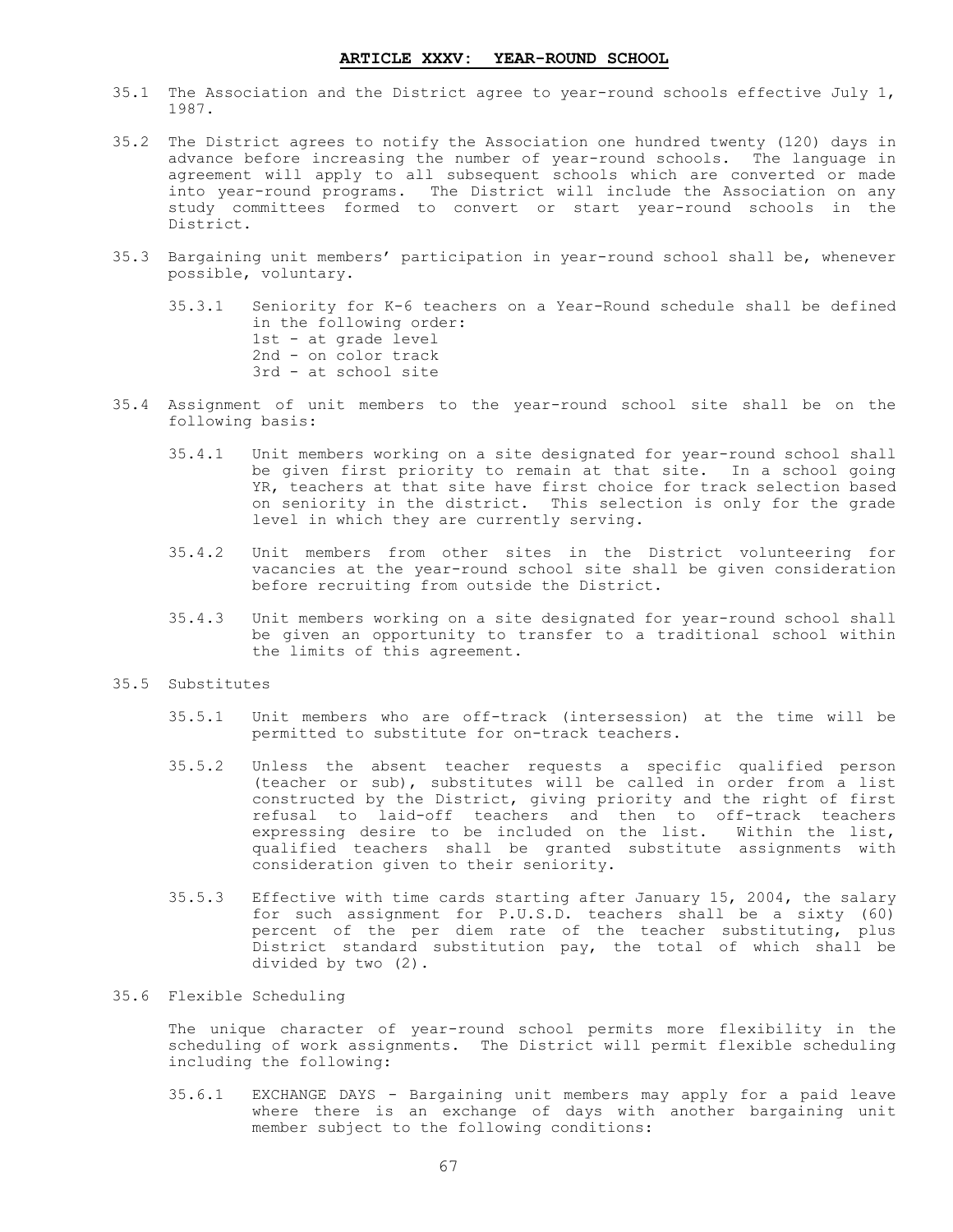- 35.1 The Association and the District agree to year-round schools effective July 1, 1987.
- 35.2 The District agrees to notify the Association one hundred twenty (120) days in advance before increasing the number of year-round schools. The language in agreement will apply to all subsequent schools which are converted or made into year-round programs. The District will include the Association on any study committees formed to convert or start year-round schools in the District.
- 35.3 Bargaining unit members' participation in year-round school shall be, whenever possible, voluntary.

35.3.1 Seniority for K-6 teachers on a Year-Round schedule shall be defined in the following order: 1st - at grade level 2nd - on color track 3rd - at school site

- 35.4 Assignment of unit members to the year-round school site shall be on the following basis:
	- 35.4.1 Unit members working on a site designated for year-round school shall be given first priority to remain at that site. In a school going YR, teachers at that site have first choice for track selection based on seniority in the district. This selection is only for the grade level in which they are currently serving.
	- 35.4.2 Unit members from other sites in the District volunteering for vacancies at the year-round school site shall be given consideration before recruiting from outside the District.
	- 35.4.3 Unit members working on a site designated for year-round school shall be given an opportunity to transfer to a traditional school within the limits of this agreement.
- 35.5 Substitutes
	- 35.5.1 Unit members who are off-track (intersession) at the time will be permitted to substitute for on-track teachers.
	- 35.5.2 Unless the absent teacher requests a specific qualified person (teacher or sub), substitutes will be called in order from a list constructed by the District, giving priority and the right of first refusal to laid-off teachers and then to off-track teachers expressing desire to be included on the list. Within the list, qualified teachers shall be granted substitute assignments with consideration given to their seniority.
	- 35.5.3 Effective with time cards starting after January 15, 2004, the salary for such assignment for P.U.S.D. teachers shall be a sixty (60) percent of the per diem rate of the teacher substituting, plus District standard substitution pay, the total of which shall be divided by two (2).

#### 35.6 Flexible Scheduling

The unique character of year-round school permits more flexibility in the scheduling of work assignments. The District will permit flexible scheduling including the following:

35.6.1 EXCHANGE DAYS - Bargaining unit members may apply for a paid leave where there is an exchange of days with another bargaining unit member subject to the following conditions: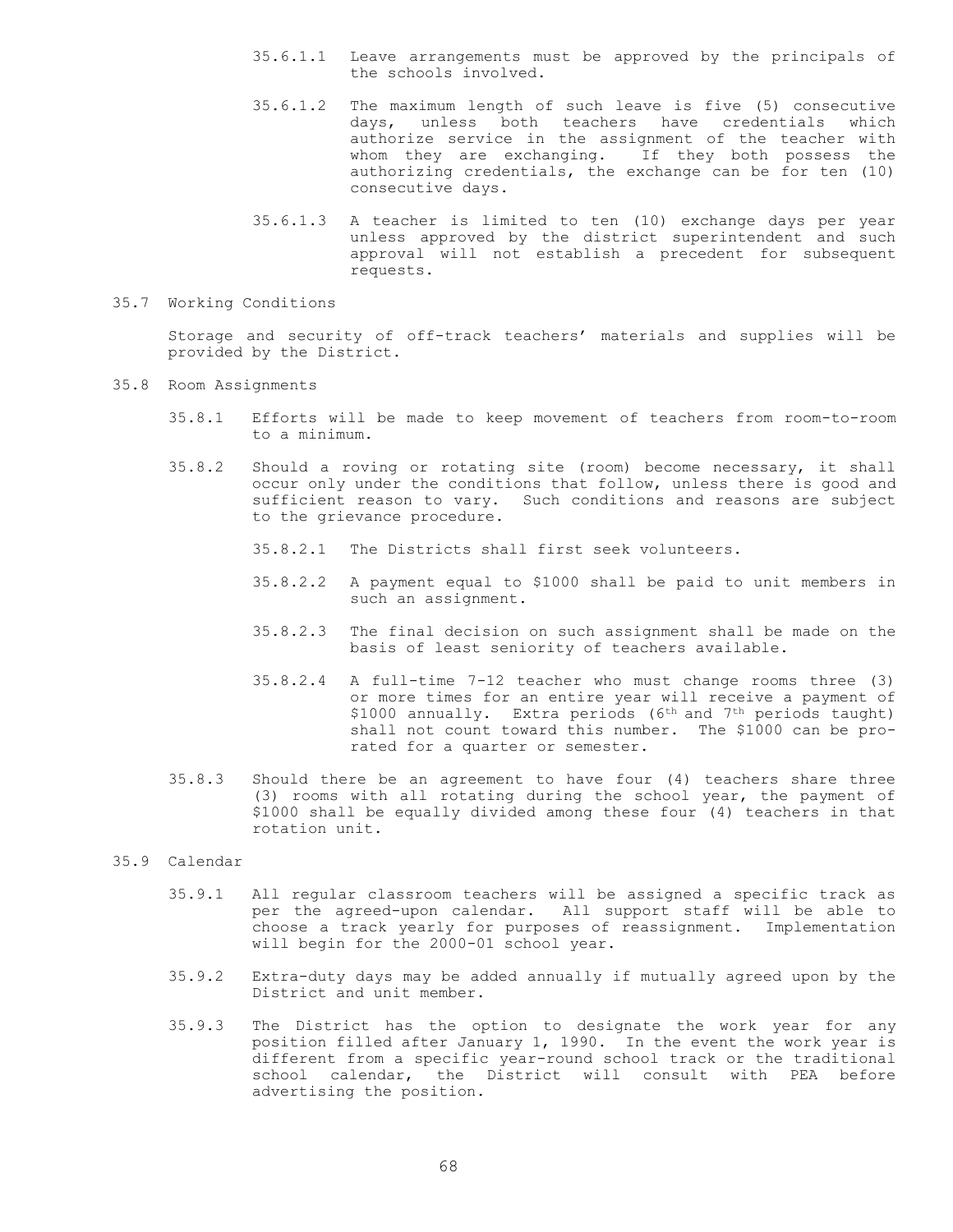- 35.6.1.1 Leave arrangements must be approved by the principals of the schools involved.
- 35.6.1.2 The maximum length of such leave is five (5) consecutive days, unless both teachers have credentials which authorize service in the assignment of the teacher with whom they are exchanging. If they both possess the authorizing credentials, the exchange can be for ten (10) consecutive days.
- 35.6.1.3 A teacher is limited to ten (10) exchange days per year unless approved by the district superintendent and such approval will not establish a precedent for subsequent requests.
- 35.7 Working Conditions

Storage and security of off-track teachers' materials and supplies will be provided by the District.

- 35.8 Room Assignments
	- 35.8.1 Efforts will be made to keep movement of teachers from room-to-room to a minimum.
	- 35.8.2 Should a roving or rotating site (room) become necessary, it shall occur only under the conditions that follow, unless there is good and sufficient reason to vary. Such conditions and reasons are subject to the grievance procedure.
		- 35.8.2.1 The Districts shall first seek volunteers.
		- 35.8.2.2 A payment equal to \$1000 shall be paid to unit members in such an assignment.
		- 35.8.2.3 The final decision on such assignment shall be made on the basis of least seniority of teachers available.
		- 35.8.2.4 A full-time 7-12 teacher who must change rooms three (3) or more times for an entire year will receive a payment of \$1000 annually. Extra periods (6<sup>th</sup> and 7<sup>th</sup> periods taught) shall not count toward this number. The \$1000 can be prorated for a quarter or semester.
	- 35.8.3 Should there be an agreement to have four (4) teachers share three (3) rooms with all rotating during the school year, the payment of \$1000 shall be equally divided among these four (4) teachers in that rotation unit.

35.9 Calendar

- 35.9.1 All regular classroom teachers will be assigned a specific track as per the agreed-upon calendar. All support staff will be able to choose a track yearly for purposes of reassignment. Implementation will begin for the 2000-01 school year.
- 35.9.2 Extra-duty days may be added annually if mutually agreed upon by the District and unit member.
- 35.9.3 The District has the option to designate the work year for any position filled after January 1, 1990. In the event the work year is different from a specific year-round school track or the traditional school calendar, the District will consult with PEA before advertising the position.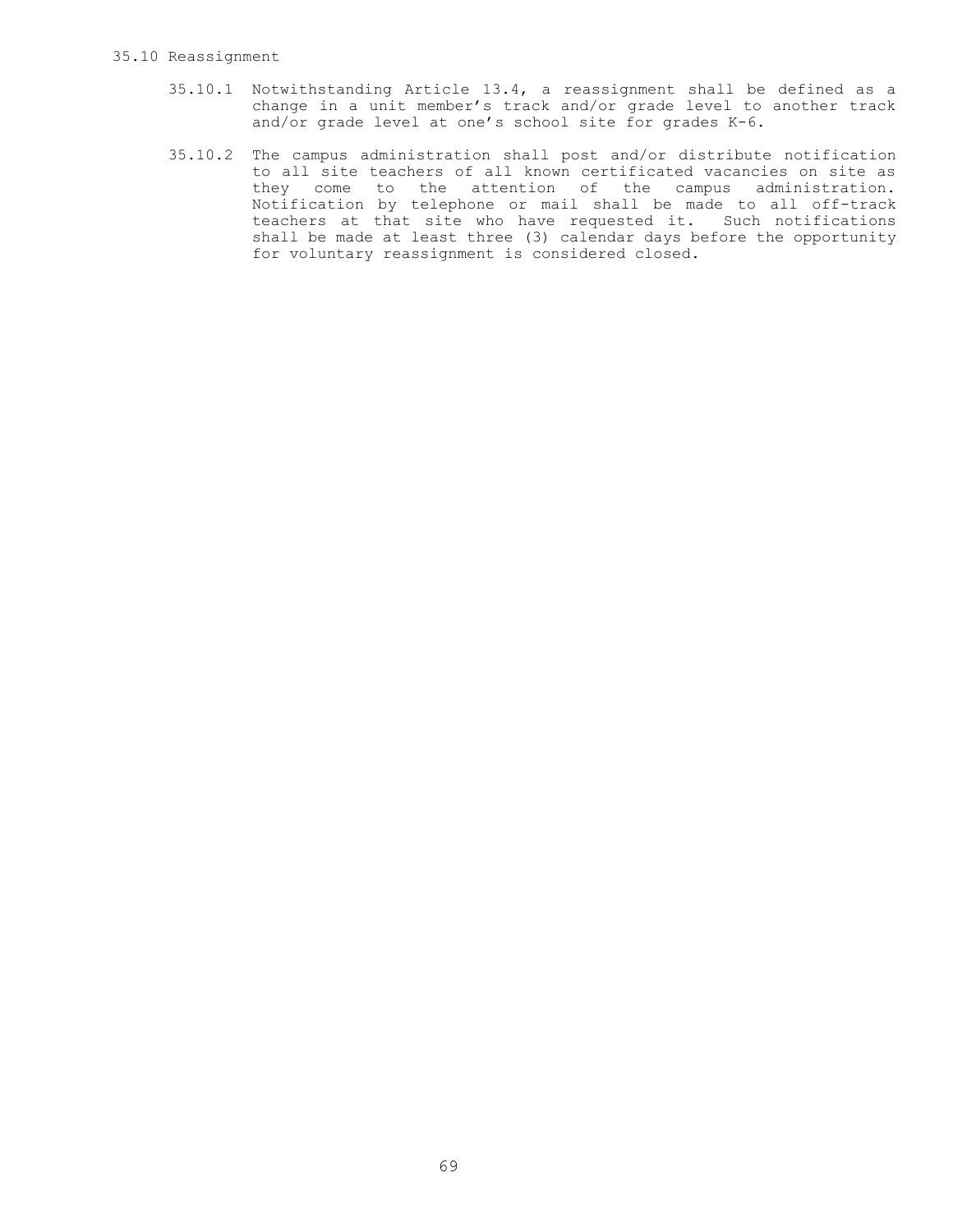#### 35.10 Reassignment

- 35.10.1 Notwithstanding Article 13.4, a reassignment shall be defined as a change in a unit member's track and/or grade level to another track and/or grade level at one's school site for grades K-6.
- 35.10.2 The campus administration shall post and/or distribute notification to all site teachers of all known certificated vacancies on site as they come to the attention of the campus administration. Notification by telephone or mail shall be made to all off-track teachers at that site who have requested it. Such notifications shall be made at least three (3) calendar days before the opportunity for voluntary reassignment is considered closed.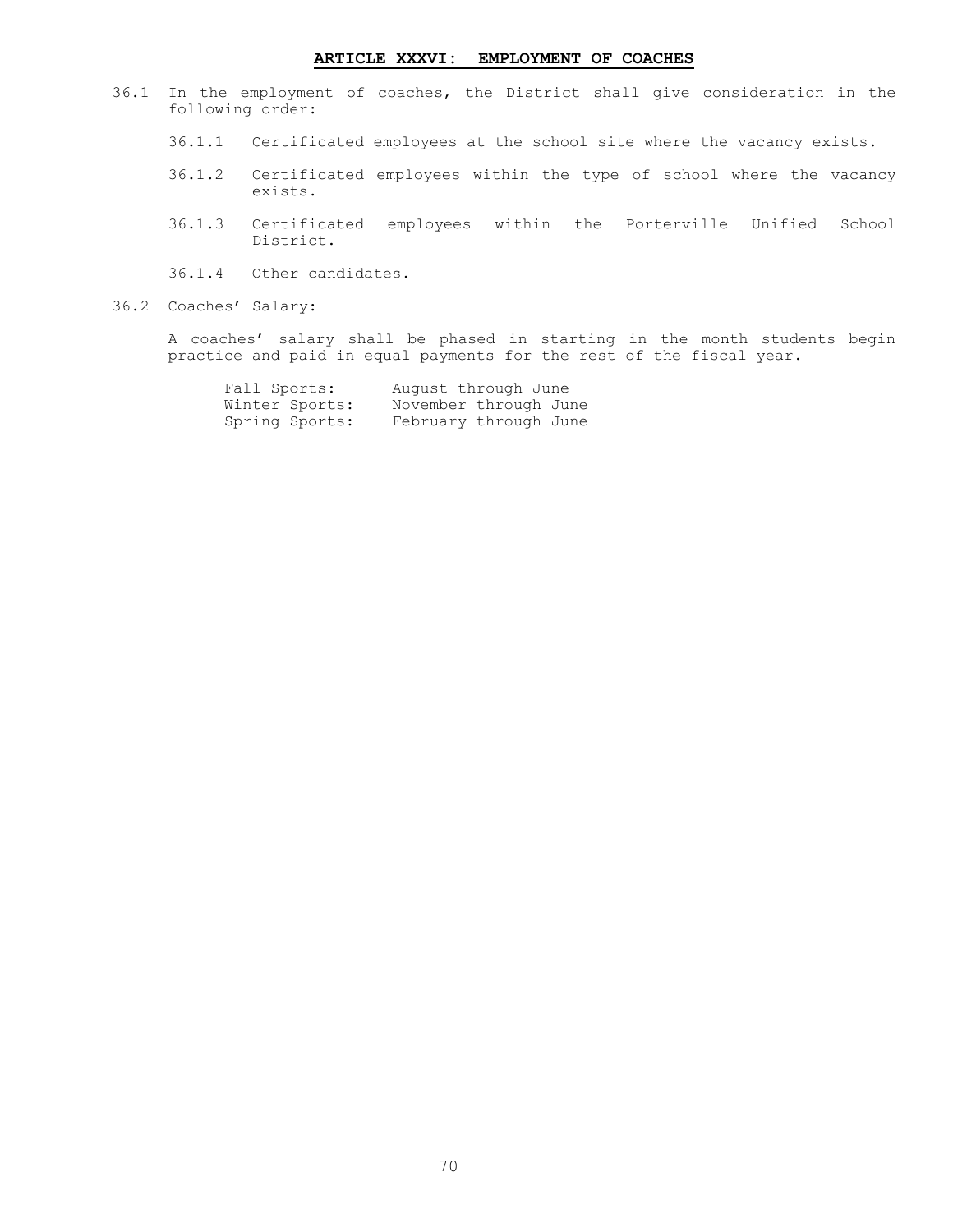# **ARTICLE XXXVI: EMPLOYMENT OF COACHES**

- 36.1 In the employment of coaches, the District shall give consideration in the following order:
	- 36.1.1 Certificated employees at the school site where the vacancy exists.
	- 36.1.2 Certificated employees within the type of school where the vacancy exists.
	- 36.1.3 Certificated employees within the Porterville Unified School District.
	- 36.1.4 Other candidates.
- 36.2 Coaches' Salary:

A coaches' salary shall be phased in starting in the month students begin practice and paid in equal payments for the rest of the fiscal year.

| Fall Sports:   | August through June   |
|----------------|-----------------------|
| Winter Sports: | November through June |
| Spring Sports: | February through June |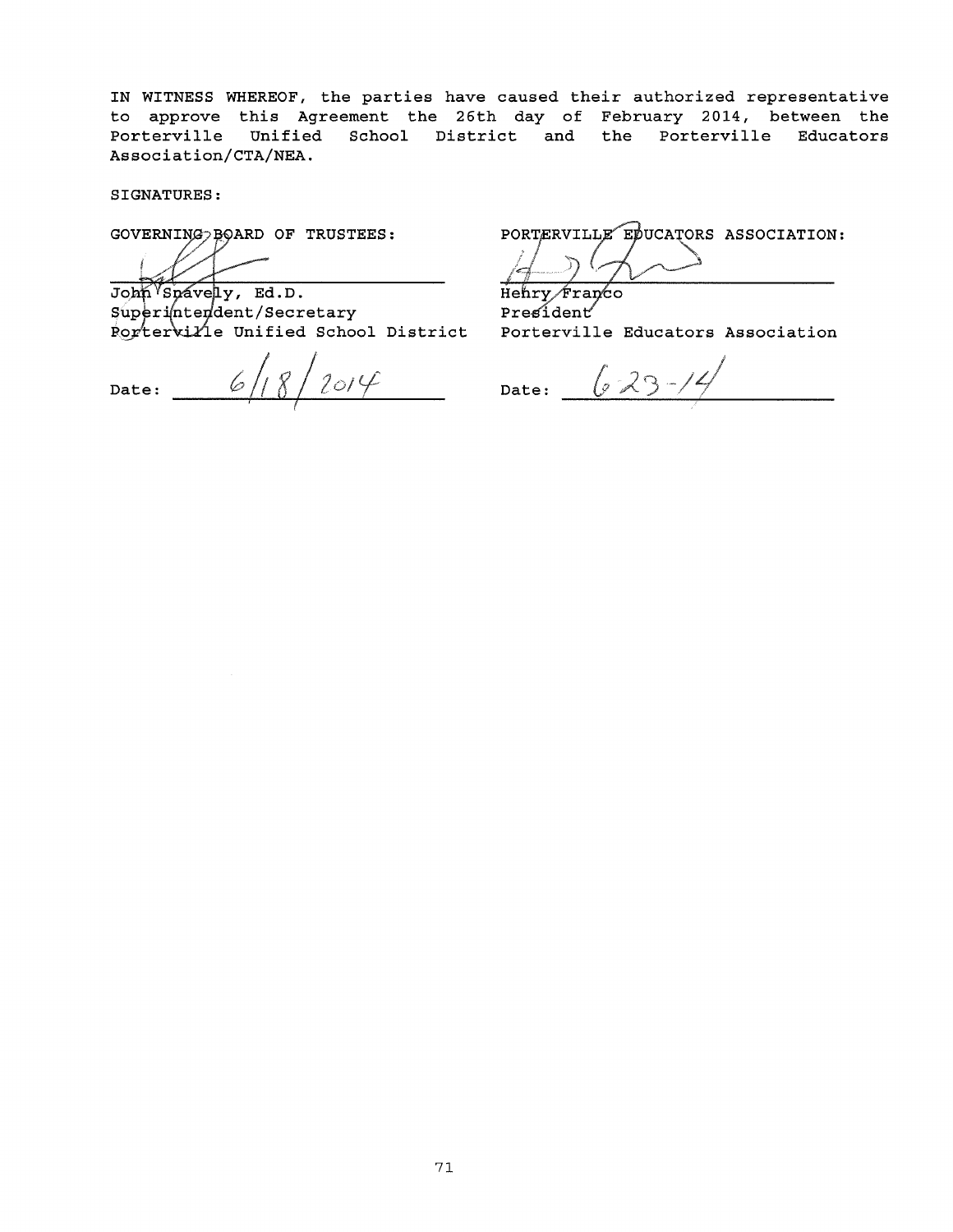IN WITNESS WHEREOF, the parties have caused their authorized representative to approve this Agreement the 26th day of February 2014, between the Porterville Unified School District and the Porterville Educators Association/CTA/NEA.

SIGNATURES:

GOVERNING > BOARD OF TRUSTEES:

John Spavely, Ed.D.

Superintendent/Secretary

Date:  $\frac{118}{2014}$  Date:

PORTERVILLE EDUCATORS ASSOCIATION: l

Henry Franco President e Unified School District Porterville Educators Association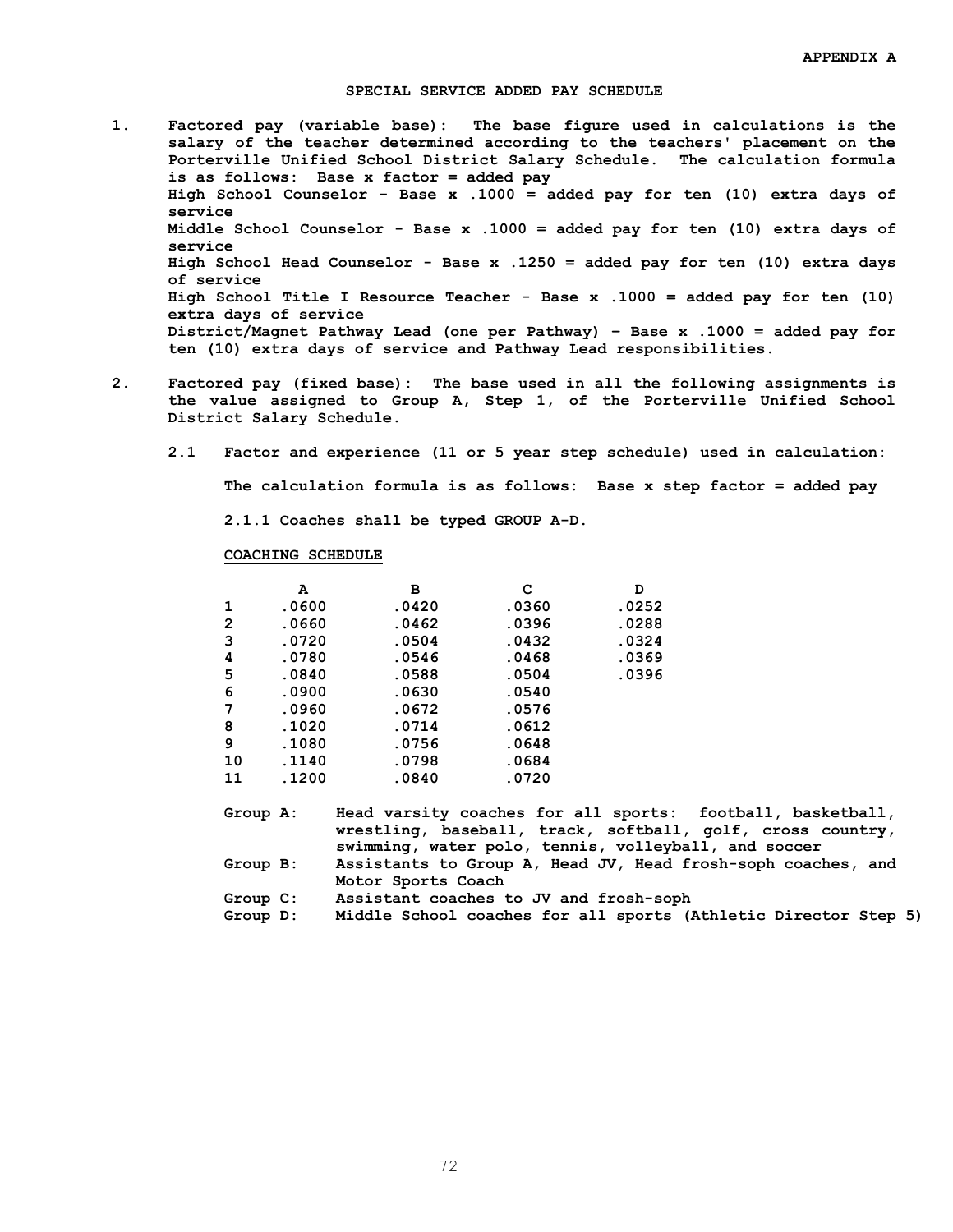### **SPECIAL SERVICE ADDED PAY SCHEDULE**

- **1. Factored pay (variable base): The base figure used in calculations is the salary of the teacher determined according to the teachers' placement on the Porterville Unified School District Salary Schedule. The calculation formula is as follows: Base x factor = added pay High School Counselor - Base x .1000 = added pay for ten (10) extra days of service Middle School Counselor - Base x .1000 = added pay for ten (10) extra days of service High School Head Counselor - Base x .1250 = added pay for ten (10) extra days of service High School Title I Resource Teacher - Base x .1000 = added pay for ten (10) extra days of service District/Magnet Pathway Lead (one per Pathway) – Base x .1000 = added pay for ten (10) extra days of service and Pathway Lead responsibilities.**
- **2. Factored pay (fixed base): The base used in all the following assignments is the value assigned to Group A, Step 1, of the Porterville Unified School District Salary Schedule.**
	- **2.1 Factor and experience (11 or 5 year step schedule) used in calculation:**

**The calculation formula is as follows: Base x step factor = added pay**

 **2.1.1 Coaches shall be typed GROUP A-D.**

### **COACHING SCHEDULE**

|    | A     | в     | с     | D     |
|----|-------|-------|-------|-------|
| 1  | .0600 | .0420 | .0360 | .0252 |
| 2  | .0660 | .0462 | .0396 | .0288 |
| 3  | .0720 | .0504 | .0432 | .0324 |
| 4  | .0780 | .0546 | .0468 | .0369 |
| 5  | .0840 | .0588 | .0504 | .0396 |
| 6  | .0900 | .0630 | .0540 |       |
| 7  | .0960 | .0672 | .0576 |       |
| 8  | .1020 | .0714 | .0612 |       |
| 9  | .1080 | .0756 | .0648 |       |
| 10 | .1140 | .0798 | .0684 |       |
| 11 | .1200 | .0840 | .0720 |       |

| Group A: | Head varsity coaches for all sports: football, basketball,   |
|----------|--------------------------------------------------------------|
|          | wrestling, baseball, track, softball, golf, cross country,   |
|          | swimming, water polo, tennis, volleyball, and soccer         |
| Group B: | Assistants to Group A, Head JV, Head frosh-soph coaches, and |
|          | Motor Sports Coach                                           |

- **Group C: Assistant coaches to JV and frosh-soph**
- **Group D: Middle School coaches for all sports (Athletic Director Step 5)**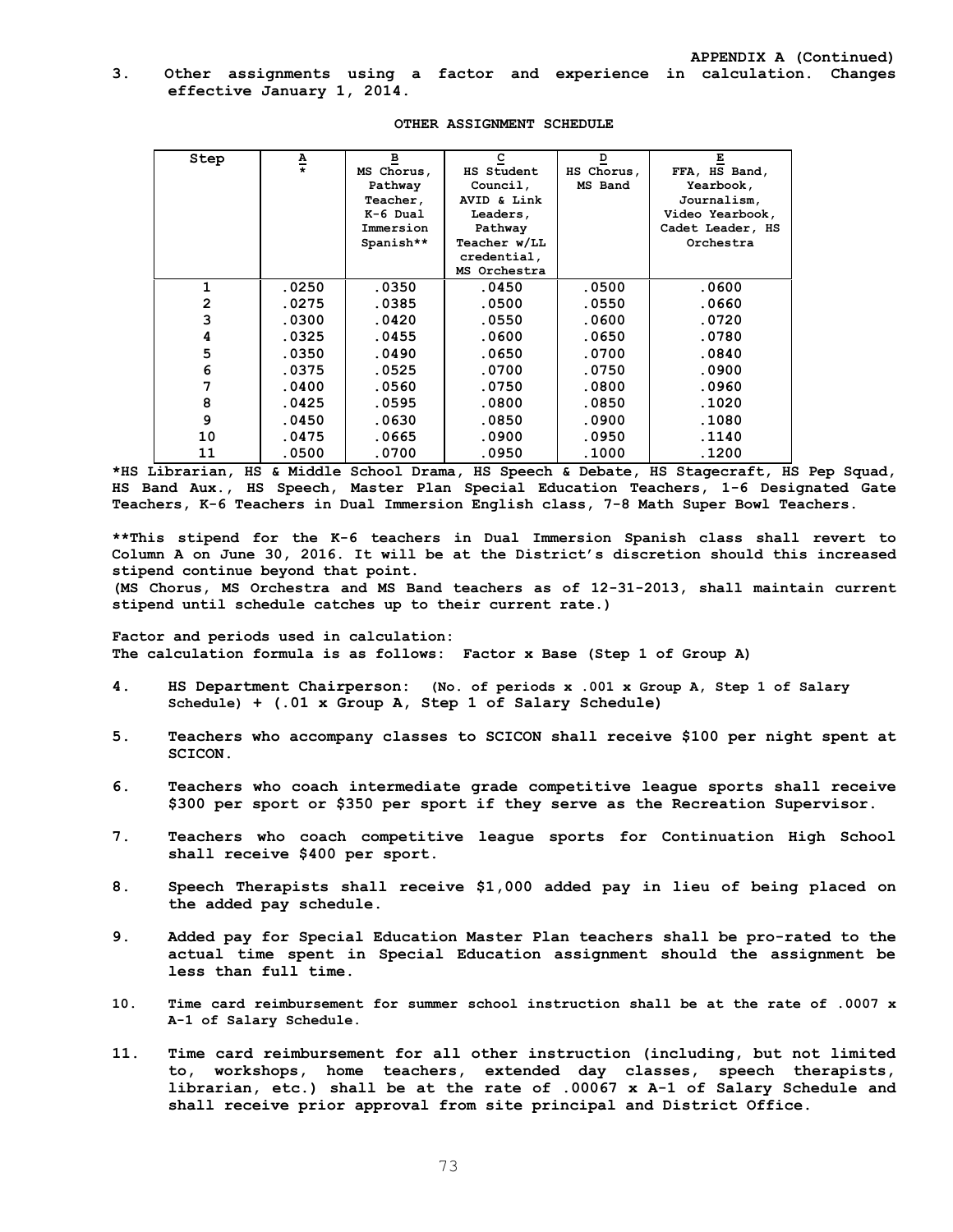### **3. Other assignments using a factor and experience in calculation. Changes effective January 1, 2014.**

| Step           | Δ                       | $\overline{\mathbf{B}}$ | $\subseteq$       | $\overline{\mathbf{D}}$ | Е                |
|----------------|-------------------------|-------------------------|-------------------|-------------------------|------------------|
|                | $\overline{\textbf{r}}$ | MS Chorus,              | <b>HS Student</b> | HS Chorus,              | FFA, HS Band,    |
|                |                         | Pathway                 | Council,          | MS Band                 | Yearbook,        |
|                |                         | Teacher,                | AVID & Link       |                         | Journalism,      |
|                |                         | $K-6$ Dual              | Leaders,          |                         | Video Yearbook,  |
|                |                         | Immersion               | Pathway           |                         | Cadet Leader, HS |
|                |                         | Spanish**               | Teacher w/LL      |                         | Orchestra        |
|                |                         |                         | credential,       |                         |                  |
|                |                         |                         | MS Orchestra      |                         |                  |
| 1              | .0250                   | .0350                   | .0450             | .0500                   | .0600            |
| $\overline{2}$ | .0275                   | .0385                   | .0500             | .0550                   | .0660            |
| 3              | .0300                   | .0420                   | .0550             | .0600                   | .0720            |
| 4              | .0325                   | .0455                   | .0600             | .0650                   | .0780            |
| 5              | .0350                   | .0490                   | .0650             | .0700                   | .0840            |
| 6              | .0375                   | .0525                   | .0700             | .0750                   | .0900            |
| 7              | .0400                   | .0560                   | .0750             | .0800                   | .0960            |
| 8              | .0425                   | .0595                   | .0800             | .0850                   | .1020            |
| 9              | .0450                   | .0630                   | .0850             | .0900                   | .1080            |
| 10             | .0475                   | .0665                   | .0900             | .0950                   | .1140            |
| 11             | .0500                   | .0700                   | .0950             | .1000                   | .1200            |

#### **OTHER ASSIGNMENT SCHEDULE**

**\*HS Librarian, HS & Middle School Drama, HS Speech & Debate, HS Stagecraft, HS Pep Squad, HS Band Aux., HS Speech, Master Plan Special Education Teachers, 1-6 Designated Gate Teachers, K-6 Teachers in Dual Immersion English class, 7-8 Math Super Bowl Teachers.** 

**\*\*This stipend for the K-6 teachers in Dual Immersion Spanish class shall revert to Column A on June 30, 2016. It will be at the District's discretion should this increased stipend continue beyond that point.**

**(MS Chorus, MS Orchestra and MS Band teachers as of 12-31-2013, shall maintain current stipend until schedule catches up to their current rate.)** 

**Factor and periods used in calculation: The calculation formula is as follows: Factor x Base (Step 1 of Group A)**

- **4. HS Department Chairperson: (No. of periods x .001 x Group A, Step 1 of Salary Schedule) + (.01 x Group A, Step 1 of Salary Schedule)**
- **5. Teachers who accompany classes to SCICON shall receive \$100 per night spent at SCICON.**
- **6. Teachers who coach intermediate grade competitive league sports shall receive \$300 per sport or \$350 per sport if they serve as the Recreation Supervisor.**
- **7. Teachers who coach competitive league sports for Continuation High School shall receive \$400 per sport.**
- **8. Speech Therapists shall receive \$1,000 added pay in lieu of being placed on the added pay schedule.**
- **9. Added pay for Special Education Master Plan teachers shall be pro-rated to the actual time spent in Special Education assignment should the assignment be less than full time.**
- **10. Time card reimbursement for summer school instruction shall be at the rate of .0007 x A-1 of Salary Schedule.**
- **11. Time card reimbursement for all other instruction (including, but not limited to, workshops, home teachers, extended day classes, speech therapists, librarian, etc.) shall be at the rate of .00067 x A-1 of Salary Schedule and shall receive prior approval from site principal and District Office.**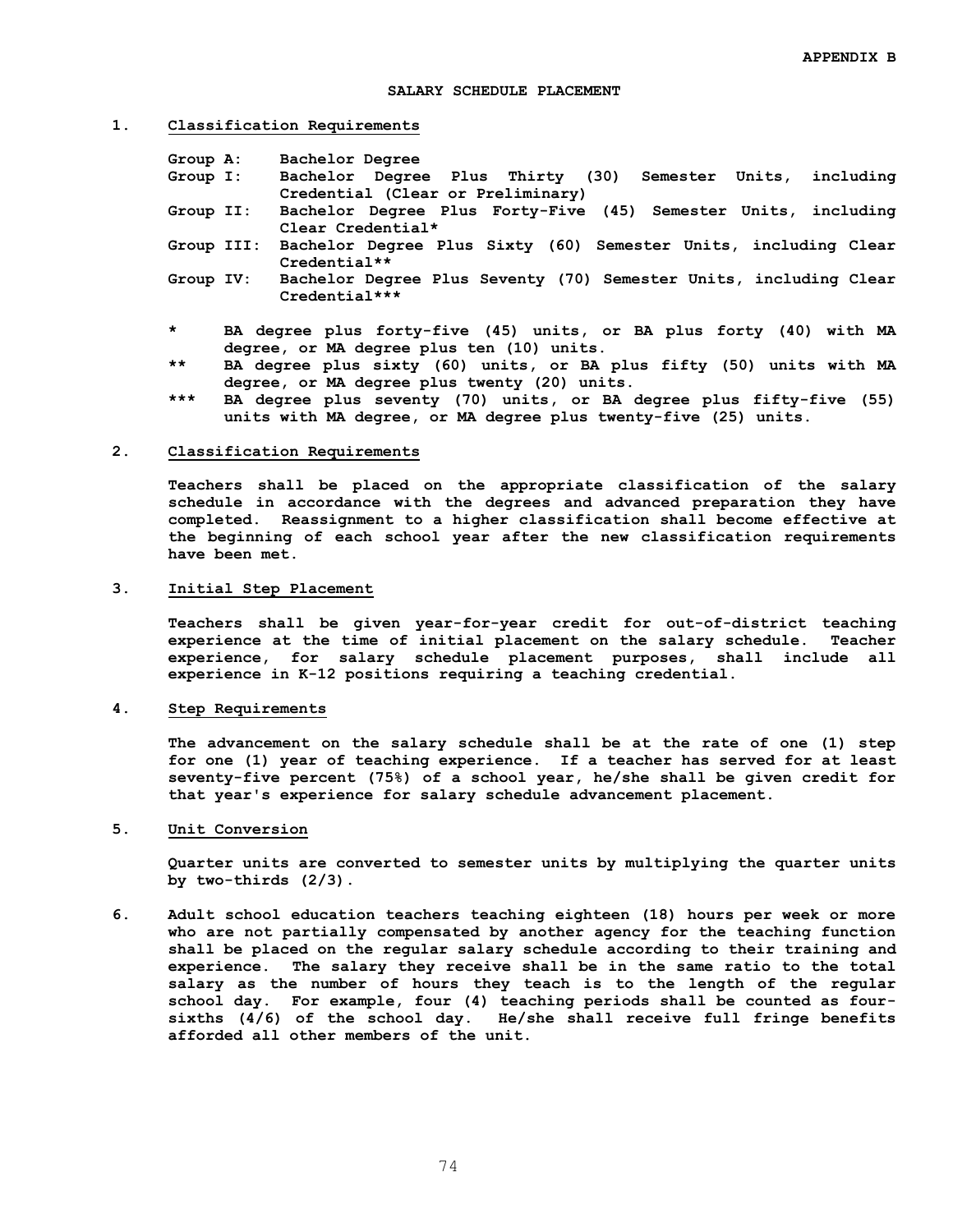#### **1. Classification Requirements**

| Group A:  | Bachelor Degree                                                            |
|-----------|----------------------------------------------------------------------------|
| Group I:  | Bachelor Degree Plus Thirty (30) Semester Units, including                 |
|           | Credential (Clear or Preliminary)                                          |
| Group II: | Bachelor Degree Plus Forty-Five (45) Semester Units, including             |
|           | Clear Credential*                                                          |
|           | Group III: Bachelor Degree Plus Sixty (60) Semester Units, including Clear |
|           | $Credential**$                                                             |

- **Group IV: Bachelor Degree Plus Seventy (70) Semester Units, including Clear Credential\*\*\***
- **\* BA degree plus forty-five (45) units, or BA plus forty (40) with MA degree, or MA degree plus ten (10) units.**
- **\*\* BA degree plus sixty (60) units, or BA plus fifty (50) units with MA degree, or MA degree plus twenty (20) units.**
- **\*\*\* BA degree plus seventy (70) units, or BA degree plus fifty-five (55) units with MA degree, or MA degree plus twenty-five (25) units.**

#### **2. Classification Requirements**

**Teachers shall be placed on the appropriate classification of the salary schedule in accordance with the degrees and advanced preparation they have completed. Reassignment to a higher classification shall become effective at the beginning of each school year after the new classification requirements have been met.**

### **3. Initial Step Placement**

**Teachers shall be given year-for-year credit for out-of-district teaching experience at the time of initial placement on the salary schedule. Teacher experience, for salary schedule placement purposes, shall include all experience in K-12 positions requiring a teaching credential.**

#### **4. Step Requirements**

 **The advancement on the salary schedule shall be at the rate of one (1) step for one (1) year of teaching experience. If a teacher has served for at least seventy-five percent (75%) of a school year, he/she shall be given credit for that year's experience for salary schedule advancement placement.**

### **5. Unit Conversion**

**Quarter units are converted to semester units by multiplying the quarter units by two-thirds (2/3).**

**6. Adult school education teachers teaching eighteen (18) hours per week or more who are not partially compensated by another agency for the teaching function shall be placed on the regular salary schedule according to their training and experience. The salary they receive shall be in the same ratio to the total salary as the number of hours they teach is to the length of the regular school day. For example, four (4) teaching periods shall be counted as foursixths (4/6) of the school day. He/she shall receive full fringe benefits afforded all other members of the unit.**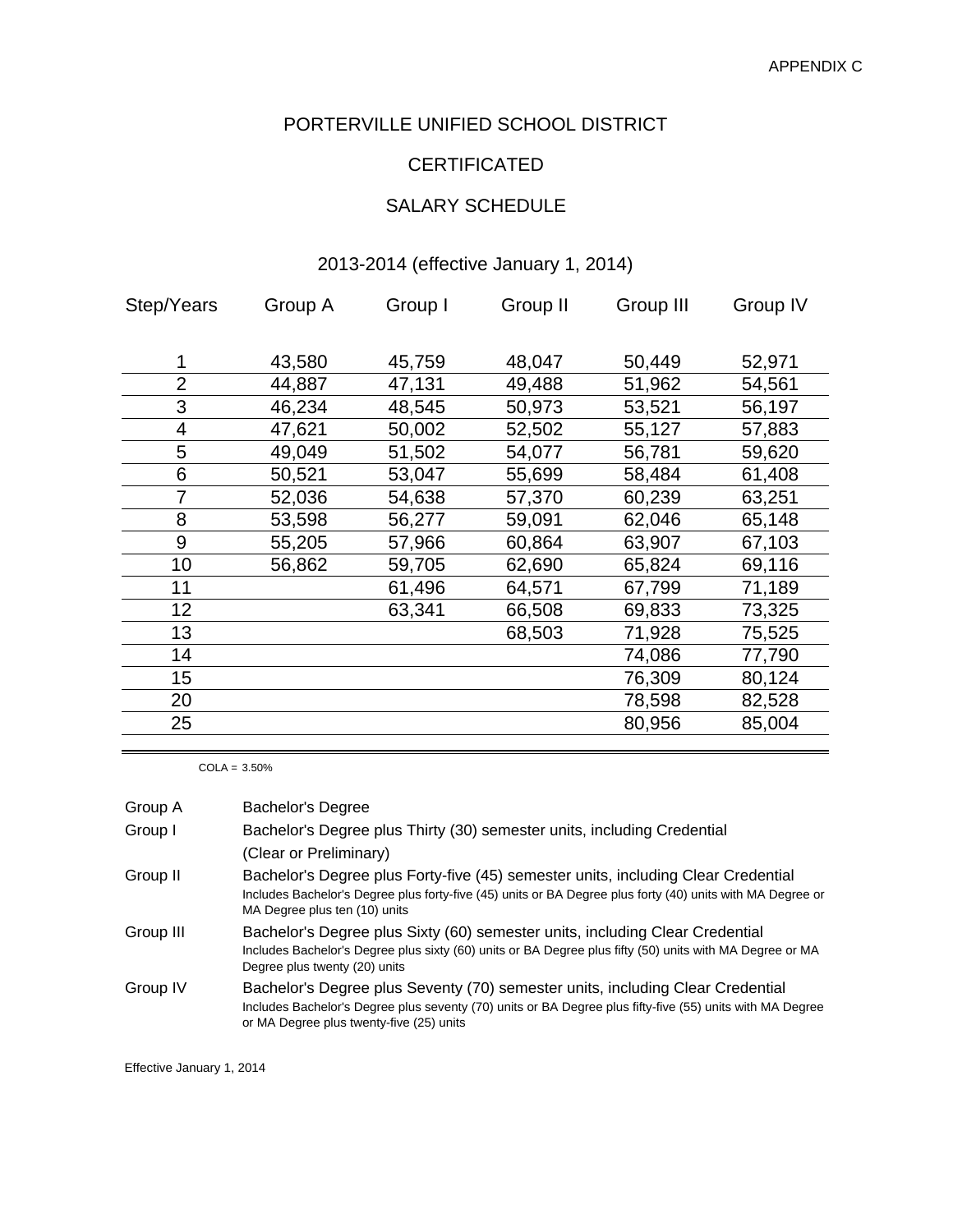### PORTERVILLE UNIFIED SCHOOL DISTRICT

# **CERTIFICATED**

# SALARY SCHEDULE

### 2013-2014 (effective January 1, 2014)

| Step/Years | Group A | Group I | Group II | Group III | Group IV |
|------------|---------|---------|----------|-----------|----------|
|            |         |         |          |           |          |
| 1          | 43,580  | 45,759  | 48,047   | 50,449    | 52,971   |
| 2          | 44,887  | 47,131  | 49,488   | 51,962    | 54,561   |
| 3          | 46,234  | 48,545  | 50,973   | 53,521    | 56,197   |
| 4          | 47,621  | 50,002  | 52,502   | 55,127    | 57,883   |
| 5          | 49,049  | 51,502  | 54,077   | 56,781    | 59,620   |
| 6          | 50,521  | 53,047  | 55,699   | 58,484    | 61,408   |
| 7          | 52,036  | 54,638  | 57,370   | 60,239    | 63,251   |
| 8          | 53,598  | 56,277  | 59,091   | 62,046    | 65,148   |
| 9          | 55,205  | 57,966  | 60,864   | 63,907    | 67,103   |
| 10         | 56,862  | 59,705  | 62,690   | 65,824    | 69,116   |
| 11         |         | 61,496  | 64,571   | 67,799    | 71,189   |
| 12         |         | 63,341  | 66,508   | 69,833    | 73,325   |
| 13         |         |         | 68,503   | 71,928    | 75,525   |
| 14         |         |         |          | 74,086    | 77,790   |
| 15         |         |         |          | 76,309    | 80,124   |
| 20         |         |         |          | 78,598    | 82,528   |
| 25         |         |         |          | 80,956    | 85,004   |
|            |         |         |          |           |          |

 $COLA = 3.50%$ 

| Group A   | <b>Bachelor's Degree</b>                                                                                                                                                                                                                |
|-----------|-----------------------------------------------------------------------------------------------------------------------------------------------------------------------------------------------------------------------------------------|
| Group I   | Bachelor's Degree plus Thirty (30) semester units, including Credential                                                                                                                                                                 |
|           | (Clear or Preliminary)                                                                                                                                                                                                                  |
| Group II  | Bachelor's Degree plus Forty-five (45) semester units, including Clear Credential<br>Includes Bachelor's Degree plus forty-five (45) units or BA Degree plus forty (40) units with MA Degree or<br>MA Degree plus ten (10) units        |
| Group III | Bachelor's Degree plus Sixty (60) semester units, including Clear Credential<br>Includes Bachelor's Degree plus sixty (60) units or BA Degree plus fifty (50) units with MA Degree or MA<br>Degree plus twenty (20) units               |
| Group IV  | Bachelor's Degree plus Seventy (70) semester units, including Clear Credential<br>Includes Bachelor's Degree plus seventy (70) units or BA Degree plus fifty-five (55) units with MA Degree<br>or MA Degree plus twenty-five (25) units |

Effective January 1, 2014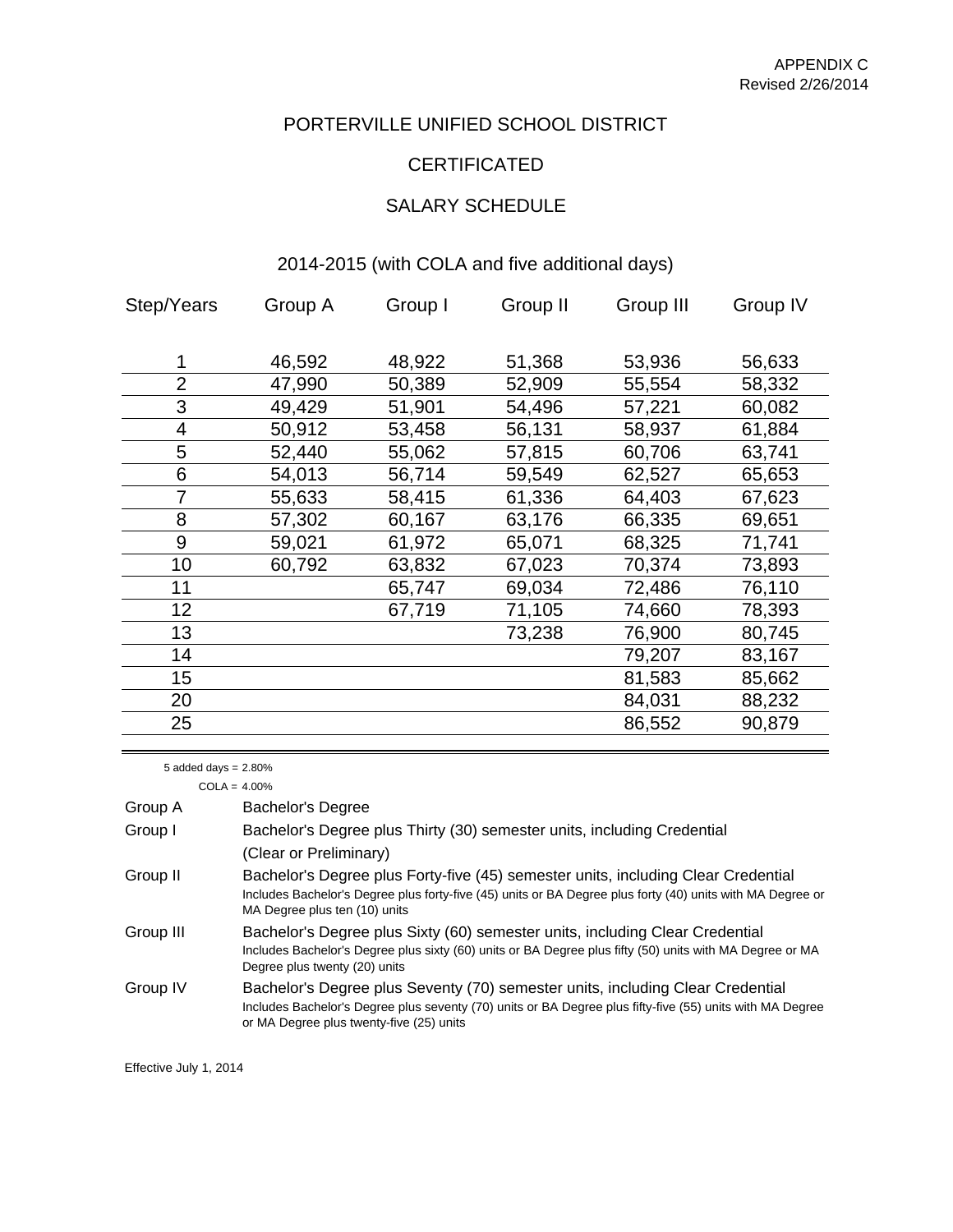# PORTERVILLE UNIFIED SCHOOL DISTRICT

### CERTIFICATED

# SALARY SCHEDULE

### 2014-2015 (with COLA and five additional days)

| Step/Years     | Group A | Group I | Group II | Group III | Group IV |
|----------------|---------|---------|----------|-----------|----------|
|                |         |         |          |           |          |
| 1              | 46,592  | 48,922  | 51,368   | 53,936    | 56,633   |
| $\overline{2}$ | 47,990  | 50,389  | 52,909   | 55,554    | 58,332   |
| 3              | 49,429  | 51,901  | 54,496   | 57,221    | 60,082   |
| $\overline{4}$ | 50,912  | 53,458  | 56,131   | 58,937    | 61,884   |
| 5              | 52,440  | 55,062  | 57,815   | 60,706    | 63,741   |
| 6              | 54,013  | 56,714  | 59,549   | 62,527    | 65,653   |
| 7              | 55,633  | 58,415  | 61,336   | 64,403    | 67,623   |
| 8              | 57,302  | 60,167  | 63,176   | 66,335    | 69,651   |
| 9              | 59,021  | 61,972  | 65,071   | 68,325    | 71,741   |
| 10             | 60,792  | 63,832  | 67,023   | 70,374    | 73,893   |
| 11             |         | 65,747  | 69,034   | 72,486    | 76,110   |
| 12             |         | 67,719  | 71,105   | 74,660    | 78,393   |
| 13             |         |         | 73,238   | 76,900    | 80,745   |
| 14             |         |         |          | 79,207    | 83,167   |
| 15             |         |         |          | 81,583    | 85,662   |
| 20             |         |         |          | 84,031    | 88,232   |
| 25             |         |         |          | 86,552    | 90,879   |
|                |         |         |          |           |          |

5 added days = 2.80%

 $COLA = 4.00%$ 

| Group A   | <b>Bachelor's Degree</b>                                                                                                                                                                                                                |
|-----------|-----------------------------------------------------------------------------------------------------------------------------------------------------------------------------------------------------------------------------------------|
| Group I   | Bachelor's Degree plus Thirty (30) semester units, including Credential                                                                                                                                                                 |
|           | (Clear or Preliminary)                                                                                                                                                                                                                  |
| Group II  | Bachelor's Degree plus Forty-five (45) semester units, including Clear Credential<br>Includes Bachelor's Degree plus forty-five (45) units or BA Degree plus forty (40) units with MA Degree or<br>MA Degree plus ten (10) units        |
| Group III | Bachelor's Degree plus Sixty (60) semester units, including Clear Credential<br>Includes Bachelor's Degree plus sixty (60) units or BA Degree plus fifty (50) units with MA Degree or MA<br>Degree plus twenty (20) units               |
| Group IV  | Bachelor's Degree plus Seventy (70) semester units, including Clear Credential<br>Includes Bachelor's Degree plus seventy (70) units or BA Degree plus fifty-five (55) units with MA Degree<br>or MA Degree plus twenty-five (25) units |

Effective July 1, 2014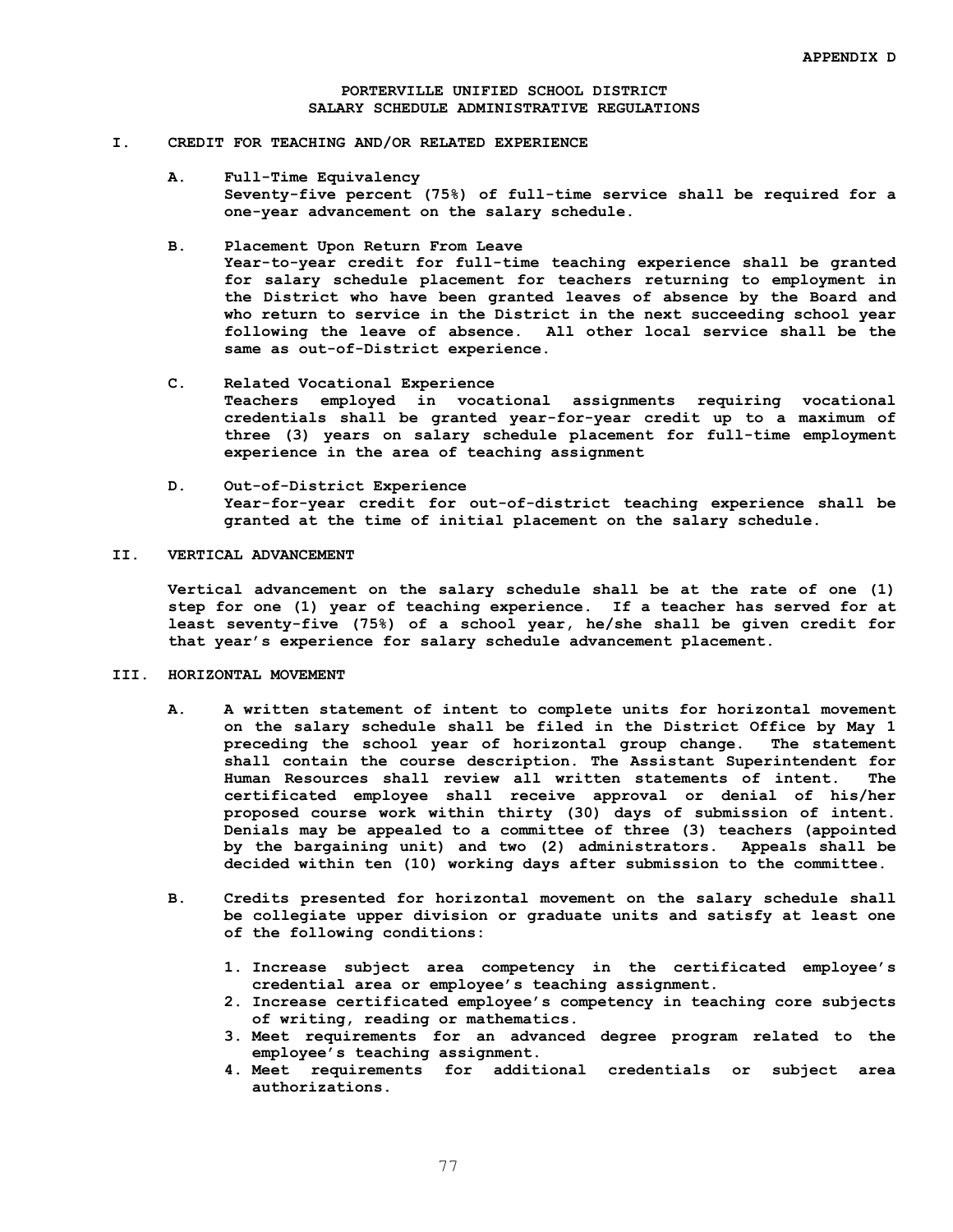#### **PORTERVILLE UNIFIED SCHOOL DISTRICT SALARY SCHEDULE ADMINISTRATIVE REGULATIONS**

#### **I. CREDIT FOR TEACHING AND/OR RELATED EXPERIENCE**

**A. Full-Time Equivalency Seventy-five percent (75%) of full-time service shall be required for a one-year advancement on the salary schedule.**

#### **B. Placement Upon Return From Leave**

**Year-to-year credit for full-time teaching experience shall be granted for salary schedule placement for teachers returning to employment in the District who have been granted leaves of absence by the Board and who return to service in the District in the next succeeding school year following the leave of absence. All other local service shall be the same as out-of-District experience.**

- **C. Related Vocational Experience Teachers employed in vocational assignments requiring vocational credentials shall be granted year-for-year credit up to a maximum of three (3) years on salary schedule placement for full-time employment experience in the area of teaching assignment**
- **D. Out-of-District Experience Year-for-year credit for out-of-district teaching experience shall be granted at the time of initial placement on the salary schedule.**

### **II. VERTICAL ADVANCEMENT**

**Vertical advancement on the salary schedule shall be at the rate of one (1) step for one (1) year of teaching experience. If a teacher has served for at least seventy-five (75%) of a school year, he/she shall be given credit for that year's experience for salary schedule advancement placement.**

### **III. HORIZONTAL MOVEMENT**

- **A. A written statement of intent to complete units for horizontal movement on the salary schedule shall be filed in the District Office by May 1 preceding the school year of horizontal group change. The statement shall contain the course description. The Assistant Superintendent for Human Resources shall review all written statements of intent. The certificated employee shall receive approval or denial of his/her proposed course work within thirty (30) days of submission of intent. Denials may be appealed to a committee of three (3) teachers (appointed by the bargaining unit) and two (2) administrators. Appeals shall be decided within ten (10) working days after submission to the committee.**
- **B. Credits presented for horizontal movement on the salary schedule shall be collegiate upper division or graduate units and satisfy at least one of the following conditions:**
	- **1. Increase subject area competency in the certificated employee's credential area or employee's teaching assignment.**
	- **2. Increase certificated employee's competency in teaching core subjects of writing, reading or mathematics.**
	- **3. Meet requirements for an advanced degree program related to the employee's teaching assignment.**
	- **4. Meet requirements for additional credentials or subject area authorizations.**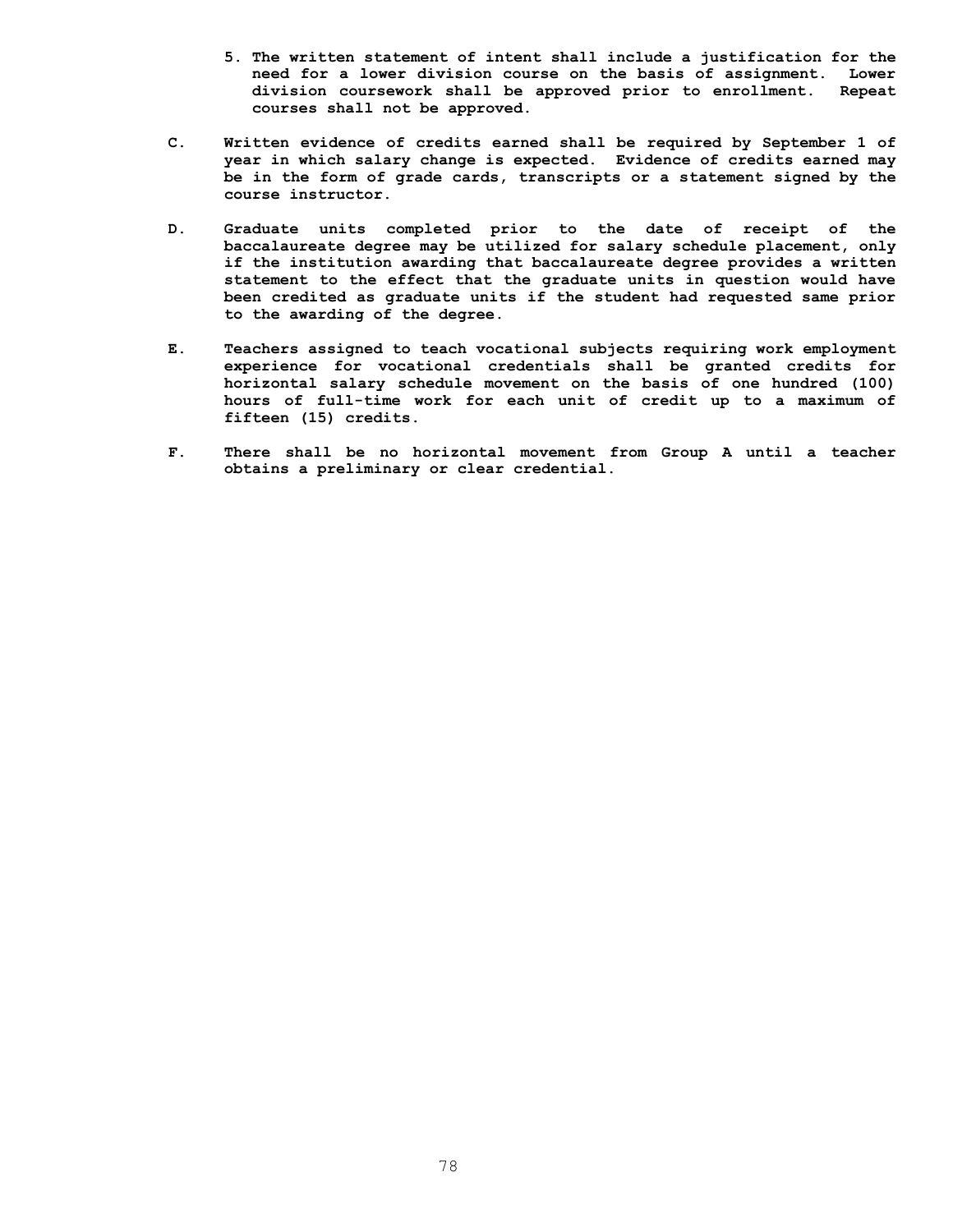- **5. The written statement of intent shall include a justification for the need for a lower division course on the basis of assignment. Lower division coursework shall be approved prior to enrollment. Repeat courses shall not be approved.**
- **C. Written evidence of credits earned shall be required by September 1 of year in which salary change is expected. Evidence of credits earned may be in the form of grade cards, transcripts or a statement signed by the course instructor.**
- **D. Graduate units completed prior to the date of receipt of the baccalaureate degree may be utilized for salary schedule placement, only if the institution awarding that baccalaureate degree provides a written statement to the effect that the graduate units in question would have been credited as graduate units if the student had requested same prior to the awarding of the degree.**
- **E. Teachers assigned to teach vocational subjects requiring work employment experience for vocational credentials shall be granted credits for horizontal salary schedule movement on the basis of one hundred (100) hours of full-time work for each unit of credit up to a maximum of fifteen (15) credits.**
- **F. There shall be no horizontal movement from Group A until a teacher obtains a preliminary or clear credential.**